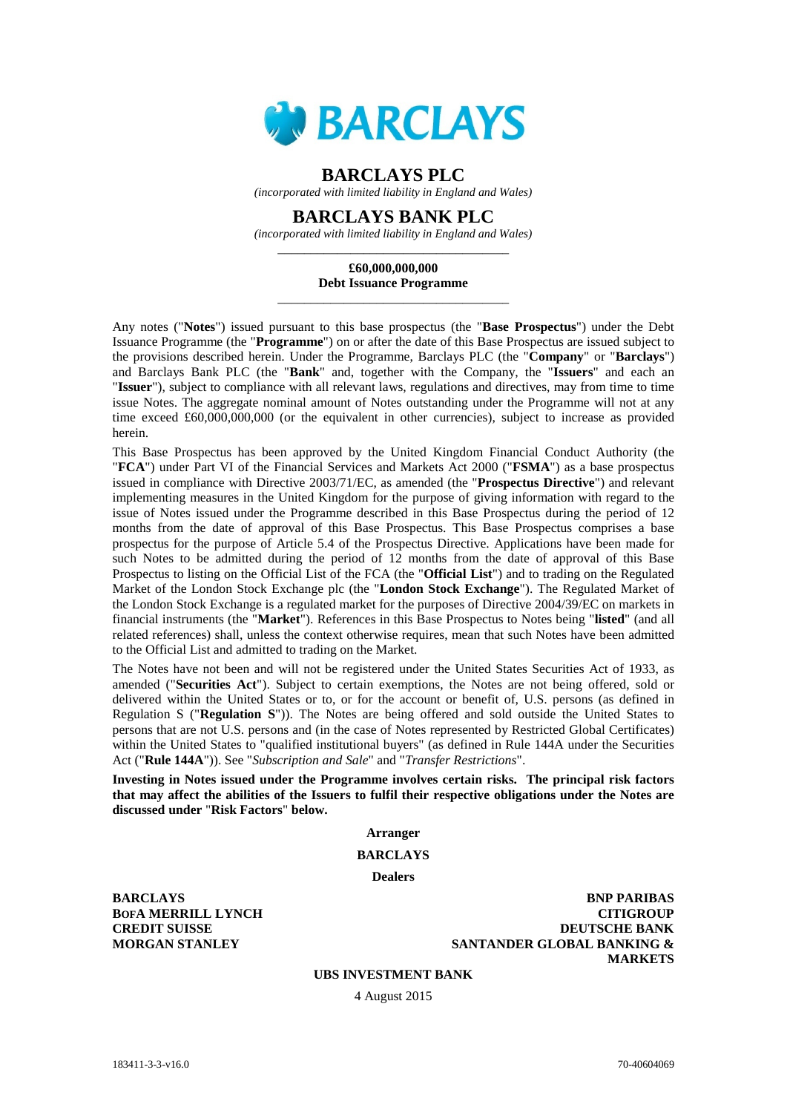

# **BARCLAYS PLC**

*(incorporated with limited liability in England and Wales)*

# **BARCLAYS BANK PLC**

*(incorporated with limited liability in England and Wales)* \_\_\_\_\_\_\_\_\_\_\_\_\_\_\_\_\_\_\_\_\_\_\_\_\_\_\_\_\_\_\_\_\_\_\_

# **£60,000,000,000 Debt Issuance Programme** \_\_\_\_\_\_\_\_\_\_\_\_\_\_\_\_\_\_\_\_\_\_\_\_\_\_\_\_\_\_\_\_\_\_\_

Any notes ("**Notes**") issued pursuant to this base prospectus (the "**Base Prospectus**") under the Debt Issuance Programme (the "**Programme**") on or after the date of this Base Prospectus are issued subject to the provisions described herein. Under the Programme, Barclays PLC (the "**Company**" or "**Barclays**") and Barclays Bank PLC (the "**Bank**" and, together with the Company, the "**Issuers**" and each an "**Issuer**"), subject to compliance with all relevant laws, regulations and directives, may from time to time issue Notes. The aggregate nominal amount of Notes outstanding under the Programme will not at any time exceed £60,000,000,000 (or the equivalent in other currencies), subject to increase as provided herein.

This Base Prospectus has been approved by the United Kingdom Financial Conduct Authority (the "**FCA**") under Part VI of the Financial Services and Markets Act 2000 ("**FSMA**") as a base prospectus issued in compliance with Directive 2003/71/EC, as amended (the "**Prospectus Directive**") and relevant implementing measures in the United Kingdom for the purpose of giving information with regard to the issue of Notes issued under the Programme described in this Base Prospectus during the period of 12 months from the date of approval of this Base Prospectus. This Base Prospectus comprises a base prospectus for the purpose of Article 5.4 of the Prospectus Directive. Applications have been made for such Notes to be admitted during the period of 12 months from the date of approval of this Base Prospectus to listing on the Official List of the FCA (the "**Official List**") and to trading on the Regulated Market of the London Stock Exchange plc (the "**London Stock Exchange**"). The Regulated Market of the London Stock Exchange is a regulated market for the purposes of Directive 2004/39/EC on markets in financial instruments (the "**Market**"). References in this Base Prospectus to Notes being "**listed**" (and all related references) shall, unless the context otherwise requires, mean that such Notes have been admitted to the Official List and admitted to trading on the Market.

The Notes have not been and will not be registered under the United States Securities Act of 1933, as amended ("**Securities Act**"). Subject to certain exemptions, the Notes are not being offered, sold or delivered within the United States or to, or for the account or benefit of, U.S. persons (as defined in Regulation S ("**Regulation S**")). The Notes are being offered and sold outside the United States to persons that are not U.S. persons and (in the case of Notes represented by Restricted Global Certificates) within the United States to "qualified institutional buyers" (as defined in Rule 144A under the Securities Act ("**Rule 144A**")). See "*Subscription and Sale*" and "*Transfer Restrictions*".

**Investing in Notes issued under the Programme involves certain risks. The principal risk factors that may affect the abilities of the Issuers to fulfil their respective obligations under the Notes are discussed under** "**Risk Factors**" **below.**

# **Arranger**

# **BARCLAYS**

**Dealers**

**BARCLAYS BOFA MERRILL LYNCH CREDIT SUISSE MORGAN STANLEY**

**BNP PARIBAS CITIGROUP DEUTSCHE BANK SANTANDER GLOBAL BANKING & MARKETS**

# **UBS INVESTMENT BANK**

4 August 2015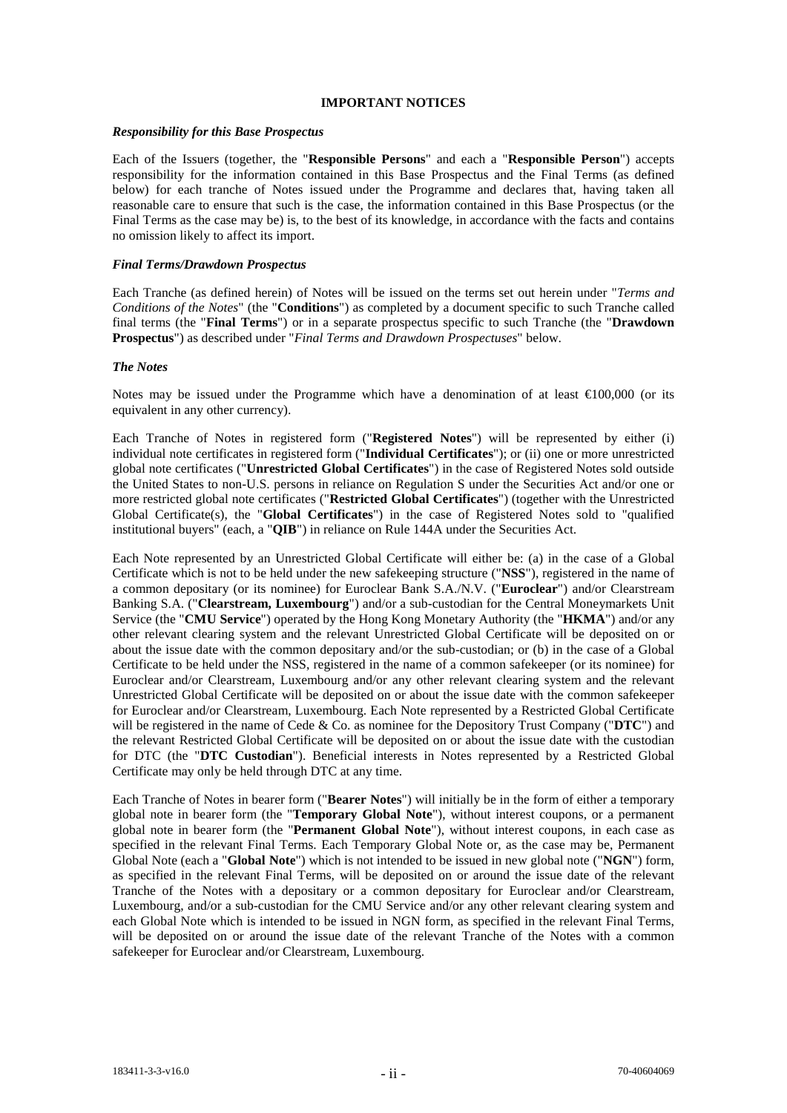# **IMPORTANT NOTICES**

#### *Responsibility for this Base Prospectus*

Each of the Issuers (together, the "**Responsible Persons**" and each a "**Responsible Person**") accepts responsibility for the information contained in this Base Prospectus and the Final Terms (as defined below) for each tranche of Notes issued under the Programme and declares that, having taken all reasonable care to ensure that such is the case, the information contained in this Base Prospectus (or the Final Terms as the case may be) is, to the best of its knowledge, in accordance with the facts and contains no omission likely to affect its import.

### *Final Terms/Drawdown Prospectus*

Each Tranche (as defined herein) of Notes will be issued on the terms set out herein under "*Terms and Conditions of the Notes*" (the "**Conditions**") as completed by a document specific to such Tranche called final terms (the "**Final Terms**") or in a separate prospectus specific to such Tranche (the "**Drawdown Prospectus**") as described under "*Final Terms and Drawdown Prospectuses*" below.

# *The Notes*

Notes may be issued under the Programme which have a denomination of at least  $\epsilon 100,000$  (or its equivalent in any other currency).

Each Tranche of Notes in registered form ("**Registered Notes**") will be represented by either (i) individual note certificates in registered form ("**Individual Certificates**"); or (ii) one or more unrestricted global note certificates ("**Unrestricted Global Certificates**") in the case of Registered Notes sold outside the United States to non-U.S. persons in reliance on Regulation S under the Securities Act and/or one or more restricted global note certificates ("**Restricted Global Certificates**") (together with the Unrestricted Global Certificate(s), the "**Global Certificates**") in the case of Registered Notes sold to "qualified institutional buyers" (each, a "**QIB**") in reliance on Rule 144A under the Securities Act.

Each Note represented by an Unrestricted Global Certificate will either be: (a) in the case of a Global Certificate which is not to be held under the new safekeeping structure ("**NSS**"), registered in the name of a common depositary (or its nominee) for Euroclear Bank S.A./N.V. ("**Euroclear**") and/or Clearstream Banking S.A. ("**Clearstream, Luxembourg**") and/or a sub-custodian for the Central Moneymarkets Unit Service (the "**CMU Service**") operated by the Hong Kong Monetary Authority (the "**HKMA**") and/or any other relevant clearing system and the relevant Unrestricted Global Certificate will be deposited on or about the issue date with the common depositary and/or the sub-custodian; or (b) in the case of a Global Certificate to be held under the NSS, registered in the name of a common safekeeper (or its nominee) for Euroclear and/or Clearstream, Luxembourg and/or any other relevant clearing system and the relevant Unrestricted Global Certificate will be deposited on or about the issue date with the common safekeeper for Euroclear and/or Clearstream, Luxembourg. Each Note represented by a Restricted Global Certificate will be registered in the name of Cede & Co. as nominee for the Depository Trust Company ("**DTC**") and the relevant Restricted Global Certificate will be deposited on or about the issue date with the custodian for DTC (the "**DTC Custodian**"). Beneficial interests in Notes represented by a Restricted Global Certificate may only be held through DTC at any time.

Each Tranche of Notes in bearer form ("**Bearer Notes**") will initially be in the form of either a temporary global note in bearer form (the "**Temporary Global Note**"), without interest coupons, or a permanent global note in bearer form (the "**Permanent Global Note**"), without interest coupons, in each case as specified in the relevant Final Terms. Each Temporary Global Note or, as the case may be, Permanent Global Note (each a "**Global Note**") which is not intended to be issued in new global note ("**NGN**") form, as specified in the relevant Final Terms, will be deposited on or around the issue date of the relevant Tranche of the Notes with a depositary or a common depositary for Euroclear and/or Clearstream, Luxembourg, and/or a sub-custodian for the CMU Service and/or any other relevant clearing system and each Global Note which is intended to be issued in NGN form, as specified in the relevant Final Terms, will be deposited on or around the issue date of the relevant Tranche of the Notes with a common safekeeper for Euroclear and/or Clearstream, Luxembourg.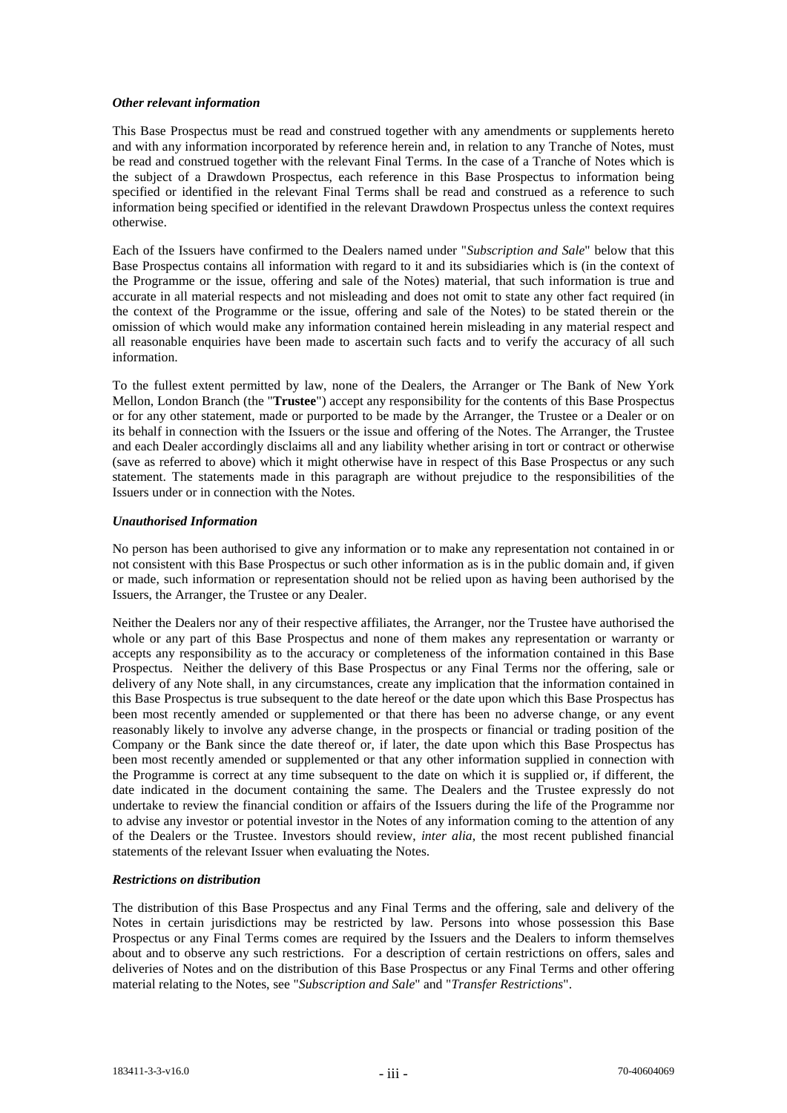# *Other relevant information*

This Base Prospectus must be read and construed together with any amendments or supplements hereto and with any information incorporated by reference herein and, in relation to any Tranche of Notes, must be read and construed together with the relevant Final Terms. In the case of a Tranche of Notes which is the subject of a Drawdown Prospectus, each reference in this Base Prospectus to information being specified or identified in the relevant Final Terms shall be read and construed as a reference to such information being specified or identified in the relevant Drawdown Prospectus unless the context requires otherwise.

Each of the Issuers have confirmed to the Dealers named under "*Subscription and Sale*" below that this Base Prospectus contains all information with regard to it and its subsidiaries which is (in the context of the Programme or the issue, offering and sale of the Notes) material, that such information is true and accurate in all material respects and not misleading and does not omit to state any other fact required (in the context of the Programme or the issue, offering and sale of the Notes) to be stated therein or the omission of which would make any information contained herein misleading in any material respect and all reasonable enquiries have been made to ascertain such facts and to verify the accuracy of all such information.

To the fullest extent permitted by law, none of the Dealers, the Arranger or The Bank of New York Mellon, London Branch (the "**Trustee**") accept any responsibility for the contents of this Base Prospectus or for any other statement, made or purported to be made by the Arranger, the Trustee or a Dealer or on its behalf in connection with the Issuers or the issue and offering of the Notes. The Arranger, the Trustee and each Dealer accordingly disclaims all and any liability whether arising in tort or contract or otherwise (save as referred to above) which it might otherwise have in respect of this Base Prospectus or any such statement. The statements made in this paragraph are without prejudice to the responsibilities of the Issuers under or in connection with the Notes.

# *Unauthorised Information*

No person has been authorised to give any information or to make any representation not contained in or not consistent with this Base Prospectus or such other information as is in the public domain and, if given or made, such information or representation should not be relied upon as having been authorised by the Issuers, the Arranger, the Trustee or any Dealer.

Neither the Dealers nor any of their respective affiliates, the Arranger, nor the Trustee have authorised the whole or any part of this Base Prospectus and none of them makes any representation or warranty or accepts any responsibility as to the accuracy or completeness of the information contained in this Base Prospectus. Neither the delivery of this Base Prospectus or any Final Terms nor the offering, sale or delivery of any Note shall, in any circumstances, create any implication that the information contained in this Base Prospectus is true subsequent to the date hereof or the date upon which this Base Prospectus has been most recently amended or supplemented or that there has been no adverse change, or any event reasonably likely to involve any adverse change, in the prospects or financial or trading position of the Company or the Bank since the date thereof or, if later, the date upon which this Base Prospectus has been most recently amended or supplemented or that any other information supplied in connection with the Programme is correct at any time subsequent to the date on which it is supplied or, if different, the date indicated in the document containing the same. The Dealers and the Trustee expressly do not undertake to review the financial condition or affairs of the Issuers during the life of the Programme nor to advise any investor or potential investor in the Notes of any information coming to the attention of any of the Dealers or the Trustee. Investors should review, *inter alia*, the most recent published financial statements of the relevant Issuer when evaluating the Notes.

# *Restrictions on distribution*

The distribution of this Base Prospectus and any Final Terms and the offering, sale and delivery of the Notes in certain jurisdictions may be restricted by law. Persons into whose possession this Base Prospectus or any Final Terms comes are required by the Issuers and the Dealers to inform themselves about and to observe any such restrictions. For a description of certain restrictions on offers, sales and deliveries of Notes and on the distribution of this Base Prospectus or any Final Terms and other offering material relating to the Notes, see "*Subscription and Sale*" and "*Transfer Restrictions*".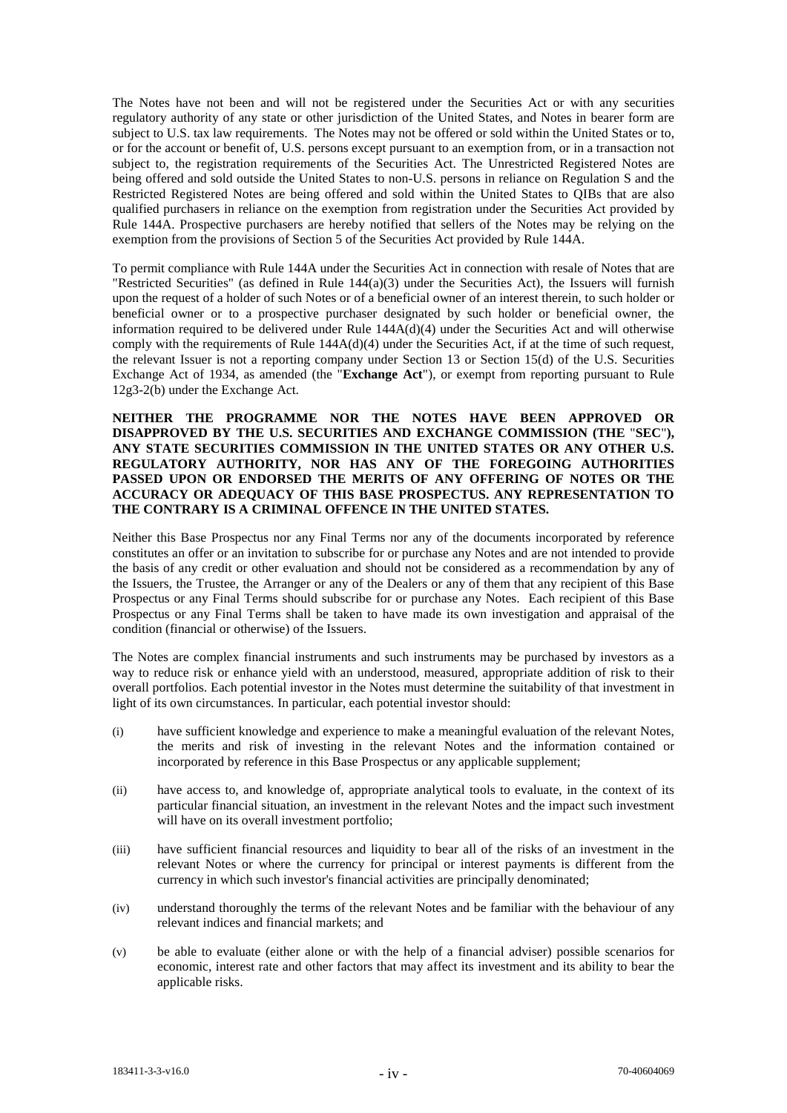The Notes have not been and will not be registered under the Securities Act or with any securities regulatory authority of any state or other jurisdiction of the United States, and Notes in bearer form are subject to U.S. tax law requirements. The Notes may not be offered or sold within the United States or to, or for the account or benefit of, U.S. persons except pursuant to an exemption from, or in a transaction not subject to, the registration requirements of the Securities Act. The Unrestricted Registered Notes are being offered and sold outside the United States to non-U.S. persons in reliance on Regulation S and the Restricted Registered Notes are being offered and sold within the United States to QIBs that are also qualified purchasers in reliance on the exemption from registration under the Securities Act provided by Rule 144A. Prospective purchasers are hereby notified that sellers of the Notes may be relying on the exemption from the provisions of Section 5 of the Securities Act provided by Rule 144A.

To permit compliance with Rule 144A under the Securities Act in connection with resale of Notes that are "Restricted Securities" (as defined in Rule 144(a)(3) under the Securities Act), the Issuers will furnish upon the request of a holder of such Notes or of a beneficial owner of an interest therein, to such holder or beneficial owner or to a prospective purchaser designated by such holder or beneficial owner, the information required to be delivered under Rule 144A(d)(4) under the Securities Act and will otherwise comply with the requirements of Rule  $144A(d)(4)$  under the Securities Act, if at the time of such request, the relevant Issuer is not a reporting company under Section 13 or Section 15(d) of the U.S. Securities Exchange Act of 1934, as amended (the "**Exchange Act**"), or exempt from reporting pursuant to Rule 12g3-2(b) under the Exchange Act.

**NEITHER THE PROGRAMME NOR THE NOTES HAVE BEEN APPROVED OR DISAPPROVED BY THE U.S. SECURITIES AND EXCHANGE COMMISSION (THE** "**SEC**"**), ANY STATE SECURITIES COMMISSION IN THE UNITED STATES OR ANY OTHER U.S. REGULATORY AUTHORITY, NOR HAS ANY OF THE FOREGOING AUTHORITIES PASSED UPON OR ENDORSED THE MERITS OF ANY OFFERING OF NOTES OR THE ACCURACY OR ADEQUACY OF THIS BASE PROSPECTUS. ANY REPRESENTATION TO THE CONTRARY IS A CRIMINAL OFFENCE IN THE UNITED STATES.**

Neither this Base Prospectus nor any Final Terms nor any of the documents incorporated by reference constitutes an offer or an invitation to subscribe for or purchase any Notes and are not intended to provide the basis of any credit or other evaluation and should not be considered as a recommendation by any of the Issuers, the Trustee, the Arranger or any of the Dealers or any of them that any recipient of this Base Prospectus or any Final Terms should subscribe for or purchase any Notes. Each recipient of this Base Prospectus or any Final Terms shall be taken to have made its own investigation and appraisal of the condition (financial or otherwise) of the Issuers.

The Notes are complex financial instruments and such instruments may be purchased by investors as a way to reduce risk or enhance yield with an understood, measured, appropriate addition of risk to their overall portfolios. Each potential investor in the Notes must determine the suitability of that investment in light of its own circumstances. In particular, each potential investor should:

- (i) have sufficient knowledge and experience to make a meaningful evaluation of the relevant Notes, the merits and risk of investing in the relevant Notes and the information contained or incorporated by reference in this Base Prospectus or any applicable supplement;
- (ii) have access to, and knowledge of, appropriate analytical tools to evaluate, in the context of its particular financial situation, an investment in the relevant Notes and the impact such investment will have on its overall investment portfolio;
- (iii) have sufficient financial resources and liquidity to bear all of the risks of an investment in the relevant Notes or where the currency for principal or interest payments is different from the currency in which such investor's financial activities are principally denominated;
- (iv) understand thoroughly the terms of the relevant Notes and be familiar with the behaviour of any relevant indices and financial markets; and
- (v) be able to evaluate (either alone or with the help of a financial adviser) possible scenarios for economic, interest rate and other factors that may affect its investment and its ability to bear the applicable risks.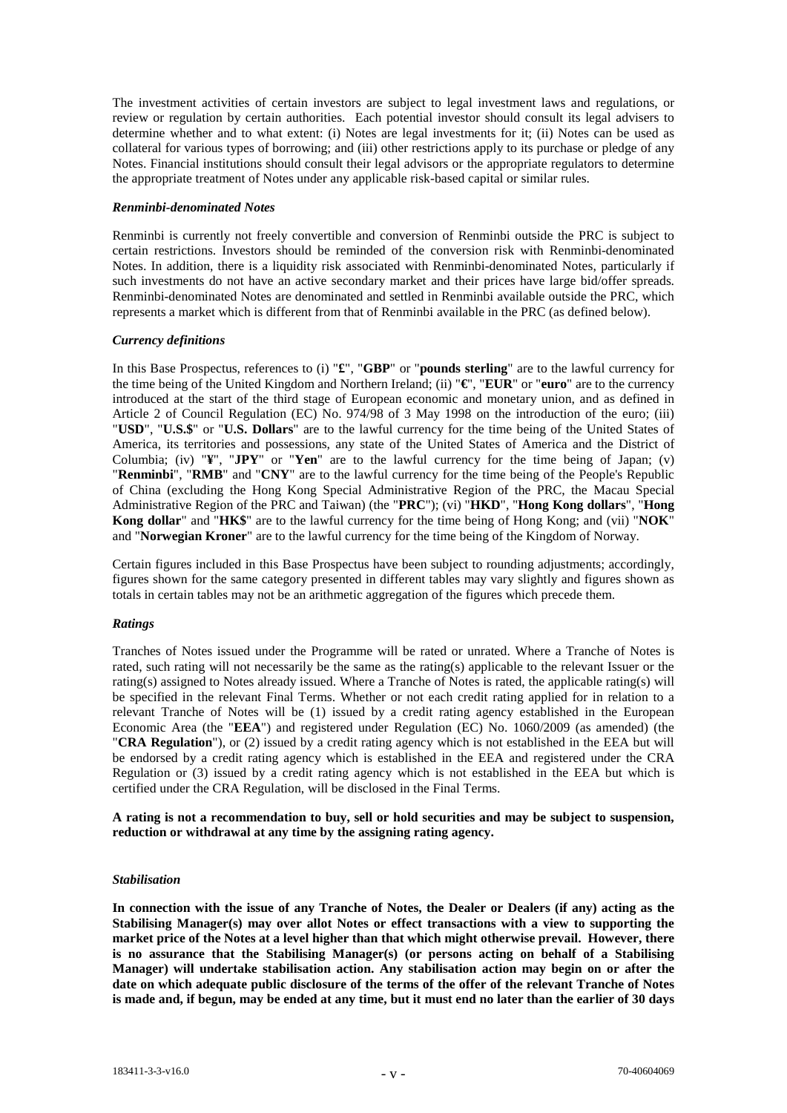The investment activities of certain investors are subject to legal investment laws and regulations, or review or regulation by certain authorities. Each potential investor should consult its legal advisers to determine whether and to what extent: (i) Notes are legal investments for it; (ii) Notes can be used as collateral for various types of borrowing; and (iii) other restrictions apply to its purchase or pledge of any Notes. Financial institutions should consult their legal advisors or the appropriate regulators to determine the appropriate treatment of Notes under any applicable risk-based capital or similar rules.

# *Renminbi-denominated Notes*

Renminbi is currently not freely convertible and conversion of Renminbi outside the PRC is subject to certain restrictions. Investors should be reminded of the conversion risk with Renminbi-denominated Notes. In addition, there is a liquidity risk associated with Renminbi-denominated Notes, particularly if such investments do not have an active secondary market and their prices have large bid/offer spreads. Renminbi-denominated Notes are denominated and settled in Renminbi available outside the PRC, which represents a market which is different from that of Renminbi available in the PRC (as defined below).

# *Currency definitions*

In this Base Prospectus, references to (i) "**£**", "**GBP**" or "**pounds sterling**" are to the lawful currency for the time being of the United Kingdom and Northern Ireland; (ii) "**€**", "**EUR**" or "**euro**" are to the currency introduced at the start of the third stage of European economic and monetary union, and as defined in Article 2 of Council Regulation (EC) No. 974/98 of 3 May 1998 on the introduction of the euro; (iii) "**USD**", "**U.S.\$**" or "**U.S. Dollars**" are to the lawful currency for the time being of the United States of America, its territories and possessions, any state of the United States of America and the District of Columbia; (iv) "**¥**", "**JPY**" or "**Yen**" are to the lawful currency for the time being of Japan; (v) "**Renminbi**", "**RMB**" and "**CNY**" are to the lawful currency for the time being of the People's Republic of China (excluding the Hong Kong Special Administrative Region of the PRC, the Macau Special Administrative Region of the PRC and Taiwan) (the "**PRC**"); (vi) "**HKD**", "**Hong Kong dollars**", "**Hong Kong dollar**" and "**HK\$**" are to the lawful currency for the time being of Hong Kong; and (vii) "**NOK**" and "**Norwegian Kroner**" are to the lawful currency for the time being of the Kingdom of Norway.

Certain figures included in this Base Prospectus have been subject to rounding adjustments; accordingly, figures shown for the same category presented in different tables may vary slightly and figures shown as totals in certain tables may not be an arithmetic aggregation of the figures which precede them.

# *Ratings*

Tranches of Notes issued under the Programme will be rated or unrated. Where a Tranche of Notes is rated, such rating will not necessarily be the same as the rating(s) applicable to the relevant Issuer or the rating(s) assigned to Notes already issued. Where a Tranche of Notes is rated, the applicable rating(s) will be specified in the relevant Final Terms. Whether or not each credit rating applied for in relation to a relevant Tranche of Notes will be (1) issued by a credit rating agency established in the European Economic Area (the "**EEA**") and registered under Regulation (EC) No. 1060/2009 (as amended) (the "**CRA Regulation**"), or (2) issued by a credit rating agency which is not established in the EEA but will be endorsed by a credit rating agency which is established in the EEA and registered under the CRA Regulation or (3) issued by a credit rating agency which is not established in the EEA but which is certified under the CRA Regulation, will be disclosed in the Final Terms.

**A rating is not a recommendation to buy, sell or hold securities and may be subject to suspension, reduction or withdrawal at any time by the assigning rating agency.**

# *Stabilisation*

**In connection with the issue of any Tranche of Notes, the Dealer or Dealers (if any) acting as the Stabilising Manager(s) may over allot Notes or effect transactions with a view to supporting the market price of the Notes at a level higher than that which might otherwise prevail. However, there is no assurance that the Stabilising Manager(s) (or persons acting on behalf of a Stabilising Manager) will undertake stabilisation action. Any stabilisation action may begin on or after the date on which adequate public disclosure of the terms of the offer of the relevant Tranche of Notes is made and, if begun, may be ended at any time, but it must end no later than the earlier of 30 days**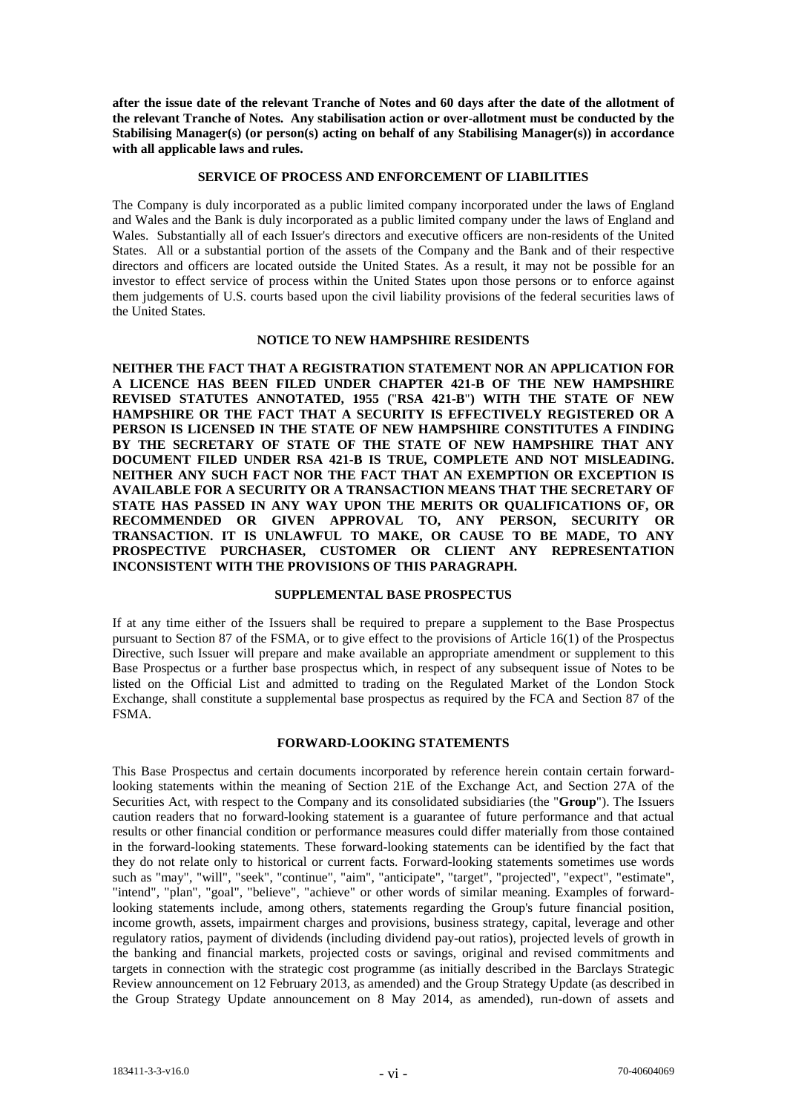**after the issue date of the relevant Tranche of Notes and 60 days after the date of the allotment of the relevant Tranche of Notes. Any stabilisation action or over-allotment must be conducted by the Stabilising Manager(s) (or person(s) acting on behalf of any Stabilising Manager(s)) in accordance with all applicable laws and rules.** 

# **SERVICE OF PROCESS AND ENFORCEMENT OF LIABILITIES**

The Company is duly incorporated as a public limited company incorporated under the laws of England and Wales and the Bank is duly incorporated as a public limited company under the laws of England and Wales. Substantially all of each Issuer's directors and executive officers are non-residents of the United States. All or a substantial portion of the assets of the Company and the Bank and of their respective directors and officers are located outside the United States. As a result, it may not be possible for an investor to effect service of process within the United States upon those persons or to enforce against them judgements of U.S. courts based upon the civil liability provisions of the federal securities laws of the United States.

#### **NOTICE TO NEW HAMPSHIRE RESIDENTS**

**NEITHER THE FACT THAT A REGISTRATION STATEMENT NOR AN APPLICATION FOR A LICENCE HAS BEEN FILED UNDER CHAPTER 421-B OF THE NEW HAMPSHIRE REVISED STATUTES ANNOTATED, 1955 (**"**RSA 421-B**"**) WITH THE STATE OF NEW HAMPSHIRE OR THE FACT THAT A SECURITY IS EFFECTIVELY REGISTERED OR A PERSON IS LICENSED IN THE STATE OF NEW HAMPSHIRE CONSTITUTES A FINDING BY THE SECRETARY OF STATE OF THE STATE OF NEW HAMPSHIRE THAT ANY DOCUMENT FILED UNDER RSA 421-B IS TRUE, COMPLETE AND NOT MISLEADING. NEITHER ANY SUCH FACT NOR THE FACT THAT AN EXEMPTION OR EXCEPTION IS AVAILABLE FOR A SECURITY OR A TRANSACTION MEANS THAT THE SECRETARY OF STATE HAS PASSED IN ANY WAY UPON THE MERITS OR QUALIFICATIONS OF, OR RECOMMENDED OR GIVEN APPROVAL TO, ANY PERSON, SECURITY OR TRANSACTION. IT IS UNLAWFUL TO MAKE, OR CAUSE TO BE MADE, TO ANY PROSPECTIVE PURCHASER, CUSTOMER OR CLIENT ANY REPRESENTATION INCONSISTENT WITH THE PROVISIONS OF THIS PARAGRAPH.**

# **SUPPLEMENTAL BASE PROSPECTUS**

If at any time either of the Issuers shall be required to prepare a supplement to the Base Prospectus pursuant to Section 87 of the FSMA, or to give effect to the provisions of Article 16(1) of the Prospectus Directive, such Issuer will prepare and make available an appropriate amendment or supplement to this Base Prospectus or a further base prospectus which, in respect of any subsequent issue of Notes to be listed on the Official List and admitted to trading on the Regulated Market of the London Stock Exchange, shall constitute a supplemental base prospectus as required by the FCA and Section 87 of the FSMA.

# **FORWARD-LOOKING STATEMENTS**

This Base Prospectus and certain documents incorporated by reference herein contain certain forwardlooking statements within the meaning of Section 21E of the Exchange Act, and Section 27A of the Securities Act, with respect to the Company and its consolidated subsidiaries (the "**Group**"). The Issuers caution readers that no forward-looking statement is a guarantee of future performance and that actual results or other financial condition or performance measures could differ materially from those contained in the forward-looking statements. These forward-looking statements can be identified by the fact that they do not relate only to historical or current facts. Forward-looking statements sometimes use words such as "may", "will", "seek", "continue", "aim", "anticipate", "target", "projected", "expect", "estimate", "intend", "plan", "goal", "believe", "achieve" or other words of similar meaning. Examples of forwardlooking statements include, among others, statements regarding the Group's future financial position, income growth, assets, impairment charges and provisions, business strategy, capital, leverage and other regulatory ratios, payment of dividends (including dividend pay-out ratios), projected levels of growth in the banking and financial markets, projected costs or savings, original and revised commitments and targets in connection with the strategic cost programme (as initially described in the Barclays Strategic Review announcement on 12 February 2013, as amended) and the Group Strategy Update (as described in the Group Strategy Update announcement on 8 May 2014, as amended), run-down of assets and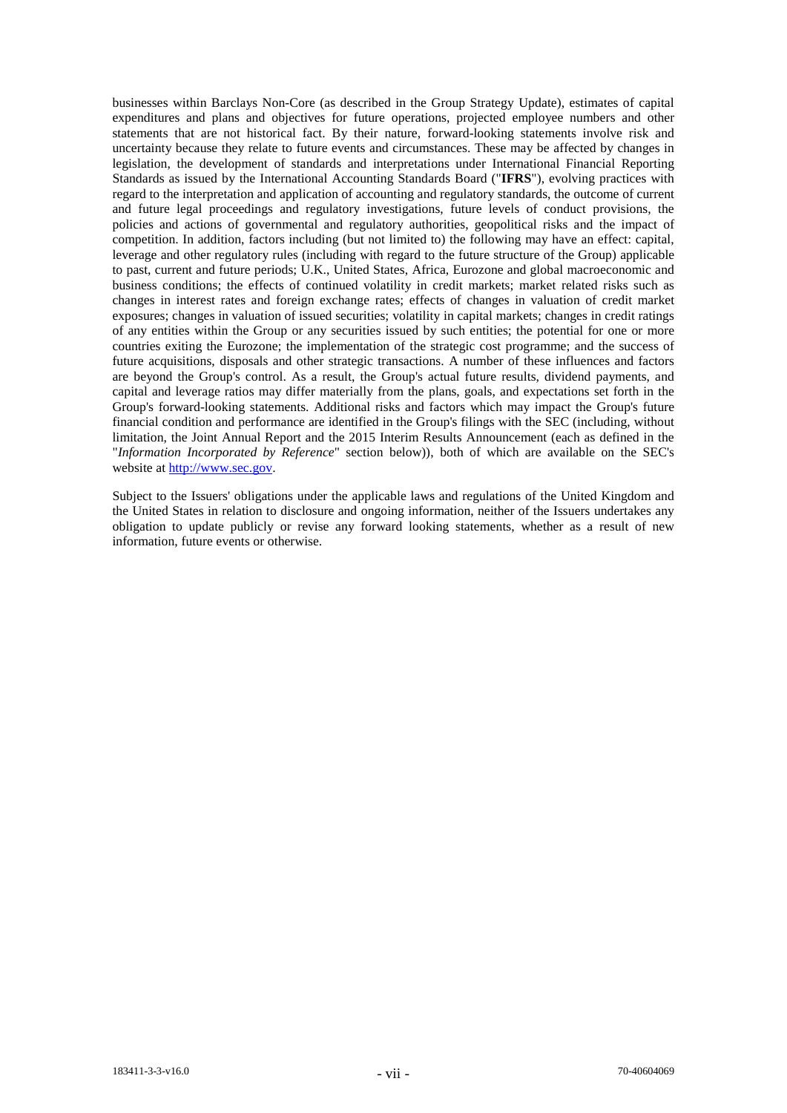businesses within Barclays Non-Core (as described in the Group Strategy Update), estimates of capital expenditures and plans and objectives for future operations, projected employee numbers and other statements that are not historical fact. By their nature, forward-looking statements involve risk and uncertainty because they relate to future events and circumstances. These may be affected by changes in legislation, the development of standards and interpretations under International Financial Reporting Standards as issued by the International Accounting Standards Board ("**IFRS**"), evolving practices with regard to the interpretation and application of accounting and regulatory standards, the outcome of current and future legal proceedings and regulatory investigations, future levels of conduct provisions, the policies and actions of governmental and regulatory authorities, geopolitical risks and the impact of competition. In addition, factors including (but not limited to) the following may have an effect: capital, leverage and other regulatory rules (including with regard to the future structure of the Group) applicable to past, current and future periods; U.K., United States, Africa, Eurozone and global macroeconomic and business conditions; the effects of continued volatility in credit markets; market related risks such as changes in interest rates and foreign exchange rates; effects of changes in valuation of credit market exposures; changes in valuation of issued securities; volatility in capital markets; changes in credit ratings of any entities within the Group or any securities issued by such entities; the potential for one or more countries exiting the Eurozone; the implementation of the strategic cost programme; and the success of future acquisitions, disposals and other strategic transactions. A number of these influences and factors are beyond the Group's control. As a result, the Group's actual future results, dividend payments, and capital and leverage ratios may differ materially from the plans, goals, and expectations set forth in the Group's forward-looking statements. Additional risks and factors which may impact the Group's future financial condition and performance are identified in the Group's filings with the SEC (including, without limitation, the Joint Annual Report and the 2015 Interim Results Announcement (each as defined in the "*Information Incorporated by Reference*" section below)), both of which are available on the SEC's website at http://www.sec.gov.

Subject to the Issuers' obligations under the applicable laws and regulations of the United Kingdom and the United States in relation to disclosure and ongoing information, neither of the Issuers undertakes any obligation to update publicly or revise any forward looking statements, whether as a result of new information, future events or otherwise.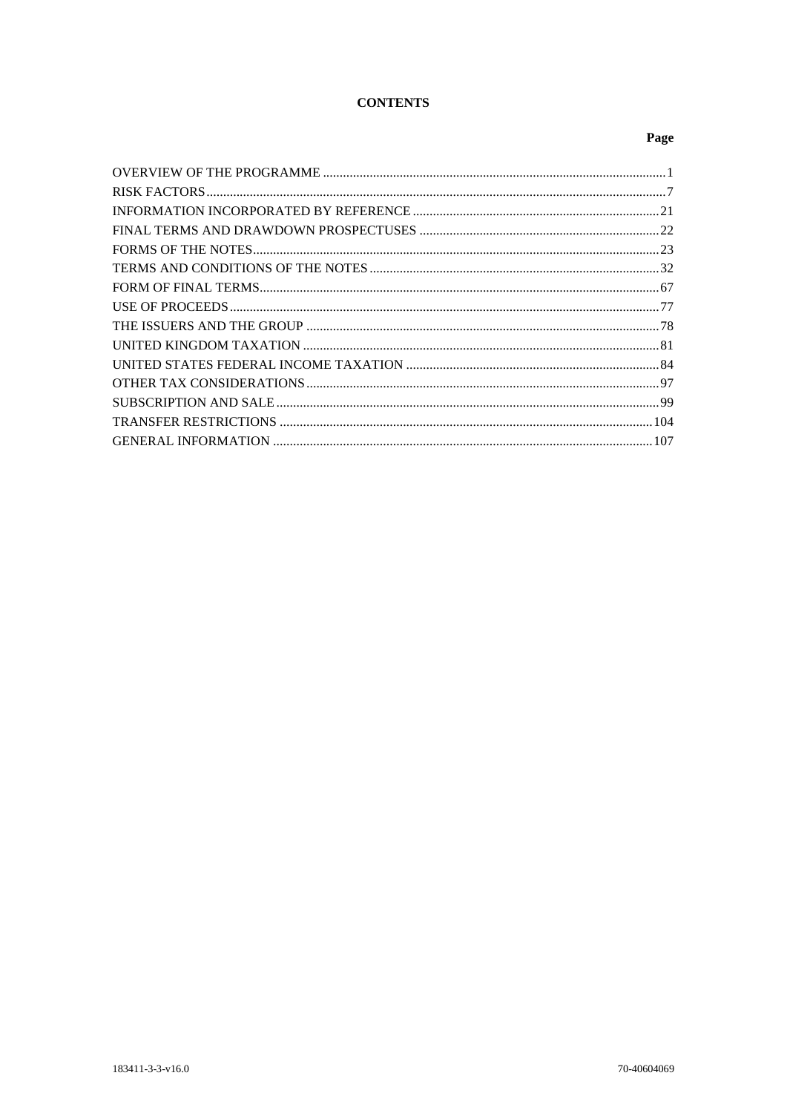# **CONTENTS**

# Page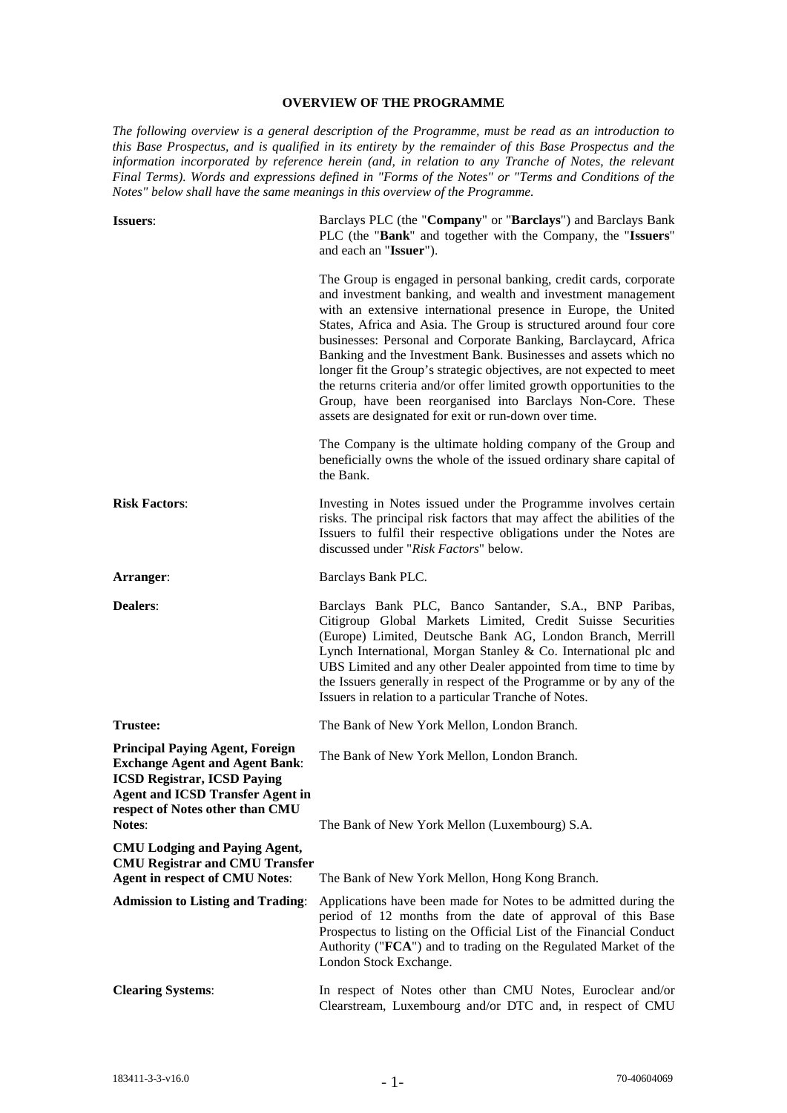#### **OVERVIEW OF THE PROGRAMME**

*The following overview is a general description of the Programme, must be read as an introduction to this Base Prospectus, and is qualified in its entirety by the remainder of this Base Prospectus and the information incorporated by reference herein (and, in relation to any Tranche of Notes, the relevant Final Terms). Words and expressions defined in "Forms of the Notes" or "Terms and Conditions of the Notes" below shall have the same meanings in this overview of the Programme.*

| <b>Issuers:</b>                                                                                                                                                                                                      | Barclays PLC (the "Company" or "Barclays") and Barclays Bank<br>PLC (the "Bank" and together with the Company, the "Issuers"<br>and each an "Issuer").                                                                                                                                                                                                                                                                                                                                                                                                                                                                                                                                  |
|----------------------------------------------------------------------------------------------------------------------------------------------------------------------------------------------------------------------|-----------------------------------------------------------------------------------------------------------------------------------------------------------------------------------------------------------------------------------------------------------------------------------------------------------------------------------------------------------------------------------------------------------------------------------------------------------------------------------------------------------------------------------------------------------------------------------------------------------------------------------------------------------------------------------------|
|                                                                                                                                                                                                                      | The Group is engaged in personal banking, credit cards, corporate<br>and investment banking, and wealth and investment management<br>with an extensive international presence in Europe, the United<br>States, Africa and Asia. The Group is structured around four core<br>businesses: Personal and Corporate Banking, Barclaycard, Africa<br>Banking and the Investment Bank. Businesses and assets which no<br>longer fit the Group's strategic objectives, are not expected to meet<br>the returns criteria and/or offer limited growth opportunities to the<br>Group, have been reorganised into Barclays Non-Core. These<br>assets are designated for exit or run-down over time. |
|                                                                                                                                                                                                                      | The Company is the ultimate holding company of the Group and<br>beneficially owns the whole of the issued ordinary share capital of<br>the Bank.                                                                                                                                                                                                                                                                                                                                                                                                                                                                                                                                        |
| <b>Risk Factors:</b>                                                                                                                                                                                                 | Investing in Notes issued under the Programme involves certain<br>risks. The principal risk factors that may affect the abilities of the<br>Issuers to fulfil their respective obligations under the Notes are<br>discussed under "Risk Factors" below.                                                                                                                                                                                                                                                                                                                                                                                                                                 |
| Arranger:                                                                                                                                                                                                            | Barclays Bank PLC.                                                                                                                                                                                                                                                                                                                                                                                                                                                                                                                                                                                                                                                                      |
| <b>Dealers:</b>                                                                                                                                                                                                      | Barclays Bank PLC, Banco Santander, S.A., BNP Paribas,<br>Citigroup Global Markets Limited, Credit Suisse Securities<br>(Europe) Limited, Deutsche Bank AG, London Branch, Merrill<br>Lynch International, Morgan Stanley & Co. International plc and<br>UBS Limited and any other Dealer appointed from time to time by<br>the Issuers generally in respect of the Programme or by any of the<br>Issuers in relation to a particular Tranche of Notes.                                                                                                                                                                                                                                 |
| <b>Trustee:</b>                                                                                                                                                                                                      | The Bank of New York Mellon, London Branch.                                                                                                                                                                                                                                                                                                                                                                                                                                                                                                                                                                                                                                             |
| <b>Principal Paying Agent, Foreign</b><br><b>Exchange Agent and Agent Bank:</b><br><b>ICSD Registrar, ICSD Paying</b><br><b>Agent and ICSD Transfer Agent in</b><br>respect of Notes other than CMU<br><b>Notes:</b> | The Bank of New York Mellon, London Branch.<br>The Bank of New York Mellon (Luxembourg) S.A.                                                                                                                                                                                                                                                                                                                                                                                                                                                                                                                                                                                            |
| <b>CMU Lodging and Paying Agent,</b>                                                                                                                                                                                 |                                                                                                                                                                                                                                                                                                                                                                                                                                                                                                                                                                                                                                                                                         |
| <b>CMU Registrar and CMU Transfer</b><br><b>Agent in respect of CMU Notes:</b>                                                                                                                                       | The Bank of New York Mellon, Hong Kong Branch.                                                                                                                                                                                                                                                                                                                                                                                                                                                                                                                                                                                                                                          |
| <b>Admission to Listing and Trading:</b>                                                                                                                                                                             | Applications have been made for Notes to be admitted during the<br>period of 12 months from the date of approval of this Base<br>Prospectus to listing on the Official List of the Financial Conduct<br>Authority ("FCA") and to trading on the Regulated Market of the<br>London Stock Exchange.                                                                                                                                                                                                                                                                                                                                                                                       |
| <b>Clearing Systems:</b>                                                                                                                                                                                             | In respect of Notes other than CMU Notes, Euroclear and/or<br>Clearstream, Luxembourg and/or DTC and, in respect of CMU                                                                                                                                                                                                                                                                                                                                                                                                                                                                                                                                                                 |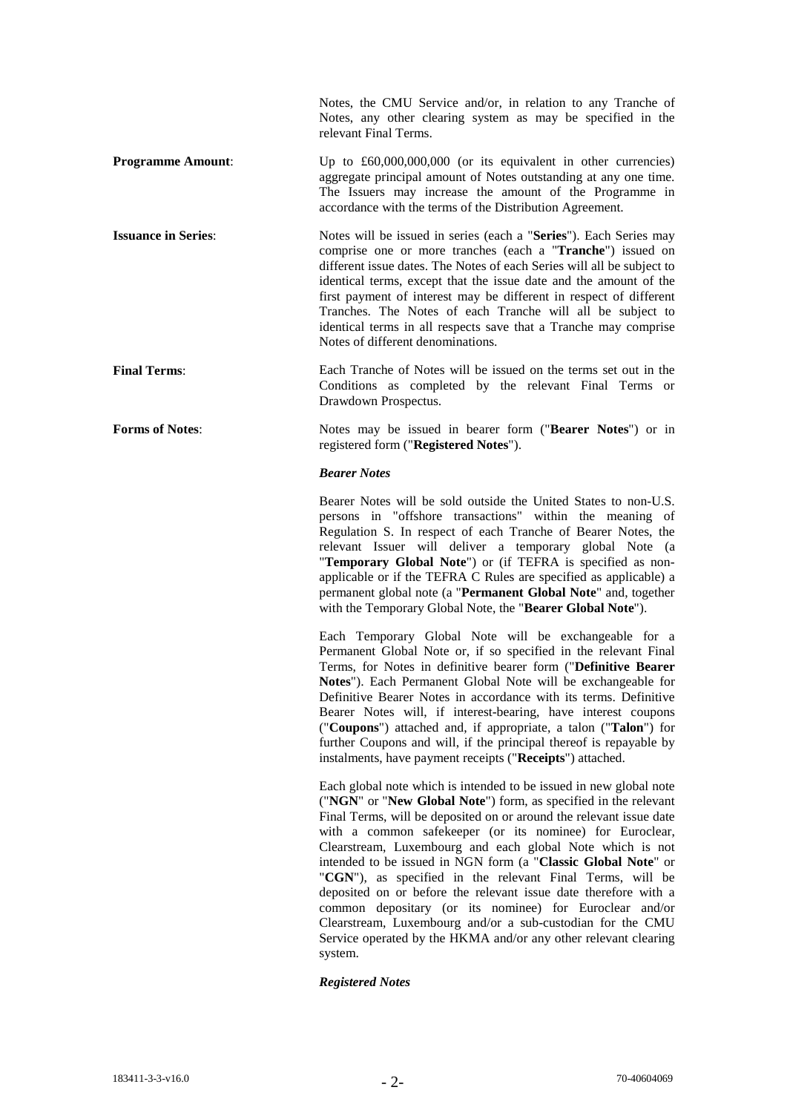|                            | Notes, the CMU Service and/or, in relation to any Tranche of<br>Notes, any other clearing system as may be specified in the<br>relevant Final Terms.                                                                                                                                                                                                                                                                                                                                                                                 |
|----------------------------|--------------------------------------------------------------------------------------------------------------------------------------------------------------------------------------------------------------------------------------------------------------------------------------------------------------------------------------------------------------------------------------------------------------------------------------------------------------------------------------------------------------------------------------|
| <b>Programme Amount:</b>   | Up to $\text{\pounds}60,000,000,000$ (or its equivalent in other currencies)<br>aggregate principal amount of Notes outstanding at any one time.<br>The Issuers may increase the amount of the Programme in<br>accordance with the terms of the Distribution Agreement.                                                                                                                                                                                                                                                              |
| <b>Issuance in Series:</b> | Notes will be issued in series (each a "Series"). Each Series may<br>comprise one or more tranches (each a " <b>Tranche</b> ") issued on<br>different issue dates. The Notes of each Series will all be subject to<br>identical terms, except that the issue date and the amount of the<br>first payment of interest may be different in respect of different<br>Tranches. The Notes of each Tranche will all be subject to<br>identical terms in all respects save that a Tranche may comprise<br>Notes of different denominations. |
| <b>Final Terms:</b>        | Each Tranche of Notes will be issued on the terms set out in the<br>Conditions as completed by the relevant Final Terms or<br>Drawdown Prospectus.                                                                                                                                                                                                                                                                                                                                                                                   |
| <b>Forms of Notes:</b>     | Notes may be issued in bearer form (" <b>Bearer Notes</b> ") or in                                                                                                                                                                                                                                                                                                                                                                                                                                                                   |

registered form ("**Registered Notes**").

#### *Bearer Notes*

Bearer Notes will be sold outside the United States to non-U.S. persons in "offshore transactions" within the meaning of Regulation S. In respect of each Tranche of Bearer Notes, the relevant Issuer will deliver a temporary global Note (a "**Temporary Global Note**") or (if TEFRA is specified as nonapplicable or if the TEFRA C Rules are specified as applicable) a permanent global note (a "**Permanent Global Note**" and, together with the Temporary Global Note, the "**Bearer Global Note**").

Each Temporary Global Note will be exchangeable for a Permanent Global Note or, if so specified in the relevant Final Terms, for Notes in definitive bearer form ("**Definitive Bearer Notes**"). Each Permanent Global Note will be exchangeable for Definitive Bearer Notes in accordance with its terms. Definitive Bearer Notes will, if interest-bearing, have interest coupons ("**Coupons**") attached and, if appropriate, a talon ("**Talon**") for further Coupons and will, if the principal thereof is repayable by instalments, have payment receipts ("**Receipts**") attached.

Each global note which is intended to be issued in new global note ("**NGN**" or "**New Global Note**") form, as specified in the relevant Final Terms, will be deposited on or around the relevant issue date with a common safekeeper (or its nominee) for Euroclear, Clearstream, Luxembourg and each global Note which is not intended to be issued in NGN form (a "**Classic Global Note**" or "**CGN**"), as specified in the relevant Final Terms, will be deposited on or before the relevant issue date therefore with a common depositary (or its nominee) for Euroclear and/or Clearstream, Luxembourg and/or a sub-custodian for the CMU Service operated by the HKMA and/or any other relevant clearing system.

#### *Registered Notes*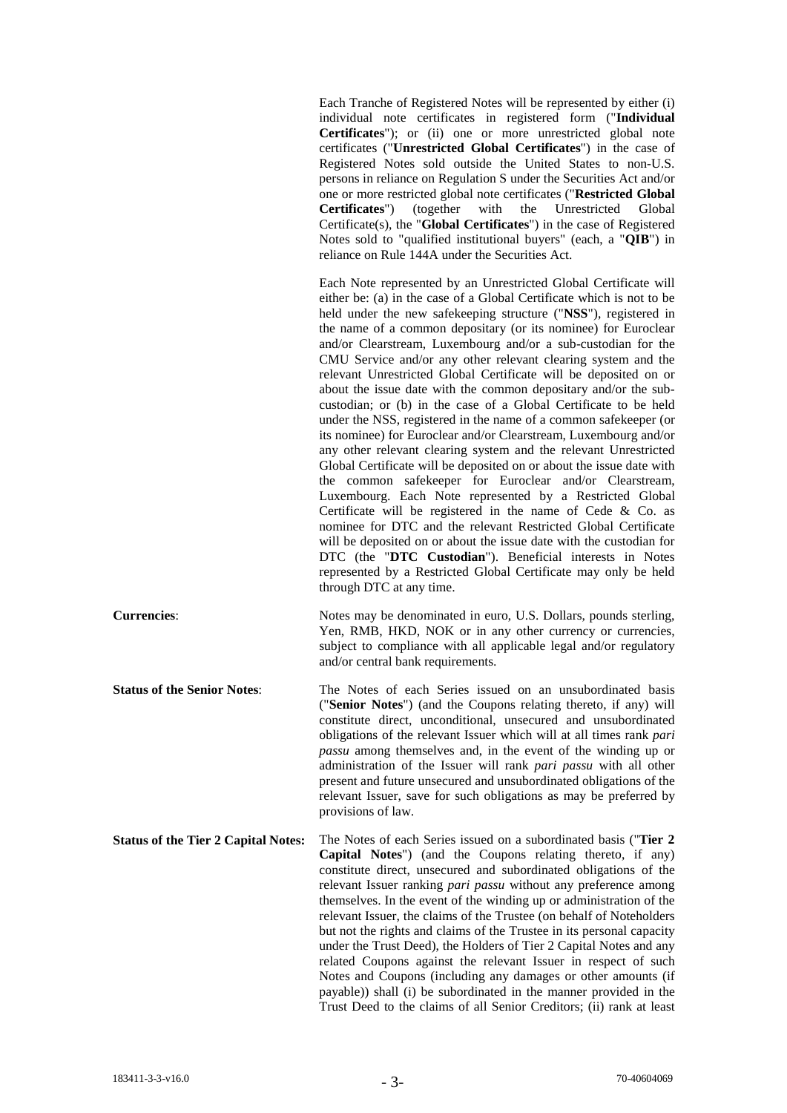Each Tranche of Registered Notes will be represented by either (i) individual note certificates in registered form ("**Individual Certificates**"); or (ii) one or more unrestricted global note certificates ("**Unrestricted Global Certificates**") in the case of Registered Notes sold outside the United States to non-U.S. persons in reliance on Regulation S under the Securities Act and/or one or more restricted global note certificates ("**Restricted Global Certificates**") Certificate(s), the "**Global Certificates**") in the case of Registered Notes sold to "qualified institutional buyers" (each, a "**QIB**") in reliance on Rule 144A under the Securities Act.

Each Note represented by an Unrestricted Global Certificate will either be: (a) in the case of a Global Certificate which is not to be held under the new safekeeping structure ("**NSS**"), registered in the name of a common depositary (or its nominee) for Euroclear and/or Clearstream, Luxembourg and/or a sub-custodian for the CMU Service and/or any other relevant clearing system and the relevant Unrestricted Global Certificate will be deposited on or about the issue date with the common depositary and/or the subcustodian; or (b) in the case of a Global Certificate to be held under the NSS, registered in the name of a common safekeeper (or its nominee) for Euroclear and/or Clearstream, Luxembourg and/or any other relevant clearing system and the relevant Unrestricted Global Certificate will be deposited on or about the issue date with the common safekeeper for Euroclear and/or Clearstream, Luxembourg. Each Note represented by a Restricted Global Certificate will be registered in the name of Cede & Co. as nominee for DTC and the relevant Restricted Global Certificate will be deposited on or about the issue date with the custodian for DTC (the "**DTC Custodian**"). Beneficial interests in Notes represented by a Restricted Global Certificate may only be held through DTC at any time.

**Currencies:** Notes may be denominated in euro, U.S. Dollars, pounds sterling, Yen, RMB, HKD, NOK or in any other currency or currencies, subject to compliance with all applicable legal and/or regulatory and/or central bank requirements.

**Status of the Senior Notes:** The Notes of each Series issued on an unsubordinated basis ("**Senior Notes**") (and the Coupons relating thereto, if any) will constitute direct, unconditional, unsecured and unsubordinated obligations of the relevant Issuer which will at all times rank *pari passu* among themselves and, in the event of the winding up or administration of the Issuer will rank *pari passu* with all other present and future unsecured and unsubordinated obligations of the relevant Issuer, save for such obligations as may be preferred by provisions of law.

**Status of the Tier 2 Capital Notes:** The Notes of each Series issued on a subordinated basis ("**Tier 2 Capital Notes**") (and the Coupons relating thereto, if any) constitute direct, unsecured and subordinated obligations of the relevant Issuer ranking *pari passu* without any preference among themselves. In the event of the winding up or administration of the relevant Issuer, the claims of the Trustee (on behalf of Noteholders but not the rights and claims of the Trustee in its personal capacity under the Trust Deed), the Holders of Tier 2 Capital Notes and any related Coupons against the relevant Issuer in respect of such Notes and Coupons (including any damages or other amounts (if payable)) shall (i) be subordinated in the manner provided in the Trust Deed to the claims of all Senior Creditors; (ii) rank at least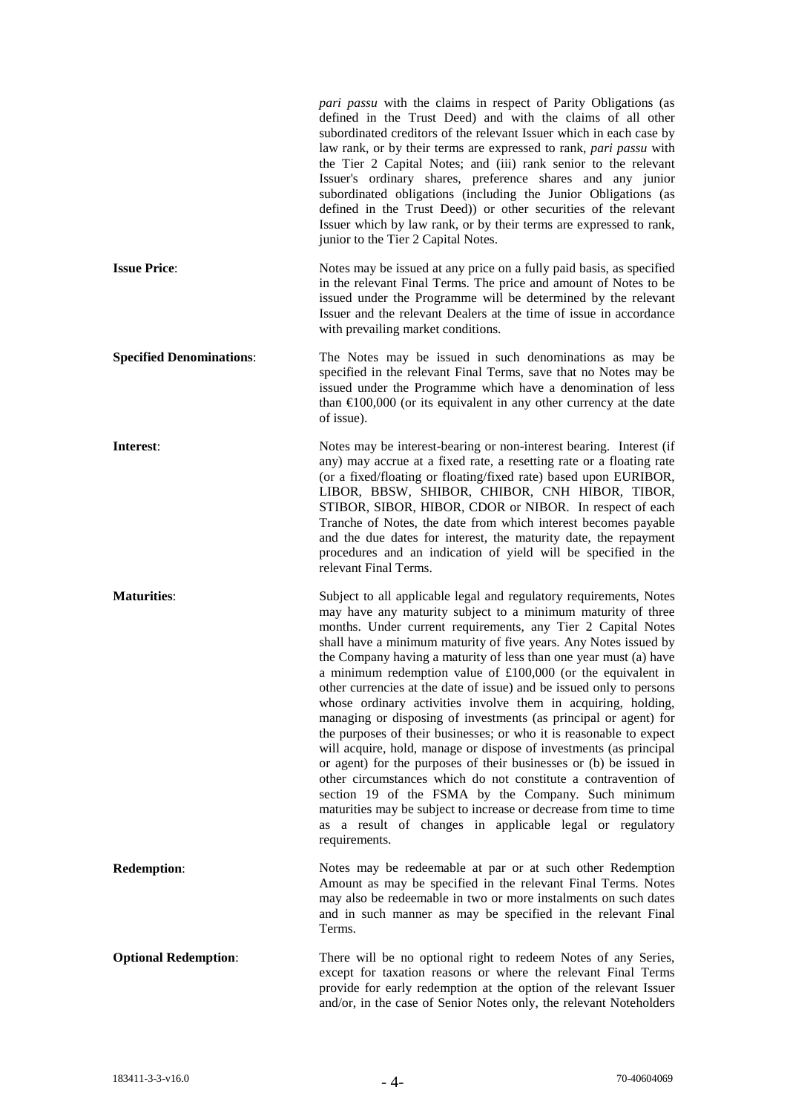|                                 | pari passu with the claims in respect of Parity Obligations (as<br>defined in the Trust Deed) and with the claims of all other<br>subordinated creditors of the relevant Issuer which in each case by<br>law rank, or by their terms are expressed to rank, pari passu with<br>the Tier 2 Capital Notes; and (iii) rank senior to the relevant<br>Issuer's ordinary shares, preference shares and any junior<br>subordinated obligations (including the Junior Obligations (as<br>defined in the Trust Deed)) or other securities of the relevant<br>Issuer which by law rank, or by their terms are expressed to rank,<br>junior to the Tier 2 Capital Notes.                                                                                                                                                                                                                                                                                                                                                                                                                                                             |
|---------------------------------|----------------------------------------------------------------------------------------------------------------------------------------------------------------------------------------------------------------------------------------------------------------------------------------------------------------------------------------------------------------------------------------------------------------------------------------------------------------------------------------------------------------------------------------------------------------------------------------------------------------------------------------------------------------------------------------------------------------------------------------------------------------------------------------------------------------------------------------------------------------------------------------------------------------------------------------------------------------------------------------------------------------------------------------------------------------------------------------------------------------------------|
| <b>Issue Price:</b>             | Notes may be issued at any price on a fully paid basis, as specified<br>in the relevant Final Terms. The price and amount of Notes to be<br>issued under the Programme will be determined by the relevant<br>Issuer and the relevant Dealers at the time of issue in accordance<br>with prevailing market conditions.                                                                                                                                                                                                                                                                                                                                                                                                                                                                                                                                                                                                                                                                                                                                                                                                      |
| <b>Specified Denominations:</b> | The Notes may be issued in such denominations as may be<br>specified in the relevant Final Terms, save that no Notes may be<br>issued under the Programme which have a denomination of less<br>than $\epsilon 00,000$ (or its equivalent in any other currency at the date<br>of issue).                                                                                                                                                                                                                                                                                                                                                                                                                                                                                                                                                                                                                                                                                                                                                                                                                                   |
| Interest:                       | Notes may be interest-bearing or non-interest bearing. Interest (if<br>any) may accrue at a fixed rate, a resetting rate or a floating rate<br>(or a fixed/floating or floating/fixed rate) based upon EURIBOR,<br>LIBOR, BBSW, SHIBOR, CHIBOR, CNH HIBOR, TIBOR,<br>STIBOR, SIBOR, HIBOR, CDOR or NIBOR. In respect of each<br>Tranche of Notes, the date from which interest becomes payable<br>and the due dates for interest, the maturity date, the repayment<br>procedures and an indication of yield will be specified in the<br>relevant Final Terms.                                                                                                                                                                                                                                                                                                                                                                                                                                                                                                                                                              |
| <b>Maturities:</b>              | Subject to all applicable legal and regulatory requirements, Notes<br>may have any maturity subject to a minimum maturity of three<br>months. Under current requirements, any Tier 2 Capital Notes<br>shall have a minimum maturity of five years. Any Notes issued by<br>the Company having a maturity of less than one year must (a) have<br>a minimum redemption value of $£100,000$ (or the equivalent in<br>other currencies at the date of issue) and be issued only to persons<br>whose ordinary activities involve them in acquiring, holding,<br>managing or disposing of investments (as principal or agent) for<br>the purposes of their businesses; or who it is reasonable to expect<br>will acquire, hold, manage or dispose of investments (as principal<br>or agent) for the purposes of their businesses or (b) be issued in<br>other circumstances which do not constitute a contravention of<br>section 19 of the FSMA by the Company. Such minimum<br>maturities may be subject to increase or decrease from time to time<br>as a result of changes in applicable legal or regulatory<br>requirements. |
| <b>Redemption:</b>              | Notes may be redeemable at par or at such other Redemption<br>Amount as may be specified in the relevant Final Terms. Notes<br>may also be redeemable in two or more instalments on such dates<br>and in such manner as may be specified in the relevant Final<br>Terms.                                                                                                                                                                                                                                                                                                                                                                                                                                                                                                                                                                                                                                                                                                                                                                                                                                                   |
| <b>Optional Redemption:</b>     | There will be no optional right to redeem Notes of any Series,<br>except for taxation reasons or where the relevant Final Terms<br>provide for early redemption at the option of the relevant Issuer<br>and/or, in the case of Senior Notes only, the relevant Noteholders                                                                                                                                                                                                                                                                                                                                                                                                                                                                                                                                                                                                                                                                                                                                                                                                                                                 |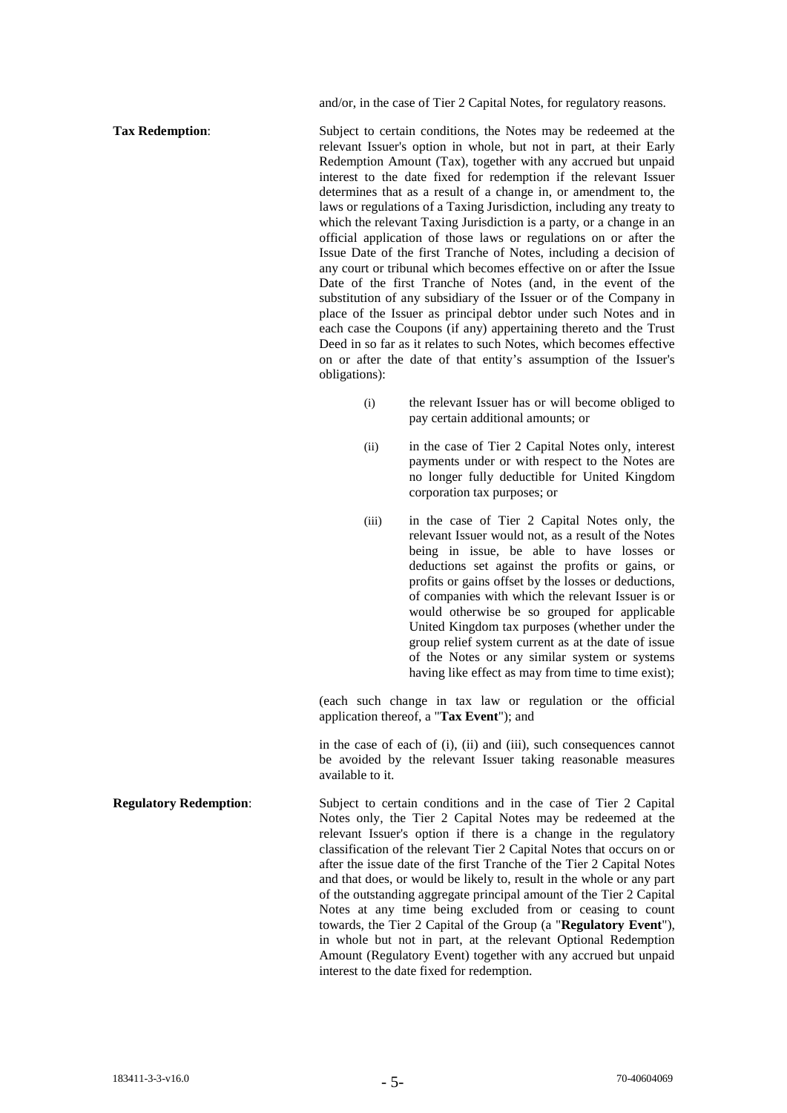and/or, in the case of Tier 2 Capital Notes, for regulatory reasons.

**Tax Redemption: Subject to certain conditions, the Notes may be redeemed at the** relevant Issuer's option in whole, but not in part, at their Early Redemption Amount (Tax), together with any accrued but unpaid interest to the date fixed for redemption if the relevant Issuer determines that as a result of a change in, or amendment to, the laws or regulations of a Taxing Jurisdiction, including any treaty to which the relevant Taxing Jurisdiction is a party, or a change in an official application of those laws or regulations on or after the Issue Date of the first Tranche of Notes, including a decision of any court or tribunal which becomes effective on or after the Issue Date of the first Tranche of Notes (and, in the event of the substitution of any subsidiary of the Issuer or of the Company in place of the Issuer as principal debtor under such Notes and in each case the Coupons (if any) appertaining thereto and the Trust Deed in so far as it relates to such Notes, which becomes effective on or after the date of that entity's assumption of the Issuer's obligations):

- (i) the relevant Issuer has or will become obliged to pay certain additional amounts; or
- (ii) in the case of Tier 2 Capital Notes only, interest payments under or with respect to the Notes are no longer fully deductible for United Kingdom corporation tax purposes; or
- (iii) in the case of Tier 2 Capital Notes only, the relevant Issuer would not, as a result of the Notes being in issue, be able to have losses or deductions set against the profits or gains, or profits or gains offset by the losses or deductions, of companies with which the relevant Issuer is or would otherwise be so grouped for applicable United Kingdom tax purposes (whether under the group relief system current as at the date of issue of the Notes or any similar system or systems having like effect as may from time to time exist);

(each such change in tax law or regulation or the official application thereof, a "**Tax Event**"); and

in the case of each of (i), (ii) and (iii), such consequences cannot be avoided by the relevant Issuer taking reasonable measures available to it.

**Regulatory Redemption:** Subject to certain conditions and in the case of Tier 2 Capital Notes only, the Tier 2 Capital Notes may be redeemed at the relevant Issuer's option if there is a change in the regulatory classification of the relevant Tier 2 Capital Notes that occurs on or after the issue date of the first Tranche of the Tier 2 Capital Notes and that does, or would be likely to, result in the whole or any part of the outstanding aggregate principal amount of the Tier 2 Capital Notes at any time being excluded from or ceasing to count towards, the Tier 2 Capital of the Group (a "**Regulatory Event**"), in whole but not in part, at the relevant Optional Redemption Amount (Regulatory Event) together with any accrued but unpaid interest to the date fixed for redemption.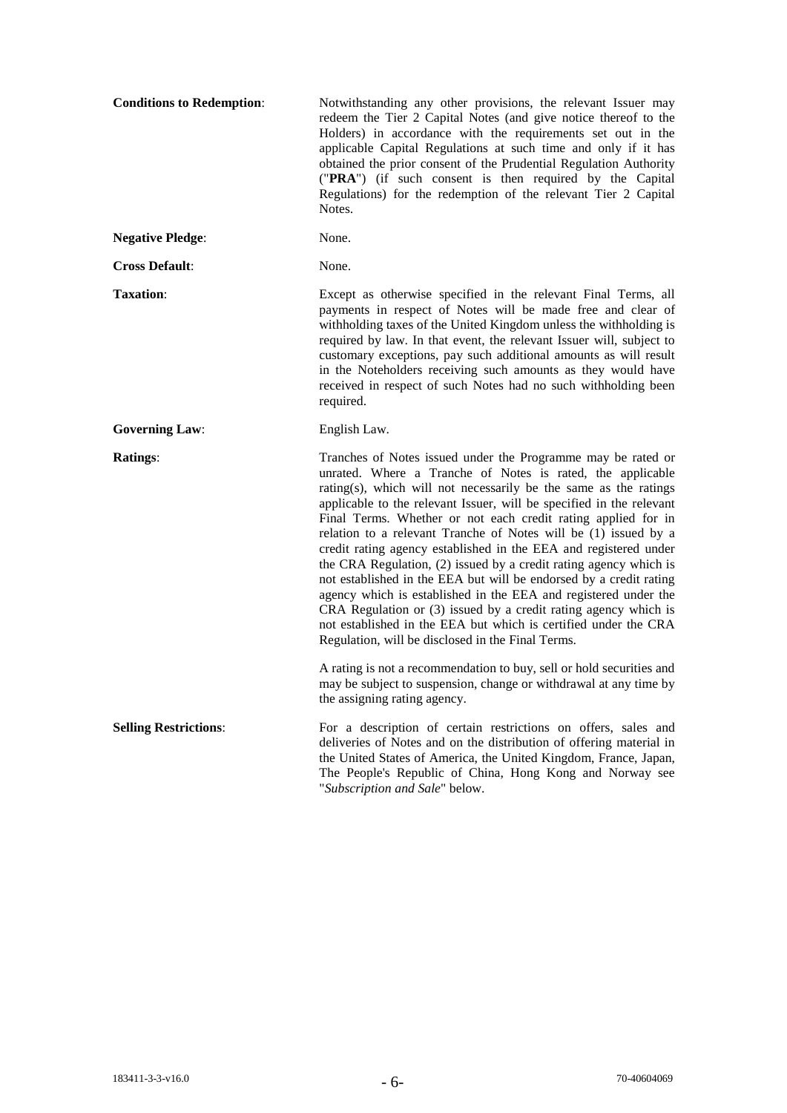| <b>Conditions to Redemption:</b> | Notwithstanding any other provisions, the relevant Issuer may<br>redeem the Tier 2 Capital Notes (and give notice thereof to the<br>Holders) in accordance with the requirements set out in the<br>applicable Capital Regulations at such time and only if it has<br>obtained the prior consent of the Prudential Regulation Authority<br>("PRA") (if such consent is then required by the Capital<br>Regulations) for the redemption of the relevant Tier 2 Capital<br>Notes.                                                                                                                                                                                                                                                                                                                                                                                                          |
|----------------------------------|-----------------------------------------------------------------------------------------------------------------------------------------------------------------------------------------------------------------------------------------------------------------------------------------------------------------------------------------------------------------------------------------------------------------------------------------------------------------------------------------------------------------------------------------------------------------------------------------------------------------------------------------------------------------------------------------------------------------------------------------------------------------------------------------------------------------------------------------------------------------------------------------|
| <b>Negative Pledge:</b>          | None.                                                                                                                                                                                                                                                                                                                                                                                                                                                                                                                                                                                                                                                                                                                                                                                                                                                                                   |
| <b>Cross Default:</b>            | None.                                                                                                                                                                                                                                                                                                                                                                                                                                                                                                                                                                                                                                                                                                                                                                                                                                                                                   |
| <b>Taxation:</b>                 | Except as otherwise specified in the relevant Final Terms, all<br>payments in respect of Notes will be made free and clear of<br>withholding taxes of the United Kingdom unless the withholding is<br>required by law. In that event, the relevant Issuer will, subject to<br>customary exceptions, pay such additional amounts as will result<br>in the Noteholders receiving such amounts as they would have<br>received in respect of such Notes had no such withholding been<br>required.                                                                                                                                                                                                                                                                                                                                                                                           |
| <b>Governing Law:</b>            | English Law.                                                                                                                                                                                                                                                                                                                                                                                                                                                                                                                                                                                                                                                                                                                                                                                                                                                                            |
| <b>Ratings:</b>                  | Tranches of Notes issued under the Programme may be rated or<br>unrated. Where a Tranche of Notes is rated, the applicable<br>rating(s), which will not necessarily be the same as the ratings<br>applicable to the relevant Issuer, will be specified in the relevant<br>Final Terms. Whether or not each credit rating applied for in<br>relation to a relevant Tranche of Notes will be (1) issued by a<br>credit rating agency established in the EEA and registered under<br>the CRA Regulation, (2) issued by a credit rating agency which is<br>not established in the EEA but will be endorsed by a credit rating<br>agency which is established in the EEA and registered under the<br>CRA Regulation or (3) issued by a credit rating agency which is<br>not established in the EEA but which is certified under the CRA<br>Regulation, will be disclosed in the Final Terms. |
|                                  | A rating is not a recommendation to buy, sell or hold securities and<br>may be subject to suspension, change or withdrawal at any time by<br>the assigning rating agency.                                                                                                                                                                                                                                                                                                                                                                                                                                                                                                                                                                                                                                                                                                               |
| <b>Selling Restrictions:</b>     | For a description of certain restrictions on offers, sales and<br>deliveries of Notes and on the distribution of offering material in<br>the United States of America, the United Kingdom, France, Japan,<br>The People's Republic of China, Hong Kong and Norway see<br>"Subscription and Sale" below.                                                                                                                                                                                                                                                                                                                                                                                                                                                                                                                                                                                 |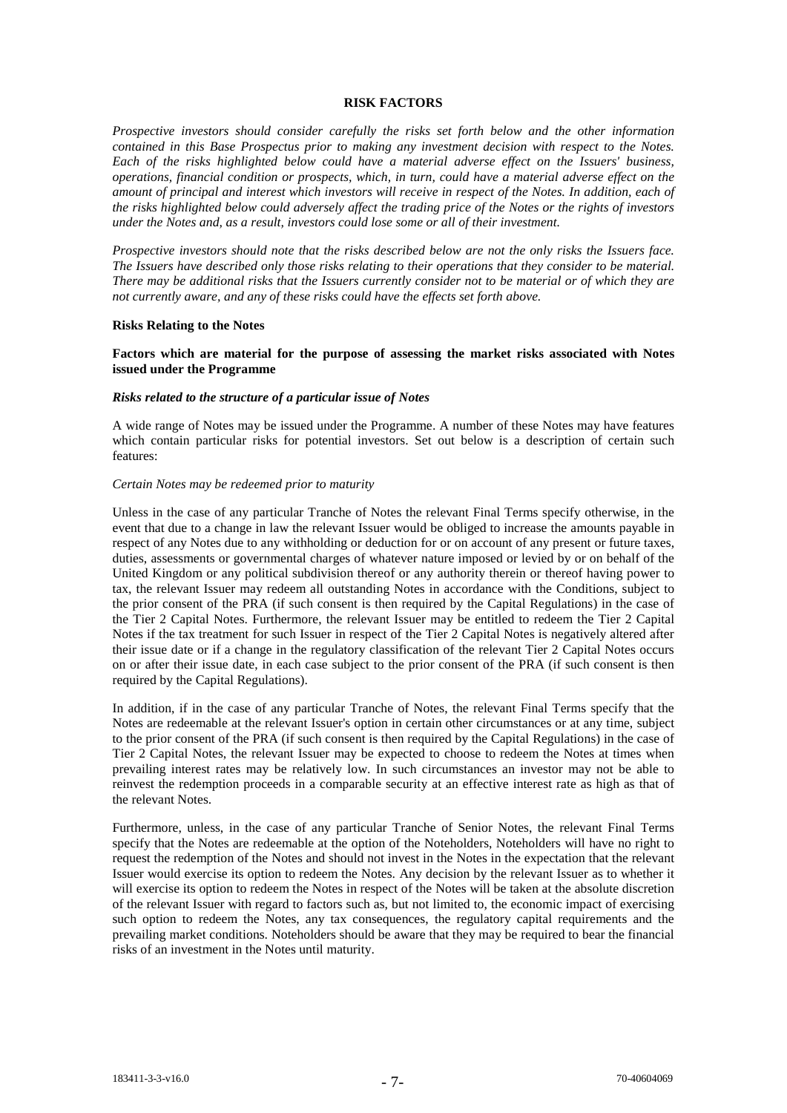### **RISK FACTORS**

*Prospective investors should consider carefully the risks set forth below and the other information contained in this Base Prospectus prior to making any investment decision with respect to the Notes. Each of the risks highlighted below could have a material adverse effect on the Issuers' business, operations, financial condition or prospects, which, in turn, could have a material adverse effect on the amount of principal and interest which investors will receive in respect of the Notes. In addition, each of the risks highlighted below could adversely affect the trading price of the Notes or the rights of investors under the Notes and, as a result, investors could lose some or all of their investment.*

*Prospective investors should note that the risks described below are not the only risks the Issuers face. The Issuers have described only those risks relating to their operations that they consider to be material. There may be additional risks that the Issuers currently consider not to be material or of which they are not currently aware, and any of these risks could have the effects set forth above.*

#### **Risks Relating to the Notes**

# **Factors which are material for the purpose of assessing the market risks associated with Notes issued under the Programme**

## *Risks related to the structure of a particular issue of Notes*

A wide range of Notes may be issued under the Programme. A number of these Notes may have features which contain particular risks for potential investors. Set out below is a description of certain such features:

## *Certain Notes may be redeemed prior to maturity*

Unless in the case of any particular Tranche of Notes the relevant Final Terms specify otherwise, in the event that due to a change in law the relevant Issuer would be obliged to increase the amounts payable in respect of any Notes due to any withholding or deduction for or on account of any present or future taxes, duties, assessments or governmental charges of whatever nature imposed or levied by or on behalf of the United Kingdom or any political subdivision thereof or any authority therein or thereof having power to tax, the relevant Issuer may redeem all outstanding Notes in accordance with the Conditions, subject to the prior consent of the PRA (if such consent is then required by the Capital Regulations) in the case of the Tier 2 Capital Notes. Furthermore, the relevant Issuer may be entitled to redeem the Tier 2 Capital Notes if the tax treatment for such Issuer in respect of the Tier 2 Capital Notes is negatively altered after their issue date or if a change in the regulatory classification of the relevant Tier 2 Capital Notes occurs on or after their issue date, in each case subject to the prior consent of the PRA (if such consent is then required by the Capital Regulations).

In addition, if in the case of any particular Tranche of Notes, the relevant Final Terms specify that the Notes are redeemable at the relevant Issuer's option in certain other circumstances or at any time, subject to the prior consent of the PRA (if such consent is then required by the Capital Regulations) in the case of Tier 2 Capital Notes, the relevant Issuer may be expected to choose to redeem the Notes at times when prevailing interest rates may be relatively low. In such circumstances an investor may not be able to reinvest the redemption proceeds in a comparable security at an effective interest rate as high as that of the relevant Notes.

Furthermore, unless, in the case of any particular Tranche of Senior Notes, the relevant Final Terms specify that the Notes are redeemable at the option of the Noteholders, Noteholders will have no right to request the redemption of the Notes and should not invest in the Notes in the expectation that the relevant Issuer would exercise its option to redeem the Notes. Any decision by the relevant Issuer as to whether it will exercise its option to redeem the Notes in respect of the Notes will be taken at the absolute discretion of the relevant Issuer with regard to factors such as, but not limited to, the economic impact of exercising such option to redeem the Notes, any tax consequences, the regulatory capital requirements and the prevailing market conditions. Noteholders should be aware that they may be required to bear the financial risks of an investment in the Notes until maturity.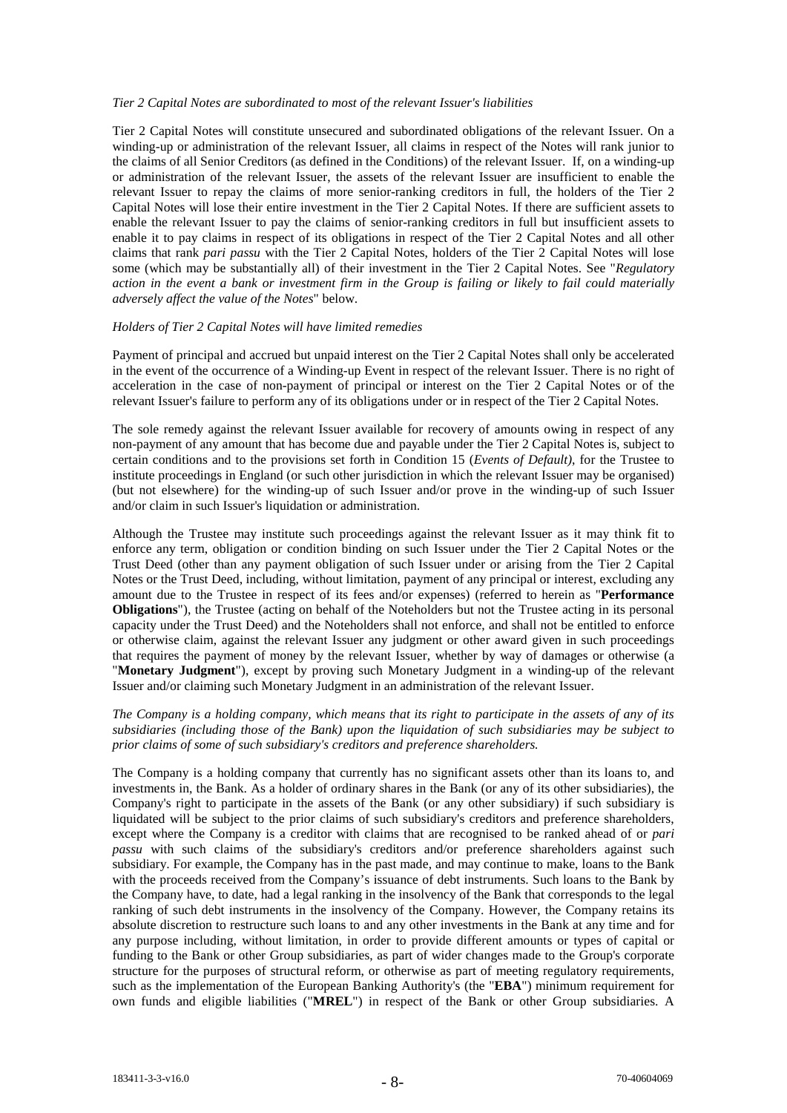# *Tier 2 Capital Notes are subordinated to most of the relevant Issuer's liabilities*

Tier 2 Capital Notes will constitute unsecured and subordinated obligations of the relevant Issuer. On a winding-up or administration of the relevant Issuer, all claims in respect of the Notes will rank junior to the claims of all Senior Creditors (as defined in the Conditions) of the relevant Issuer. If, on a winding-up or administration of the relevant Issuer, the assets of the relevant Issuer are insufficient to enable the relevant Issuer to repay the claims of more senior-ranking creditors in full, the holders of the Tier 2 Capital Notes will lose their entire investment in the Tier 2 Capital Notes. If there are sufficient assets to enable the relevant Issuer to pay the claims of senior-ranking creditors in full but insufficient assets to enable it to pay claims in respect of its obligations in respect of the Tier 2 Capital Notes and all other claims that rank *pari passu* with the Tier 2 Capital Notes, holders of the Tier 2 Capital Notes will lose some (which may be substantially all) of their investment in the Tier 2 Capital Notes. See "*Regulatory action in the event a bank or investment firm in the Group is failing or likely to fail could materially adversely affect the value of the Notes*" below.

## *Holders of Tier 2 Capital Notes will have limited remedies*

Payment of principal and accrued but unpaid interest on the Tier 2 Capital Notes shall only be accelerated in the event of the occurrence of a Winding-up Event in respect of the relevant Issuer. There is no right of acceleration in the case of non-payment of principal or interest on the Tier 2 Capital Notes or of the relevant Issuer's failure to perform any of its obligations under or in respect of the Tier 2 Capital Notes.

The sole remedy against the relevant Issuer available for recovery of amounts owing in respect of any non-payment of any amount that has become due and payable under the Tier 2 Capital Notes is, subject to certain conditions and to the provisions set forth in Condition 15 (*Events of Default)*, for the Trustee to institute proceedings in England (or such other jurisdiction in which the relevant Issuer may be organised) (but not elsewhere) for the winding-up of such Issuer and/or prove in the winding-up of such Issuer and/or claim in such Issuer's liquidation or administration.

Although the Trustee may institute such proceedings against the relevant Issuer as it may think fit to enforce any term, obligation or condition binding on such Issuer under the Tier 2 Capital Notes or the Trust Deed (other than any payment obligation of such Issuer under or arising from the Tier 2 Capital Notes or the Trust Deed, including, without limitation, payment of any principal or interest, excluding any amount due to the Trustee in respect of its fees and/or expenses) (referred to herein as "**Performance Obligations**"), the Trustee (acting on behalf of the Noteholders but not the Trustee acting in its personal capacity under the Trust Deed) and the Noteholders shall not enforce, and shall not be entitled to enforce or otherwise claim, against the relevant Issuer any judgment or other award given in such proceedings that requires the payment of money by the relevant Issuer, whether by way of damages or otherwise (a "**Monetary Judgment**"), except by proving such Monetary Judgment in a winding-up of the relevant Issuer and/or claiming such Monetary Judgment in an administration of the relevant Issuer.

# *The Company is a holding company, which means that its right to participate in the assets of any of its subsidiaries (including those of the Bank) upon the liquidation of such subsidiaries may be subject to prior claims of some of such subsidiary's creditors and preference shareholders.*

The Company is a holding company that currently has no significant assets other than its loans to, and investments in, the Bank. As a holder of ordinary shares in the Bank (or any of its other subsidiaries), the Company's right to participate in the assets of the Bank (or any other subsidiary) if such subsidiary is liquidated will be subject to the prior claims of such subsidiary's creditors and preference shareholders, except where the Company is a creditor with claims that are recognised to be ranked ahead of or *pari passu* with such claims of the subsidiary's creditors and/or preference shareholders against such subsidiary. For example, the Company has in the past made, and may continue to make, loans to the Bank with the proceeds received from the Company's issuance of debt instruments. Such loans to the Bank by the Company have, to date, had a legal ranking in the insolvency of the Bank that corresponds to the legal ranking of such debt instruments in the insolvency of the Company. However, the Company retains its absolute discretion to restructure such loans to and any other investments in the Bank at any time and for any purpose including, without limitation, in order to provide different amounts or types of capital or funding to the Bank or other Group subsidiaries, as part of wider changes made to the Group's corporate structure for the purposes of structural reform, or otherwise as part of meeting regulatory requirements, such as the implementation of the European Banking Authority's (the "**EBA**") minimum requirement for own funds and eligible liabilities ("**MREL**") in respect of the Bank or other Group subsidiaries. A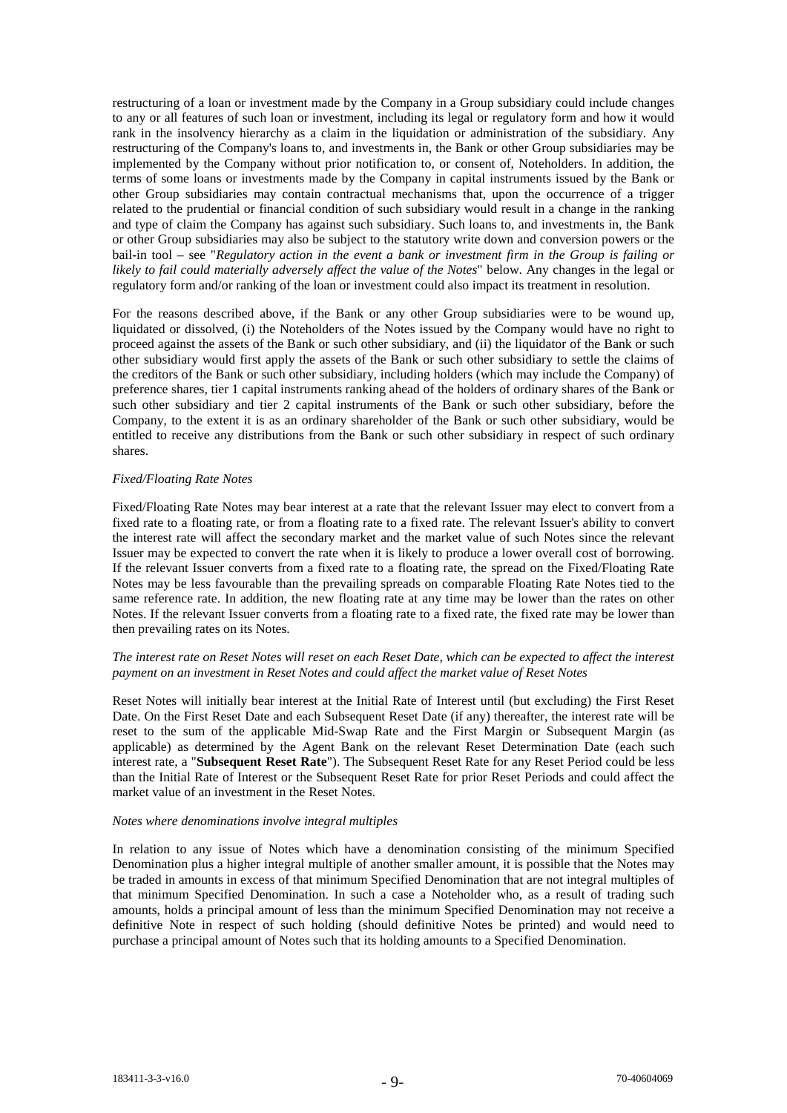restructuring of a loan or investment made by the Company in a Group subsidiary could include changes to any or all features of such loan or investment, including its legal or regulatory form and how it would rank in the insolvency hierarchy as a claim in the liquidation or administration of the subsidiary. Any restructuring of the Company's loans to, and investments in, the Bank or other Group subsidiaries may be implemented by the Company without prior notification to, or consent of, Noteholders. In addition, the terms of some loans or investments made by the Company in capital instruments issued by the Bank or other Group subsidiaries may contain contractual mechanisms that, upon the occurrence of a trigger related to the prudential or financial condition of such subsidiary would result in a change in the ranking and type of claim the Company has against such subsidiary. Such loans to, and investments in, the Bank or other Group subsidiaries may also be subject to the statutory write down and conversion powers or the bail-in tool – see "*Regulatory action in the event a bank or investment firm in the Group is failing or likely to fail could materially adversely affect the value of the Notes*" below. Any changes in the legal or regulatory form and/or ranking of the loan or investment could also impact its treatment in resolution.

For the reasons described above, if the Bank or any other Group subsidiaries were to be wound up, liquidated or dissolved, (i) the Noteholders of the Notes issued by the Company would have no right to proceed against the assets of the Bank or such other subsidiary, and (ii) the liquidator of the Bank or such other subsidiary would first apply the assets of the Bank or such other subsidiary to settle the claims of the creditors of the Bank or such other subsidiary, including holders (which may include the Company) of preference shares, tier 1 capital instruments ranking ahead of the holders of ordinary shares of the Bank or such other subsidiary and tier 2 capital instruments of the Bank or such other subsidiary, before the Company, to the extent it is as an ordinary shareholder of the Bank or such other subsidiary, would be entitled to receive any distributions from the Bank or such other subsidiary in respect of such ordinary shares.

# *Fixed/Floating Rate Notes*

Fixed/Floating Rate Notes may bear interest at a rate that the relevant Issuer may elect to convert from a fixed rate to a floating rate, or from a floating rate to a fixed rate. The relevant Issuer's ability to convert the interest rate will affect the secondary market and the market value of such Notes since the relevant Issuer may be expected to convert the rate when it is likely to produce a lower overall cost of borrowing. If the relevant Issuer converts from a fixed rate to a floating rate, the spread on the Fixed/Floating Rate Notes may be less favourable than the prevailing spreads on comparable Floating Rate Notes tied to the same reference rate. In addition, the new floating rate at any time may be lower than the rates on other Notes. If the relevant Issuer converts from a floating rate to a fixed rate, the fixed rate may be lower than then prevailing rates on its Notes.

# *The interest rate on Reset Notes will reset on each Reset Date, which can be expected to affect the interest payment on an investment in Reset Notes and could affect the market value of Reset Notes*

Reset Notes will initially bear interest at the Initial Rate of Interest until (but excluding) the First Reset Date. On the First Reset Date and each Subsequent Reset Date (if any) thereafter, the interest rate will be reset to the sum of the applicable Mid-Swap Rate and the First Margin or Subsequent Margin (as applicable) as determined by the Agent Bank on the relevant Reset Determination Date (each such interest rate, a "**Subsequent Reset Rate**"). The Subsequent Reset Rate for any Reset Period could be less than the Initial Rate of Interest or the Subsequent Reset Rate for prior Reset Periods and could affect the market value of an investment in the Reset Notes.

## *Notes where denominations involve integral multiples*

In relation to any issue of Notes which have a denomination consisting of the minimum Specified Denomination plus a higher integral multiple of another smaller amount, it is possible that the Notes may be traded in amounts in excess of that minimum Specified Denomination that are not integral multiples of that minimum Specified Denomination. In such a case a Noteholder who, as a result of trading such amounts, holds a principal amount of less than the minimum Specified Denomination may not receive a definitive Note in respect of such holding (should definitive Notes be printed) and would need to purchase a principal amount of Notes such that its holding amounts to a Specified Denomination.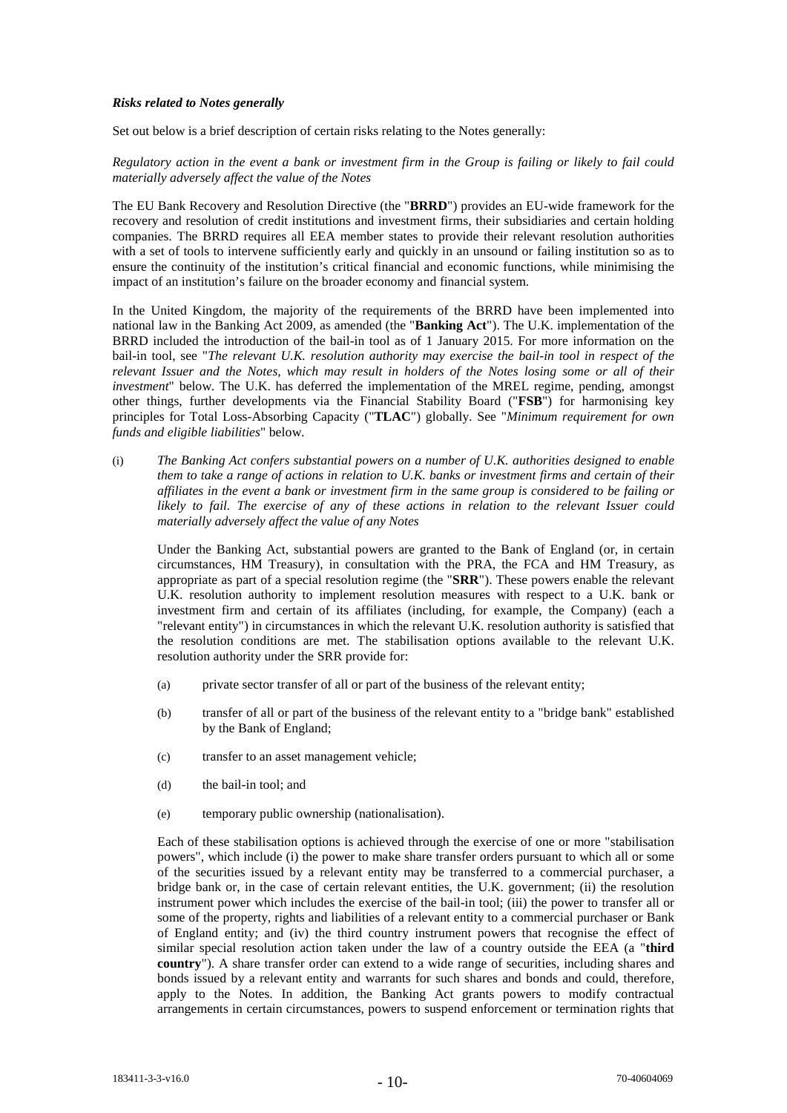# *Risks related to Notes generally*

Set out below is a brief description of certain risks relating to the Notes generally:

*Regulatory action in the event a bank or investment firm in the Group is failing or likely to fail could materially adversely affect the value of the Notes*

The EU Bank Recovery and Resolution Directive (the "**BRRD**") provides an EU-wide framework for the recovery and resolution of credit institutions and investment firms, their subsidiaries and certain holding companies. The BRRD requires all EEA member states to provide their relevant resolution authorities with a set of tools to intervene sufficiently early and quickly in an unsound or failing institution so as to ensure the continuity of the institution's critical financial and economic functions, while minimising the impact of an institution's failure on the broader economy and financial system.

In the United Kingdom, the majority of the requirements of the BRRD have been implemented into national law in the Banking Act 2009, as amended (the "**Banking Act**"). The U.K. implementation of the BRRD included the introduction of the bail-in tool as of 1 January 2015. For more information on the bail-in tool, see "*The relevant U.K. resolution authority may exercise the bail-in tool in respect of the relevant Issuer and the Notes, which may result in holders of the Notes losing some or all of their investment*" below. The U.K. has deferred the implementation of the MREL regime, pending, amongst other things, further developments via the Financial Stability Board ("**FSB**") for harmonising key principles for Total Loss-Absorbing Capacity ("**TLAC**") globally. See "*Minimum requirement for own funds and eligible liabilities*" below.

(i) *The Banking Act confers substantial powers on a number of U.K. authorities designed to enable them to take a range of actions in relation to U.K. banks or investment firms and certain of their affiliates in the event a bank or investment firm in the same group is considered to be failing or*  likely to fail. The exercise of any of these actions in relation to the relevant Issuer could *materially adversely affect the value of any Notes*

Under the Banking Act, substantial powers are granted to the Bank of England (or, in certain circumstances, HM Treasury), in consultation with the PRA, the FCA and HM Treasury, as appropriate as part of a special resolution regime (the "**SRR**"). These powers enable the relevant U.K. resolution authority to implement resolution measures with respect to a U.K. bank or investment firm and certain of its affiliates (including, for example, the Company) (each a "relevant entity") in circumstances in which the relevant U.K. resolution authority is satisfied that the resolution conditions are met. The stabilisation options available to the relevant U.K. resolution authority under the SRR provide for:

- (a) private sector transfer of all or part of the business of the relevant entity;
- (b) transfer of all or part of the business of the relevant entity to a "bridge bank" established by the Bank of England;
- (c) transfer to an asset management vehicle;
- (d) the bail-in tool; and
- (e) temporary public ownership (nationalisation).

Each of these stabilisation options is achieved through the exercise of one or more "stabilisation powers", which include (i) the power to make share transfer orders pursuant to which all or some of the securities issued by a relevant entity may be transferred to a commercial purchaser, a bridge bank or, in the case of certain relevant entities, the U.K. government; (ii) the resolution instrument power which includes the exercise of the bail-in tool; (iii) the power to transfer all or some of the property, rights and liabilities of a relevant entity to a commercial purchaser or Bank of England entity; and (iv) the third country instrument powers that recognise the effect of similar special resolution action taken under the law of a country outside the EEA (a "**third country**"). A share transfer order can extend to a wide range of securities, including shares and bonds issued by a relevant entity and warrants for such shares and bonds and could, therefore, apply to the Notes. In addition, the Banking Act grants powers to modify contractual arrangements in certain circumstances, powers to suspend enforcement or termination rights that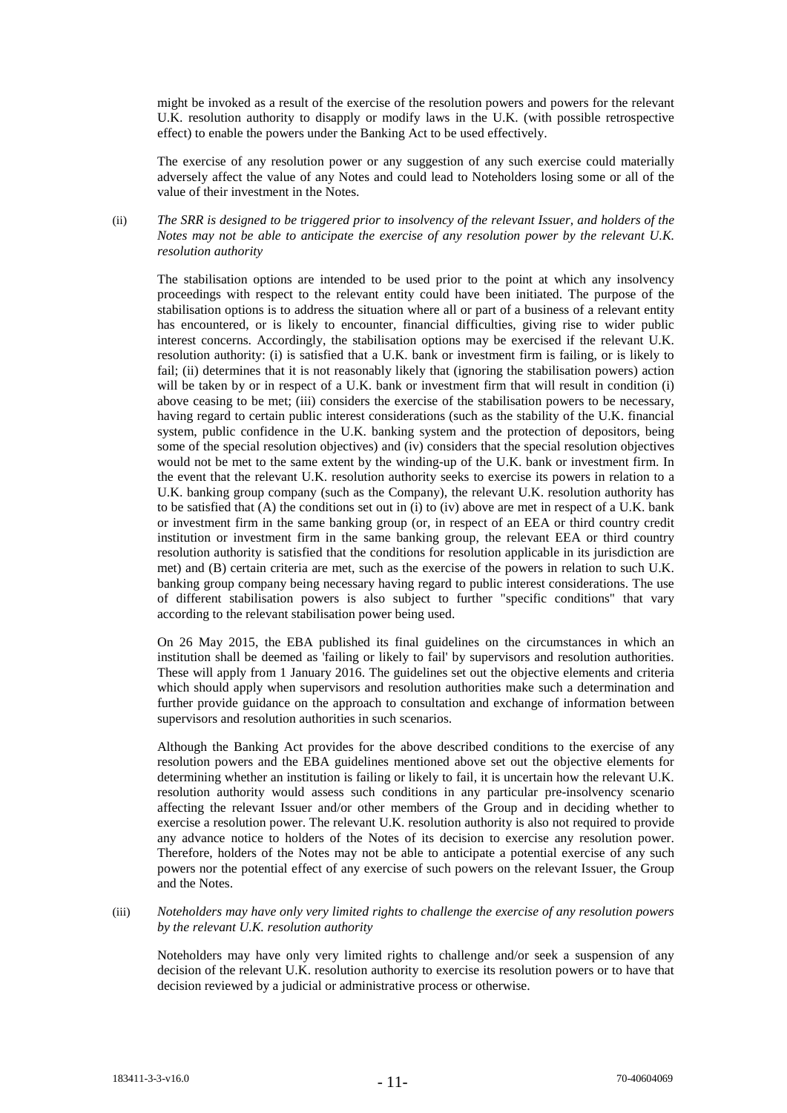might be invoked as a result of the exercise of the resolution powers and powers for the relevant U.K. resolution authority to disapply or modify laws in the U.K. (with possible retrospective effect) to enable the powers under the Banking Act to be used effectively.

The exercise of any resolution power or any suggestion of any such exercise could materially adversely affect the value of any Notes and could lead to Noteholders losing some or all of the value of their investment in the Notes.

(ii) *The SRR is designed to be triggered prior to insolvency of the relevant Issuer, and holders of the Notes may not be able to anticipate the exercise of any resolution power by the relevant U.K. resolution authority* 

The stabilisation options are intended to be used prior to the point at which any insolvency proceedings with respect to the relevant entity could have been initiated. The purpose of the stabilisation options is to address the situation where all or part of a business of a relevant entity has encountered, or is likely to encounter, financial difficulties, giving rise to wider public interest concerns. Accordingly, the stabilisation options may be exercised if the relevant U.K. resolution authority: (i) is satisfied that a U.K. bank or investment firm is failing, or is likely to fail; (ii) determines that it is not reasonably likely that (ignoring the stabilisation powers) action will be taken by or in respect of a U.K. bank or investment firm that will result in condition (i) above ceasing to be met; (iii) considers the exercise of the stabilisation powers to be necessary, having regard to certain public interest considerations (such as the stability of the U.K. financial system, public confidence in the U.K. banking system and the protection of depositors, being some of the special resolution objectives) and (iv) considers that the special resolution objectives would not be met to the same extent by the winding-up of the U.K. bank or investment firm. In the event that the relevant U.K. resolution authority seeks to exercise its powers in relation to a U.K. banking group company (such as the Company), the relevant U.K. resolution authority has to be satisfied that (A) the conditions set out in (i) to (iv) above are met in respect of a U.K. bank or investment firm in the same banking group (or, in respect of an EEA or third country credit institution or investment firm in the same banking group, the relevant EEA or third country resolution authority is satisfied that the conditions for resolution applicable in its jurisdiction are met) and (B) certain criteria are met, such as the exercise of the powers in relation to such U.K. banking group company being necessary having regard to public interest considerations. The use of different stabilisation powers is also subject to further "specific conditions" that vary according to the relevant stabilisation power being used.

On 26 May 2015, the EBA published its final guidelines on the circumstances in which an institution shall be deemed as 'failing or likely to fail' by supervisors and resolution authorities. These will apply from 1 January 2016. The guidelines set out the objective elements and criteria which should apply when supervisors and resolution authorities make such a determination and further provide guidance on the approach to consultation and exchange of information between supervisors and resolution authorities in such scenarios.

Although the Banking Act provides for the above described conditions to the exercise of any resolution powers and the EBA guidelines mentioned above set out the objective elements for determining whether an institution is failing or likely to fail, it is uncertain how the relevant U.K. resolution authority would assess such conditions in any particular pre-insolvency scenario affecting the relevant Issuer and/or other members of the Group and in deciding whether to exercise a resolution power. The relevant U.K. resolution authority is also not required to provide any advance notice to holders of the Notes of its decision to exercise any resolution power. Therefore, holders of the Notes may not be able to anticipate a potential exercise of any such powers nor the potential effect of any exercise of such powers on the relevant Issuer, the Group and the Notes.

# (iii) *Noteholders may have only very limited rights to challenge the exercise of any resolution powers by the relevant U.K. resolution authority*

Noteholders may have only very limited rights to challenge and/or seek a suspension of any decision of the relevant U.K. resolution authority to exercise its resolution powers or to have that decision reviewed by a judicial or administrative process or otherwise.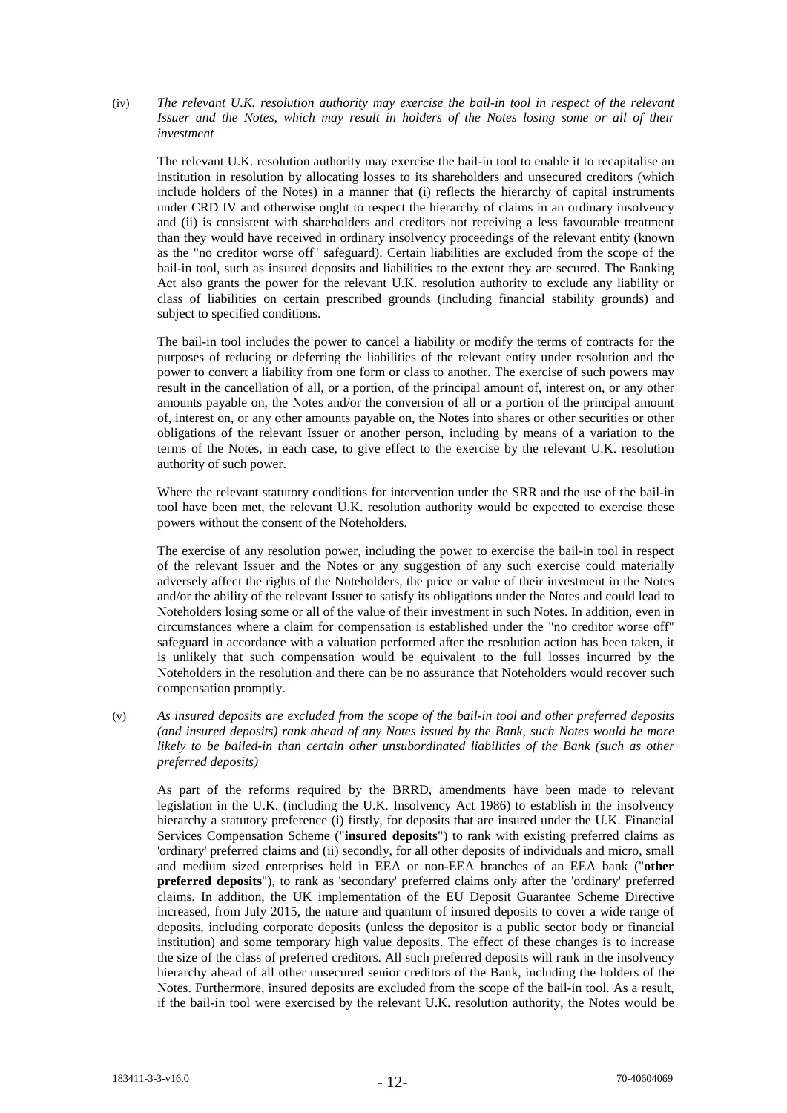(iv) *The relevant U.K. resolution authority may exercise the bail-in tool in respect of the relevant Issuer and the Notes, which may result in holders of the Notes losing some or all of their investment*

The relevant U.K. resolution authority may exercise the bail-in tool to enable it to recapitalise an institution in resolution by allocating losses to its shareholders and unsecured creditors (which include holders of the Notes) in a manner that (i) reflects the hierarchy of capital instruments under CRD IV and otherwise ought to respect the hierarchy of claims in an ordinary insolvency and (ii) is consistent with shareholders and creditors not receiving a less favourable treatment than they would have received in ordinary insolvency proceedings of the relevant entity (known as the "no creditor worse off" safeguard). Certain liabilities are excluded from the scope of the bail-in tool, such as insured deposits and liabilities to the extent they are secured. The Banking Act also grants the power for the relevant U.K. resolution authority to exclude any liability or class of liabilities on certain prescribed grounds (including financial stability grounds) and subject to specified conditions.

The bail-in tool includes the power to cancel a liability or modify the terms of contracts for the purposes of reducing or deferring the liabilities of the relevant entity under resolution and the power to convert a liability from one form or class to another. The exercise of such powers may result in the cancellation of all, or a portion, of the principal amount of, interest on, or any other amounts payable on, the Notes and/or the conversion of all or a portion of the principal amount of, interest on, or any other amounts payable on, the Notes into shares or other securities or other obligations of the relevant Issuer or another person, including by means of a variation to the terms of the Notes, in each case, to give effect to the exercise by the relevant U.K. resolution authority of such power.

Where the relevant statutory conditions for intervention under the SRR and the use of the bail-in tool have been met, the relevant U.K. resolution authority would be expected to exercise these powers without the consent of the Noteholders.

The exercise of any resolution power, including the power to exercise the bail-in tool in respect of the relevant Issuer and the Notes or any suggestion of any such exercise could materially adversely affect the rights of the Noteholders, the price or value of their investment in the Notes and/or the ability of the relevant Issuer to satisfy its obligations under the Notes and could lead to Noteholders losing some or all of the value of their investment in such Notes. In addition, even in circumstances where a claim for compensation is established under the "no creditor worse off" safeguard in accordance with a valuation performed after the resolution action has been taken, it is unlikely that such compensation would be equivalent to the full losses incurred by the Noteholders in the resolution and there can be no assurance that Noteholders would recover such compensation promptly.

(v) *As insured deposits are excluded from the scope of the bail-in tool and other preferred deposits (and insured deposits) rank ahead of any Notes issued by the Bank, such Notes would be more likely to be bailed-in than certain other unsubordinated liabilities of the Bank (such as other preferred deposits)*

As part of the reforms required by the BRRD, amendments have been made to relevant legislation in the U.K. (including the U.K. Insolvency Act 1986) to establish in the insolvency hierarchy a statutory preference (i) firstly, for deposits that are insured under the U.K. Financial Services Compensation Scheme ("**insured deposits**") to rank with existing preferred claims as 'ordinary' preferred claims and (ii) secondly, for all other deposits of individuals and micro, small and medium sized enterprises held in EEA or non-EEA branches of an EEA bank ("**other preferred deposits**"), to rank as 'secondary' preferred claims only after the 'ordinary' preferred claims. In addition, the UK implementation of the EU Deposit Guarantee Scheme Directive increased, from July 2015, the nature and quantum of insured deposits to cover a wide range of deposits, including corporate deposits (unless the depositor is a public sector body or financial institution) and some temporary high value deposits. The effect of these changes is to increase the size of the class of preferred creditors. All such preferred deposits will rank in the insolvency hierarchy ahead of all other unsecured senior creditors of the Bank, including the holders of the Notes. Furthermore, insured deposits are excluded from the scope of the bail-in tool. As a result, if the bail-in tool were exercised by the relevant U.K. resolution authority, the Notes would be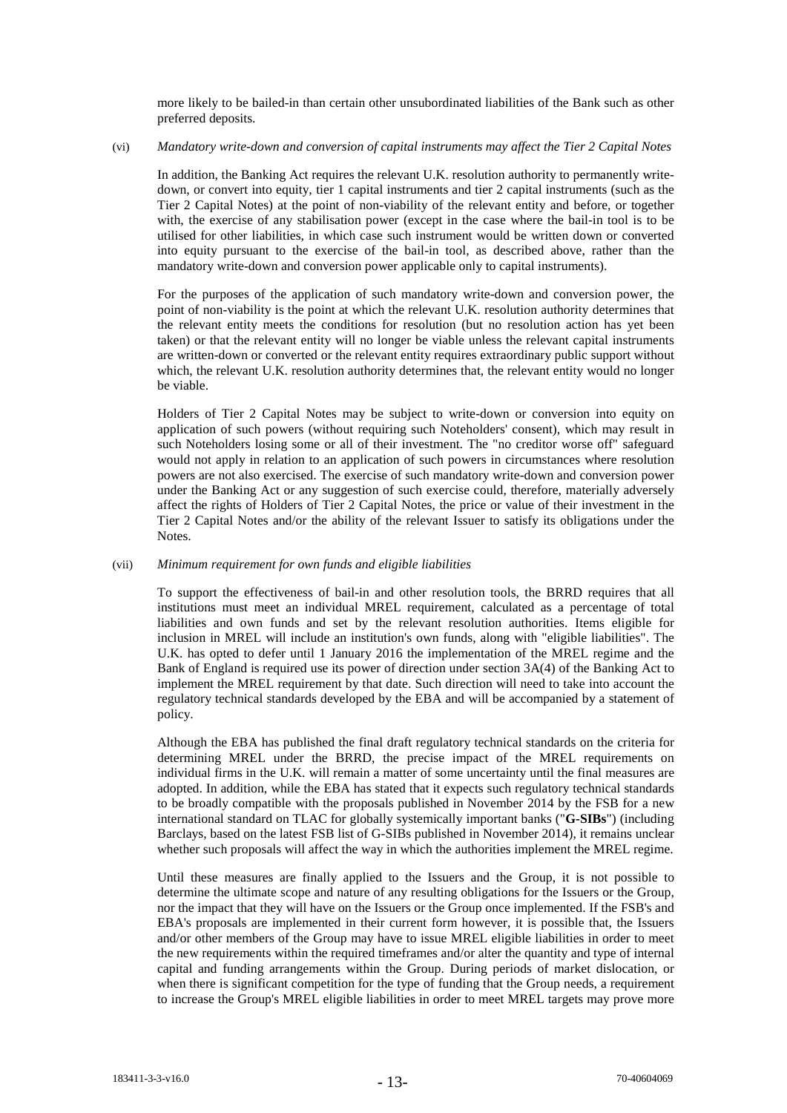more likely to be bailed-in than certain other unsubordinated liabilities of the Bank such as other preferred deposits.

# (vi) *Mandatory write-down and conversion of capital instruments may affect the Tier 2 Capital Notes*

In addition, the Banking Act requires the relevant U.K. resolution authority to permanently writedown, or convert into equity, tier 1 capital instruments and tier 2 capital instruments (such as the Tier 2 Capital Notes) at the point of non-viability of the relevant entity and before, or together with, the exercise of any stabilisation power (except in the case where the bail-in tool is to be utilised for other liabilities, in which case such instrument would be written down or converted into equity pursuant to the exercise of the bail-in tool, as described above, rather than the mandatory write-down and conversion power applicable only to capital instruments).

For the purposes of the application of such mandatory write-down and conversion power, the point of non-viability is the point at which the relevant U.K. resolution authority determines that the relevant entity meets the conditions for resolution (but no resolution action has yet been taken) or that the relevant entity will no longer be viable unless the relevant capital instruments are written-down or converted or the relevant entity requires extraordinary public support without which, the relevant U.K. resolution authority determines that, the relevant entity would no longer be viable.

Holders of Tier 2 Capital Notes may be subject to write-down or conversion into equity on application of such powers (without requiring such Noteholders' consent), which may result in such Noteholders losing some or all of their investment. The "no creditor worse off" safeguard would not apply in relation to an application of such powers in circumstances where resolution powers are not also exercised. The exercise of such mandatory write-down and conversion power under the Banking Act or any suggestion of such exercise could, therefore, materially adversely affect the rights of Holders of Tier 2 Capital Notes, the price or value of their investment in the Tier 2 Capital Notes and/or the ability of the relevant Issuer to satisfy its obligations under the Notes.

# (vii) *Minimum requirement for own funds and eligible liabilities*

To support the effectiveness of bail-in and other resolution tools, the BRRD requires that all institutions must meet an individual MREL requirement, calculated as a percentage of total liabilities and own funds and set by the relevant resolution authorities. Items eligible for inclusion in MREL will include an institution's own funds, along with "eligible liabilities". The U.K. has opted to defer until 1 January 2016 the implementation of the MREL regime and the Bank of England is required use its power of direction under section 3A(4) of the Banking Act to implement the MREL requirement by that date. Such direction will need to take into account the regulatory technical standards developed by the EBA and will be accompanied by a statement of policy.

Although the EBA has published the final draft regulatory technical standards on the criteria for determining MREL under the BRRD, the precise impact of the MREL requirements on individual firms in the U.K. will remain a matter of some uncertainty until the final measures are adopted. In addition, while the EBA has stated that it expects such regulatory technical standards to be broadly compatible with the proposals published in November 2014 by the FSB for a new international standard on TLAC for globally systemically important banks ("**G-SIBs**") (including Barclays, based on the latest FSB list of G-SIBs published in November 2014), it remains unclear whether such proposals will affect the way in which the authorities implement the MREL regime.

Until these measures are finally applied to the Issuers and the Group, it is not possible to determine the ultimate scope and nature of any resulting obligations for the Issuers or the Group, nor the impact that they will have on the Issuers or the Group once implemented. If the FSB's and EBA's proposals are implemented in their current form however, it is possible that, the Issuers and/or other members of the Group may have to issue MREL eligible liabilities in order to meet the new requirements within the required timeframes and/or alter the quantity and type of internal capital and funding arrangements within the Group. During periods of market dislocation, or when there is significant competition for the type of funding that the Group needs, a requirement to increase the Group's MREL eligible liabilities in order to meet MREL targets may prove more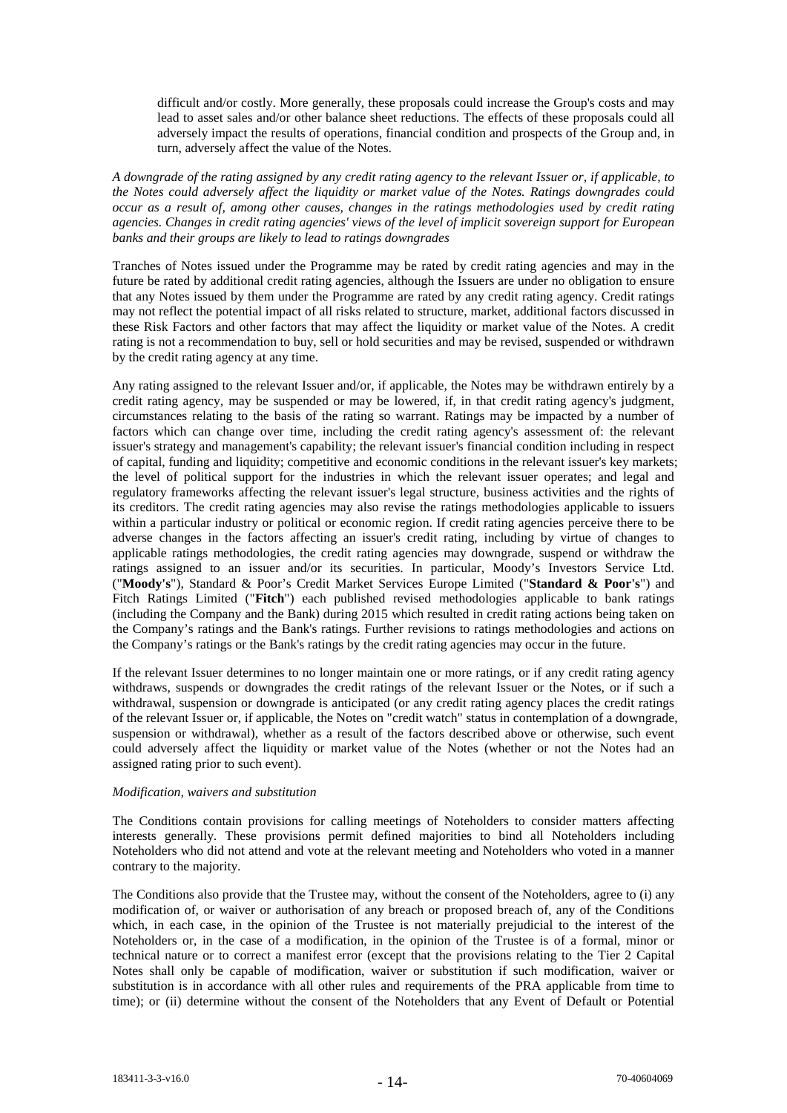difficult and/or costly. More generally, these proposals could increase the Group's costs and may lead to asset sales and/or other balance sheet reductions. The effects of these proposals could all adversely impact the results of operations, financial condition and prospects of the Group and, in turn, adversely affect the value of the Notes.

*A downgrade of the rating assigned by any credit rating agency to the relevant Issuer or, if applicable, to the Notes could adversely affect the liquidity or market value of the Notes. Ratings downgrades could occur as a result of, among other causes, changes in the ratings methodologies used by credit rating agencies. Changes in credit rating agencies' views of the level of implicit sovereign support for European banks and their groups are likely to lead to ratings downgrades*

Tranches of Notes issued under the Programme may be rated by credit rating agencies and may in the future be rated by additional credit rating agencies, although the Issuers are under no obligation to ensure that any Notes issued by them under the Programme are rated by any credit rating agency. Credit ratings may not reflect the potential impact of all risks related to structure, market, additional factors discussed in these Risk Factors and other factors that may affect the liquidity or market value of the Notes. A credit rating is not a recommendation to buy, sell or hold securities and may be revised, suspended or withdrawn by the credit rating agency at any time.

Any rating assigned to the relevant Issuer and/or, if applicable, the Notes may be withdrawn entirely by a credit rating agency, may be suspended or may be lowered, if, in that credit rating agency's judgment, circumstances relating to the basis of the rating so warrant. Ratings may be impacted by a number of factors which can change over time, including the credit rating agency's assessment of: the relevant issuer's strategy and management's capability; the relevant issuer's financial condition including in respect of capital, funding and liquidity; competitive and economic conditions in the relevant issuer's key markets; the level of political support for the industries in which the relevant issuer operates; and legal and regulatory frameworks affecting the relevant issuer's legal structure, business activities and the rights of its creditors. The credit rating agencies may also revise the ratings methodologies applicable to issuers within a particular industry or political or economic region. If credit rating agencies perceive there to be adverse changes in the factors affecting an issuer's credit rating, including by virtue of changes to applicable ratings methodologies, the credit rating agencies may downgrade, suspend or withdraw the ratings assigned to an issuer and/or its securities. In particular, Moody's Investors Service Ltd. ("**Moody's**"), Standard & Poor's Credit Market Services Europe Limited ("**Standard & Poor's**") and Fitch Ratings Limited ("**Fitch**") each published revised methodologies applicable to bank ratings (including the Company and the Bank) during 2015 which resulted in credit rating actions being taken on the Company's ratings and the Bank's ratings. Further revisions to ratings methodologies and actions on the Company's ratings or the Bank's ratings by the credit rating agencies may occur in the future.

If the relevant Issuer determines to no longer maintain one or more ratings, or if any credit rating agency withdraws, suspends or downgrades the credit ratings of the relevant Issuer or the Notes, or if such a withdrawal, suspension or downgrade is anticipated (or any credit rating agency places the credit ratings of the relevant Issuer or, if applicable, the Notes on "credit watch" status in contemplation of a downgrade, suspension or withdrawal), whether as a result of the factors described above or otherwise, such event could adversely affect the liquidity or market value of the Notes (whether or not the Notes had an assigned rating prior to such event).

# *Modification, waivers and substitution*

The Conditions contain provisions for calling meetings of Noteholders to consider matters affecting interests generally. These provisions permit defined majorities to bind all Noteholders including Noteholders who did not attend and vote at the relevant meeting and Noteholders who voted in a manner contrary to the majority.

The Conditions also provide that the Trustee may, without the consent of the Noteholders, agree to (i) any modification of, or waiver or authorisation of any breach or proposed breach of, any of the Conditions which, in each case, in the opinion of the Trustee is not materially prejudicial to the interest of the Noteholders or, in the case of a modification, in the opinion of the Trustee is of a formal, minor or technical nature or to correct a manifest error (except that the provisions relating to the Tier 2 Capital Notes shall only be capable of modification, waiver or substitution if such modification, waiver or substitution is in accordance with all other rules and requirements of the PRA applicable from time to time); or (ii) determine without the consent of the Noteholders that any Event of Default or Potential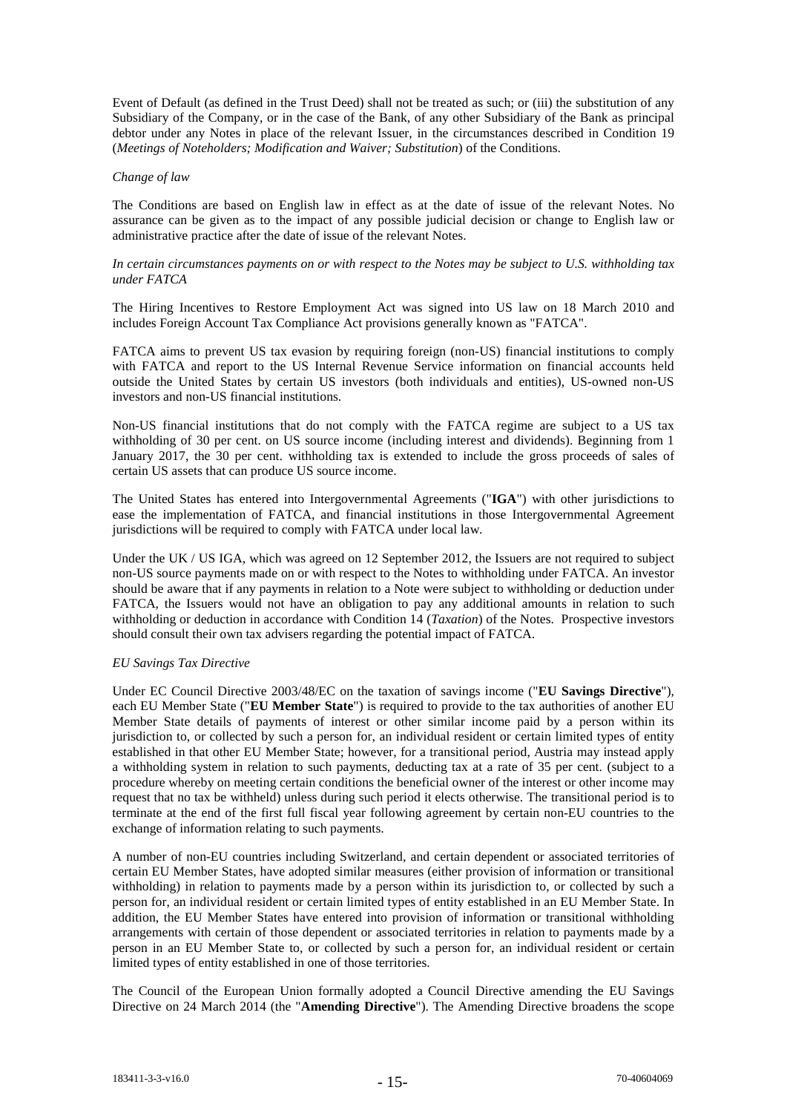Event of Default (as defined in the Trust Deed) shall not be treated as such; or (iii) the substitution of any Subsidiary of the Company, or in the case of the Bank, of any other Subsidiary of the Bank as principal debtor under any Notes in place of the relevant Issuer, in the circumstances described in Condition 19 (*Meetings of Noteholders; Modification and Waiver; Substitution*) of the Conditions.

### *Change of law*

The Conditions are based on English law in effect as at the date of issue of the relevant Notes. No assurance can be given as to the impact of any possible judicial decision or change to English law or administrative practice after the date of issue of the relevant Notes.

## *In certain circumstances payments on or with respect to the Notes may be subject to U.S. withholding tax under FATCA*

The Hiring Incentives to Restore Employment Act was signed into US law on 18 March 2010 and includes Foreign Account Tax Compliance Act provisions generally known as "FATCA".

FATCA aims to prevent US tax evasion by requiring foreign (non-US) financial institutions to comply with FATCA and report to the US Internal Revenue Service information on financial accounts held outside the United States by certain US investors (both individuals and entities), US-owned non-US investors and non-US financial institutions.

Non-US financial institutions that do not comply with the FATCA regime are subject to a US tax withholding of 30 per cent. on US source income (including interest and dividends). Beginning from 1 January 2017, the 30 per cent. withholding tax is extended to include the gross proceeds of sales of certain US assets that can produce US source income.

The United States has entered into Intergovernmental Agreements ("**IGA**") with other jurisdictions to ease the implementation of FATCA, and financial institutions in those Intergovernmental Agreement jurisdictions will be required to comply with FATCA under local law.

Under the UK / US IGA, which was agreed on 12 September 2012, the Issuers are not required to subject non-US source payments made on or with respect to the Notes to withholding under FATCA. An investor should be aware that if any payments in relation to a Note were subject to withholding or deduction under FATCA, the Issuers would not have an obligation to pay any additional amounts in relation to such withholding or deduction in accordance with Condition 14 (*Taxation*) of the Notes. Prospective investors should consult their own tax advisers regarding the potential impact of FATCA.

## *EU Savings Tax Directive*

Under EC Council Directive 2003/48/EC on the taxation of savings income ("**EU Savings Directive**"), each EU Member State ("**EU Member State**") is required to provide to the tax authorities of another EU Member State details of payments of interest or other similar income paid by a person within its jurisdiction to, or collected by such a person for, an individual resident or certain limited types of entity established in that other EU Member State; however, for a transitional period, Austria may instead apply a withholding system in relation to such payments, deducting tax at a rate of 35 per cent. (subject to a procedure whereby on meeting certain conditions the beneficial owner of the interest or other income may request that no tax be withheld) unless during such period it elects otherwise. The transitional period is to terminate at the end of the first full fiscal year following agreement by certain non-EU countries to the exchange of information relating to such payments.

A number of non-EU countries including Switzerland, and certain dependent or associated territories of certain EU Member States, have adopted similar measures (either provision of information or transitional withholding) in relation to payments made by a person within its jurisdiction to, or collected by such a person for, an individual resident or certain limited types of entity established in an EU Member State. In addition, the EU Member States have entered into provision of information or transitional withholding arrangements with certain of those dependent or associated territories in relation to payments made by a person in an EU Member State to, or collected by such a person for, an individual resident or certain limited types of entity established in one of those territories.

The Council of the European Union formally adopted a Council Directive amending the EU Savings Directive on 24 March 2014 (the "**Amending Directive**"). The Amending Directive broadens the scope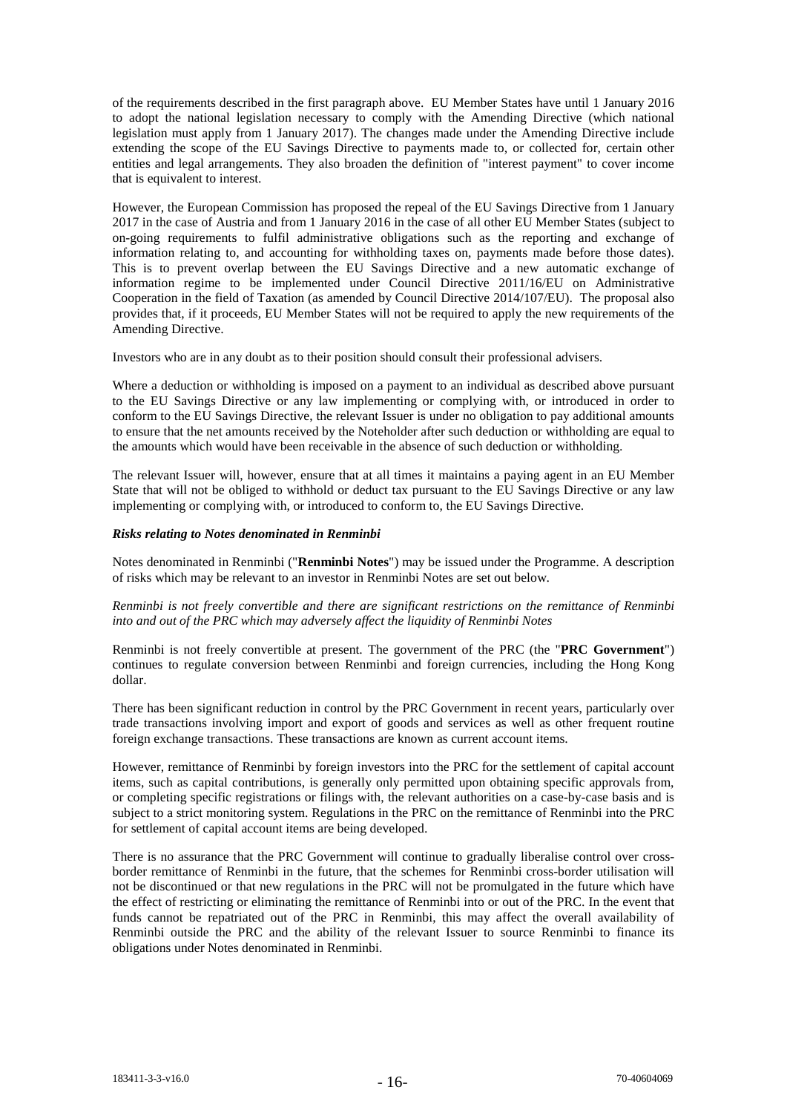of the requirements described in the first paragraph above. EU Member States have until 1 January 2016 to adopt the national legislation necessary to comply with the Amending Directive (which national legislation must apply from 1 January 2017). The changes made under the Amending Directive include extending the scope of the EU Savings Directive to payments made to, or collected for, certain other entities and legal arrangements. They also broaden the definition of "interest payment" to cover income that is equivalent to interest.

However, the European Commission has proposed the repeal of the EU Savings Directive from 1 January 2017 in the case of Austria and from 1 January 2016 in the case of all other EU Member States (subject to on-going requirements to fulfil administrative obligations such as the reporting and exchange of information relating to, and accounting for withholding taxes on, payments made before those dates). This is to prevent overlap between the EU Savings Directive and a new automatic exchange of information regime to be implemented under Council Directive 2011/16/EU on Administrative Cooperation in the field of Taxation (as amended by Council Directive 2014/107/EU). The proposal also provides that, if it proceeds, EU Member States will not be required to apply the new requirements of the Amending Directive.

Investors who are in any doubt as to their position should consult their professional advisers.

Where a deduction or withholding is imposed on a payment to an individual as described above pursuant to the EU Savings Directive or any law implementing or complying with, or introduced in order to conform to the EU Savings Directive, the relevant Issuer is under no obligation to pay additional amounts to ensure that the net amounts received by the Noteholder after such deduction or withholding are equal to the amounts which would have been receivable in the absence of such deduction or withholding.

The relevant Issuer will, however, ensure that at all times it maintains a paying agent in an EU Member State that will not be obliged to withhold or deduct tax pursuant to the EU Savings Directive or any law implementing or complying with, or introduced to conform to, the EU Savings Directive.

# *Risks relating to Notes denominated in Renminbi*

Notes denominated in Renminbi ("**Renminbi Notes**") may be issued under the Programme. A description of risks which may be relevant to an investor in Renminbi Notes are set out below.

# *Renminbi is not freely convertible and there are significant restrictions on the remittance of Renminbi into and out of the PRC which may adversely affect the liquidity of Renminbi Notes*

Renminbi is not freely convertible at present. The government of the PRC (the "**PRC Government**") continues to regulate conversion between Renminbi and foreign currencies, including the Hong Kong dollar.

There has been significant reduction in control by the PRC Government in recent years, particularly over trade transactions involving import and export of goods and services as well as other frequent routine foreign exchange transactions. These transactions are known as current account items.

However, remittance of Renminbi by foreign investors into the PRC for the settlement of capital account items, such as capital contributions, is generally only permitted upon obtaining specific approvals from, or completing specific registrations or filings with, the relevant authorities on a case-by-case basis and is subject to a strict monitoring system. Regulations in the PRC on the remittance of Renminbi into the PRC for settlement of capital account items are being developed.

There is no assurance that the PRC Government will continue to gradually liberalise control over crossborder remittance of Renminbi in the future, that the schemes for Renminbi cross-border utilisation will not be discontinued or that new regulations in the PRC will not be promulgated in the future which have the effect of restricting or eliminating the remittance of Renminbi into or out of the PRC. In the event that funds cannot be repatriated out of the PRC in Renminbi, this may affect the overall availability of Renminbi outside the PRC and the ability of the relevant Issuer to source Renminbi to finance its obligations under Notes denominated in Renminbi.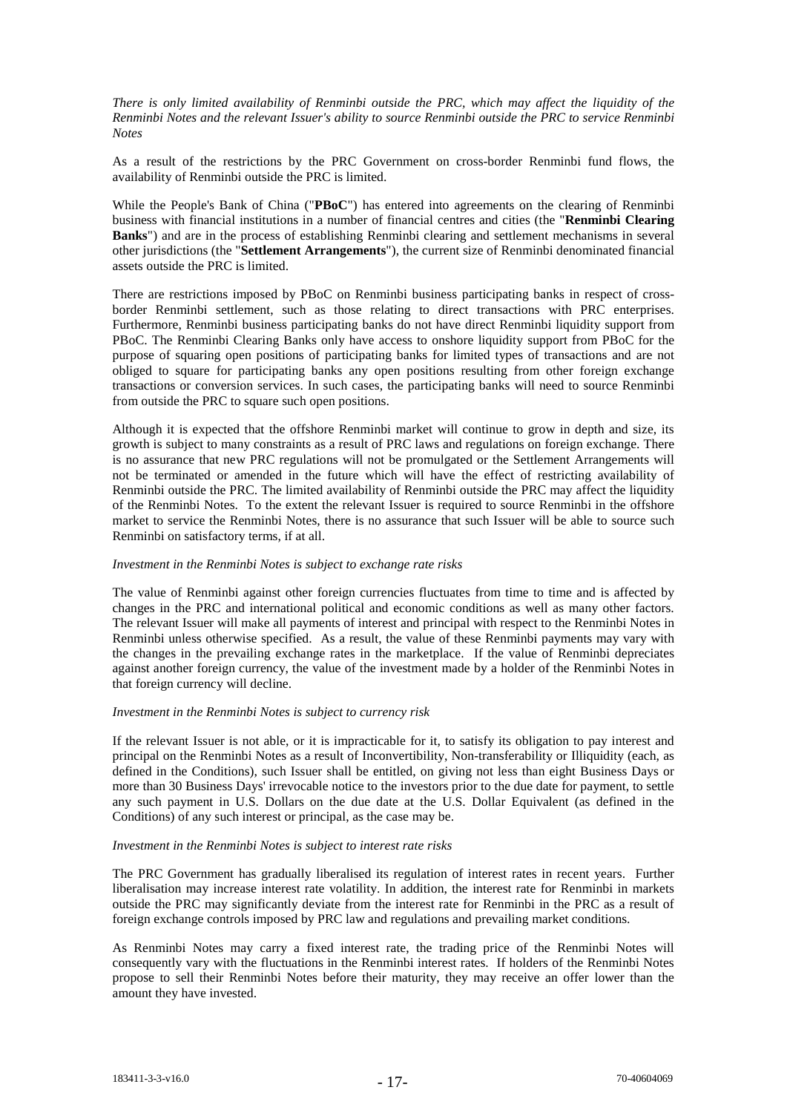*There is only limited availability of Renminbi outside the PRC, which may affect the liquidity of the Renminbi Notes and the relevant Issuer's ability to source Renminbi outside the PRC to service Renminbi Notes*

As a result of the restrictions by the PRC Government on cross-border Renminbi fund flows, the availability of Renminbi outside the PRC is limited.

While the People's Bank of China ("**PBoC**") has entered into agreements on the clearing of Renminbi business with financial institutions in a number of financial centres and cities (the "**Renminbi Clearing Banks**") and are in the process of establishing Renminbi clearing and settlement mechanisms in several other jurisdictions (the "**Settlement Arrangements**"), the current size of Renminbi denominated financial assets outside the PRC is limited.

There are restrictions imposed by PBoC on Renminbi business participating banks in respect of crossborder Renminbi settlement, such as those relating to direct transactions with PRC enterprises. Furthermore, Renminbi business participating banks do not have direct Renminbi liquidity support from PBoC. The Renminbi Clearing Banks only have access to onshore liquidity support from PBoC for the purpose of squaring open positions of participating banks for limited types of transactions and are not obliged to square for participating banks any open positions resulting from other foreign exchange transactions or conversion services. In such cases, the participating banks will need to source Renminbi from outside the PRC to square such open positions.

Although it is expected that the offshore Renminbi market will continue to grow in depth and size, its growth is subject to many constraints as a result of PRC laws and regulations on foreign exchange. There is no assurance that new PRC regulations will not be promulgated or the Settlement Arrangements will not be terminated or amended in the future which will have the effect of restricting availability of Renminbi outside the PRC. The limited availability of Renminbi outside the PRC may affect the liquidity of the Renminbi Notes. To the extent the relevant Issuer is required to source Renminbi in the offshore market to service the Renminbi Notes, there is no assurance that such Issuer will be able to source such Renminbi on satisfactory terms, if at all.

#### *Investment in the Renminbi Notes is subject to exchange rate risks*

The value of Renminbi against other foreign currencies fluctuates from time to time and is affected by changes in the PRC and international political and economic conditions as well as many other factors. The relevant Issuer will make all payments of interest and principal with respect to the Renminbi Notes in Renminbi unless otherwise specified. As a result, the value of these Renminbi payments may vary with the changes in the prevailing exchange rates in the marketplace. If the value of Renminbi depreciates against another foreign currency, the value of the investment made by a holder of the Renminbi Notes in that foreign currency will decline.

#### *Investment in the Renminbi Notes is subject to currency risk*

If the relevant Issuer is not able, or it is impracticable for it, to satisfy its obligation to pay interest and principal on the Renminbi Notes as a result of Inconvertibility, Non-transferability or Illiquidity (each, as defined in the Conditions), such Issuer shall be entitled, on giving not less than eight Business Days or more than 30 Business Days' irrevocable notice to the investors prior to the due date for payment, to settle any such payment in U.S. Dollars on the due date at the U.S. Dollar Equivalent (as defined in the Conditions) of any such interest or principal, as the case may be.

# *Investment in the Renminbi Notes is subject to interest rate risks*

The PRC Government has gradually liberalised its regulation of interest rates in recent years. Further liberalisation may increase interest rate volatility. In addition, the interest rate for Renminbi in markets outside the PRC may significantly deviate from the interest rate for Renminbi in the PRC as a result of foreign exchange controls imposed by PRC law and regulations and prevailing market conditions.

As Renminbi Notes may carry a fixed interest rate, the trading price of the Renminbi Notes will consequently vary with the fluctuations in the Renminbi interest rates. If holders of the Renminbi Notes propose to sell their Renminbi Notes before their maturity, they may receive an offer lower than the amount they have invested.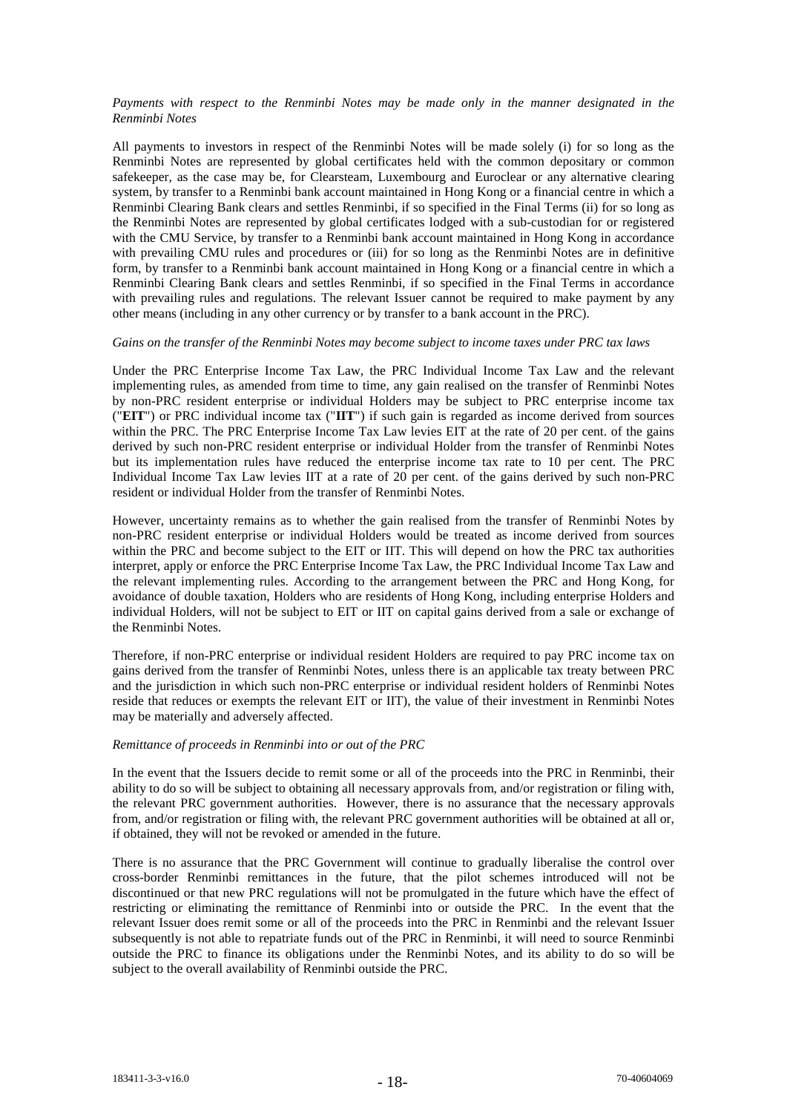# *Payments with respect to the Renminbi Notes may be made only in the manner designated in the Renminbi Notes*

All payments to investors in respect of the Renminbi Notes will be made solely (i) for so long as the Renminbi Notes are represented by global certificates held with the common depositary or common safekeeper, as the case may be, for Clearsteam, Luxembourg and Euroclear or any alternative clearing system, by transfer to a Renminbi bank account maintained in Hong Kong or a financial centre in which a Renminbi Clearing Bank clears and settles Renminbi, if so specified in the Final Terms (ii) for so long as the Renminbi Notes are represented by global certificates lodged with a sub-custodian for or registered with the CMU Service, by transfer to a Renminbi bank account maintained in Hong Kong in accordance with prevailing CMU rules and procedures or (iii) for so long as the Renminbi Notes are in definitive form, by transfer to a Renminbi bank account maintained in Hong Kong or a financial centre in which a Renminbi Clearing Bank clears and settles Renminbi, if so specified in the Final Terms in accordance with prevailing rules and regulations. The relevant Issuer cannot be required to make payment by any other means (including in any other currency or by transfer to a bank account in the PRC).

# *Gains on the transfer of the Renminbi Notes may become subject to income taxes under PRC tax laws*

Under the PRC Enterprise Income Tax Law, the PRC Individual Income Tax Law and the relevant implementing rules, as amended from time to time, any gain realised on the transfer of Renminbi Notes by non-PRC resident enterprise or individual Holders may be subject to PRC enterprise income tax ("**EIT**") or PRC individual income tax ("**IIT**") if such gain is regarded as income derived from sources within the PRC. The PRC Enterprise Income Tax Law levies EIT at the rate of 20 per cent. of the gains derived by such non-PRC resident enterprise or individual Holder from the transfer of Renminbi Notes but its implementation rules have reduced the enterprise income tax rate to 10 per cent. The PRC Individual Income Tax Law levies IIT at a rate of 20 per cent. of the gains derived by such non-PRC resident or individual Holder from the transfer of Renminbi Notes.

However, uncertainty remains as to whether the gain realised from the transfer of Renminbi Notes by non-PRC resident enterprise or individual Holders would be treated as income derived from sources within the PRC and become subject to the EIT or IIT. This will depend on how the PRC tax authorities interpret, apply or enforce the PRC Enterprise Income Tax Law, the PRC Individual Income Tax Law and the relevant implementing rules. According to the arrangement between the PRC and Hong Kong, for avoidance of double taxation, Holders who are residents of Hong Kong, including enterprise Holders and individual Holders, will not be subject to EIT or IIT on capital gains derived from a sale or exchange of the Renminbi Notes.

Therefore, if non-PRC enterprise or individual resident Holders are required to pay PRC income tax on gains derived from the transfer of Renminbi Notes, unless there is an applicable tax treaty between PRC and the jurisdiction in which such non-PRC enterprise or individual resident holders of Renminbi Notes reside that reduces or exempts the relevant EIT or IIT), the value of their investment in Renminbi Notes may be materially and adversely affected.

# *Remittance of proceeds in Renminbi into or out of the PRC*

In the event that the Issuers decide to remit some or all of the proceeds into the PRC in Renminbi, their ability to do so will be subject to obtaining all necessary approvals from, and/or registration or filing with, the relevant PRC government authorities. However, there is no assurance that the necessary approvals from, and/or registration or filing with, the relevant PRC government authorities will be obtained at all or, if obtained, they will not be revoked or amended in the future.

There is no assurance that the PRC Government will continue to gradually liberalise the control over cross-border Renminbi remittances in the future, that the pilot schemes introduced will not be discontinued or that new PRC regulations will not be promulgated in the future which have the effect of restricting or eliminating the remittance of Renminbi into or outside the PRC. In the event that the relevant Issuer does remit some or all of the proceeds into the PRC in Renminbi and the relevant Issuer subsequently is not able to repatriate funds out of the PRC in Renminbi, it will need to source Renminbi outside the PRC to finance its obligations under the Renminbi Notes, and its ability to do so will be subject to the overall availability of Renminbi outside the PRC.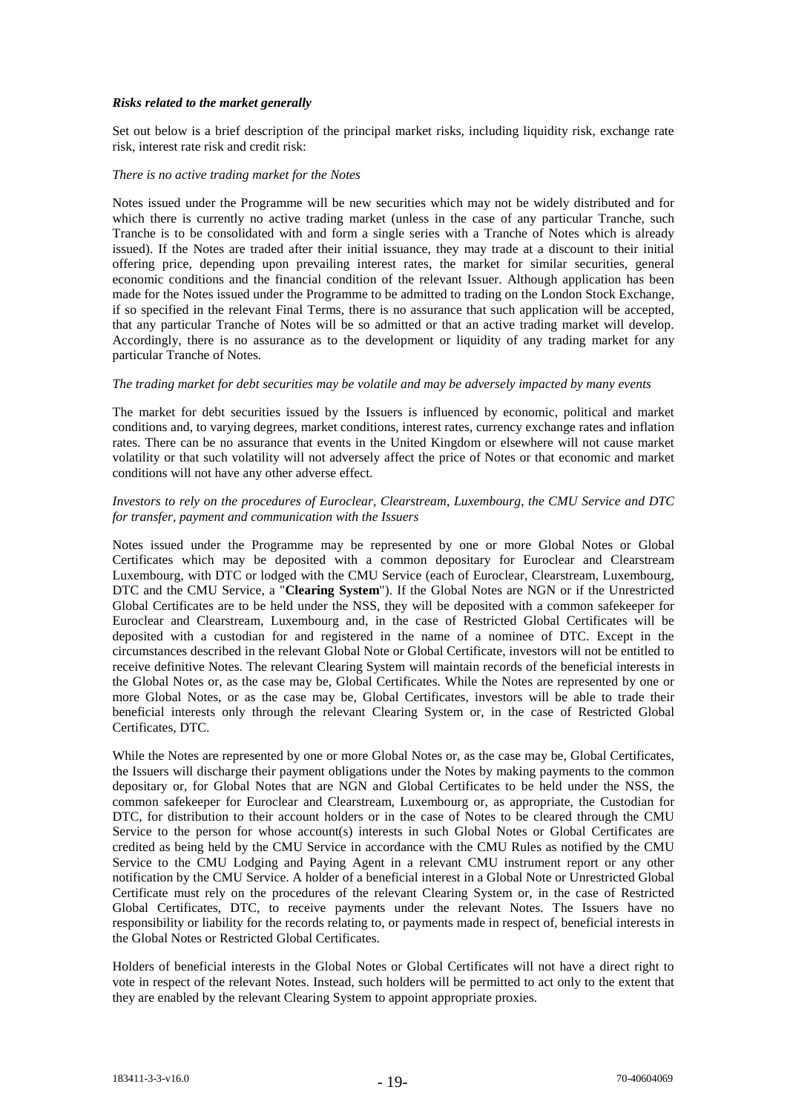# *Risks related to the market generally*

Set out below is a brief description of the principal market risks, including liquidity risk, exchange rate risk, interest rate risk and credit risk:

#### *There is no active trading market for the Notes*

Notes issued under the Programme will be new securities which may not be widely distributed and for which there is currently no active trading market (unless in the case of any particular Tranche, such Tranche is to be consolidated with and form a single series with a Tranche of Notes which is already issued). If the Notes are traded after their initial issuance, they may trade at a discount to their initial offering price, depending upon prevailing interest rates, the market for similar securities, general economic conditions and the financial condition of the relevant Issuer. Although application has been made for the Notes issued under the Programme to be admitted to trading on the London Stock Exchange, if so specified in the relevant Final Terms, there is no assurance that such application will be accepted, that any particular Tranche of Notes will be so admitted or that an active trading market will develop. Accordingly, there is no assurance as to the development or liquidity of any trading market for any particular Tranche of Notes.

# *The trading market for debt securities may be volatile and may be adversely impacted by many events*

The market for debt securities issued by the Issuers is influenced by economic, political and market conditions and, to varying degrees, market conditions, interest rates, currency exchange rates and inflation rates. There can be no assurance that events in the United Kingdom or elsewhere will not cause market volatility or that such volatility will not adversely affect the price of Notes or that economic and market conditions will not have any other adverse effect.

# *Investors to rely on the procedures of Euroclear, Clearstream, Luxembourg, the CMU Service and DTC for transfer, payment and communication with the Issuers*

Notes issued under the Programme may be represented by one or more Global Notes or Global Certificates which may be deposited with a common depositary for Euroclear and Clearstream Luxembourg, with DTC or lodged with the CMU Service (each of Euroclear, Clearstream, Luxembourg, DTC and the CMU Service, a "**Clearing System**"). If the Global Notes are NGN or if the Unrestricted Global Certificates are to be held under the NSS, they will be deposited with a common safekeeper for Euroclear and Clearstream, Luxembourg and, in the case of Restricted Global Certificates will be deposited with a custodian for and registered in the name of a nominee of DTC. Except in the circumstances described in the relevant Global Note or Global Certificate, investors will not be entitled to receive definitive Notes. The relevant Clearing System will maintain records of the beneficial interests in the Global Notes or, as the case may be, Global Certificates. While the Notes are represented by one or more Global Notes, or as the case may be, Global Certificates, investors will be able to trade their beneficial interests only through the relevant Clearing System or, in the case of Restricted Global Certificates, DTC.

While the Notes are represented by one or more Global Notes or, as the case may be, Global Certificates, the Issuers will discharge their payment obligations under the Notes by making payments to the common depositary or, for Global Notes that are NGN and Global Certificates to be held under the NSS, the common safekeeper for Euroclear and Clearstream, Luxembourg or, as appropriate, the Custodian for DTC, for distribution to their account holders or in the case of Notes to be cleared through the CMU Service to the person for whose account(s) interests in such Global Notes or Global Certificates are credited as being held by the CMU Service in accordance with the CMU Rules as notified by the CMU Service to the CMU Lodging and Paying Agent in a relevant CMU instrument report or any other notification by the CMU Service. A holder of a beneficial interest in a Global Note or Unrestricted Global Certificate must rely on the procedures of the relevant Clearing System or, in the case of Restricted Global Certificates, DTC, to receive payments under the relevant Notes. The Issuers have no responsibility or liability for the records relating to, or payments made in respect of, beneficial interests in the Global Notes or Restricted Global Certificates.

Holders of beneficial interests in the Global Notes or Global Certificates will not have a direct right to vote in respect of the relevant Notes. Instead, such holders will be permitted to act only to the extent that they are enabled by the relevant Clearing System to appoint appropriate proxies.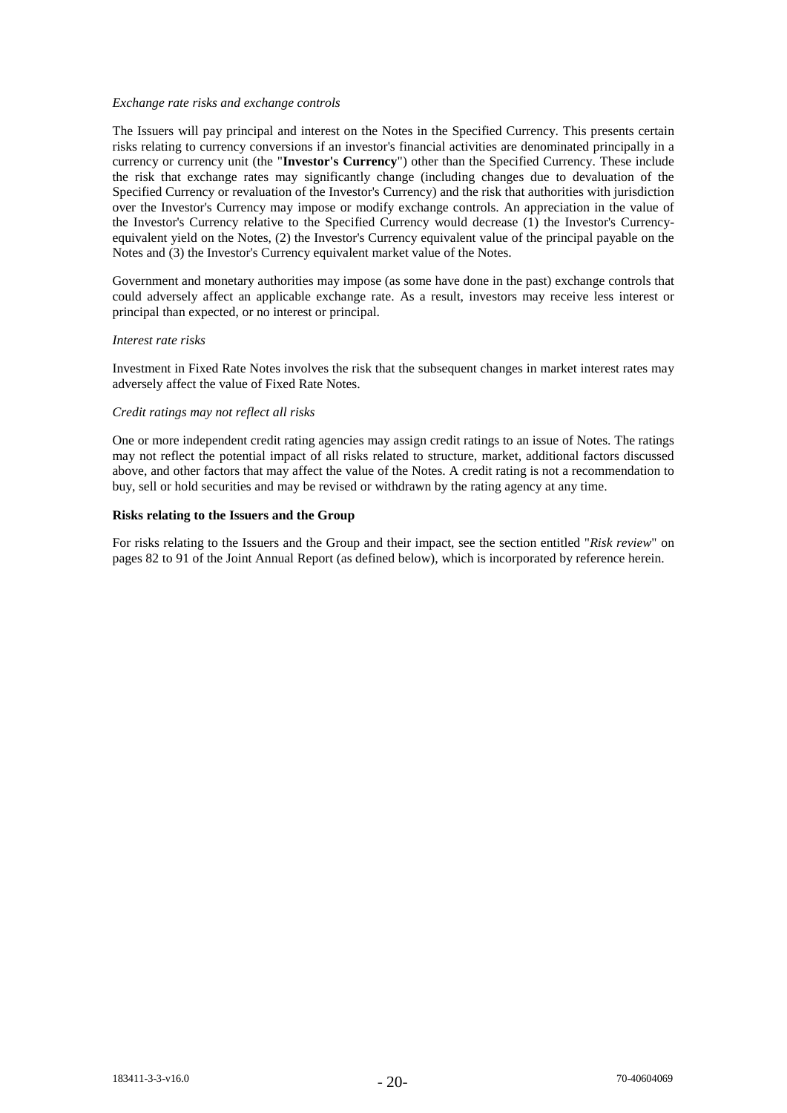## *Exchange rate risks and exchange controls*

The Issuers will pay principal and interest on the Notes in the Specified Currency. This presents certain risks relating to currency conversions if an investor's financial activities are denominated principally in a currency or currency unit (the "**Investor's Currency**") other than the Specified Currency. These include the risk that exchange rates may significantly change (including changes due to devaluation of the Specified Currency or revaluation of the Investor's Currency) and the risk that authorities with jurisdiction over the Investor's Currency may impose or modify exchange controls. An appreciation in the value of the Investor's Currency relative to the Specified Currency would decrease (1) the Investor's Currencyequivalent yield on the Notes, (2) the Investor's Currency equivalent value of the principal payable on the Notes and (3) the Investor's Currency equivalent market value of the Notes.

Government and monetary authorities may impose (as some have done in the past) exchange controls that could adversely affect an applicable exchange rate. As a result, investors may receive less interest or principal than expected, or no interest or principal.

## *Interest rate risks*

Investment in Fixed Rate Notes involves the risk that the subsequent changes in market interest rates may adversely affect the value of Fixed Rate Notes.

# *Credit ratings may not reflect all risks*

One or more independent credit rating agencies may assign credit ratings to an issue of Notes. The ratings may not reflect the potential impact of all risks related to structure, market, additional factors discussed above, and other factors that may affect the value of the Notes. A credit rating is not a recommendation to buy, sell or hold securities and may be revised or withdrawn by the rating agency at any time.

# **Risks relating to the Issuers and the Group**

For risks relating to the Issuers and the Group and their impact, see the section entitled "*Risk review*" on pages 82 to 91 of the Joint Annual Report (as defined below), which is incorporated by reference herein.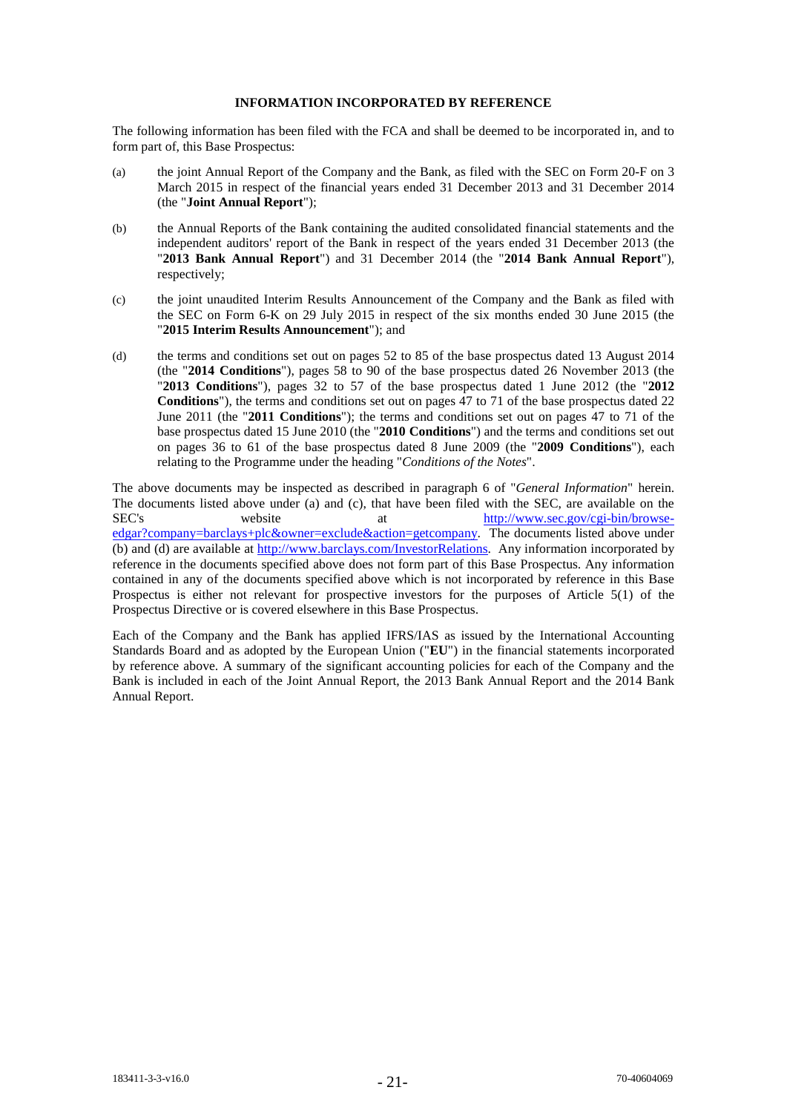# **INFORMATION INCORPORATED BY REFERENCE**

The following information has been filed with the FCA and shall be deemed to be incorporated in, and to form part of, this Base Prospectus:

- (a) the joint Annual Report of the Company and the Bank, as filed with the SEC on Form 20-F on 3 March 2015 in respect of the financial years ended 31 December 2013 and 31 December 2014 (the "**Joint Annual Report**");
- (b) the Annual Reports of the Bank containing the audited consolidated financial statements and the independent auditors' report of the Bank in respect of the years ended 31 December 2013 (the "**2013 Bank Annual Report**") and 31 December 2014 (the "**2014 Bank Annual Report**"), respectively;
- (c) the joint unaudited Interim Results Announcement of the Company and the Bank as filed with the SEC on Form 6-K on 29 July 2015 in respect of the six months ended 30 June 2015 (the "**2015 Interim Results Announcement**"); and
- (d) the terms and conditions set out on pages 52 to 85 of the base prospectus dated 13 August 2014 (the "**2014 Conditions**"), pages 58 to 90 of the base prospectus dated 26 November 2013 (the "**2013 Conditions**"), pages 32 to 57 of the base prospectus dated 1 June 2012 (the "**2012 Conditions**"), the terms and conditions set out on pages 47 to 71 of the base prospectus dated 22 June 2011 (the "**2011 Conditions**"); the terms and conditions set out on pages 47 to 71 of the base prospectus dated 15 June 2010 (the "**2010 Conditions**") and the terms and conditions set out on pages 36 to 61 of the base prospectus dated 8 June 2009 (the "**2009 Conditions**"), each relating to the Programme under the heading "*Conditions of the Notes*".

The above documents may be inspected as described in paragraph 6 of "*General Information*" herein. The documents listed above under (a) and (c), that have been filed with the SEC, are available on the SEC's website at http://www.sec.gov/cgi-bin/browseedgar?company=barclays+plc&owner=exclude&action=getcompany. The documents listed above under (b) and (d) are available at http://www.barclays.com/InvestorRelations. Any information incorporated by reference in the documents specified above does not form part of this Base Prospectus. Any information contained in any of the documents specified above which is not incorporated by reference in this Base Prospectus is either not relevant for prospective investors for the purposes of Article 5(1) of the Prospectus Directive or is covered elsewhere in this Base Prospectus.

Each of the Company and the Bank has applied IFRS/IAS as issued by the International Accounting Standards Board and as adopted by the European Union ("**EU**") in the financial statements incorporated by reference above. A summary of the significant accounting policies for each of the Company and the Bank is included in each of the Joint Annual Report, the 2013 Bank Annual Report and the 2014 Bank Annual Report.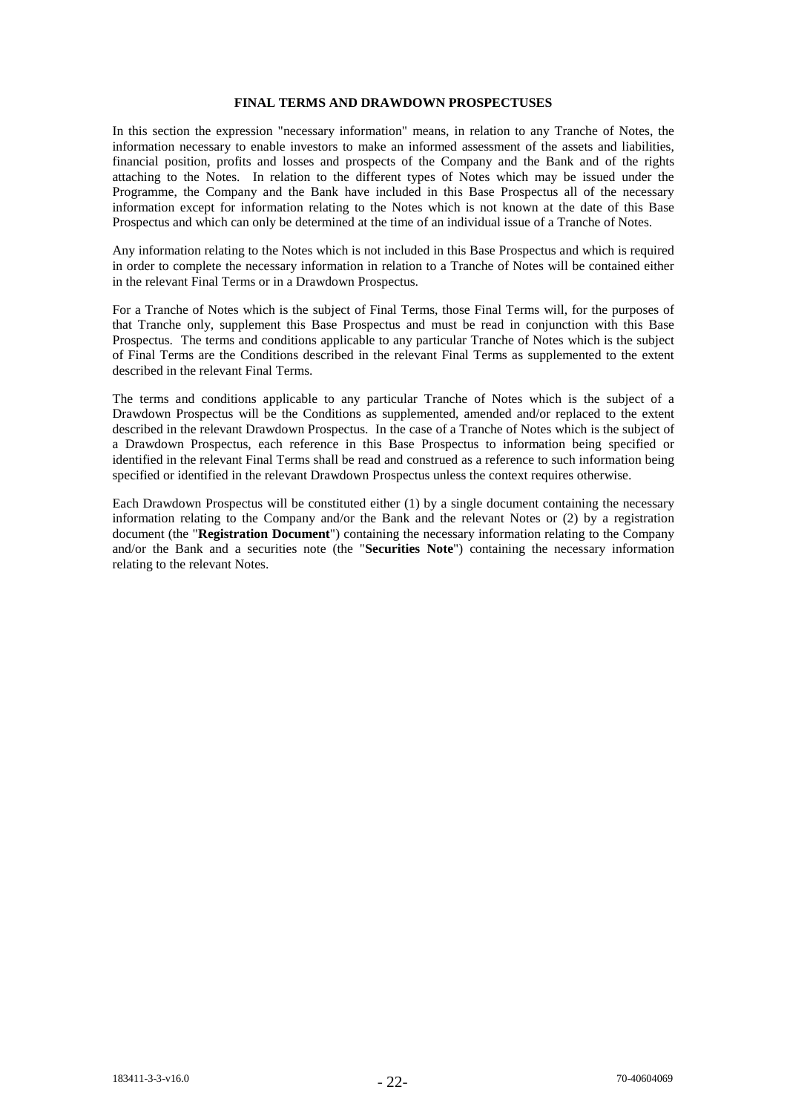## **FINAL TERMS AND DRAWDOWN PROSPECTUSES**

In this section the expression "necessary information" means, in relation to any Tranche of Notes, the information necessary to enable investors to make an informed assessment of the assets and liabilities, financial position, profits and losses and prospects of the Company and the Bank and of the rights attaching to the Notes. In relation to the different types of Notes which may be issued under the Programme, the Company and the Bank have included in this Base Prospectus all of the necessary information except for information relating to the Notes which is not known at the date of this Base Prospectus and which can only be determined at the time of an individual issue of a Tranche of Notes.

Any information relating to the Notes which is not included in this Base Prospectus and which is required in order to complete the necessary information in relation to a Tranche of Notes will be contained either in the relevant Final Terms or in a Drawdown Prospectus.

For a Tranche of Notes which is the subject of Final Terms, those Final Terms will, for the purposes of that Tranche only, supplement this Base Prospectus and must be read in conjunction with this Base Prospectus. The terms and conditions applicable to any particular Tranche of Notes which is the subject of Final Terms are the Conditions described in the relevant Final Terms as supplemented to the extent described in the relevant Final Terms.

The terms and conditions applicable to any particular Tranche of Notes which is the subject of a Drawdown Prospectus will be the Conditions as supplemented, amended and/or replaced to the extent described in the relevant Drawdown Prospectus. In the case of a Tranche of Notes which is the subject of a Drawdown Prospectus, each reference in this Base Prospectus to information being specified or identified in the relevant Final Terms shall be read and construed as a reference to such information being specified or identified in the relevant Drawdown Prospectus unless the context requires otherwise.

Each Drawdown Prospectus will be constituted either (1) by a single document containing the necessary information relating to the Company and/or the Bank and the relevant Notes or (2) by a registration document (the "**Registration Document**") containing the necessary information relating to the Company and/or the Bank and a securities note (the "**Securities Note**") containing the necessary information relating to the relevant Notes.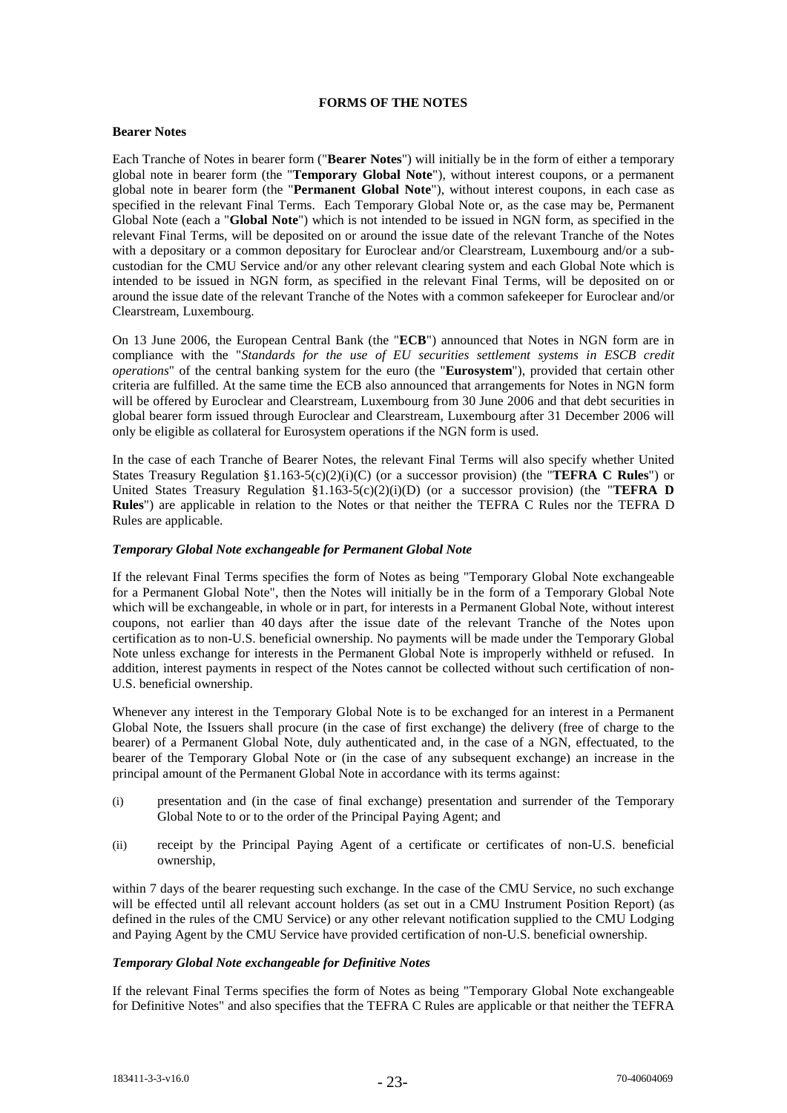# **FORMS OF THE NOTES**

# **Bearer Notes**

Each Tranche of Notes in bearer form ("**Bearer Notes**") will initially be in the form of either a temporary global note in bearer form (the "**Temporary Global Note**"), without interest coupons, or a permanent global note in bearer form (the "**Permanent Global Note**"), without interest coupons, in each case as specified in the relevant Final Terms. Each Temporary Global Note or, as the case may be, Permanent Global Note (each a "**Global Note**") which is not intended to be issued in NGN form, as specified in the relevant Final Terms, will be deposited on or around the issue date of the relevant Tranche of the Notes with a depositary or a common depositary for Euroclear and/or Clearstream, Luxembourg and/or a subcustodian for the CMU Service and/or any other relevant clearing system and each Global Note which is intended to be issued in NGN form, as specified in the relevant Final Terms, will be deposited on or around the issue date of the relevant Tranche of the Notes with a common safekeeper for Euroclear and/or Clearstream, Luxembourg.

On 13 June 2006, the European Central Bank (the "**ECB**") announced that Notes in NGN form are in compliance with the "*Standards for the use of EU securities settlement systems in ESCB credit operations*" of the central banking system for the euro (the "**Eurosystem**"), provided that certain other criteria are fulfilled. At the same time the ECB also announced that arrangements for Notes in NGN form will be offered by Euroclear and Clearstream, Luxembourg from 30 June 2006 and that debt securities in global bearer form issued through Euroclear and Clearstream, Luxembourg after 31 December 2006 will only be eligible as collateral for Eurosystem operations if the NGN form is used.

In the case of each Tranche of Bearer Notes, the relevant Final Terms will also specify whether United States Treasury Regulation §1.163-5(c)(2)(i)(C) (or a successor provision) (the "**TEFRA C Rules**") or United States Treasury Regulation §1.163-5(c)(2)(i)(D) (or a successor provision) (the "**TEFRA D Rules**") are applicable in relation to the Notes or that neither the TEFRA C Rules nor the TEFRA D Rules are applicable.

# *Temporary Global Note exchangeable for Permanent Global Note*

If the relevant Final Terms specifies the form of Notes as being "Temporary Global Note exchangeable for a Permanent Global Note", then the Notes will initially be in the form of a Temporary Global Note which will be exchangeable, in whole or in part, for interests in a Permanent Global Note, without interest coupons, not earlier than 40 days after the issue date of the relevant Tranche of the Notes upon certification as to non-U.S. beneficial ownership. No payments will be made under the Temporary Global Note unless exchange for interests in the Permanent Global Note is improperly withheld or refused. In addition, interest payments in respect of the Notes cannot be collected without such certification of non-U.S. beneficial ownership.

Whenever any interest in the Temporary Global Note is to be exchanged for an interest in a Permanent Global Note, the Issuers shall procure (in the case of first exchange) the delivery (free of charge to the bearer) of a Permanent Global Note, duly authenticated and, in the case of a NGN, effectuated, to the bearer of the Temporary Global Note or (in the case of any subsequent exchange) an increase in the principal amount of the Permanent Global Note in accordance with its terms against:

- (i) presentation and (in the case of final exchange) presentation and surrender of the Temporary Global Note to or to the order of the Principal Paying Agent; and
- (ii) receipt by the Principal Paying Agent of a certificate or certificates of non-U.S. beneficial ownership,

within 7 days of the bearer requesting such exchange. In the case of the CMU Service, no such exchange will be effected until all relevant account holders (as set out in a CMU Instrument Position Report) (as defined in the rules of the CMU Service) or any other relevant notification supplied to the CMU Lodging and Paying Agent by the CMU Service have provided certification of non-U.S. beneficial ownership.

# *Temporary Global Note exchangeable for Definitive Notes*

If the relevant Final Terms specifies the form of Notes as being "Temporary Global Note exchangeable for Definitive Notes" and also specifies that the TEFRA C Rules are applicable or that neither the TEFRA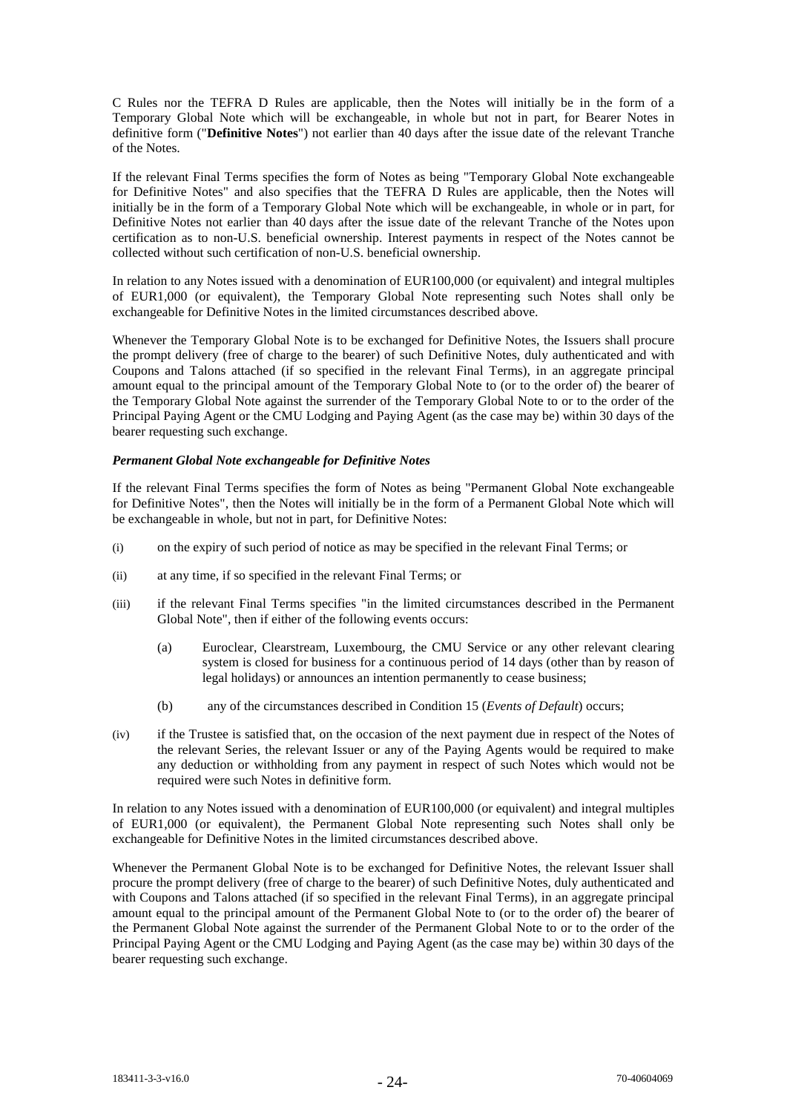C Rules nor the TEFRA D Rules are applicable, then the Notes will initially be in the form of a Temporary Global Note which will be exchangeable, in whole but not in part, for Bearer Notes in definitive form ("**Definitive Notes**") not earlier than 40 days after the issue date of the relevant Tranche of the Notes.

If the relevant Final Terms specifies the form of Notes as being "Temporary Global Note exchangeable for Definitive Notes" and also specifies that the TEFRA D Rules are applicable, then the Notes will initially be in the form of a Temporary Global Note which will be exchangeable, in whole or in part, for Definitive Notes not earlier than 40 days after the issue date of the relevant Tranche of the Notes upon certification as to non-U.S. beneficial ownership. Interest payments in respect of the Notes cannot be collected without such certification of non-U.S. beneficial ownership.

In relation to any Notes issued with a denomination of EUR100,000 (or equivalent) and integral multiples of EUR1,000 (or equivalent), the Temporary Global Note representing such Notes shall only be exchangeable for Definitive Notes in the limited circumstances described above.

Whenever the Temporary Global Note is to be exchanged for Definitive Notes, the Issuers shall procure the prompt delivery (free of charge to the bearer) of such Definitive Notes, duly authenticated and with Coupons and Talons attached (if so specified in the relevant Final Terms), in an aggregate principal amount equal to the principal amount of the Temporary Global Note to (or to the order of) the bearer of the Temporary Global Note against the surrender of the Temporary Global Note to or to the order of the Principal Paying Agent or the CMU Lodging and Paying Agent (as the case may be) within 30 days of the bearer requesting such exchange.

# *Permanent Global Note exchangeable for Definitive Notes*

If the relevant Final Terms specifies the form of Notes as being "Permanent Global Note exchangeable for Definitive Notes", then the Notes will initially be in the form of a Permanent Global Note which will be exchangeable in whole, but not in part, for Definitive Notes:

- (i) on the expiry of such period of notice as may be specified in the relevant Final Terms; or
- (ii) at any time, if so specified in the relevant Final Terms; or
- (iii) if the relevant Final Terms specifies "in the limited circumstances described in the Permanent Global Note", then if either of the following events occurs:
	- (a) Euroclear, Clearstream, Luxembourg, the CMU Service or any other relevant clearing system is closed for business for a continuous period of 14 days (other than by reason of legal holidays) or announces an intention permanently to cease business;
	- (b) any of the circumstances described in Condition 15 (*Events of Default*) occurs;
- (iv) if the Trustee is satisfied that, on the occasion of the next payment due in respect of the Notes of the relevant Series, the relevant Issuer or any of the Paying Agents would be required to make any deduction or withholding from any payment in respect of such Notes which would not be required were such Notes in definitive form.

In relation to any Notes issued with a denomination of EUR100,000 (or equivalent) and integral multiples of EUR1,000 (or equivalent), the Permanent Global Note representing such Notes shall only be exchangeable for Definitive Notes in the limited circumstances described above.

Whenever the Permanent Global Note is to be exchanged for Definitive Notes, the relevant Issuer shall procure the prompt delivery (free of charge to the bearer) of such Definitive Notes, duly authenticated and with Coupons and Talons attached (if so specified in the relevant Final Terms), in an aggregate principal amount equal to the principal amount of the Permanent Global Note to (or to the order of) the bearer of the Permanent Global Note against the surrender of the Permanent Global Note to or to the order of the Principal Paying Agent or the CMU Lodging and Paying Agent (as the case may be) within 30 days of the bearer requesting such exchange.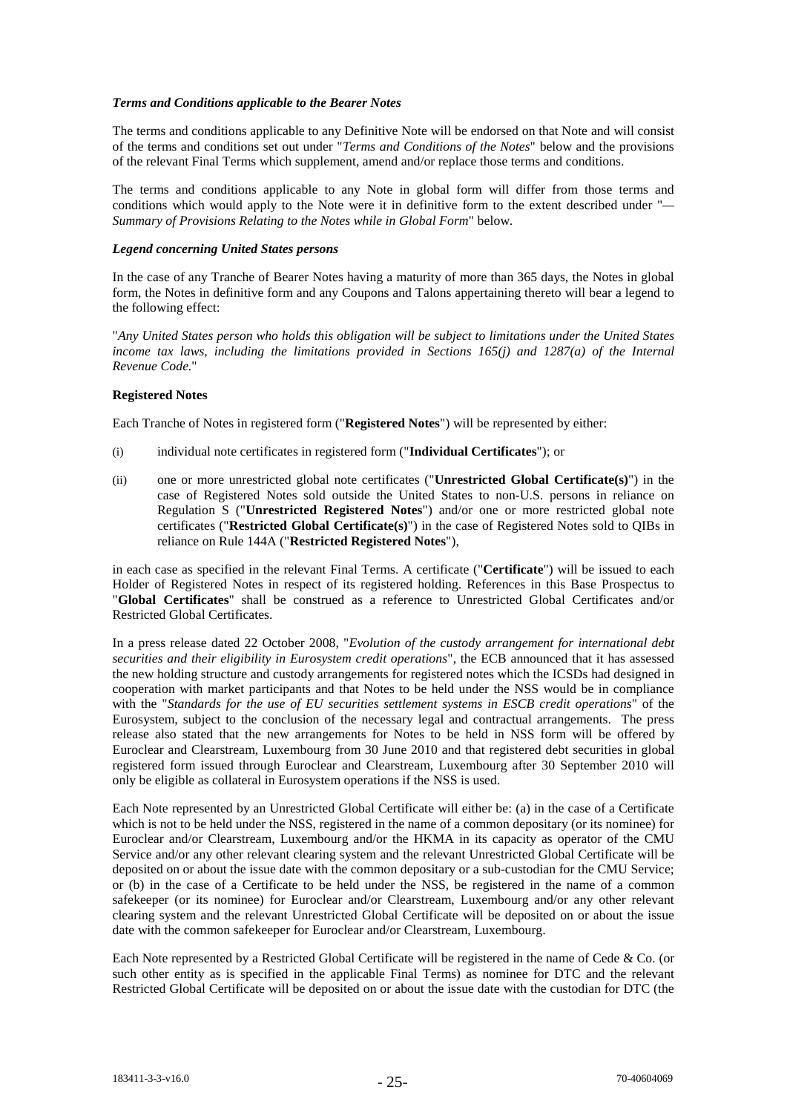# *Terms and Conditions applicable to the Bearer Notes*

The terms and conditions applicable to any Definitive Note will be endorsed on that Note and will consist of the terms and conditions set out under "*Terms and Conditions of the Notes*" below and the provisions of the relevant Final Terms which supplement, amend and/or replace those terms and conditions.

The terms and conditions applicable to any Note in global form will differ from those terms and conditions which would apply to the Note were it in definitive form to the extent described under "*— Summary of Provisions Relating to the Notes while in Global Form*" below.

# *Legend concerning United States persons*

In the case of any Tranche of Bearer Notes having a maturity of more than 365 days, the Notes in global form, the Notes in definitive form and any Coupons and Talons appertaining thereto will bear a legend to the following effect:

"*Any United States person who holds this obligation will be subject to limitations under the United States income tax laws, including the limitations provided in Sections 165(j) and 1287(a) of the Internal Revenue Code.*"

# **Registered Notes**

Each Tranche of Notes in registered form ("**Registered Notes**") will be represented by either:

- (i) individual note certificates in registered form ("**Individual Certificates**"); or
- (ii) one or more unrestricted global note certificates ("**Unrestricted Global Certificate(s)**") in the case of Registered Notes sold outside the United States to non-U.S. persons in reliance on Regulation S ("**Unrestricted Registered Notes**") and/or one or more restricted global note certificates ("**Restricted Global Certificate(s)**") in the case of Registered Notes sold to QIBs in reliance on Rule 144A ("**Restricted Registered Notes**"),

in each case as specified in the relevant Final Terms. A certificate ("**Certificate**") will be issued to each Holder of Registered Notes in respect of its registered holding. References in this Base Prospectus to "**Global Certificates**" shall be construed as a reference to Unrestricted Global Certificates and/or Restricted Global Certificates.

In a press release dated 22 October 2008, "*Evolution of the custody arrangement for international debt securities and their eligibility in Eurosystem credit operations*", the ECB announced that it has assessed the new holding structure and custody arrangements for registered notes which the ICSDs had designed in cooperation with market participants and that Notes to be held under the NSS would be in compliance with the "*Standards for the use of EU securities settlement systems in ESCB credit operations*" of the Eurosystem, subject to the conclusion of the necessary legal and contractual arrangements. The press release also stated that the new arrangements for Notes to be held in NSS form will be offered by Euroclear and Clearstream, Luxembourg from 30 June 2010 and that registered debt securities in global registered form issued through Euroclear and Clearstream, Luxembourg after 30 September 2010 will only be eligible as collateral in Eurosystem operations if the NSS is used.

Each Note represented by an Unrestricted Global Certificate will either be: (a) in the case of a Certificate which is not to be held under the NSS, registered in the name of a common depositary (or its nominee) for Euroclear and/or Clearstream, Luxembourg and/or the HKMA in its capacity as operator of the CMU Service and/or any other relevant clearing system and the relevant Unrestricted Global Certificate will be deposited on or about the issue date with the common depositary or a sub-custodian for the CMU Service; or (b) in the case of a Certificate to be held under the NSS, be registered in the name of a common safekeeper (or its nominee) for Euroclear and/or Clearstream, Luxembourg and/or any other relevant clearing system and the relevant Unrestricted Global Certificate will be deposited on or about the issue date with the common safekeeper for Euroclear and/or Clearstream, Luxembourg.

Each Note represented by a Restricted Global Certificate will be registered in the name of Cede & Co. (or such other entity as is specified in the applicable Final Terms) as nominee for DTC and the relevant Restricted Global Certificate will be deposited on or about the issue date with the custodian for DTC (the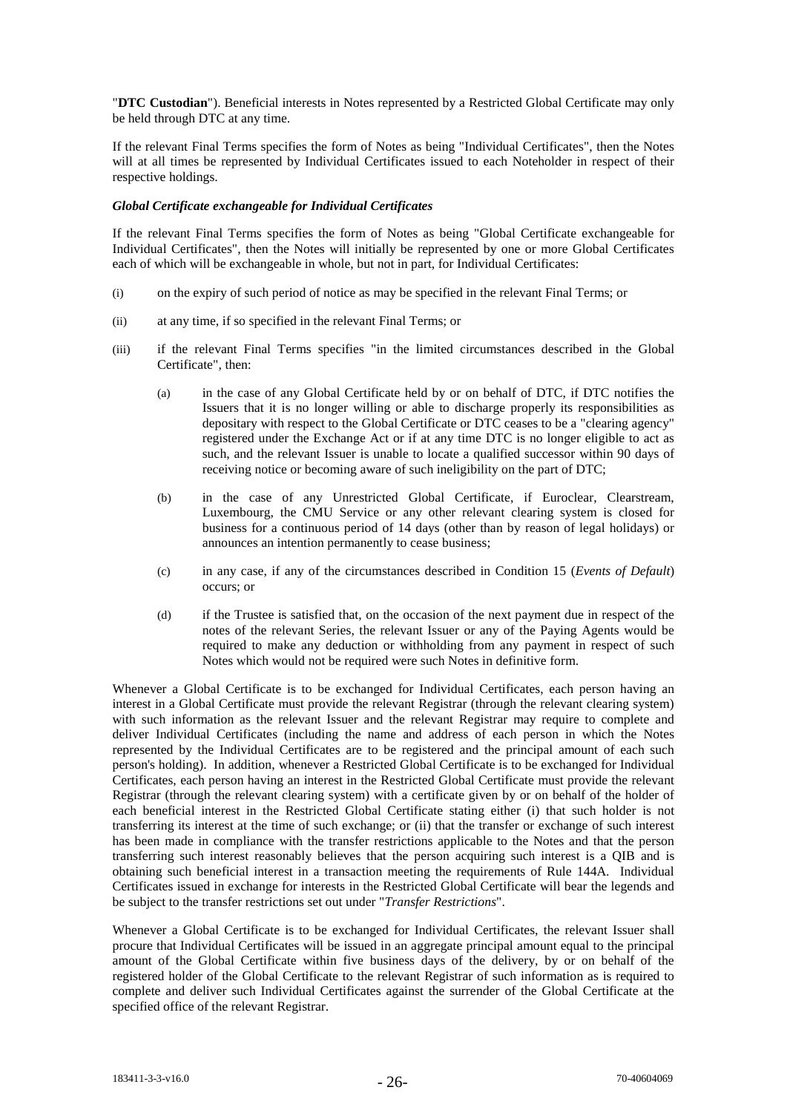"**DTC Custodian**"). Beneficial interests in Notes represented by a Restricted Global Certificate may only be held through DTC at any time.

If the relevant Final Terms specifies the form of Notes as being "Individual Certificates", then the Notes will at all times be represented by Individual Certificates issued to each Noteholder in respect of their respective holdings.

# *Global Certificate exchangeable for Individual Certificates*

If the relevant Final Terms specifies the form of Notes as being "Global Certificate exchangeable for Individual Certificates", then the Notes will initially be represented by one or more Global Certificates each of which will be exchangeable in whole, but not in part, for Individual Certificates:

- (i) on the expiry of such period of notice as may be specified in the relevant Final Terms; or
- (ii) at any time, if so specified in the relevant Final Terms; or
- (iii) if the relevant Final Terms specifies "in the limited circumstances described in the Global Certificate", then:
	- (a) in the case of any Global Certificate held by or on behalf of DTC, if DTC notifies the Issuers that it is no longer willing or able to discharge properly its responsibilities as depositary with respect to the Global Certificate or DTC ceases to be a "clearing agency" registered under the Exchange Act or if at any time DTC is no longer eligible to act as such, and the relevant Issuer is unable to locate a qualified successor within 90 days of receiving notice or becoming aware of such ineligibility on the part of DTC;
	- (b) in the case of any Unrestricted Global Certificate, if Euroclear, Clearstream, Luxembourg, the CMU Service or any other relevant clearing system is closed for business for a continuous period of 14 days (other than by reason of legal holidays) or announces an intention permanently to cease business;
	- (c) in any case, if any of the circumstances described in Condition 15 (*Events of Default*) occurs; or
	- (d) if the Trustee is satisfied that, on the occasion of the next payment due in respect of the notes of the relevant Series, the relevant Issuer or any of the Paying Agents would be required to make any deduction or withholding from any payment in respect of such Notes which would not be required were such Notes in definitive form.

Whenever a Global Certificate is to be exchanged for Individual Certificates, each person having an interest in a Global Certificate must provide the relevant Registrar (through the relevant clearing system) with such information as the relevant Issuer and the relevant Registrar may require to complete and deliver Individual Certificates (including the name and address of each person in which the Notes represented by the Individual Certificates are to be registered and the principal amount of each such person's holding). In addition, whenever a Restricted Global Certificate is to be exchanged for Individual Certificates, each person having an interest in the Restricted Global Certificate must provide the relevant Registrar (through the relevant clearing system) with a certificate given by or on behalf of the holder of each beneficial interest in the Restricted Global Certificate stating either (i) that such holder is not transferring its interest at the time of such exchange; or (ii) that the transfer or exchange of such interest has been made in compliance with the transfer restrictions applicable to the Notes and that the person transferring such interest reasonably believes that the person acquiring such interest is a QIB and is obtaining such beneficial interest in a transaction meeting the requirements of Rule 144A. Individual Certificates issued in exchange for interests in the Restricted Global Certificate will bear the legends and be subject to the transfer restrictions set out under "*Transfer Restrictions*".

Whenever a Global Certificate is to be exchanged for Individual Certificates, the relevant Issuer shall procure that Individual Certificates will be issued in an aggregate principal amount equal to the principal amount of the Global Certificate within five business days of the delivery, by or on behalf of the registered holder of the Global Certificate to the relevant Registrar of such information as is required to complete and deliver such Individual Certificates against the surrender of the Global Certificate at the specified office of the relevant Registrar.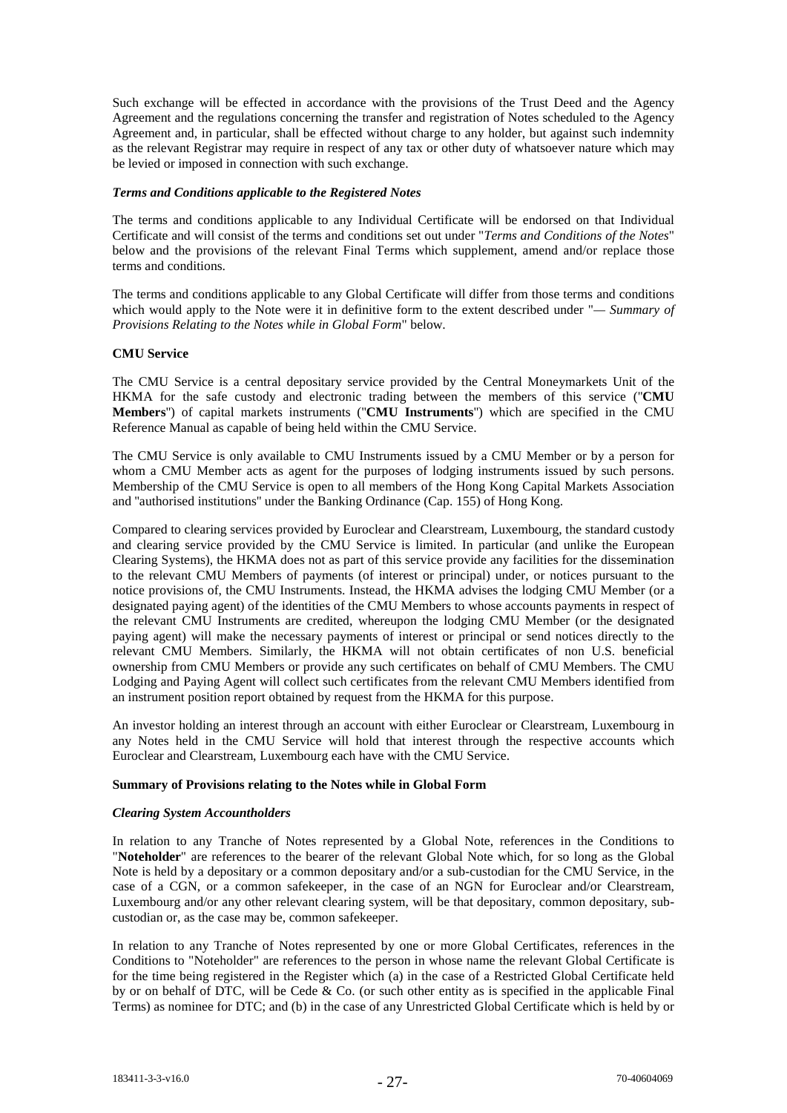Such exchange will be effected in accordance with the provisions of the Trust Deed and the Agency Agreement and the regulations concerning the transfer and registration of Notes scheduled to the Agency Agreement and, in particular, shall be effected without charge to any holder, but against such indemnity as the relevant Registrar may require in respect of any tax or other duty of whatsoever nature which may be levied or imposed in connection with such exchange.

# *Terms and Conditions applicable to the Registered Notes*

The terms and conditions applicable to any Individual Certificate will be endorsed on that Individual Certificate and will consist of the terms and conditions set out under "*Terms and Conditions of the Notes*" below and the provisions of the relevant Final Terms which supplement, amend and/or replace those terms and conditions.

The terms and conditions applicable to any Global Certificate will differ from those terms and conditions which would apply to the Note were it in definitive form to the extent described under "*— Summary of Provisions Relating to the Notes while in Global Form*" below.

# **CMU Service**

The CMU Service is a central depositary service provided by the Central Moneymarkets Unit of the HKMA for the safe custody and electronic trading between the members of this service (''**CMU Members**'') of capital markets instruments (''**CMU Instruments**'') which are specified in the CMU Reference Manual as capable of being held within the CMU Service.

The CMU Service is only available to CMU Instruments issued by a CMU Member or by a person for whom a CMU Member acts as agent for the purposes of lodging instruments issued by such persons. Membership of the CMU Service is open to all members of the Hong Kong Capital Markets Association and ''authorised institutions'' under the Banking Ordinance (Cap. 155) of Hong Kong.

Compared to clearing services provided by Euroclear and Clearstream, Luxembourg, the standard custody and clearing service provided by the CMU Service is limited. In particular (and unlike the European Clearing Systems), the HKMA does not as part of this service provide any facilities for the dissemination to the relevant CMU Members of payments (of interest or principal) under, or notices pursuant to the notice provisions of, the CMU Instruments. Instead, the HKMA advises the lodging CMU Member (or a designated paying agent) of the identities of the CMU Members to whose accounts payments in respect of the relevant CMU Instruments are credited, whereupon the lodging CMU Member (or the designated paying agent) will make the necessary payments of interest or principal or send notices directly to the relevant CMU Members. Similarly, the HKMA will not obtain certificates of non U.S. beneficial ownership from CMU Members or provide any such certificates on behalf of CMU Members. The CMU Lodging and Paying Agent will collect such certificates from the relevant CMU Members identified from an instrument position report obtained by request from the HKMA for this purpose.

An investor holding an interest through an account with either Euroclear or Clearstream, Luxembourg in any Notes held in the CMU Service will hold that interest through the respective accounts which Euroclear and Clearstream, Luxembourg each have with the CMU Service.

#### **Summary of Provisions relating to the Notes while in Global Form**

#### *Clearing System Accountholders*

In relation to any Tranche of Notes represented by a Global Note, references in the Conditions to "**Noteholder**" are references to the bearer of the relevant Global Note which, for so long as the Global Note is held by a depositary or a common depositary and/or a sub-custodian for the CMU Service, in the case of a CGN, or a common safekeeper, in the case of an NGN for Euroclear and/or Clearstream, Luxembourg and/or any other relevant clearing system, will be that depositary, common depositary, subcustodian or, as the case may be, common safekeeper.

In relation to any Tranche of Notes represented by one or more Global Certificates, references in the Conditions to "Noteholder" are references to the person in whose name the relevant Global Certificate is for the time being registered in the Register which (a) in the case of a Restricted Global Certificate held by or on behalf of DTC, will be Cede & Co. (or such other entity as is specified in the applicable Final Terms) as nominee for DTC; and (b) in the case of any Unrestricted Global Certificate which is held by or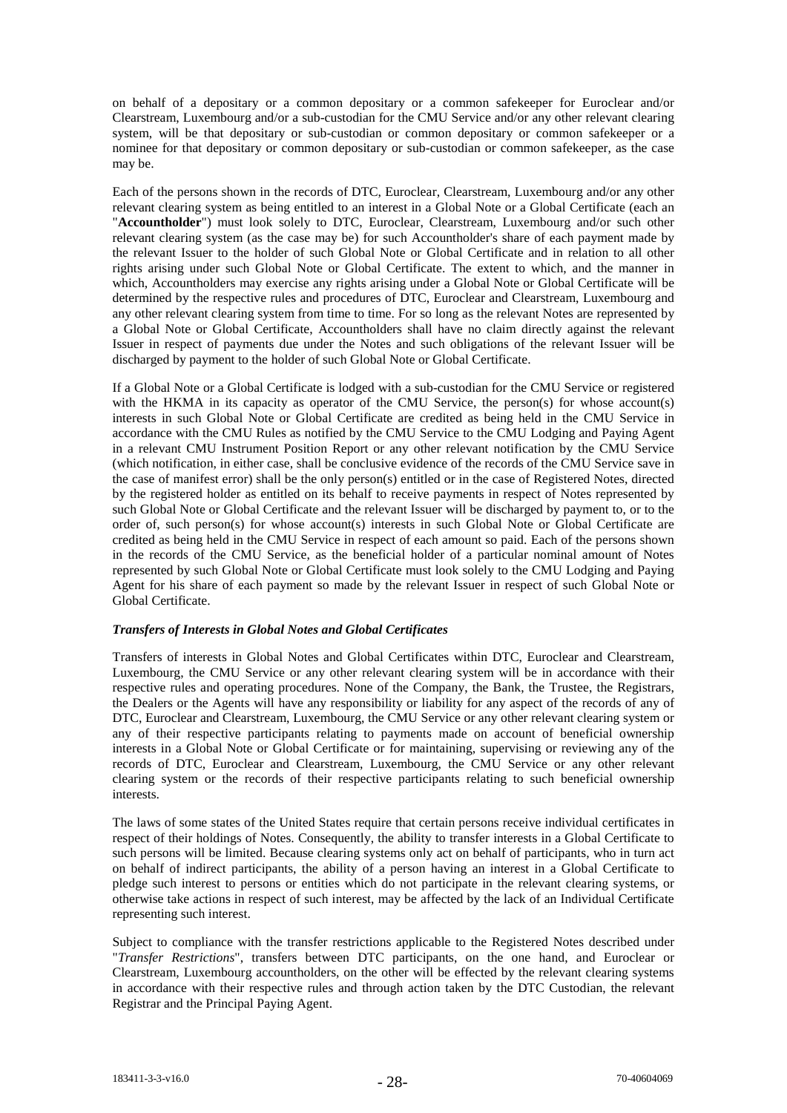on behalf of a depositary or a common depositary or a common safekeeper for Euroclear and/or Clearstream, Luxembourg and/or a sub-custodian for the CMU Service and/or any other relevant clearing system, will be that depositary or sub-custodian or common depositary or common safekeeper or a nominee for that depositary or common depositary or sub-custodian or common safekeeper, as the case may be.

Each of the persons shown in the records of DTC, Euroclear, Clearstream, Luxembourg and/or any other relevant clearing system as being entitled to an interest in a Global Note or a Global Certificate (each an "**Accountholder**") must look solely to DTC, Euroclear, Clearstream, Luxembourg and/or such other relevant clearing system (as the case may be) for such Accountholder's share of each payment made by the relevant Issuer to the holder of such Global Note or Global Certificate and in relation to all other rights arising under such Global Note or Global Certificate. The extent to which, and the manner in which, Accountholders may exercise any rights arising under a Global Note or Global Certificate will be determined by the respective rules and procedures of DTC, Euroclear and Clearstream, Luxembourg and any other relevant clearing system from time to time. For so long as the relevant Notes are represented by a Global Note or Global Certificate, Accountholders shall have no claim directly against the relevant Issuer in respect of payments due under the Notes and such obligations of the relevant Issuer will be discharged by payment to the holder of such Global Note or Global Certificate.

If a Global Note or a Global Certificate is lodged with a sub-custodian for the CMU Service or registered with the HKMA in its capacity as operator of the CMU Service, the person(s) for whose account(s) interests in such Global Note or Global Certificate are credited as being held in the CMU Service in accordance with the CMU Rules as notified by the CMU Service to the CMU Lodging and Paying Agent in a relevant CMU Instrument Position Report or any other relevant notification by the CMU Service (which notification, in either case, shall be conclusive evidence of the records of the CMU Service save in the case of manifest error) shall be the only person(s) entitled or in the case of Registered Notes, directed by the registered holder as entitled on its behalf to receive payments in respect of Notes represented by such Global Note or Global Certificate and the relevant Issuer will be discharged by payment to, or to the order of, such person(s) for whose account(s) interests in such Global Note or Global Certificate are credited as being held in the CMU Service in respect of each amount so paid. Each of the persons shown in the records of the CMU Service, as the beneficial holder of a particular nominal amount of Notes represented by such Global Note or Global Certificate must look solely to the CMU Lodging and Paying Agent for his share of each payment so made by the relevant Issuer in respect of such Global Note or Global Certificate.

# *Transfers of Interests in Global Notes and Global Certificates*

Transfers of interests in Global Notes and Global Certificates within DTC, Euroclear and Clearstream, Luxembourg, the CMU Service or any other relevant clearing system will be in accordance with their respective rules and operating procedures. None of the Company, the Bank, the Trustee, the Registrars, the Dealers or the Agents will have any responsibility or liability for any aspect of the records of any of DTC, Euroclear and Clearstream, Luxembourg, the CMU Service or any other relevant clearing system or any of their respective participants relating to payments made on account of beneficial ownership interests in a Global Note or Global Certificate or for maintaining, supervising or reviewing any of the records of DTC, Euroclear and Clearstream, Luxembourg, the CMU Service or any other relevant clearing system or the records of their respective participants relating to such beneficial ownership interests.

The laws of some states of the United States require that certain persons receive individual certificates in respect of their holdings of Notes. Consequently, the ability to transfer interests in a Global Certificate to such persons will be limited. Because clearing systems only act on behalf of participants, who in turn act on behalf of indirect participants, the ability of a person having an interest in a Global Certificate to pledge such interest to persons or entities which do not participate in the relevant clearing systems, or otherwise take actions in respect of such interest, may be affected by the lack of an Individual Certificate representing such interest.

Subject to compliance with the transfer restrictions applicable to the Registered Notes described under "*Transfer Restrictions*", transfers between DTC participants, on the one hand, and Euroclear or Clearstream, Luxembourg accountholders, on the other will be effected by the relevant clearing systems in accordance with their respective rules and through action taken by the DTC Custodian, the relevant Registrar and the Principal Paying Agent.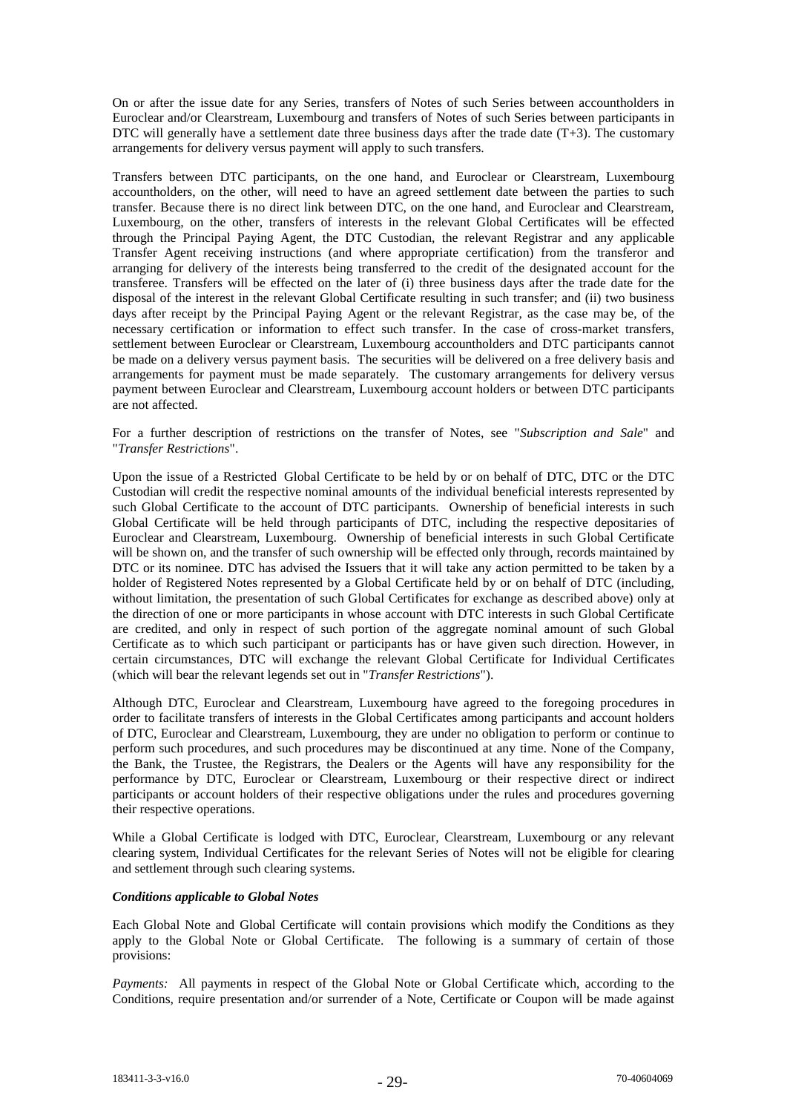On or after the issue date for any Series, transfers of Notes of such Series between accountholders in Euroclear and/or Clearstream, Luxembourg and transfers of Notes of such Series between participants in DTC will generally have a settlement date three business days after the trade date  $(T+3)$ . The customary arrangements for delivery versus payment will apply to such transfers.

Transfers between DTC participants, on the one hand, and Euroclear or Clearstream, Luxembourg accountholders, on the other, will need to have an agreed settlement date between the parties to such transfer. Because there is no direct link between DTC, on the one hand, and Euroclear and Clearstream, Luxembourg, on the other, transfers of interests in the relevant Global Certificates will be effected through the Principal Paying Agent, the DTC Custodian, the relevant Registrar and any applicable Transfer Agent receiving instructions (and where appropriate certification) from the transferor and arranging for delivery of the interests being transferred to the credit of the designated account for the transferee. Transfers will be effected on the later of (i) three business days after the trade date for the disposal of the interest in the relevant Global Certificate resulting in such transfer; and (ii) two business days after receipt by the Principal Paying Agent or the relevant Registrar, as the case may be, of the necessary certification or information to effect such transfer. In the case of cross-market transfers, settlement between Euroclear or Clearstream, Luxembourg accountholders and DTC participants cannot be made on a delivery versus payment basis. The securities will be delivered on a free delivery basis and arrangements for payment must be made separately. The customary arrangements for delivery versus payment between Euroclear and Clearstream, Luxembourg account holders or between DTC participants are not affected.

For a further description of restrictions on the transfer of Notes, see "*Subscription and Sale*" and "*Transfer Restrictions*".

Upon the issue of a Restricted Global Certificate to be held by or on behalf of DTC, DTC or the DTC Custodian will credit the respective nominal amounts of the individual beneficial interests represented by such Global Certificate to the account of DTC participants. Ownership of beneficial interests in such Global Certificate will be held through participants of DTC, including the respective depositaries of Euroclear and Clearstream, Luxembourg. Ownership of beneficial interests in such Global Certificate will be shown on, and the transfer of such ownership will be effected only through, records maintained by DTC or its nominee. DTC has advised the Issuers that it will take any action permitted to be taken by a holder of Registered Notes represented by a Global Certificate held by or on behalf of DTC (including, without limitation, the presentation of such Global Certificates for exchange as described above) only at the direction of one or more participants in whose account with DTC interests in such Global Certificate are credited, and only in respect of such portion of the aggregate nominal amount of such Global Certificate as to which such participant or participants has or have given such direction. However, in certain circumstances, DTC will exchange the relevant Global Certificate for Individual Certificates (which will bear the relevant legends set out in "*Transfer Restrictions*").

Although DTC, Euroclear and Clearstream, Luxembourg have agreed to the foregoing procedures in order to facilitate transfers of interests in the Global Certificates among participants and account holders of DTC, Euroclear and Clearstream, Luxembourg, they are under no obligation to perform or continue to perform such procedures, and such procedures may be discontinued at any time. None of the Company, the Bank, the Trustee, the Registrars, the Dealers or the Agents will have any responsibility for the performance by DTC, Euroclear or Clearstream, Luxembourg or their respective direct or indirect participants or account holders of their respective obligations under the rules and procedures governing their respective operations.

While a Global Certificate is lodged with DTC, Euroclear, Clearstream, Luxembourg or any relevant clearing system, Individual Certificates for the relevant Series of Notes will not be eligible for clearing and settlement through such clearing systems.

#### *Conditions applicable to Global Notes*

Each Global Note and Global Certificate will contain provisions which modify the Conditions as they apply to the Global Note or Global Certificate. The following is a summary of certain of those provisions:

*Payments:* All payments in respect of the Global Note or Global Certificate which, according to the Conditions, require presentation and/or surrender of a Note, Certificate or Coupon will be made against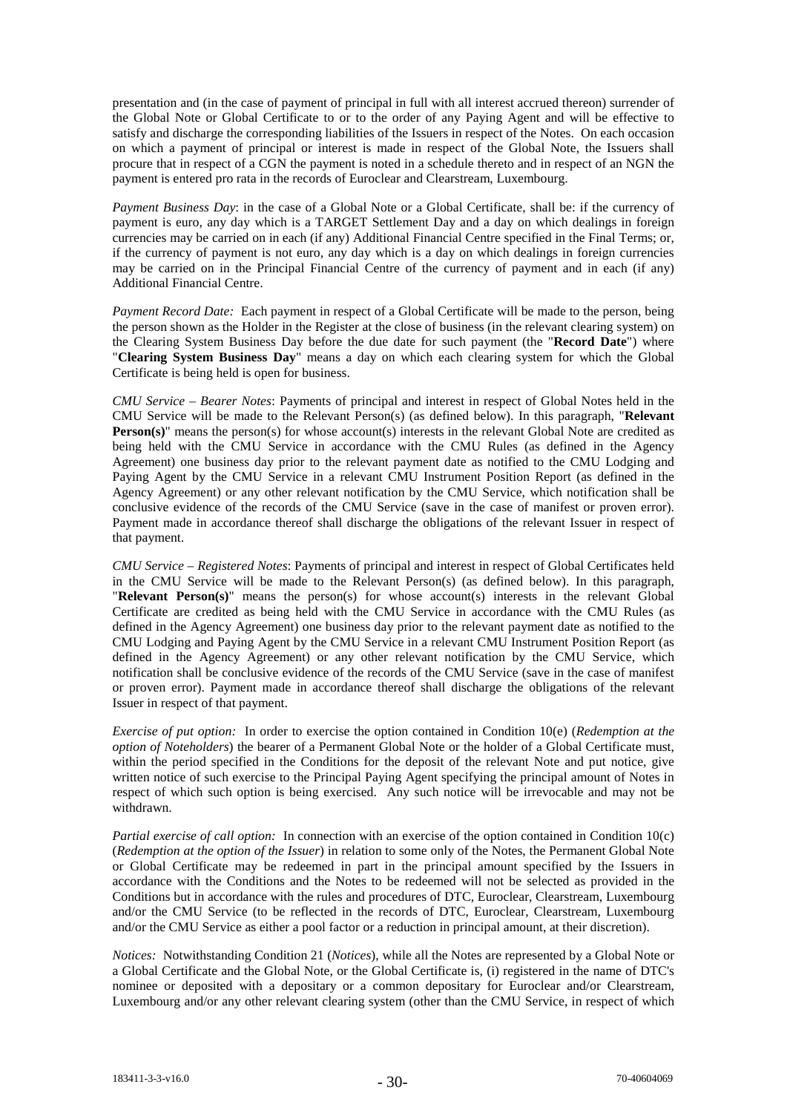presentation and (in the case of payment of principal in full with all interest accrued thereon) surrender of the Global Note or Global Certificate to or to the order of any Paying Agent and will be effective to satisfy and discharge the corresponding liabilities of the Issuers in respect of the Notes. On each occasion on which a payment of principal or interest is made in respect of the Global Note, the Issuers shall procure that in respect of a CGN the payment is noted in a schedule thereto and in respect of an NGN the payment is entered pro rata in the records of Euroclear and Clearstream, Luxembourg.

*Payment Business Day*: in the case of a Global Note or a Global Certificate, shall be: if the currency of payment is euro, any day which is a TARGET Settlement Day and a day on which dealings in foreign currencies may be carried on in each (if any) Additional Financial Centre specified in the Final Terms; or, if the currency of payment is not euro, any day which is a day on which dealings in foreign currencies may be carried on in the Principal Financial Centre of the currency of payment and in each (if any) Additional Financial Centre.

*Payment Record Date:* Each payment in respect of a Global Certificate will be made to the person, being the person shown as the Holder in the Register at the close of business (in the relevant clearing system) on the Clearing System Business Day before the due date for such payment (the "**Record Date**") where "**Clearing System Business Day**" means a day on which each clearing system for which the Global Certificate is being held is open for business.

*CMU Service – Bearer Notes*: Payments of principal and interest in respect of Global Notes held in the CMU Service will be made to the Relevant Person(s) (as defined below). In this paragraph, "**Relevant Person(s)**" means the person(s) for whose account(s) interests in the relevant Global Note are credited as being held with the CMU Service in accordance with the CMU Rules (as defined in the Agency Agreement) one business day prior to the relevant payment date as notified to the CMU Lodging and Paying Agent by the CMU Service in a relevant CMU Instrument Position Report (as defined in the Agency Agreement) or any other relevant notification by the CMU Service, which notification shall be conclusive evidence of the records of the CMU Service (save in the case of manifest or proven error). Payment made in accordance thereof shall discharge the obligations of the relevant Issuer in respect of that payment.

*CMU Service – Registered Notes*: Payments of principal and interest in respect of Global Certificates held in the CMU Service will be made to the Relevant Person(s) (as defined below). In this paragraph, "**Relevant Person(s)**" means the person(s) for whose account(s) interests in the relevant Global Certificate are credited as being held with the CMU Service in accordance with the CMU Rules (as defined in the Agency Agreement) one business day prior to the relevant payment date as notified to the CMU Lodging and Paying Agent by the CMU Service in a relevant CMU Instrument Position Report (as defined in the Agency Agreement) or any other relevant notification by the CMU Service, which notification shall be conclusive evidence of the records of the CMU Service (save in the case of manifest or proven error). Payment made in accordance thereof shall discharge the obligations of the relevant Issuer in respect of that payment.

*Exercise of put option:* In order to exercise the option contained in Condition 10(e) (*Redemption at the option of Noteholders*) the bearer of a Permanent Global Note or the holder of a Global Certificate must, within the period specified in the Conditions for the deposit of the relevant Note and put notice, give written notice of such exercise to the Principal Paying Agent specifying the principal amount of Notes in respect of which such option is being exercised. Any such notice will be irrevocable and may not be withdrawn.

*Partial exercise of call option:* In connection with an exercise of the option contained in Condition 10(c) (*Redemption at the option of the Issuer*) in relation to some only of the Notes, the Permanent Global Note or Global Certificate may be redeemed in part in the principal amount specified by the Issuers in accordance with the Conditions and the Notes to be redeemed will not be selected as provided in the Conditions but in accordance with the rules and procedures of DTC, Euroclear, Clearstream, Luxembourg and/or the CMU Service (to be reflected in the records of DTC, Euroclear, Clearstream, Luxembourg and/or the CMU Service as either a pool factor or a reduction in principal amount, at their discretion).

*Notices:* Notwithstanding Condition 21 (*Notices*), while all the Notes are represented by a Global Note or a Global Certificate and the Global Note, or the Global Certificate is, (i) registered in the name of DTC's nominee or deposited with a depositary or a common depositary for Euroclear and/or Clearstream, Luxembourg and/or any other relevant clearing system (other than the CMU Service, in respect of which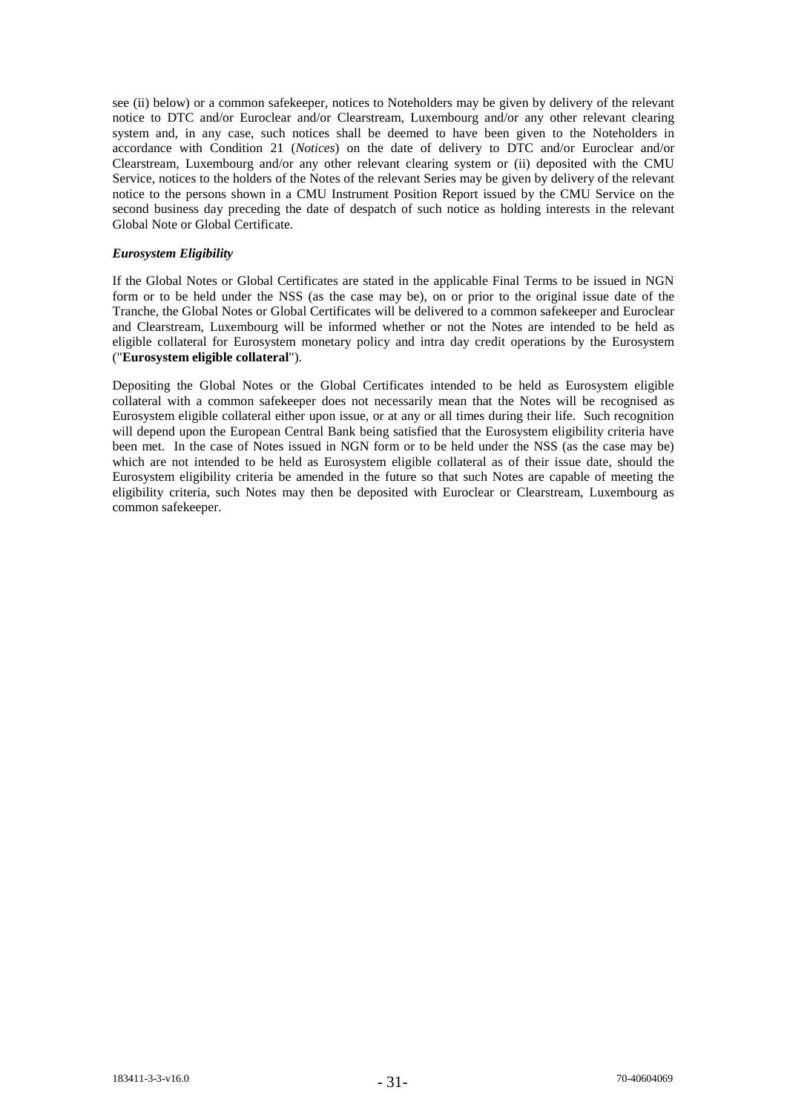see (ii) below) or a common safekeeper, notices to Noteholders may be given by delivery of the relevant notice to DTC and/or Euroclear and/or Clearstream, Luxembourg and/or any other relevant clearing system and, in any case, such notices shall be deemed to have been given to the Noteholders in accordance with Condition 21 (*Notices*) on the date of delivery to DTC and/or Euroclear and/or Clearstream, Luxembourg and/or any other relevant clearing system or (ii) deposited with the CMU Service, notices to the holders of the Notes of the relevant Series may be given by delivery of the relevant notice to the persons shown in a CMU Instrument Position Report issued by the CMU Service on the second business day preceding the date of despatch of such notice as holding interests in the relevant Global Note or Global Certificate.

# *Eurosystem Eligibility*

If the Global Notes or Global Certificates are stated in the applicable Final Terms to be issued in NGN form or to be held under the NSS (as the case may be), on or prior to the original issue date of the Tranche, the Global Notes or Global Certificates will be delivered to a common safekeeper and Euroclear and Clearstream, Luxembourg will be informed whether or not the Notes are intended to be held as eligible collateral for Eurosystem monetary policy and intra day credit operations by the Eurosystem ("**Eurosystem eligible collateral**").

Depositing the Global Notes or the Global Certificates intended to be held as Eurosystem eligible collateral with a common safekeeper does not necessarily mean that the Notes will be recognised as Eurosystem eligible collateral either upon issue, or at any or all times during their life. Such recognition will depend upon the European Central Bank being satisfied that the Eurosystem eligibility criteria have been met. In the case of Notes issued in NGN form or to be held under the NSS (as the case may be) which are not intended to be held as Eurosystem eligible collateral as of their issue date, should the Eurosystem eligibility criteria be amended in the future so that such Notes are capable of meeting the eligibility criteria, such Notes may then be deposited with Euroclear or Clearstream, Luxembourg as common safekeeper.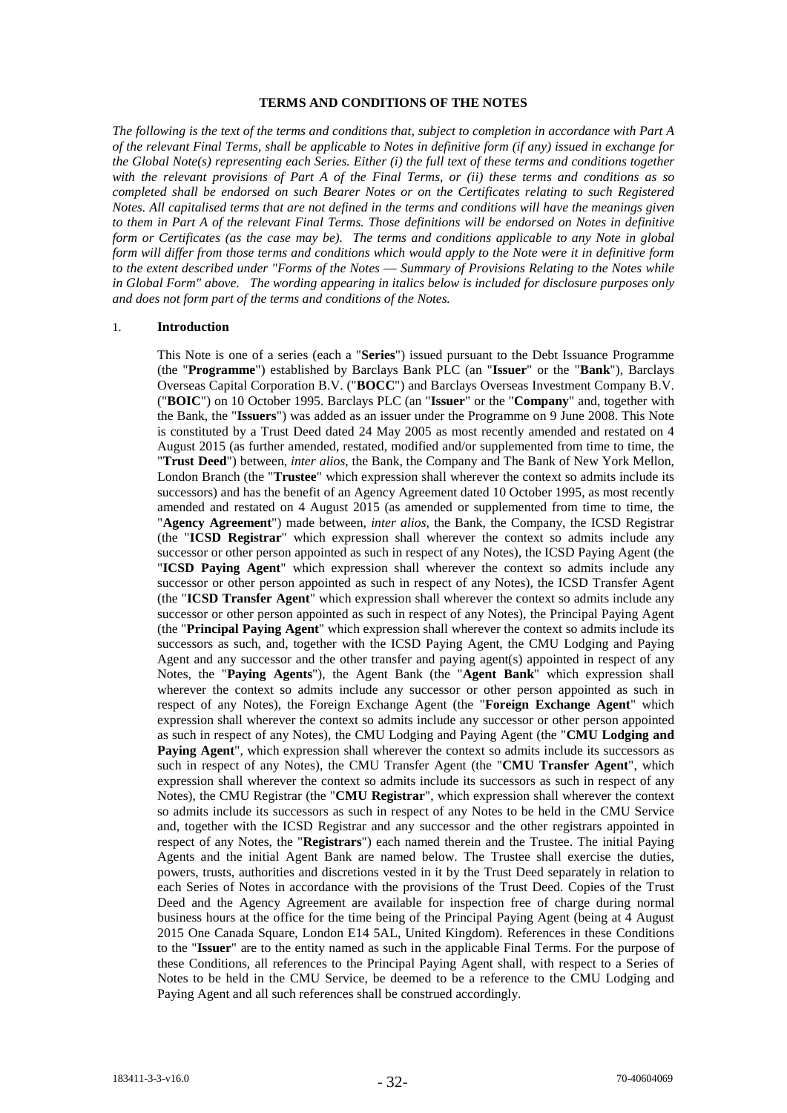#### **TERMS AND CONDITIONS OF THE NOTES**

*The following is the text of the terms and conditions that, subject to completion in accordance with Part A of the relevant Final Terms, shall be applicable to Notes in definitive form (if any) issued in exchange for the Global Note(s) representing each Series. Either (i) the full text of these terms and conditions together with the relevant provisions of Part A of the Final Terms, or (ii) these terms and conditions as so completed shall be endorsed on such Bearer Notes or on the Certificates relating to such Registered Notes. All capitalised terms that are not defined in the terms and conditions will have the meanings given to them in Part A of the relevant Final Terms. Those definitions will be endorsed on Notes in definitive form or Certificates (as the case may be). The terms and conditions applicable to any Note in global form will differ from those terms and conditions which would apply to the Note were it in definitive form to the extent described under "Forms of the Notes* — *Summary of Provisions Relating to the Notes while in Global Form" above. The wording appearing in italics below is included for disclosure purposes only and does not form part of the terms and conditions of the Notes.*

## 1. **Introduction**

This Note is one of a series (each a "**Series**") issued pursuant to the Debt Issuance Programme (the "**Programme**") established by Barclays Bank PLC (an "**Issuer**" or the "**Bank**"), Barclays Overseas Capital Corporation B.V. ("**BOCC**") and Barclays Overseas Investment Company B.V. ("**BOIC**") on 10 October 1995. Barclays PLC (an "**Issuer**" or the "**Company**" and, together with the Bank, the "**Issuers**") was added as an issuer under the Programme on 9 June 2008. This Note is constituted by a Trust Deed dated 24 May 2005 as most recently amended and restated on 4 August 2015 (as further amended, restated, modified and/or supplemented from time to time, the "**Trust Deed**") between, *inter alios*, the Bank, the Company and The Bank of New York Mellon, London Branch (the "**Trustee**" which expression shall wherever the context so admits include its successors) and has the benefit of an Agency Agreement dated 10 October 1995, as most recently amended and restated on 4 August 2015 (as amended or supplemented from time to time, the "**Agency Agreement**") made between, *inter alios*, the Bank, the Company, the ICSD Registrar (the "**ICSD Registrar**" which expression shall wherever the context so admits include any successor or other person appointed as such in respect of any Notes), the ICSD Paying Agent (the "**ICSD Paying Agent**" which expression shall wherever the context so admits include any successor or other person appointed as such in respect of any Notes), the ICSD Transfer Agent (the "**ICSD Transfer Agent**" which expression shall wherever the context so admits include any successor or other person appointed as such in respect of any Notes), the Principal Paying Agent (the "**Principal Paying Agent**" which expression shall wherever the context so admits include its successors as such, and, together with the ICSD Paying Agent, the CMU Lodging and Paying Agent and any successor and the other transfer and paying agent(s) appointed in respect of any Notes, the "**Paying Agents**"), the Agent Bank (the "**Agent Bank**" which expression shall wherever the context so admits include any successor or other person appointed as such in respect of any Notes), the Foreign Exchange Agent (the "**Foreign Exchange Agent**" which expression shall wherever the context so admits include any successor or other person appointed as such in respect of any Notes), the CMU Lodging and Paying Agent (the "**CMU Lodging and Paying Agent**", which expression shall wherever the context so admits include its successors as such in respect of any Notes), the CMU Transfer Agent (the "**CMU Transfer Agent**", which expression shall wherever the context so admits include its successors as such in respect of any Notes), the CMU Registrar (the "**CMU Registrar**", which expression shall wherever the context so admits include its successors as such in respect of any Notes to be held in the CMU Service and, together with the ICSD Registrar and any successor and the other registrars appointed in respect of any Notes, the "**Registrars**") each named therein and the Trustee. The initial Paying Agents and the initial Agent Bank are named below. The Trustee shall exercise the duties, powers, trusts, authorities and discretions vested in it by the Trust Deed separately in relation to each Series of Notes in accordance with the provisions of the Trust Deed. Copies of the Trust Deed and the Agency Agreement are available for inspection free of charge during normal business hours at the office for the time being of the Principal Paying Agent (being at 4 August 2015 One Canada Square, London E14 5AL, United Kingdom). References in these Conditions to the "**Issuer**" are to the entity named as such in the applicable Final Terms. For the purpose of these Conditions, all references to the Principal Paying Agent shall, with respect to a Series of Notes to be held in the CMU Service, be deemed to be a reference to the CMU Lodging and Paying Agent and all such references shall be construed accordingly.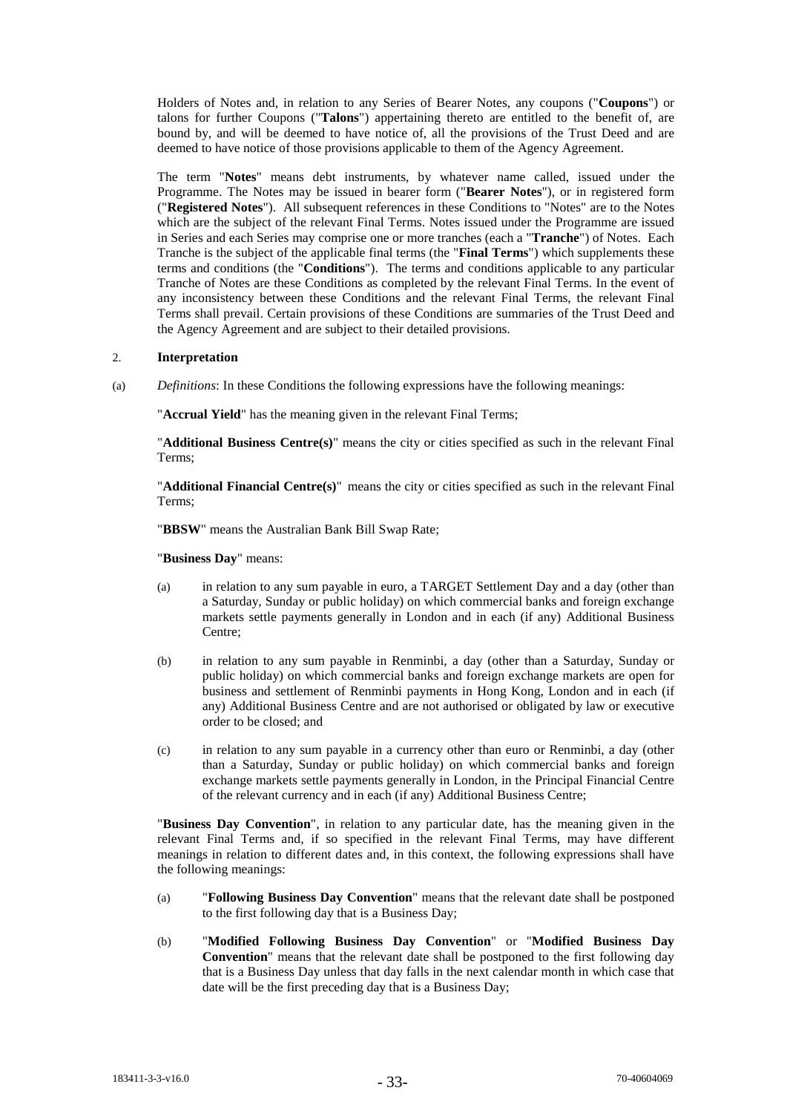Holders of Notes and, in relation to any Series of Bearer Notes, any coupons ("**Coupons**") or talons for further Coupons ("**Talons**") appertaining thereto are entitled to the benefit of, are bound by, and will be deemed to have notice of, all the provisions of the Trust Deed and are deemed to have notice of those provisions applicable to them of the Agency Agreement.

The term "**Notes**" means debt instruments, by whatever name called, issued under the Programme. The Notes may be issued in bearer form ("**Bearer Notes**"), or in registered form ("**Registered Notes**"). All subsequent references in these Conditions to "Notes" are to the Notes which are the subject of the relevant Final Terms. Notes issued under the Programme are issued in Series and each Series may comprise one or more tranches (each a "**Tranche**") of Notes. Each Tranche is the subject of the applicable final terms (the "**Final Terms**") which supplements these terms and conditions (the "**Conditions**"). The terms and conditions applicable to any particular Tranche of Notes are these Conditions as completed by the relevant Final Terms. In the event of any inconsistency between these Conditions and the relevant Final Terms, the relevant Final Terms shall prevail. Certain provisions of these Conditions are summaries of the Trust Deed and the Agency Agreement and are subject to their detailed provisions.

## 2. **Interpretation**

(a) *Definitions*: In these Conditions the following expressions have the following meanings:

"**Accrual Yield**" has the meaning given in the relevant Final Terms;

"**Additional Business Centre(s)**" means the city or cities specified as such in the relevant Final Terms;

"**Additional Financial Centre(s)**" means the city or cities specified as such in the relevant Final Terms;

"**BBSW**" means the Australian Bank Bill Swap Rate;

"**Business Day**" means:

- (a) in relation to any sum payable in euro, a TARGET Settlement Day and a day (other than a Saturday, Sunday or public holiday) on which commercial banks and foreign exchange markets settle payments generally in London and in each (if any) Additional Business Centre;
- (b) in relation to any sum payable in Renminbi, a day (other than a Saturday, Sunday or public holiday) on which commercial banks and foreign exchange markets are open for business and settlement of Renminbi payments in Hong Kong, London and in each (if any) Additional Business Centre and are not authorised or obligated by law or executive order to be closed; and
- (c) in relation to any sum payable in a currency other than euro or Renminbi, a day (other than a Saturday, Sunday or public holiday) on which commercial banks and foreign exchange markets settle payments generally in London, in the Principal Financial Centre of the relevant currency and in each (if any) Additional Business Centre;

"**Business Day Convention**", in relation to any particular date, has the meaning given in the relevant Final Terms and, if so specified in the relevant Final Terms, may have different meanings in relation to different dates and, in this context, the following expressions shall have the following meanings:

- (a) "**Following Business Day Convention**" means that the relevant date shall be postponed to the first following day that is a Business Day;
- (b) "**Modified Following Business Day Convention**" or "**Modified Business Day Convention**" means that the relevant date shall be postponed to the first following day that is a Business Day unless that day falls in the next calendar month in which case that date will be the first preceding day that is a Business Day;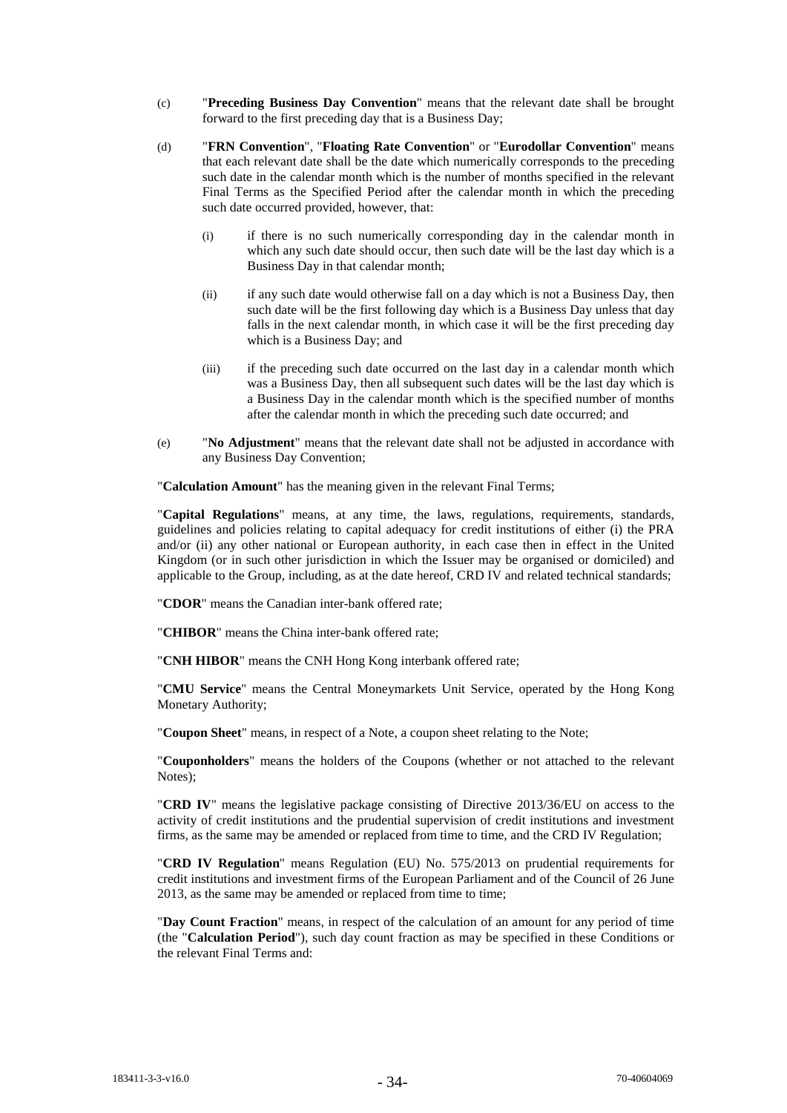- (c) "**Preceding Business Day Convention**" means that the relevant date shall be brought forward to the first preceding day that is a Business Day;
- (d) "**FRN Convention**", "**Floating Rate Convention**" or "**Eurodollar Convention**" means that each relevant date shall be the date which numerically corresponds to the preceding such date in the calendar month which is the number of months specified in the relevant Final Terms as the Specified Period after the calendar month in which the preceding such date occurred provided, however, that:
	- (i) if there is no such numerically corresponding day in the calendar month in which any such date should occur, then such date will be the last day which is a Business Day in that calendar month;
	- (ii) if any such date would otherwise fall on a day which is not a Business Day, then such date will be the first following day which is a Business Day unless that day falls in the next calendar month, in which case it will be the first preceding day which is a Business Day; and
	- (iii) if the preceding such date occurred on the last day in a calendar month which was a Business Day, then all subsequent such dates will be the last day which is a Business Day in the calendar month which is the specified number of months after the calendar month in which the preceding such date occurred; and
- (e) "**No Adjustment**" means that the relevant date shall not be adjusted in accordance with any Business Day Convention;

"**Calculation Amount**" has the meaning given in the relevant Final Terms;

"**Capital Regulations**" means, at any time, the laws, regulations, requirements, standards, guidelines and policies relating to capital adequacy for credit institutions of either (i) the PRA and/or (ii) any other national or European authority, in each case then in effect in the United Kingdom (or in such other jurisdiction in which the Issuer may be organised or domiciled) and applicable to the Group, including, as at the date hereof, CRD IV and related technical standards;

"**CDOR**" means the Canadian inter-bank offered rate;

"**CHIBOR**" means the China inter-bank offered rate;

"**CNH HIBOR**" means the CNH Hong Kong interbank offered rate;

"**CMU Service**" means the Central Moneymarkets Unit Service, operated by the Hong Kong Monetary Authority;

"**Coupon Sheet**" means, in respect of a Note, a coupon sheet relating to the Note;

"**Couponholders**" means the holders of the Coupons (whether or not attached to the relevant Notes);

"**CRD IV**" means the legislative package consisting of Directive 2013/36/EU on access to the activity of credit institutions and the prudential supervision of credit institutions and investment firms, as the same may be amended or replaced from time to time, and the CRD IV Regulation;

"**CRD IV Regulation**" means Regulation (EU) No. 575/2013 on prudential requirements for credit institutions and investment firms of the European Parliament and of the Council of 26 June 2013, as the same may be amended or replaced from time to time;

"**Day Count Fraction**" means, in respect of the calculation of an amount for any period of time (the "**Calculation Period**"), such day count fraction as may be specified in these Conditions or the relevant Final Terms and: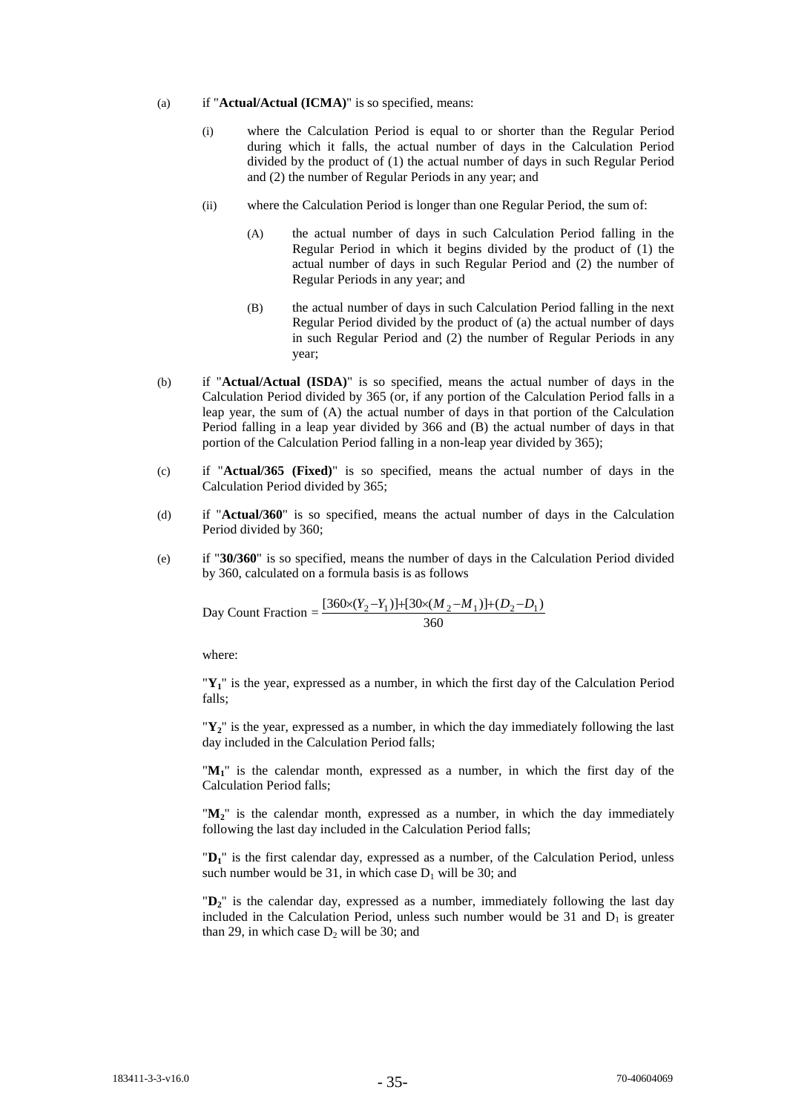#### (a) if "**Actual/Actual (ICMA)**" is so specified, means:

- (i) where the Calculation Period is equal to or shorter than the Regular Period during which it falls, the actual number of days in the Calculation Period divided by the product of (1) the actual number of days in such Regular Period and (2) the number of Regular Periods in any year; and
- (ii) where the Calculation Period is longer than one Regular Period, the sum of:
	- (A) the actual number of days in such Calculation Period falling in the Regular Period in which it begins divided by the product of (1) the actual number of days in such Regular Period and (2) the number of Regular Periods in any year; and
	- (B) the actual number of days in such Calculation Period falling in the next Regular Period divided by the product of (a) the actual number of days in such Regular Period and (2) the number of Regular Periods in any year;
- (b) if "**Actual/Actual (ISDA)**" is so specified, means the actual number of days in the Calculation Period divided by 365 (or, if any portion of the Calculation Period falls in a leap year, the sum of (A) the actual number of days in that portion of the Calculation Period falling in a leap year divided by 366 and (B) the actual number of days in that portion of the Calculation Period falling in a non-leap year divided by 365);
- (c) if "**Actual/365 (Fixed)**" is so specified, means the actual number of days in the Calculation Period divided by 365;
- (d) if "**Actual/360**" is so specified, means the actual number of days in the Calculation Period divided by 360;
- (e) if "**30/360**" is so specified, means the number of days in the Calculation Period divided by 360, calculated on a formula basis is as follows

Day Count Fraction = 
$$
\frac{[360 \times (Y_2 - Y_1)] + [30 \times (M_2 - M_1)] + (D_2 - D_1)}{360}
$$

where:

"**Y1**" is the year, expressed as a number, in which the first day of the Calculation Period falls;

"**Y2**" is the year, expressed as a number, in which the day immediately following the last day included in the Calculation Period falls;

"**M1**" is the calendar month, expressed as a number, in which the first day of the Calculation Period falls;

" $M_2$ " is the calendar month, expressed as a number, in which the day immediately following the last day included in the Calculation Period falls;

"**D1**" is the first calendar day, expressed as a number, of the Calculation Period, unless such number would be 31, in which case  $D_1$  will be 30; and

"**D2**" is the calendar day, expressed as a number, immediately following the last day included in the Calculation Period, unless such number would be 31 and  $D_1$  is greater than 29, in which case  $D_2$  will be 30; and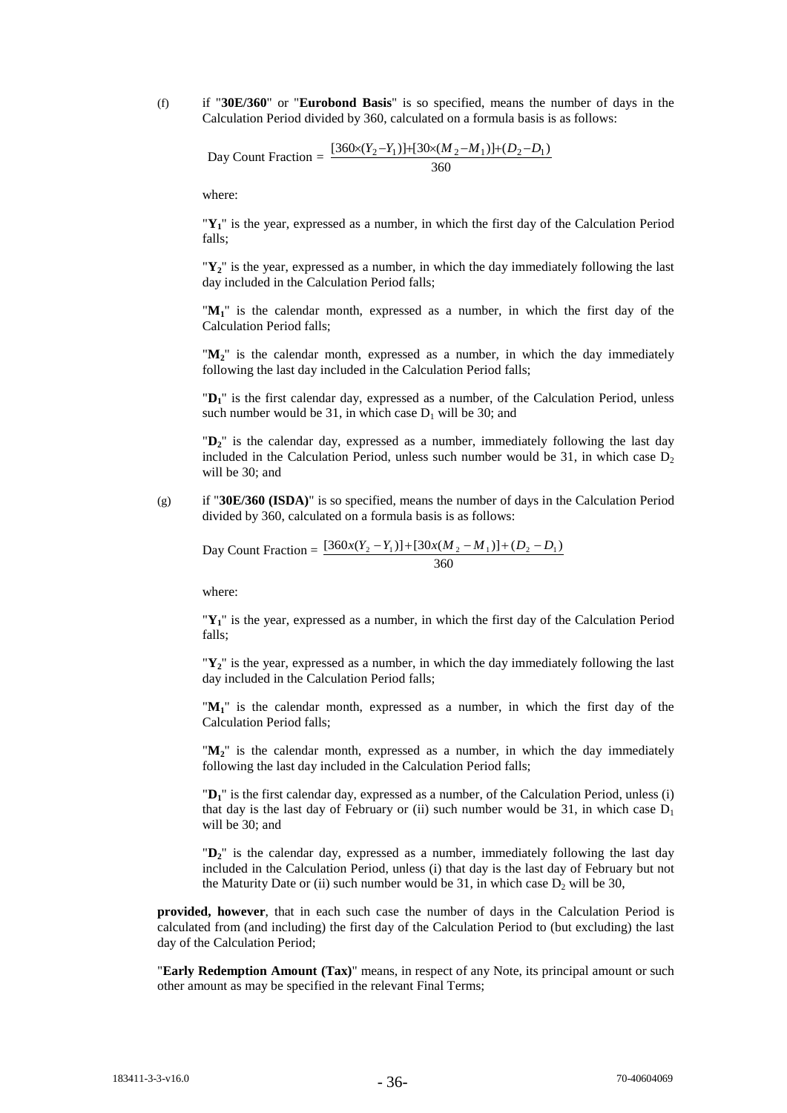(f) if "**30E/360**" or "**Eurobond Basis**" is so specified, means the number of days in the Calculation Period divided by 360, calculated on a formula basis is as follows:

Day Count Fraction = 
$$
\frac{[360 \times (Y_2 - Y_1)] + [30 \times (M_2 - M_1)] + (D_2 - D_1)}{360}
$$

where:

"**Y1**" is the year, expressed as a number, in which the first day of the Calculation Period falls;

" $Y_2$ " is the year, expressed as a number, in which the day immediately following the last day included in the Calculation Period falls;

"**M1**" is the calendar month, expressed as a number, in which the first day of the Calculation Period falls;

" $M_2$ " is the calendar month, expressed as a number, in which the day immediately following the last day included in the Calculation Period falls;

"D<sub>1</sub>" is the first calendar day, expressed as a number, of the Calculation Period, unless such number would be 31, in which case  $D_1$  will be 30; and

"**D2**" is the calendar day, expressed as a number, immediately following the last day included in the Calculation Period, unless such number would be 31, in which case  $D<sub>2</sub>$ will be 30; and

(g) if "**30E/360 (ISDA)**" is so specified, means the number of days in the Calculation Period divided by 360, calculated on a formula basis is as follows:

Day Count Fraction =  $\frac{[360x(Y_2 - Y_1)] + [30x(M_2 - M_1)] + (D_2 - D_1)}{2}$ 360

where:

" $Y_1$ " is the year, expressed as a number, in which the first day of the Calculation Period falls;

"**Y2**" is the year, expressed as a number, in which the day immediately following the last day included in the Calculation Period falls;

"M<sub>1</sub>" is the calendar month, expressed as a number, in which the first day of the Calculation Period falls;

" $M_2$ " is the calendar month, expressed as a number, in which the day immediately following the last day included in the Calculation Period falls;

"**D1**" is the first calendar day, expressed as a number, of the Calculation Period, unless (i) that day is the last day of February or (ii) such number would be 31, in which case  $D_1$ will be 30; and

"**D2**" is the calendar day, expressed as a number, immediately following the last day included in the Calculation Period, unless (i) that day is the last day of February but not the Maturity Date or (ii) such number would be 31, in which case  $D_2$  will be 30,

**provided, however**, that in each such case the number of days in the Calculation Period is calculated from (and including) the first day of the Calculation Period to (but excluding) the last day of the Calculation Period;

"**Early Redemption Amount (Tax)**" means, in respect of any Note, its principal amount or such other amount as may be specified in the relevant Final Terms;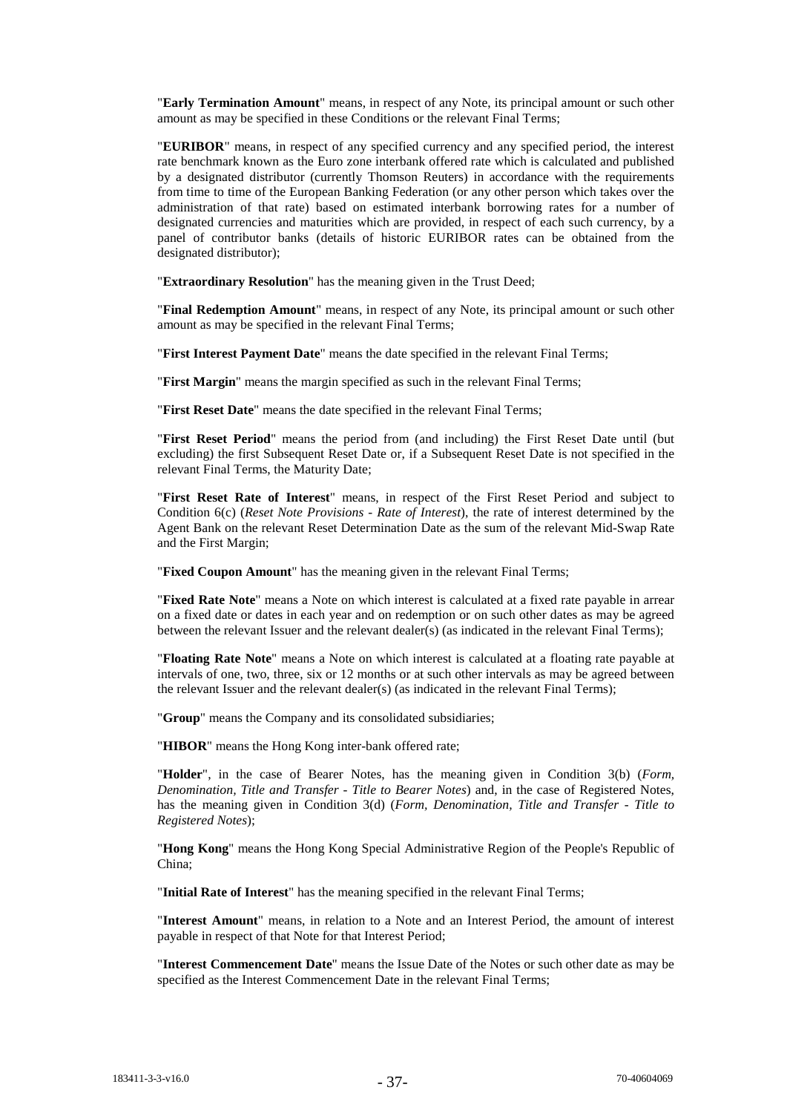"**Early Termination Amount**" means, in respect of any Note, its principal amount or such other amount as may be specified in these Conditions or the relevant Final Terms;

"**EURIBOR**" means, in respect of any specified currency and any specified period, the interest rate benchmark known as the Euro zone interbank offered rate which is calculated and published by a designated distributor (currently Thomson Reuters) in accordance with the requirements from time to time of the European Banking Federation (or any other person which takes over the administration of that rate) based on estimated interbank borrowing rates for a number of designated currencies and maturities which are provided, in respect of each such currency, by a panel of contributor banks (details of historic EURIBOR rates can be obtained from the designated distributor);

"**Extraordinary Resolution**" has the meaning given in the Trust Deed;

"**Final Redemption Amount**" means, in respect of any Note, its principal amount or such other amount as may be specified in the relevant Final Terms;

"**First Interest Payment Date**" means the date specified in the relevant Final Terms;

"**First Margin**" means the margin specified as such in the relevant Final Terms;

"**First Reset Date**" means the date specified in the relevant Final Terms;

"**First Reset Period**" means the period from (and including) the First Reset Date until (but excluding) the first Subsequent Reset Date or, if a Subsequent Reset Date is not specified in the relevant Final Terms, the Maturity Date;

"**First Reset Rate of Interest**" means, in respect of the First Reset Period and subject to Condition 6(c) (*Reset Note Provisions - Rate of Interest*), the rate of interest determined by the Agent Bank on the relevant Reset Determination Date as the sum of the relevant Mid-Swap Rate and the First Margin;

"**Fixed Coupon Amount**" has the meaning given in the relevant Final Terms;

"**Fixed Rate Note**" means a Note on which interest is calculated at a fixed rate payable in arrear on a fixed date or dates in each year and on redemption or on such other dates as may be agreed between the relevant Issuer and the relevant dealer(s) (as indicated in the relevant Final Terms);

"**Floating Rate Note**" means a Note on which interest is calculated at a floating rate payable at intervals of one, two, three, six or 12 months or at such other intervals as may be agreed between the relevant Issuer and the relevant dealer(s) (as indicated in the relevant Final Terms);

"**Group**" means the Company and its consolidated subsidiaries;

"**HIBOR**" means the Hong Kong inter-bank offered rate;

"**Holder**", in the case of Bearer Notes, has the meaning given in Condition 3(b) (*Form, Denomination, Title and Transfer - Title to Bearer Notes*) and, in the case of Registered Notes, has the meaning given in Condition 3(d) (*Form, Denomination, Title and Transfer - Title to Registered Notes*);

"**Hong Kong**" means the Hong Kong Special Administrative Region of the People's Republic of China;

"**Initial Rate of Interest**" has the meaning specified in the relevant Final Terms;

"**Interest Amount**" means, in relation to a Note and an Interest Period, the amount of interest payable in respect of that Note for that Interest Period;

"**Interest Commencement Date**" means the Issue Date of the Notes or such other date as may be specified as the Interest Commencement Date in the relevant Final Terms;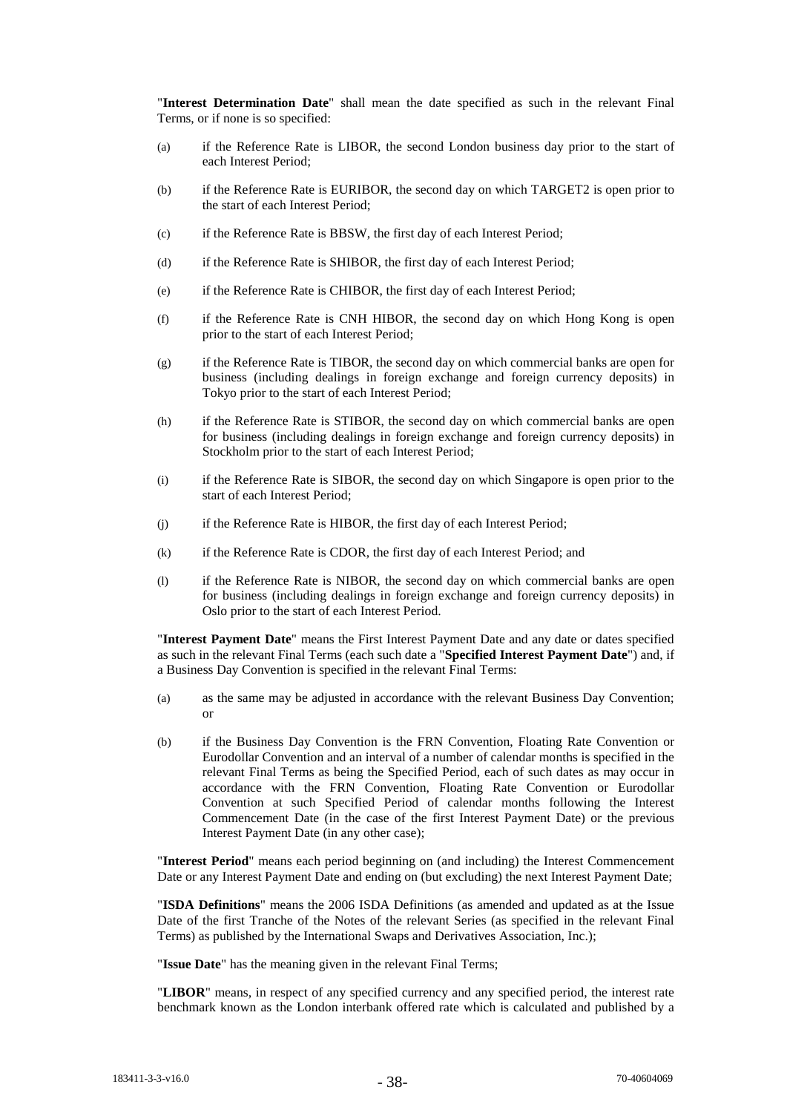"**Interest Determination Date**" shall mean the date specified as such in the relevant Final Terms, or if none is so specified:

- (a) if the Reference Rate is LIBOR, the second London business day prior to the start of each Interest Period;
- (b) if the Reference Rate is EURIBOR, the second day on which TARGET2 is open prior to the start of each Interest Period;
- (c) if the Reference Rate is BBSW, the first day of each Interest Period;
- (d) if the Reference Rate is SHIBOR, the first day of each Interest Period;
- (e) if the Reference Rate is CHIBOR, the first day of each Interest Period;
- (f) if the Reference Rate is CNH HIBOR, the second day on which Hong Kong is open prior to the start of each Interest Period;
- (g) if the Reference Rate is TIBOR, the second day on which commercial banks are open for business (including dealings in foreign exchange and foreign currency deposits) in Tokyo prior to the start of each Interest Period;
- (h) if the Reference Rate is STIBOR, the second day on which commercial banks are open for business (including dealings in foreign exchange and foreign currency deposits) in Stockholm prior to the start of each Interest Period;
- (i) if the Reference Rate is SIBOR, the second day on which Singapore is open prior to the start of each Interest Period;
- (j) if the Reference Rate is HIBOR, the first day of each Interest Period;
- (k) if the Reference Rate is CDOR, the first day of each Interest Period; and
- (l) if the Reference Rate is NIBOR, the second day on which commercial banks are open for business (including dealings in foreign exchange and foreign currency deposits) in Oslo prior to the start of each Interest Period.

"**Interest Payment Date**" means the First Interest Payment Date and any date or dates specified as such in the relevant Final Terms (each such date a "**Specified Interest Payment Date**") and, if a Business Day Convention is specified in the relevant Final Terms:

- (a) as the same may be adjusted in accordance with the relevant Business Day Convention; or
- (b) if the Business Day Convention is the FRN Convention, Floating Rate Convention or Eurodollar Convention and an interval of a number of calendar months is specified in the relevant Final Terms as being the Specified Period, each of such dates as may occur in accordance with the FRN Convention, Floating Rate Convention or Eurodollar Convention at such Specified Period of calendar months following the Interest Commencement Date (in the case of the first Interest Payment Date) or the previous Interest Payment Date (in any other case);

"**Interest Period**" means each period beginning on (and including) the Interest Commencement Date or any Interest Payment Date and ending on (but excluding) the next Interest Payment Date;

"**ISDA Definitions**" means the 2006 ISDA Definitions (as amended and updated as at the Issue Date of the first Tranche of the Notes of the relevant Series (as specified in the relevant Final Terms) as published by the International Swaps and Derivatives Association, Inc.);

"**Issue Date**" has the meaning given in the relevant Final Terms;

"**LIBOR**" means, in respect of any specified currency and any specified period, the interest rate benchmark known as the London interbank offered rate which is calculated and published by a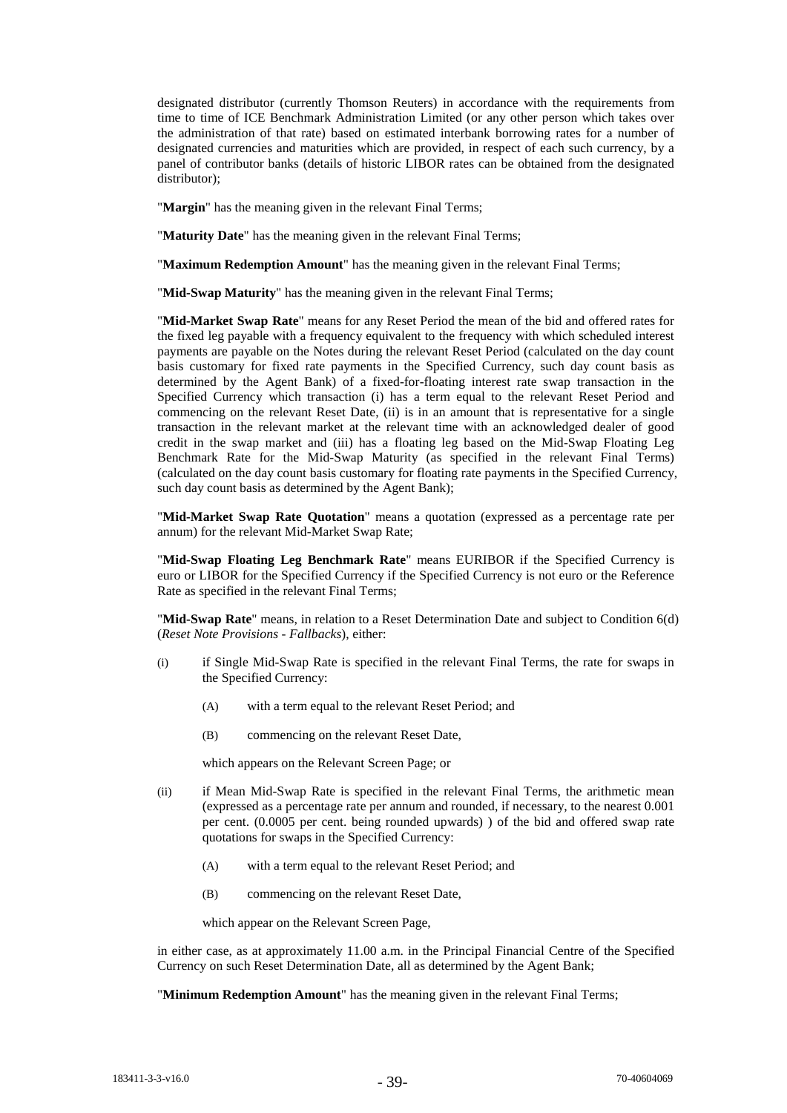designated distributor (currently Thomson Reuters) in accordance with the requirements from time to time of ICE Benchmark Administration Limited (or any other person which takes over the administration of that rate) based on estimated interbank borrowing rates for a number of designated currencies and maturities which are provided, in respect of each such currency, by a panel of contributor banks (details of historic LIBOR rates can be obtained from the designated distributor);

"**Margin**" has the meaning given in the relevant Final Terms;

"**Maturity Date**" has the meaning given in the relevant Final Terms;

"**Maximum Redemption Amount**" has the meaning given in the relevant Final Terms;

"**Mid-Swap Maturity**" has the meaning given in the relevant Final Terms;

"**Mid-Market Swap Rate**" means for any Reset Period the mean of the bid and offered rates for the fixed leg payable with a frequency equivalent to the frequency with which scheduled interest payments are payable on the Notes during the relevant Reset Period (calculated on the day count basis customary for fixed rate payments in the Specified Currency, such day count basis as determined by the Agent Bank) of a fixed-for-floating interest rate swap transaction in the Specified Currency which transaction (i) has a term equal to the relevant Reset Period and commencing on the relevant Reset Date, (ii) is in an amount that is representative for a single transaction in the relevant market at the relevant time with an acknowledged dealer of good credit in the swap market and (iii) has a floating leg based on the Mid-Swap Floating Leg Benchmark Rate for the Mid-Swap Maturity (as specified in the relevant Final Terms) (calculated on the day count basis customary for floating rate payments in the Specified Currency, such day count basis as determined by the Agent Bank);

"**Mid-Market Swap Rate Quotation**" means a quotation (expressed as a percentage rate per annum) for the relevant Mid-Market Swap Rate;

"**Mid-Swap Floating Leg Benchmark Rate**" means EURIBOR if the Specified Currency is euro or LIBOR for the Specified Currency if the Specified Currency is not euro or the Reference Rate as specified in the relevant Final Terms;

"**Mid-Swap Rate**" means, in relation to a Reset Determination Date and subject to Condition 6(d) (*Reset Note Provisions - Fallbacks*), either:

- (i) if Single Mid-Swap Rate is specified in the relevant Final Terms, the rate for swaps in the Specified Currency:
	- (A) with a term equal to the relevant Reset Period; and
	- (B) commencing on the relevant Reset Date,

which appears on the Relevant Screen Page; or

- (ii) if Mean Mid-Swap Rate is specified in the relevant Final Terms, the arithmetic mean (expressed as a percentage rate per annum and rounded, if necessary, to the nearest 0.001 per cent. (0.0005 per cent. being rounded upwards) ) of the bid and offered swap rate quotations for swaps in the Specified Currency:
	- (A) with a term equal to the relevant Reset Period; and
	- (B) commencing on the relevant Reset Date,

which appear on the Relevant Screen Page,

in either case, as at approximately 11.00 a.m. in the Principal Financial Centre of the Specified Currency on such Reset Determination Date, all as determined by the Agent Bank;

"**Minimum Redemption Amount**" has the meaning given in the relevant Final Terms;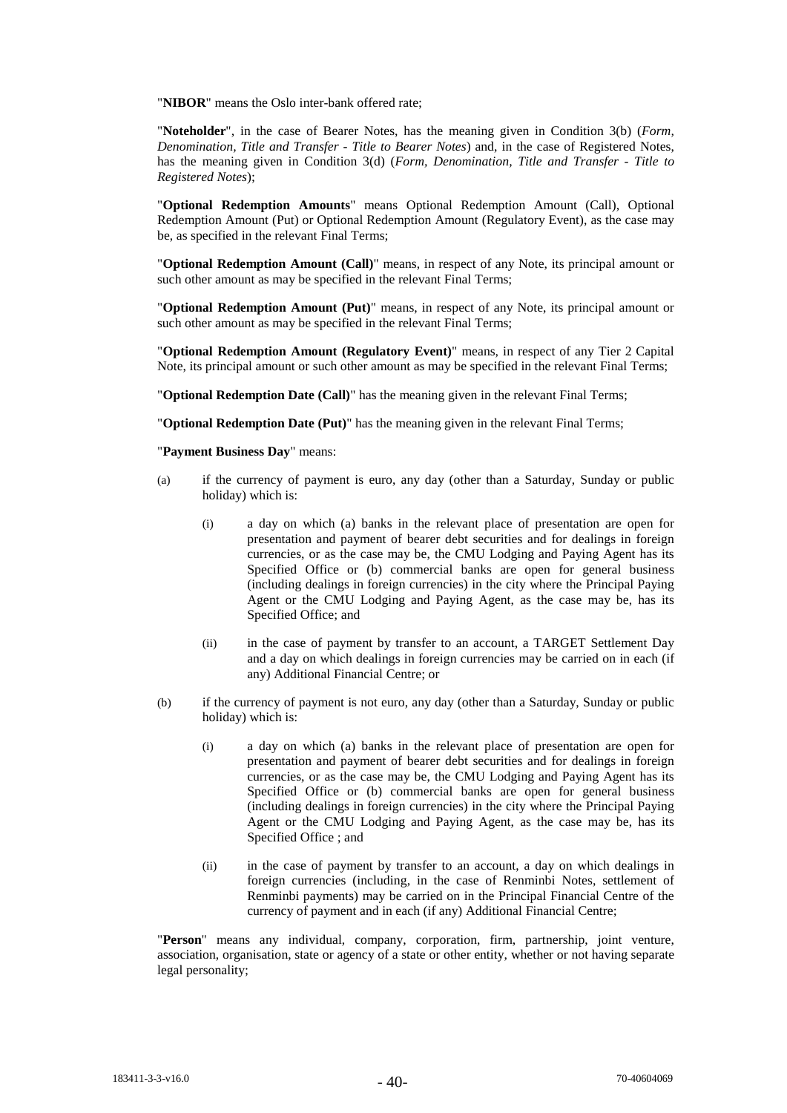"**NIBOR**" means the Oslo inter-bank offered rate;

"**Noteholder**", in the case of Bearer Notes, has the meaning given in Condition 3(b) (*Form, Denomination, Title and Transfer - Title to Bearer Notes*) and, in the case of Registered Notes, has the meaning given in Condition 3(d) (*Form, Denomination, Title and Transfer - Title to Registered Notes*);

"**Optional Redemption Amounts**" means Optional Redemption Amount (Call), Optional Redemption Amount (Put) or Optional Redemption Amount (Regulatory Event), as the case may be, as specified in the relevant Final Terms;

"**Optional Redemption Amount (Call)**" means, in respect of any Note, its principal amount or such other amount as may be specified in the relevant Final Terms;

"**Optional Redemption Amount (Put)**" means, in respect of any Note, its principal amount or such other amount as may be specified in the relevant Final Terms;

"**Optional Redemption Amount (Regulatory Event)**" means, in respect of any Tier 2 Capital Note, its principal amount or such other amount as may be specified in the relevant Final Terms;

"**Optional Redemption Date (Call)**" has the meaning given in the relevant Final Terms;

"**Optional Redemption Date (Put)**" has the meaning given in the relevant Final Terms;

#### "**Payment Business Day**" means:

- (a) if the currency of payment is euro, any day (other than a Saturday, Sunday or public holiday) which is:
	- (i) a day on which (a) banks in the relevant place of presentation are open for presentation and payment of bearer debt securities and for dealings in foreign currencies, or as the case may be, the CMU Lodging and Paying Agent has its Specified Office or (b) commercial banks are open for general business (including dealings in foreign currencies) in the city where the Principal Paying Agent or the CMU Lodging and Paying Agent, as the case may be, has its Specified Office; and
	- (ii) in the case of payment by transfer to an account, a TARGET Settlement Day and a day on which dealings in foreign currencies may be carried on in each (if any) Additional Financial Centre; or
- (b) if the currency of payment is not euro, any day (other than a Saturday, Sunday or public holiday) which is:
	- (i) a day on which (a) banks in the relevant place of presentation are open for presentation and payment of bearer debt securities and for dealings in foreign currencies, or as the case may be, the CMU Lodging and Paying Agent has its Specified Office or (b) commercial banks are open for general business (including dealings in foreign currencies) in the city where the Principal Paying Agent or the CMU Lodging and Paying Agent, as the case may be, has its Specified Office ; and
	- (ii) in the case of payment by transfer to an account, a day on which dealings in foreign currencies (including, in the case of Renminbi Notes, settlement of Renminbi payments) may be carried on in the Principal Financial Centre of the currency of payment and in each (if any) Additional Financial Centre;

"**Person**" means any individual, company, corporation, firm, partnership, joint venture, association, organisation, state or agency of a state or other entity, whether or not having separate legal personality;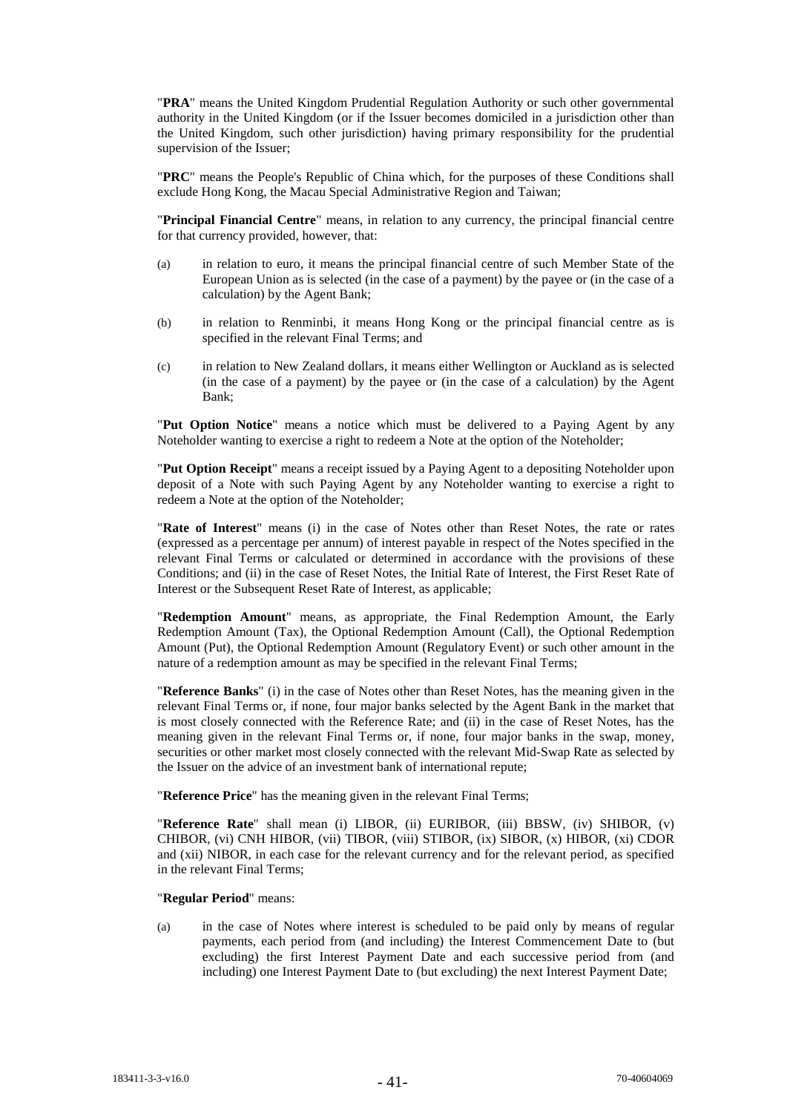"**PRA**" means the United Kingdom Prudential Regulation Authority or such other governmental authority in the United Kingdom (or if the Issuer becomes domiciled in a jurisdiction other than the United Kingdom, such other jurisdiction) having primary responsibility for the prudential supervision of the Issuer;

"**PRC**" means the People's Republic of China which, for the purposes of these Conditions shall exclude Hong Kong, the Macau Special Administrative Region and Taiwan;

"**Principal Financial Centre**" means, in relation to any currency, the principal financial centre for that currency provided, however, that:

- (a) in relation to euro, it means the principal financial centre of such Member State of the European Union as is selected (in the case of a payment) by the payee or (in the case of a calculation) by the Agent Bank;
- (b) in relation to Renminbi, it means Hong Kong or the principal financial centre as is specified in the relevant Final Terms; and
- (c) in relation to New Zealand dollars, it means either Wellington or Auckland as is selected (in the case of a payment) by the payee or (in the case of a calculation) by the Agent Bank;

"**Put Option Notice**" means a notice which must be delivered to a Paying Agent by any Noteholder wanting to exercise a right to redeem a Note at the option of the Noteholder;

"**Put Option Receipt**" means a receipt issued by a Paying Agent to a depositing Noteholder upon deposit of a Note with such Paying Agent by any Noteholder wanting to exercise a right to redeem a Note at the option of the Noteholder;

"**Rate of Interest**" means (i) in the case of Notes other than Reset Notes, the rate or rates (expressed as a percentage per annum) of interest payable in respect of the Notes specified in the relevant Final Terms or calculated or determined in accordance with the provisions of these Conditions; and (ii) in the case of Reset Notes, the Initial Rate of Interest, the First Reset Rate of Interest or the Subsequent Reset Rate of Interest, as applicable;

"**Redemption Amount**" means, as appropriate, the Final Redemption Amount, the Early Redemption Amount (Tax), the Optional Redemption Amount (Call), the Optional Redemption Amount (Put), the Optional Redemption Amount (Regulatory Event) or such other amount in the nature of a redemption amount as may be specified in the relevant Final Terms;

"**Reference Banks**" (i) in the case of Notes other than Reset Notes, has the meaning given in the relevant Final Terms or, if none, four major banks selected by the Agent Bank in the market that is most closely connected with the Reference Rate; and (ii) in the case of Reset Notes, has the meaning given in the relevant Final Terms or, if none, four major banks in the swap, money, securities or other market most closely connected with the relevant Mid-Swap Rate as selected by the Issuer on the advice of an investment bank of international repute;

"**Reference Price**" has the meaning given in the relevant Final Terms;

"**Reference Rate**" shall mean (i) LIBOR, (ii) EURIBOR, (iii) BBSW, (iv) SHIBOR, (v) CHIBOR, (vi) CNH HIBOR, (vii) TIBOR, (viii) STIBOR, (ix) SIBOR, (x) HIBOR, (xi) CDOR and (xii) NIBOR, in each case for the relevant currency and for the relevant period, as specified in the relevant Final Terms;

"**Regular Period**" means:

(a) in the case of Notes where interest is scheduled to be paid only by means of regular payments, each period from (and including) the Interest Commencement Date to (but excluding) the first Interest Payment Date and each successive period from (and including) one Interest Payment Date to (but excluding) the next Interest Payment Date;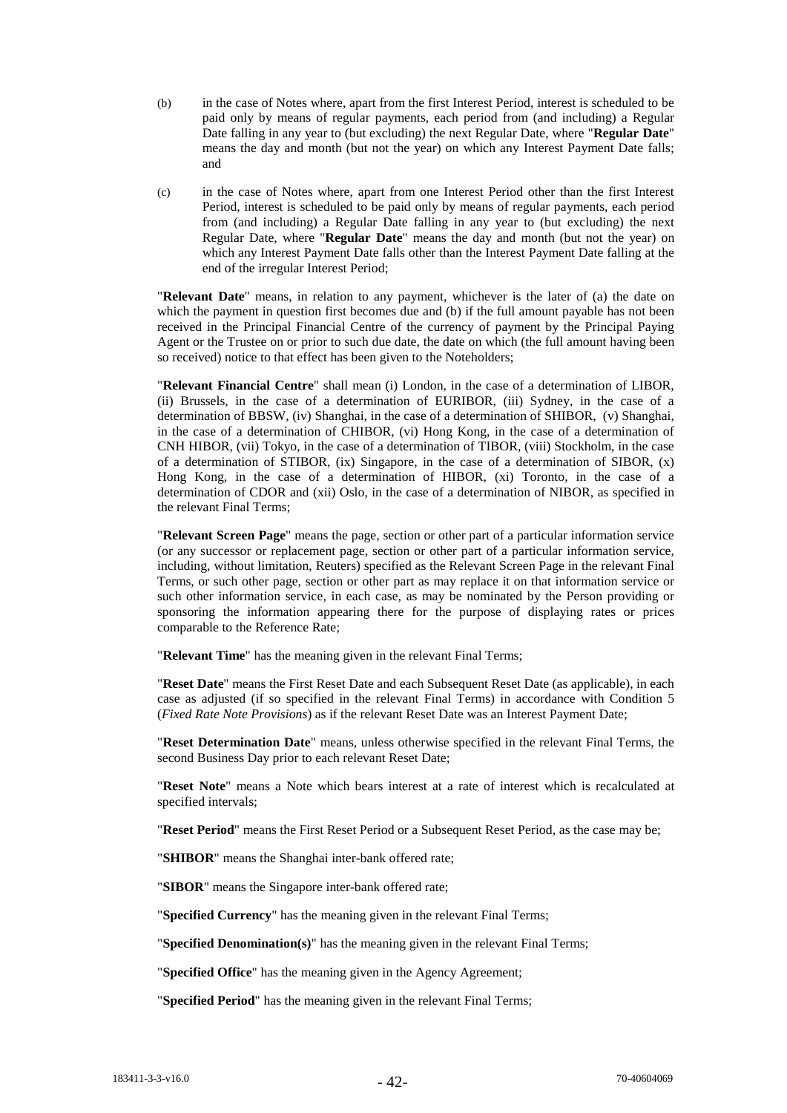- (b) in the case of Notes where, apart from the first Interest Period, interest is scheduled to be paid only by means of regular payments, each period from (and including) a Regular Date falling in any year to (but excluding) the next Regular Date, where "**Regular Date**" means the day and month (but not the year) on which any Interest Payment Date falls; and
- (c) in the case of Notes where, apart from one Interest Period other than the first Interest Period, interest is scheduled to be paid only by means of regular payments, each period from (and including) a Regular Date falling in any year to (but excluding) the next Regular Date, where "**Regular Date**" means the day and month (but not the year) on which any Interest Payment Date falls other than the Interest Payment Date falling at the end of the irregular Interest Period;

"**Relevant Date**" means, in relation to any payment, whichever is the later of (a) the date on which the payment in question first becomes due and (b) if the full amount payable has not been received in the Principal Financial Centre of the currency of payment by the Principal Paying Agent or the Trustee on or prior to such due date, the date on which (the full amount having been so received) notice to that effect has been given to the Noteholders;

"**Relevant Financial Centre**" shall mean (i) London, in the case of a determination of LIBOR, (ii) Brussels, in the case of a determination of EURIBOR, (iii) Sydney, in the case of a determination of BBSW, (iv) Shanghai, in the case of a determination of SHIBOR, (v) Shanghai, in the case of a determination of CHIBOR, (vi) Hong Kong, in the case of a determination of CNH HIBOR, (vii) Tokyo, in the case of a determination of TIBOR, (viii) Stockholm, in the case of a determination of STIBOR, (ix) Singapore, in the case of a determination of SIBOR, (x) Hong Kong, in the case of a determination of HIBOR, (xi) Toronto, in the case of a determination of CDOR and (xii) Oslo, in the case of a determination of NIBOR, as specified in the relevant Final Terms;

"**Relevant Screen Page**" means the page, section or other part of a particular information service (or any successor or replacement page, section or other part of a particular information service, including, without limitation, Reuters) specified as the Relevant Screen Page in the relevant Final Terms, or such other page, section or other part as may replace it on that information service or such other information service, in each case, as may be nominated by the Person providing or sponsoring the information appearing there for the purpose of displaying rates or prices comparable to the Reference Rate;

"**Relevant Time**" has the meaning given in the relevant Final Terms;

"**Reset Date**" means the First Reset Date and each Subsequent Reset Date (as applicable), in each case as adjusted (if so specified in the relevant Final Terms) in accordance with Condition 5 (*Fixed Rate Note Provisions*) as if the relevant Reset Date was an Interest Payment Date;

"**Reset Determination Date**" means, unless otherwise specified in the relevant Final Terms, the second Business Day prior to each relevant Reset Date;

"**Reset Note**" means a Note which bears interest at a rate of interest which is recalculated at specified intervals;

"**Reset Period**" means the First Reset Period or a Subsequent Reset Period, as the case may be;

"**SHIBOR**" means the Shanghai inter-bank offered rate;

"**SIBOR**" means the Singapore inter-bank offered rate;

"**Specified Currency**" has the meaning given in the relevant Final Terms;

"**Specified Denomination(s)**" has the meaning given in the relevant Final Terms;

"**Specified Office**" has the meaning given in the Agency Agreement;

"**Specified Period**" has the meaning given in the relevant Final Terms;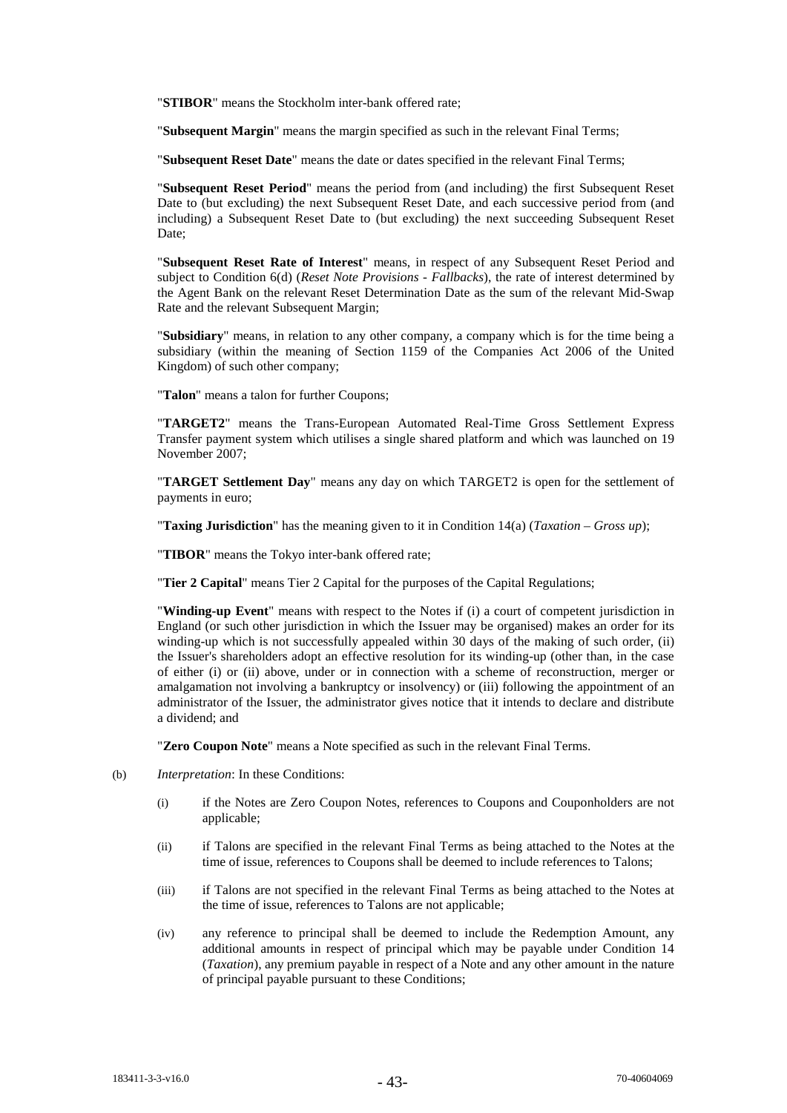"**STIBOR**" means the Stockholm inter-bank offered rate;

"**Subsequent Margin**" means the margin specified as such in the relevant Final Terms;

"**Subsequent Reset Date**" means the date or dates specified in the relevant Final Terms;

"**Subsequent Reset Period**" means the period from (and including) the first Subsequent Reset Date to (but excluding) the next Subsequent Reset Date, and each successive period from (and including) a Subsequent Reset Date to (but excluding) the next succeeding Subsequent Reset Date:

"**Subsequent Reset Rate of Interest**" means, in respect of any Subsequent Reset Period and subject to Condition 6(d) (*Reset Note Provisions - Fallbacks*), the rate of interest determined by the Agent Bank on the relevant Reset Determination Date as the sum of the relevant Mid-Swap Rate and the relevant Subsequent Margin;

"**Subsidiary**" means, in relation to any other company, a company which is for the time being a subsidiary (within the meaning of Section 1159 of the Companies Act 2006 of the United Kingdom) of such other company;

"**Talon**" means a talon for further Coupons;

"**TARGET2**" means the Trans-European Automated Real-Time Gross Settlement Express Transfer payment system which utilises a single shared platform and which was launched on 19 November 2007;

"**TARGET Settlement Day**" means any day on which TARGET2 is open for the settlement of payments in euro;

"**Taxing Jurisdiction**" has the meaning given to it in Condition 14(a) (*Taxation – Gross up*);

"**TIBOR**" means the Tokyo inter-bank offered rate;

"**Tier 2 Capital**" means Tier 2 Capital for the purposes of the Capital Regulations;

"**Winding-up Event**" means with respect to the Notes if (i) a court of competent jurisdiction in England (or such other jurisdiction in which the Issuer may be organised) makes an order for its winding-up which is not successfully appealed within 30 days of the making of such order, (ii) the Issuer's shareholders adopt an effective resolution for its winding-up (other than, in the case of either (i) or (ii) above, under or in connection with a scheme of reconstruction, merger or amalgamation not involving a bankruptcy or insolvency) or (iii) following the appointment of an administrator of the Issuer, the administrator gives notice that it intends to declare and distribute a dividend; and

"**Zero Coupon Note**" means a Note specified as such in the relevant Final Terms.

- (b) *Interpretation*: In these Conditions:
	- (i) if the Notes are Zero Coupon Notes, references to Coupons and Couponholders are not applicable;
	- (ii) if Talons are specified in the relevant Final Terms as being attached to the Notes at the time of issue, references to Coupons shall be deemed to include references to Talons;
	- (iii) if Talons are not specified in the relevant Final Terms as being attached to the Notes at the time of issue, references to Talons are not applicable;
	- (iv) any reference to principal shall be deemed to include the Redemption Amount, any additional amounts in respect of principal which may be payable under Condition 14 (*Taxation*), any premium payable in respect of a Note and any other amount in the nature of principal payable pursuant to these Conditions;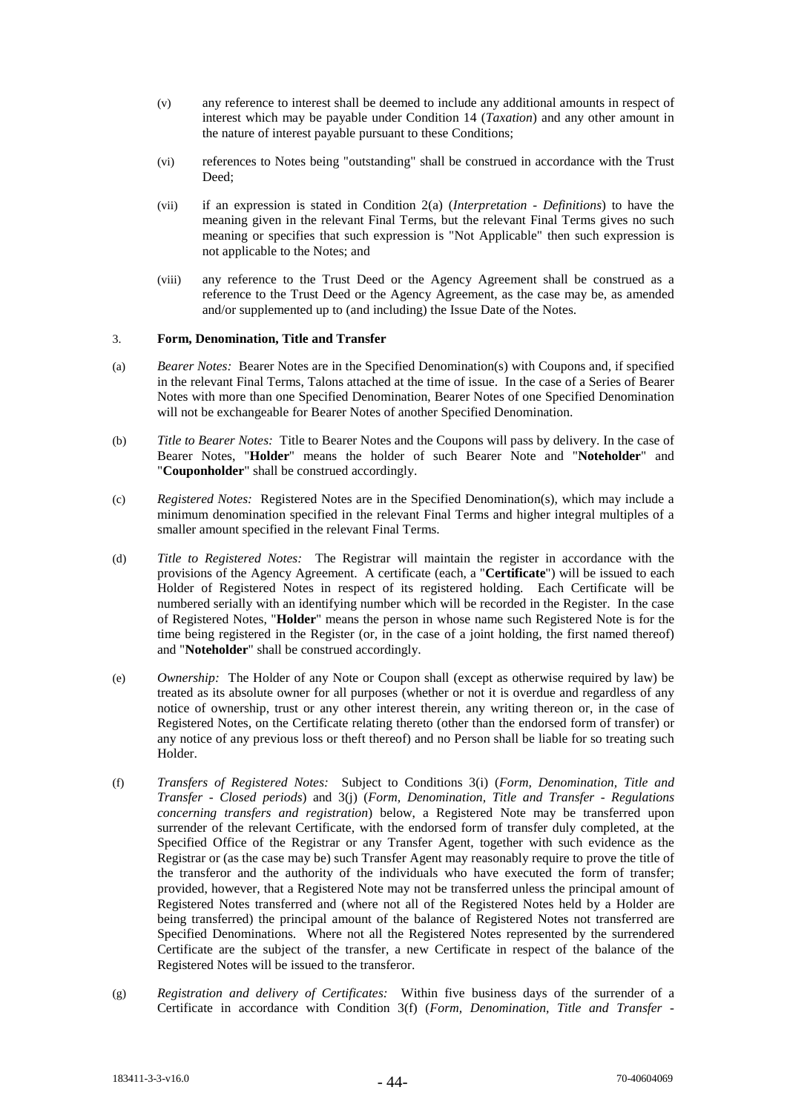- (v) any reference to interest shall be deemed to include any additional amounts in respect of interest which may be payable under Condition 14 (*Taxation*) and any other amount in the nature of interest payable pursuant to these Conditions;
- (vi) references to Notes being "outstanding" shall be construed in accordance with the Trust Deed;
- (vii) if an expression is stated in Condition 2(a) (*Interpretation - Definitions*) to have the meaning given in the relevant Final Terms, but the relevant Final Terms gives no such meaning or specifies that such expression is "Not Applicable" then such expression is not applicable to the Notes; and
- (viii) any reference to the Trust Deed or the Agency Agreement shall be construed as a reference to the Trust Deed or the Agency Agreement, as the case may be, as amended and/or supplemented up to (and including) the Issue Date of the Notes.

## 3. **Form, Denomination, Title and Transfer**

- (a) *Bearer Notes:* Bearer Notes are in the Specified Denomination(s) with Coupons and, if specified in the relevant Final Terms, Talons attached at the time of issue. In the case of a Series of Bearer Notes with more than one Specified Denomination, Bearer Notes of one Specified Denomination will not be exchangeable for Bearer Notes of another Specified Denomination.
- (b) *Title to Bearer Notes:* Title to Bearer Notes and the Coupons will pass by delivery. In the case of Bearer Notes, "**Holder**" means the holder of such Bearer Note and "**Noteholder**" and "**Couponholder**" shall be construed accordingly.
- (c) *Registered Notes:* Registered Notes are in the Specified Denomination(s), which may include a minimum denomination specified in the relevant Final Terms and higher integral multiples of a smaller amount specified in the relevant Final Terms.
- (d) *Title to Registered Notes:* The Registrar will maintain the register in accordance with the provisions of the Agency Agreement. A certificate (each, a "**Certificate**") will be issued to each Holder of Registered Notes in respect of its registered holding. Each Certificate will be numbered serially with an identifying number which will be recorded in the Register. In the case of Registered Notes, "**Holder**" means the person in whose name such Registered Note is for the time being registered in the Register (or, in the case of a joint holding, the first named thereof) and "**Noteholder**" shall be construed accordingly.
- (e) *Ownership:* The Holder of any Note or Coupon shall (except as otherwise required by law) be treated as its absolute owner for all purposes (whether or not it is overdue and regardless of any notice of ownership, trust or any other interest therein, any writing thereon or, in the case of Registered Notes, on the Certificate relating thereto (other than the endorsed form of transfer) or any notice of any previous loss or theft thereof) and no Person shall be liable for so treating such Holder.
- (f) *Transfers of Registered Notes:* Subject to Conditions 3(i) (*Form, Denomination, Title and Transfer - Closed periods*) and 3(j) (*Form, Denomination, Title and Transfer - Regulations concerning transfers and registration*) below, a Registered Note may be transferred upon surrender of the relevant Certificate, with the endorsed form of transfer duly completed, at the Specified Office of the Registrar or any Transfer Agent, together with such evidence as the Registrar or (as the case may be) such Transfer Agent may reasonably require to prove the title of the transferor and the authority of the individuals who have executed the form of transfer; provided, however, that a Registered Note may not be transferred unless the principal amount of Registered Notes transferred and (where not all of the Registered Notes held by a Holder are being transferred) the principal amount of the balance of Registered Notes not transferred are Specified Denominations. Where not all the Registered Notes represented by the surrendered Certificate are the subject of the transfer, a new Certificate in respect of the balance of the Registered Notes will be issued to the transferor.
- (g) *Registration and delivery of Certificates:* Within five business days of the surrender of a Certificate in accordance with Condition 3(f) (*Form, Denomination, Title and Transfer -*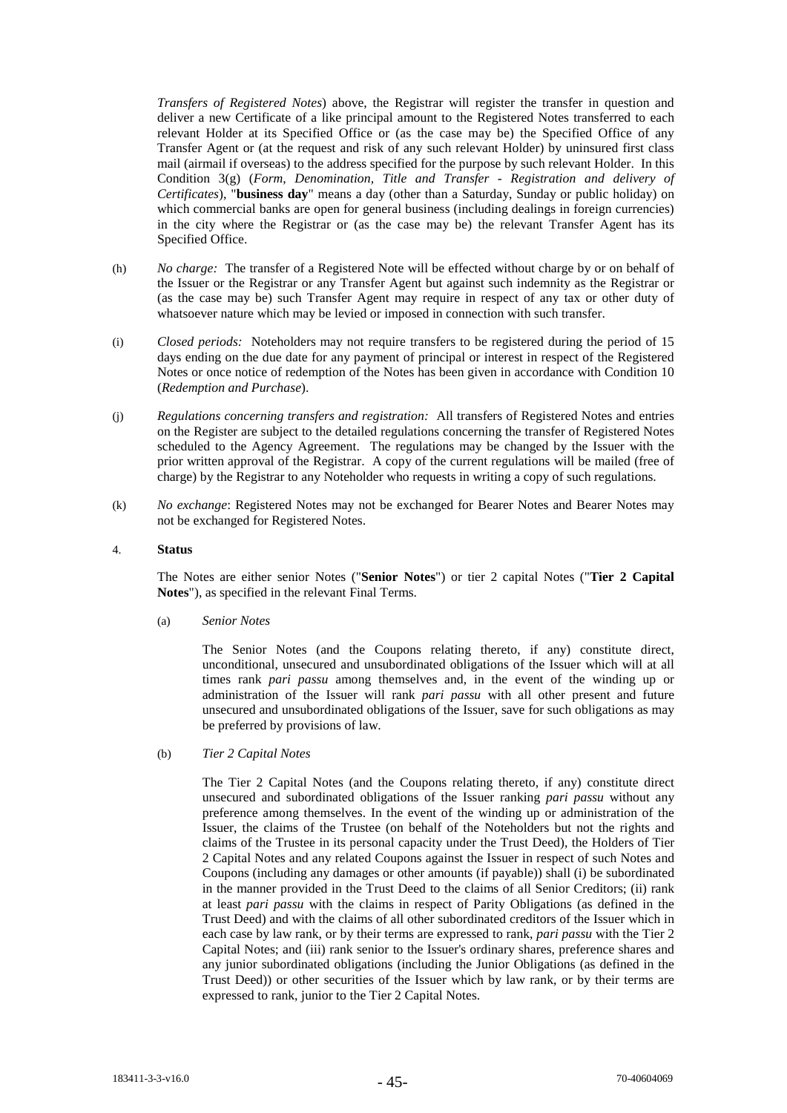*Transfers of Registered Notes*) above, the Registrar will register the transfer in question and deliver a new Certificate of a like principal amount to the Registered Notes transferred to each relevant Holder at its Specified Office or (as the case may be) the Specified Office of any Transfer Agent or (at the request and risk of any such relevant Holder) by uninsured first class mail (airmail if overseas) to the address specified for the purpose by such relevant Holder. In this Condition 3(g) (*Form, Denomination, Title and Transfer - Registration and delivery of Certificates*), "**business day**" means a day (other than a Saturday, Sunday or public holiday) on which commercial banks are open for general business (including dealings in foreign currencies) in the city where the Registrar or (as the case may be) the relevant Transfer Agent has its Specified Office.

- (h) *No charge:* The transfer of a Registered Note will be effected without charge by or on behalf of the Issuer or the Registrar or any Transfer Agent but against such indemnity as the Registrar or (as the case may be) such Transfer Agent may require in respect of any tax or other duty of whatsoever nature which may be levied or imposed in connection with such transfer.
- (i) *Closed periods:* Noteholders may not require transfers to be registered during the period of 15 days ending on the due date for any payment of principal or interest in respect of the Registered Notes or once notice of redemption of the Notes has been given in accordance with Condition 10 (*Redemption and Purchase*).
- (j) *Regulations concerning transfers and registration:* All transfers of Registered Notes and entries on the Register are subject to the detailed regulations concerning the transfer of Registered Notes scheduled to the Agency Agreement. The regulations may be changed by the Issuer with the prior written approval of the Registrar. A copy of the current regulations will be mailed (free of charge) by the Registrar to any Noteholder who requests in writing a copy of such regulations.
- (k) *No exchange*: Registered Notes may not be exchanged for Bearer Notes and Bearer Notes may not be exchanged for Registered Notes.

## 4. **Status**

The Notes are either senior Notes ("**Senior Notes**") or tier 2 capital Notes ("**Tier 2 Capital Notes**"), as specified in the relevant Final Terms.

(a) *Senior Notes*

The Senior Notes (and the Coupons relating thereto, if any) constitute direct, unconditional, unsecured and unsubordinated obligations of the Issuer which will at all times rank *pari passu* among themselves and, in the event of the winding up or administration of the Issuer will rank *pari passu* with all other present and future unsecured and unsubordinated obligations of the Issuer, save for such obligations as may be preferred by provisions of law.

(b) *Tier 2 Capital Notes* 

The Tier 2 Capital Notes (and the Coupons relating thereto, if any) constitute direct unsecured and subordinated obligations of the Issuer ranking *pari passu* without any preference among themselves. In the event of the winding up or administration of the Issuer, the claims of the Trustee (on behalf of the Noteholders but not the rights and claims of the Trustee in its personal capacity under the Trust Deed), the Holders of Tier 2 Capital Notes and any related Coupons against the Issuer in respect of such Notes and Coupons (including any damages or other amounts (if payable)) shall (i) be subordinated in the manner provided in the Trust Deed to the claims of all Senior Creditors; (ii) rank at least *pari passu* with the claims in respect of Parity Obligations (as defined in the Trust Deed) and with the claims of all other subordinated creditors of the Issuer which in each case by law rank, or by their terms are expressed to rank, *pari passu* with the Tier 2 Capital Notes; and (iii) rank senior to the Issuer's ordinary shares, preference shares and any junior subordinated obligations (including the Junior Obligations (as defined in the Trust Deed)) or other securities of the Issuer which by law rank, or by their terms are expressed to rank, junior to the Tier 2 Capital Notes.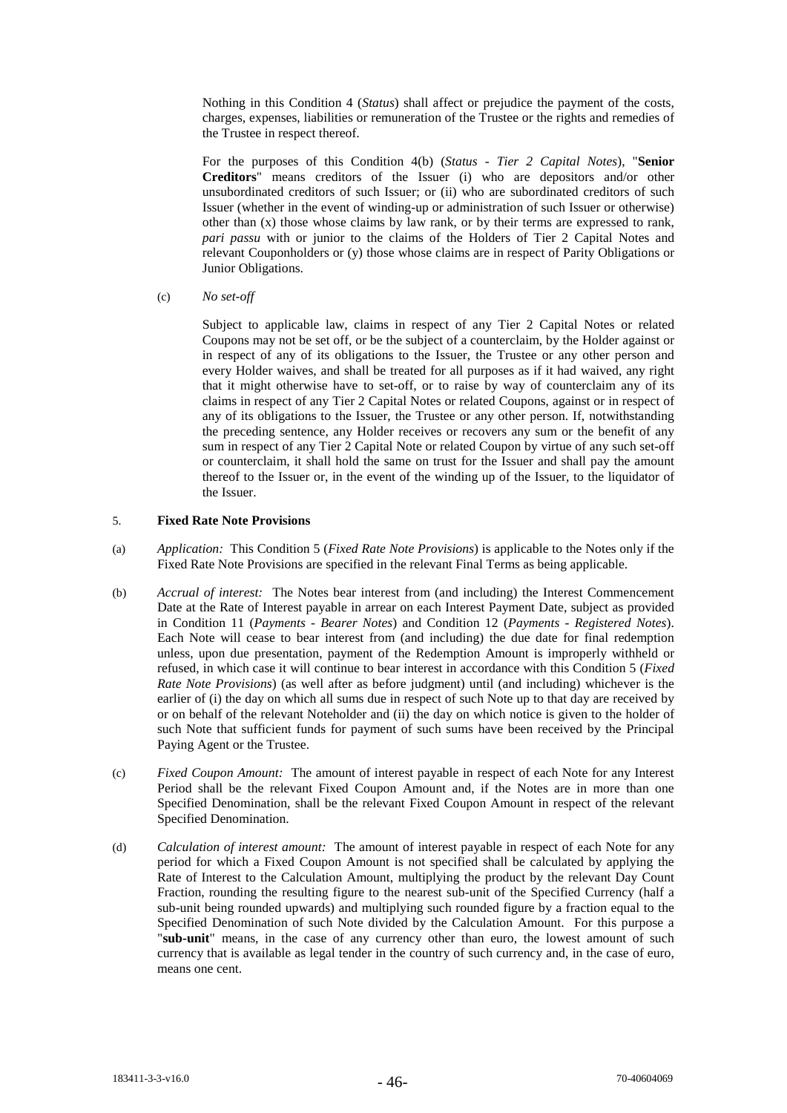Nothing in this Condition 4 (*Status*) shall affect or prejudice the payment of the costs, charges, expenses, liabilities or remuneration of the Trustee or the rights and remedies of the Trustee in respect thereof.

For the purposes of this Condition 4(b) (*Status - Tier 2 Capital Notes*), "**Senior Creditors**" means creditors of the Issuer (i) who are depositors and/or other unsubordinated creditors of such Issuer; or (ii) who are subordinated creditors of such Issuer (whether in the event of winding-up or administration of such Issuer or otherwise) other than  $(x)$  those whose claims by law rank, or by their terms are expressed to rank, *pari passu* with or junior to the claims of the Holders of Tier 2 Capital Notes and relevant Couponholders or (y) those whose claims are in respect of Parity Obligations or Junior Obligations.

(c) *No set-off*

Subject to applicable law, claims in respect of any Tier 2 Capital Notes or related Coupons may not be set off, or be the subject of a counterclaim, by the Holder against or in respect of any of its obligations to the Issuer, the Trustee or any other person and every Holder waives, and shall be treated for all purposes as if it had waived, any right that it might otherwise have to set-off, or to raise by way of counterclaim any of its claims in respect of any Tier 2 Capital Notes or related Coupons, against or in respect of any of its obligations to the Issuer, the Trustee or any other person. If, notwithstanding the preceding sentence, any Holder receives or recovers any sum or the benefit of any sum in respect of any Tier 2 Capital Note or related Coupon by virtue of any such set-off or counterclaim, it shall hold the same on trust for the Issuer and shall pay the amount thereof to the Issuer or, in the event of the winding up of the Issuer, to the liquidator of the Issuer.

# 5. **Fixed Rate Note Provisions**

- (a) *Application:* This Condition 5 (*Fixed Rate Note Provisions*) is applicable to the Notes only if the Fixed Rate Note Provisions are specified in the relevant Final Terms as being applicable.
- (b) *Accrual of interest:* The Notes bear interest from (and including) the Interest Commencement Date at the Rate of Interest payable in arrear on each Interest Payment Date, subject as provided in Condition 11 (*Payments - Bearer Notes*) and Condition 12 (*Payments - Registered Notes*). Each Note will cease to bear interest from (and including) the due date for final redemption unless, upon due presentation, payment of the Redemption Amount is improperly withheld or refused, in which case it will continue to bear interest in accordance with this Condition 5 (*Fixed Rate Note Provisions*) (as well after as before judgment) until (and including) whichever is the earlier of (i) the day on which all sums due in respect of such Note up to that day are received by or on behalf of the relevant Noteholder and (ii) the day on which notice is given to the holder of such Note that sufficient funds for payment of such sums have been received by the Principal Paying Agent or the Trustee.
- (c) *Fixed Coupon Amount:* The amount of interest payable in respect of each Note for any Interest Period shall be the relevant Fixed Coupon Amount and, if the Notes are in more than one Specified Denomination, shall be the relevant Fixed Coupon Amount in respect of the relevant Specified Denomination.
- (d) *Calculation of interest amount:* The amount of interest payable in respect of each Note for any period for which a Fixed Coupon Amount is not specified shall be calculated by applying the Rate of Interest to the Calculation Amount, multiplying the product by the relevant Day Count Fraction, rounding the resulting figure to the nearest sub-unit of the Specified Currency (half a sub-unit being rounded upwards) and multiplying such rounded figure by a fraction equal to the Specified Denomination of such Note divided by the Calculation Amount. For this purpose a "**sub-unit**" means, in the case of any currency other than euro, the lowest amount of such currency that is available as legal tender in the country of such currency and, in the case of euro, means one cent.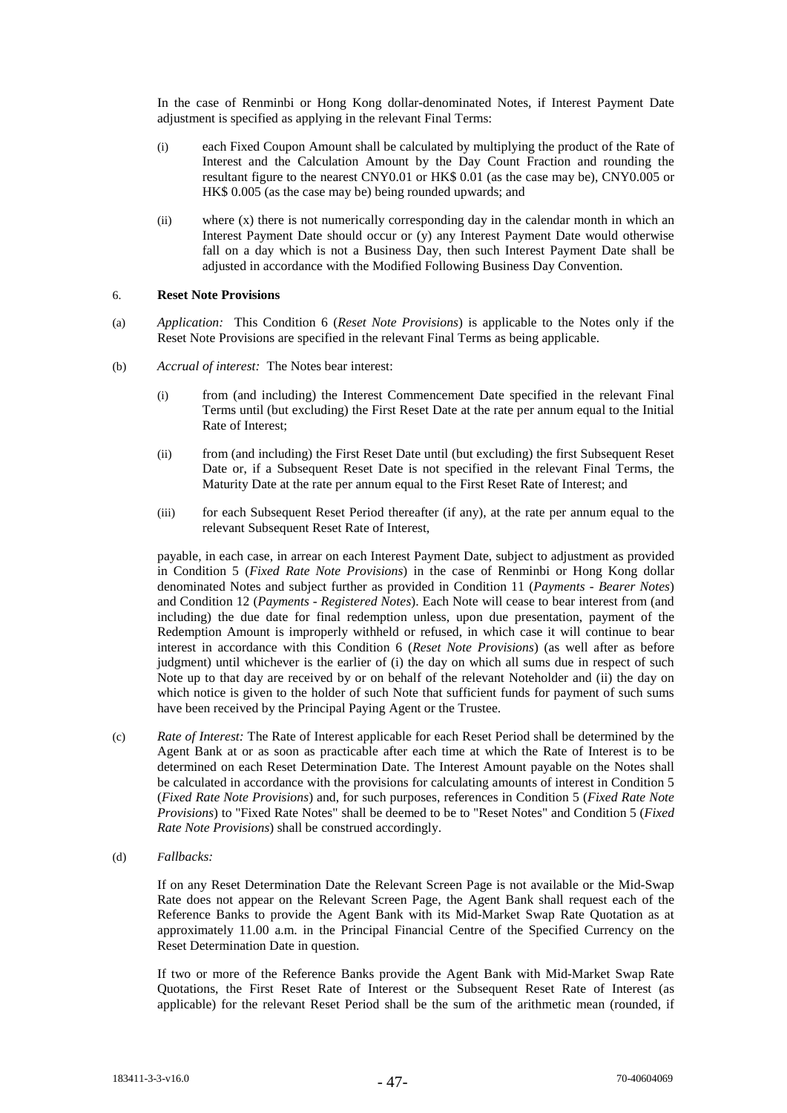In the case of Renminbi or Hong Kong dollar-denominated Notes, if Interest Payment Date adjustment is specified as applying in the relevant Final Terms:

- (i) each Fixed Coupon Amount shall be calculated by multiplying the product of the Rate of Interest and the Calculation Amount by the Day Count Fraction and rounding the resultant figure to the nearest CNY0.01 or HK\$ 0.01 (as the case may be), CNY0.005 or HK\$ 0.005 (as the case may be) being rounded upwards; and
- (ii) where (x) there is not numerically corresponding day in the calendar month in which an Interest Payment Date should occur or (y) any Interest Payment Date would otherwise fall on a day which is not a Business Day, then such Interest Payment Date shall be adjusted in accordance with the Modified Following Business Day Convention.

## 6. **Reset Note Provisions**

- (a) *Application:* This Condition 6 (*Reset Note Provisions*) is applicable to the Notes only if the Reset Note Provisions are specified in the relevant Final Terms as being applicable.
- (b) *Accrual of interest:* The Notes bear interest:
	- (i) from (and including) the Interest Commencement Date specified in the relevant Final Terms until (but excluding) the First Reset Date at the rate per annum equal to the Initial Rate of Interest;
	- (ii) from (and including) the First Reset Date until (but excluding) the first Subsequent Reset Date or, if a Subsequent Reset Date is not specified in the relevant Final Terms, the Maturity Date at the rate per annum equal to the First Reset Rate of Interest; and
	- (iii) for each Subsequent Reset Period thereafter (if any), at the rate per annum equal to the relevant Subsequent Reset Rate of Interest,

payable, in each case, in arrear on each Interest Payment Date, subject to adjustment as provided in Condition 5 (*Fixed Rate Note Provisions*) in the case of Renminbi or Hong Kong dollar denominated Notes and subject further as provided in Condition 11 (*Payments - Bearer Notes*) and Condition 12 (*Payments - Registered Notes*). Each Note will cease to bear interest from (and including) the due date for final redemption unless, upon due presentation, payment of the Redemption Amount is improperly withheld or refused, in which case it will continue to bear interest in accordance with this Condition 6 (*Reset Note Provisions*) (as well after as before judgment) until whichever is the earlier of (i) the day on which all sums due in respect of such Note up to that day are received by or on behalf of the relevant Noteholder and (ii) the day on which notice is given to the holder of such Note that sufficient funds for payment of such sums have been received by the Principal Paying Agent or the Trustee.

- (c) *Rate of Interest:* The Rate of Interest applicable for each Reset Period shall be determined by the Agent Bank at or as soon as practicable after each time at which the Rate of Interest is to be determined on each Reset Determination Date. The Interest Amount payable on the Notes shall be calculated in accordance with the provisions for calculating amounts of interest in Condition 5 (*Fixed Rate Note Provisions*) and, for such purposes, references in Condition 5 (*Fixed Rate Note Provisions*) to "Fixed Rate Notes" shall be deemed to be to "Reset Notes" and Condition 5 (*Fixed Rate Note Provisions*) shall be construed accordingly.
- (d) *Fallbacks:*

If on any Reset Determination Date the Relevant Screen Page is not available or the Mid-Swap Rate does not appear on the Relevant Screen Page, the Agent Bank shall request each of the Reference Banks to provide the Agent Bank with its Mid-Market Swap Rate Quotation as at approximately 11.00 a.m. in the Principal Financial Centre of the Specified Currency on the Reset Determination Date in question.

If two or more of the Reference Banks provide the Agent Bank with Mid-Market Swap Rate Quotations, the First Reset Rate of Interest or the Subsequent Reset Rate of Interest (as applicable) for the relevant Reset Period shall be the sum of the arithmetic mean (rounded, if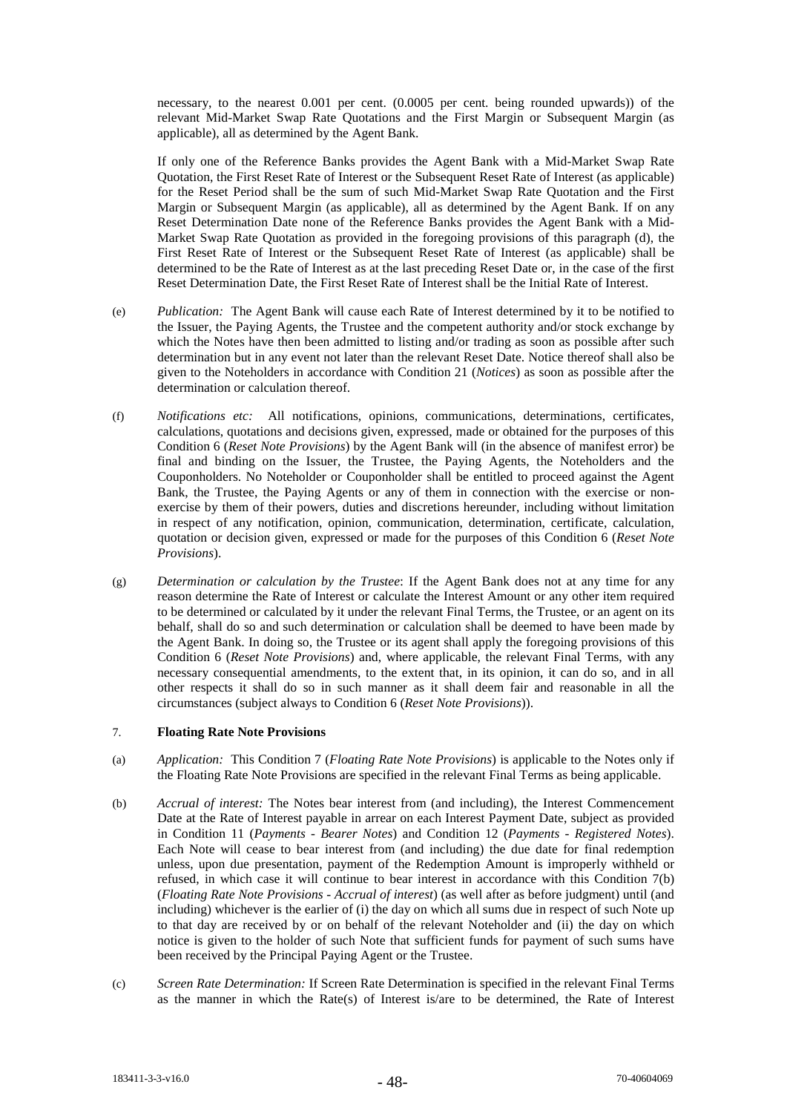necessary, to the nearest 0.001 per cent. (0.0005 per cent. being rounded upwards)) of the relevant Mid-Market Swap Rate Quotations and the First Margin or Subsequent Margin (as applicable), all as determined by the Agent Bank.

If only one of the Reference Banks provides the Agent Bank with a Mid-Market Swap Rate Quotation, the First Reset Rate of Interest or the Subsequent Reset Rate of Interest (as applicable) for the Reset Period shall be the sum of such Mid-Market Swap Rate Quotation and the First Margin or Subsequent Margin (as applicable), all as determined by the Agent Bank. If on any Reset Determination Date none of the Reference Banks provides the Agent Bank with a Mid-Market Swap Rate Quotation as provided in the foregoing provisions of this paragraph (d), the First Reset Rate of Interest or the Subsequent Reset Rate of Interest (as applicable) shall be determined to be the Rate of Interest as at the last preceding Reset Date or, in the case of the first Reset Determination Date, the First Reset Rate of Interest shall be the Initial Rate of Interest.

- (e) *Publication:* The Agent Bank will cause each Rate of Interest determined by it to be notified to the Issuer, the Paying Agents, the Trustee and the competent authority and/or stock exchange by which the Notes have then been admitted to listing and/or trading as soon as possible after such determination but in any event not later than the relevant Reset Date. Notice thereof shall also be given to the Noteholders in accordance with Condition 21 (*Notices*) as soon as possible after the determination or calculation thereof.
- (f) *Notifications etc:* All notifications, opinions, communications, determinations, certificates, calculations, quotations and decisions given, expressed, made or obtained for the purposes of this Condition 6 (*Reset Note Provisions*) by the Agent Bank will (in the absence of manifest error) be final and binding on the Issuer, the Trustee, the Paying Agents, the Noteholders and the Couponholders. No Noteholder or Couponholder shall be entitled to proceed against the Agent Bank, the Trustee, the Paying Agents or any of them in connection with the exercise or nonexercise by them of their powers, duties and discretions hereunder, including without limitation in respect of any notification, opinion, communication, determination, certificate, calculation, quotation or decision given, expressed or made for the purposes of this Condition 6 (*Reset Note Provisions*).
- (g) *Determination or calculation by the Trustee*: If the Agent Bank does not at any time for any reason determine the Rate of Interest or calculate the Interest Amount or any other item required to be determined or calculated by it under the relevant Final Terms, the Trustee, or an agent on its behalf, shall do so and such determination or calculation shall be deemed to have been made by the Agent Bank. In doing so, the Trustee or its agent shall apply the foregoing provisions of this Condition 6 (*Reset Note Provisions*) and, where applicable, the relevant Final Terms, with any necessary consequential amendments, to the extent that, in its opinion, it can do so, and in all other respects it shall do so in such manner as it shall deem fair and reasonable in all the circumstances (subject always to Condition 6 (*Reset Note Provisions*)).

## 7. **Floating Rate Note Provisions**

- (a) *Application:* This Condition 7 (*Floating Rate Note Provisions*) is applicable to the Notes only if the Floating Rate Note Provisions are specified in the relevant Final Terms as being applicable.
- (b) *Accrual of interest:* The Notes bear interest from (and including), the Interest Commencement Date at the Rate of Interest payable in arrear on each Interest Payment Date, subject as provided in Condition 11 (*Payments - Bearer Notes*) and Condition 12 (*Payments - Registered Notes*). Each Note will cease to bear interest from (and including) the due date for final redemption unless, upon due presentation, payment of the Redemption Amount is improperly withheld or refused, in which case it will continue to bear interest in accordance with this Condition 7(b) (*Floating Rate Note Provisions - Accrual of interest*) (as well after as before judgment) until (and including) whichever is the earlier of (i) the day on which all sums due in respect of such Note up to that day are received by or on behalf of the relevant Noteholder and (ii) the day on which notice is given to the holder of such Note that sufficient funds for payment of such sums have been received by the Principal Paying Agent or the Trustee.
- (c) *Screen Rate Determination:* If Screen Rate Determination is specified in the relevant Final Terms as the manner in which the Rate(s) of Interest is/are to be determined, the Rate of Interest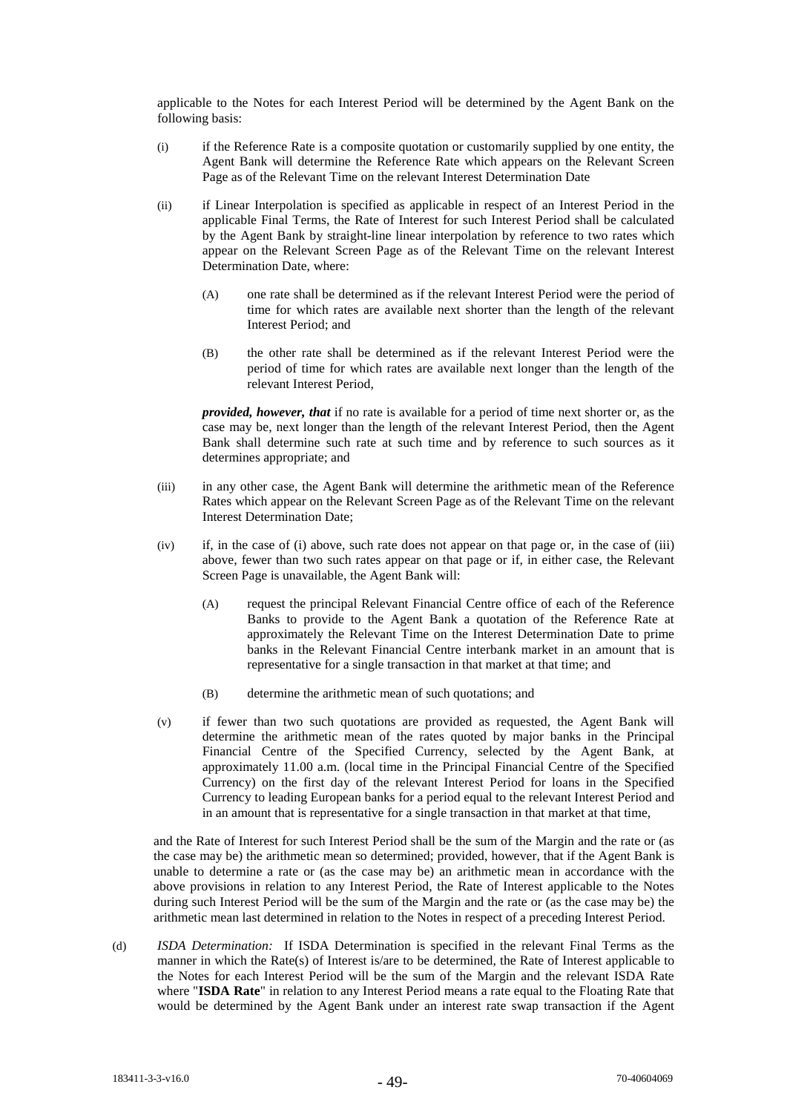applicable to the Notes for each Interest Period will be determined by the Agent Bank on the following basis:

- (i) if the Reference Rate is a composite quotation or customarily supplied by one entity, the Agent Bank will determine the Reference Rate which appears on the Relevant Screen Page as of the Relevant Time on the relevant Interest Determination Date
- (ii) if Linear Interpolation is specified as applicable in respect of an Interest Period in the applicable Final Terms, the Rate of Interest for such Interest Period shall be calculated by the Agent Bank by straight-line linear interpolation by reference to two rates which appear on the Relevant Screen Page as of the Relevant Time on the relevant Interest Determination Date, where:
	- (A) one rate shall be determined as if the relevant Interest Period were the period of time for which rates are available next shorter than the length of the relevant Interest Period; and
	- (B) the other rate shall be determined as if the relevant Interest Period were the period of time for which rates are available next longer than the length of the relevant Interest Period,

*provided, however, that* if no rate is available for a period of time next shorter or, as the case may be, next longer than the length of the relevant Interest Period, then the Agent Bank shall determine such rate at such time and by reference to such sources as it determines appropriate; and

- (iii) in any other case, the Agent Bank will determine the arithmetic mean of the Reference Rates which appear on the Relevant Screen Page as of the Relevant Time on the relevant Interest Determination Date;
- (iv) if, in the case of (i) above, such rate does not appear on that page or, in the case of (iii) above, fewer than two such rates appear on that page or if, in either case, the Relevant Screen Page is unavailable, the Agent Bank will:
	- (A) request the principal Relevant Financial Centre office of each of the Reference Banks to provide to the Agent Bank a quotation of the Reference Rate at approximately the Relevant Time on the Interest Determination Date to prime banks in the Relevant Financial Centre interbank market in an amount that is representative for a single transaction in that market at that time; and
	- (B) determine the arithmetic mean of such quotations; and
- (v) if fewer than two such quotations are provided as requested, the Agent Bank will determine the arithmetic mean of the rates quoted by major banks in the Principal Financial Centre of the Specified Currency, selected by the Agent Bank, at approximately 11.00 a.m. (local time in the Principal Financial Centre of the Specified Currency) on the first day of the relevant Interest Period for loans in the Specified Currency to leading European banks for a period equal to the relevant Interest Period and in an amount that is representative for a single transaction in that market at that time,

and the Rate of Interest for such Interest Period shall be the sum of the Margin and the rate or (as the case may be) the arithmetic mean so determined; provided, however, that if the Agent Bank is unable to determine a rate or (as the case may be) an arithmetic mean in accordance with the above provisions in relation to any Interest Period, the Rate of Interest applicable to the Notes during such Interest Period will be the sum of the Margin and the rate or (as the case may be) the arithmetic mean last determined in relation to the Notes in respect of a preceding Interest Period.

(d) *ISDA Determination:* If ISDA Determination is specified in the relevant Final Terms as the manner in which the Rate(s) of Interest is/are to be determined, the Rate of Interest applicable to the Notes for each Interest Period will be the sum of the Margin and the relevant ISDA Rate where "**ISDA Rate**" in relation to any Interest Period means a rate equal to the Floating Rate that would be determined by the Agent Bank under an interest rate swap transaction if the Agent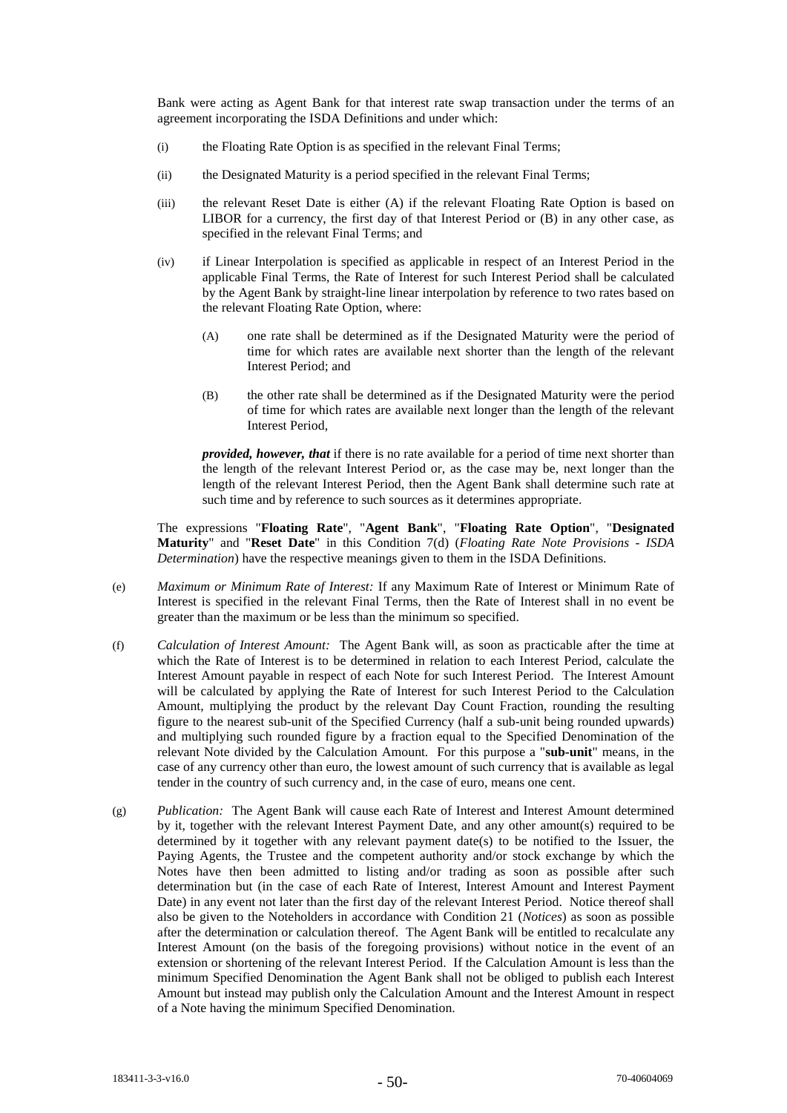Bank were acting as Agent Bank for that interest rate swap transaction under the terms of an agreement incorporating the ISDA Definitions and under which:

- (i) the Floating Rate Option is as specified in the relevant Final Terms;
- (ii) the Designated Maturity is a period specified in the relevant Final Terms;
- (iii) the relevant Reset Date is either (A) if the relevant Floating Rate Option is based on LIBOR for a currency, the first day of that Interest Period or (B) in any other case, as specified in the relevant Final Terms; and
- (iv) if Linear Interpolation is specified as applicable in respect of an Interest Period in the applicable Final Terms, the Rate of Interest for such Interest Period shall be calculated by the Agent Bank by straight-line linear interpolation by reference to two rates based on the relevant Floating Rate Option, where:
	- (A) one rate shall be determined as if the Designated Maturity were the period of time for which rates are available next shorter than the length of the relevant Interest Period; and
	- (B) the other rate shall be determined as if the Designated Maturity were the period of time for which rates are available next longer than the length of the relevant Interest Period,

*provided, however, that* if there is no rate available for a period of time next shorter than the length of the relevant Interest Period or, as the case may be, next longer than the length of the relevant Interest Period, then the Agent Bank shall determine such rate at such time and by reference to such sources as it determines appropriate.

The expressions "**Floating Rate**", "**Agent Bank**", "**Floating Rate Option**", "**Designated Maturity**" and "**Reset Date**" in this Condition 7(d) (*Floating Rate Note Provisions - ISDA Determination*) have the respective meanings given to them in the ISDA Definitions.

- (e) *Maximum or Minimum Rate of Interest:* If any Maximum Rate of Interest or Minimum Rate of Interest is specified in the relevant Final Terms, then the Rate of Interest shall in no event be greater than the maximum or be less than the minimum so specified.
- (f) *Calculation of Interest Amount:* The Agent Bank will, as soon as practicable after the time at which the Rate of Interest is to be determined in relation to each Interest Period, calculate the Interest Amount payable in respect of each Note for such Interest Period. The Interest Amount will be calculated by applying the Rate of Interest for such Interest Period to the Calculation Amount, multiplying the product by the relevant Day Count Fraction, rounding the resulting figure to the nearest sub-unit of the Specified Currency (half a sub-unit being rounded upwards) and multiplying such rounded figure by a fraction equal to the Specified Denomination of the relevant Note divided by the Calculation Amount. For this purpose a "**sub-unit**" means, in the case of any currency other than euro, the lowest amount of such currency that is available as legal tender in the country of such currency and, in the case of euro, means one cent.
- (g) *Publication:* The Agent Bank will cause each Rate of Interest and Interest Amount determined by it, together with the relevant Interest Payment Date, and any other amount(s) required to be determined by it together with any relevant payment date(s) to be notified to the Issuer, the Paying Agents, the Trustee and the competent authority and/or stock exchange by which the Notes have then been admitted to listing and/or trading as soon as possible after such determination but (in the case of each Rate of Interest, Interest Amount and Interest Payment Date) in any event not later than the first day of the relevant Interest Period. Notice thereof shall also be given to the Noteholders in accordance with Condition 21 (*Notices*) as soon as possible after the determination or calculation thereof. The Agent Bank will be entitled to recalculate any Interest Amount (on the basis of the foregoing provisions) without notice in the event of an extension or shortening of the relevant Interest Period. If the Calculation Amount is less than the minimum Specified Denomination the Agent Bank shall not be obliged to publish each Interest Amount but instead may publish only the Calculation Amount and the Interest Amount in respect of a Note having the minimum Specified Denomination.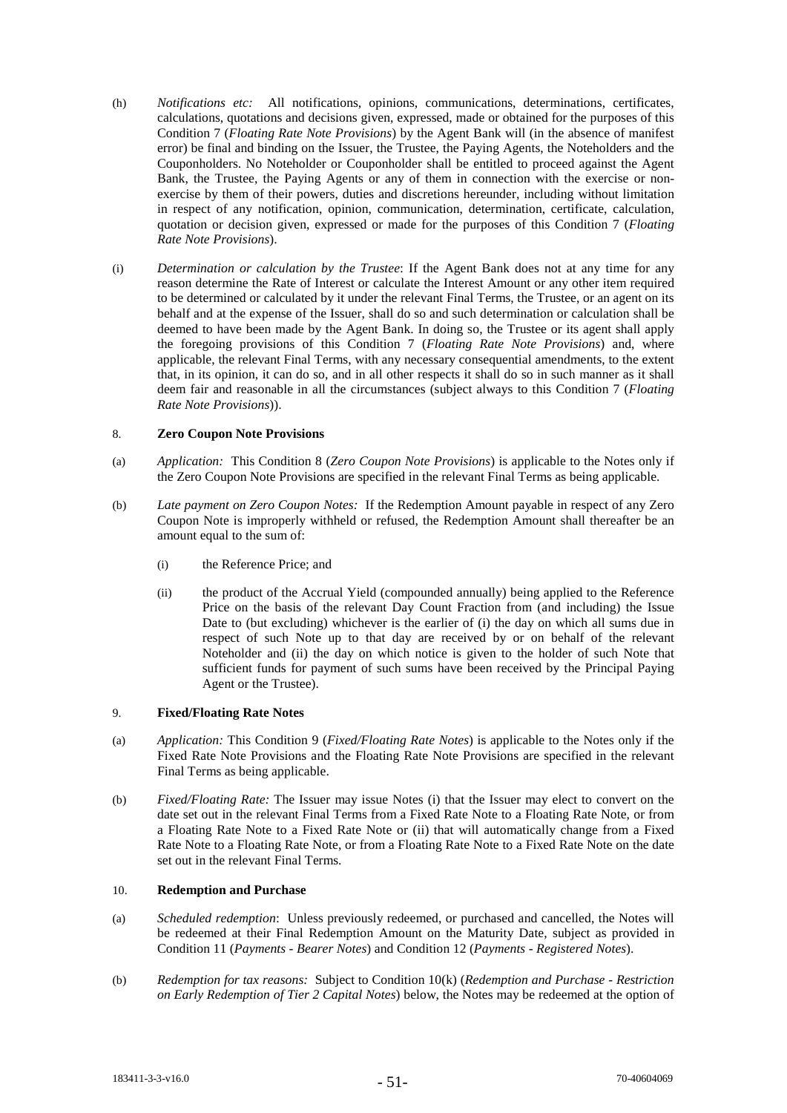- (h) *Notifications etc:* All notifications, opinions, communications, determinations, certificates, calculations, quotations and decisions given, expressed, made or obtained for the purposes of this Condition 7 (*Floating Rate Note Provisions*) by the Agent Bank will (in the absence of manifest error) be final and binding on the Issuer, the Trustee, the Paying Agents, the Noteholders and the Couponholders. No Noteholder or Couponholder shall be entitled to proceed against the Agent Bank, the Trustee, the Paying Agents or any of them in connection with the exercise or nonexercise by them of their powers, duties and discretions hereunder, including without limitation in respect of any notification, opinion, communication, determination, certificate, calculation, quotation or decision given, expressed or made for the purposes of this Condition 7 (*Floating Rate Note Provisions*).
- (i) *Determination or calculation by the Trustee*: If the Agent Bank does not at any time for any reason determine the Rate of Interest or calculate the Interest Amount or any other item required to be determined or calculated by it under the relevant Final Terms, the Trustee, or an agent on its behalf and at the expense of the Issuer, shall do so and such determination or calculation shall be deemed to have been made by the Agent Bank. In doing so, the Trustee or its agent shall apply the foregoing provisions of this Condition 7 (*Floating Rate Note Provisions*) and, where applicable, the relevant Final Terms, with any necessary consequential amendments, to the extent that, in its opinion, it can do so, and in all other respects it shall do so in such manner as it shall deem fair and reasonable in all the circumstances (subject always to this Condition 7 (*Floating Rate Note Provisions*)).

## 8. **Zero Coupon Note Provisions**

- (a) *Application:* This Condition 8 (*Zero Coupon Note Provisions*) is applicable to the Notes only if the Zero Coupon Note Provisions are specified in the relevant Final Terms as being applicable.
- (b) *Late payment on Zero Coupon Notes:* If the Redemption Amount payable in respect of any Zero Coupon Note is improperly withheld or refused, the Redemption Amount shall thereafter be an amount equal to the sum of:
	- (i) the Reference Price; and
	- (ii) the product of the Accrual Yield (compounded annually) being applied to the Reference Price on the basis of the relevant Day Count Fraction from (and including) the Issue Date to (but excluding) whichever is the earlier of (i) the day on which all sums due in respect of such Note up to that day are received by or on behalf of the relevant Noteholder and (ii) the day on which notice is given to the holder of such Note that sufficient funds for payment of such sums have been received by the Principal Paying Agent or the Trustee).

# 9. **Fixed/Floating Rate Notes**

- (a) *Application:* This Condition 9 (*Fixed/Floating Rate Notes*) is applicable to the Notes only if the Fixed Rate Note Provisions and the Floating Rate Note Provisions are specified in the relevant Final Terms as being applicable.
- (b) *Fixed/Floating Rate:* The Issuer may issue Notes (i) that the Issuer may elect to convert on the date set out in the relevant Final Terms from a Fixed Rate Note to a Floating Rate Note, or from a Floating Rate Note to a Fixed Rate Note or (ii) that will automatically change from a Fixed Rate Note to a Floating Rate Note, or from a Floating Rate Note to a Fixed Rate Note on the date set out in the relevant Final Terms.

# 10. **Redemption and Purchase**

- (a) *Scheduled redemption*: Unless previously redeemed, or purchased and cancelled, the Notes will be redeemed at their Final Redemption Amount on the Maturity Date, subject as provided in Condition 11 (*Payments - Bearer Notes*) and Condition 12 (*Payments - Registered Notes*).
- (b) *Redemption for tax reasons:* Subject to Condition 10(k) (*Redemption and Purchase - Restriction on Early Redemption of Tier 2 Capital Notes*) below, the Notes may be redeemed at the option of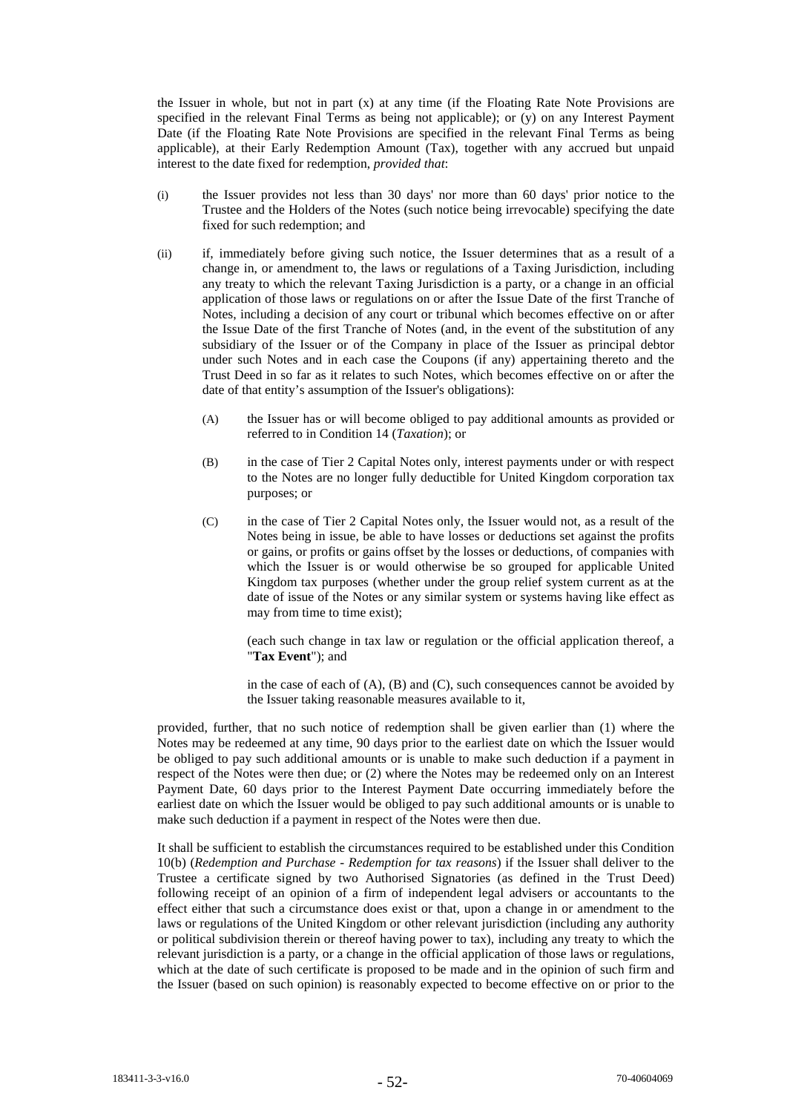the Issuer in whole, but not in part (x) at any time (if the Floating Rate Note Provisions are specified in the relevant Final Terms as being not applicable); or (y) on any Interest Payment Date (if the Floating Rate Note Provisions are specified in the relevant Final Terms as being applicable), at their Early Redemption Amount (Tax), together with any accrued but unpaid interest to the date fixed for redemption, *provided that*:

- (i) the Issuer provides not less than 30 days' nor more than 60 days' prior notice to the Trustee and the Holders of the Notes (such notice being irrevocable) specifying the date fixed for such redemption; and
- (ii) if, immediately before giving such notice, the Issuer determines that as a result of a change in, or amendment to, the laws or regulations of a Taxing Jurisdiction, including any treaty to which the relevant Taxing Jurisdiction is a party, or a change in an official application of those laws or regulations on or after the Issue Date of the first Tranche of Notes, including a decision of any court or tribunal which becomes effective on or after the Issue Date of the first Tranche of Notes (and, in the event of the substitution of any subsidiary of the Issuer or of the Company in place of the Issuer as principal debtor under such Notes and in each case the Coupons (if any) appertaining thereto and the Trust Deed in so far as it relates to such Notes, which becomes effective on or after the date of that entity's assumption of the Issuer's obligations):
	- (A) the Issuer has or will become obliged to pay additional amounts as provided or referred to in Condition 14 (*Taxation*); or
	- (B) in the case of Tier 2 Capital Notes only, interest payments under or with respect to the Notes are no longer fully deductible for United Kingdom corporation tax purposes; or
	- (C) in the case of Tier 2 Capital Notes only, the Issuer would not, as a result of the Notes being in issue, be able to have losses or deductions set against the profits or gains, or profits or gains offset by the losses or deductions, of companies with which the Issuer is or would otherwise be so grouped for applicable United Kingdom tax purposes (whether under the group relief system current as at the date of issue of the Notes or any similar system or systems having like effect as may from time to time exist);

(each such change in tax law or regulation or the official application thereof, a "**Tax Event**"); and

in the case of each of  $(A)$ ,  $(B)$  and  $(C)$ , such consequences cannot be avoided by the Issuer taking reasonable measures available to it,

provided, further, that no such notice of redemption shall be given earlier than (1) where the Notes may be redeemed at any time, 90 days prior to the earliest date on which the Issuer would be obliged to pay such additional amounts or is unable to make such deduction if a payment in respect of the Notes were then due; or (2) where the Notes may be redeemed only on an Interest Payment Date, 60 days prior to the Interest Payment Date occurring immediately before the earliest date on which the Issuer would be obliged to pay such additional amounts or is unable to make such deduction if a payment in respect of the Notes were then due.

It shall be sufficient to establish the circumstances required to be established under this Condition 10(b) (*Redemption and Purchase - Redemption for tax reasons*) if the Issuer shall deliver to the Trustee a certificate signed by two Authorised Signatories (as defined in the Trust Deed) following receipt of an opinion of a firm of independent legal advisers or accountants to the effect either that such a circumstance does exist or that, upon a change in or amendment to the laws or regulations of the United Kingdom or other relevant jurisdiction (including any authority or political subdivision therein or thereof having power to tax), including any treaty to which the relevant jurisdiction is a party, or a change in the official application of those laws or regulations, which at the date of such certificate is proposed to be made and in the opinion of such firm and the Issuer (based on such opinion) is reasonably expected to become effective on or prior to the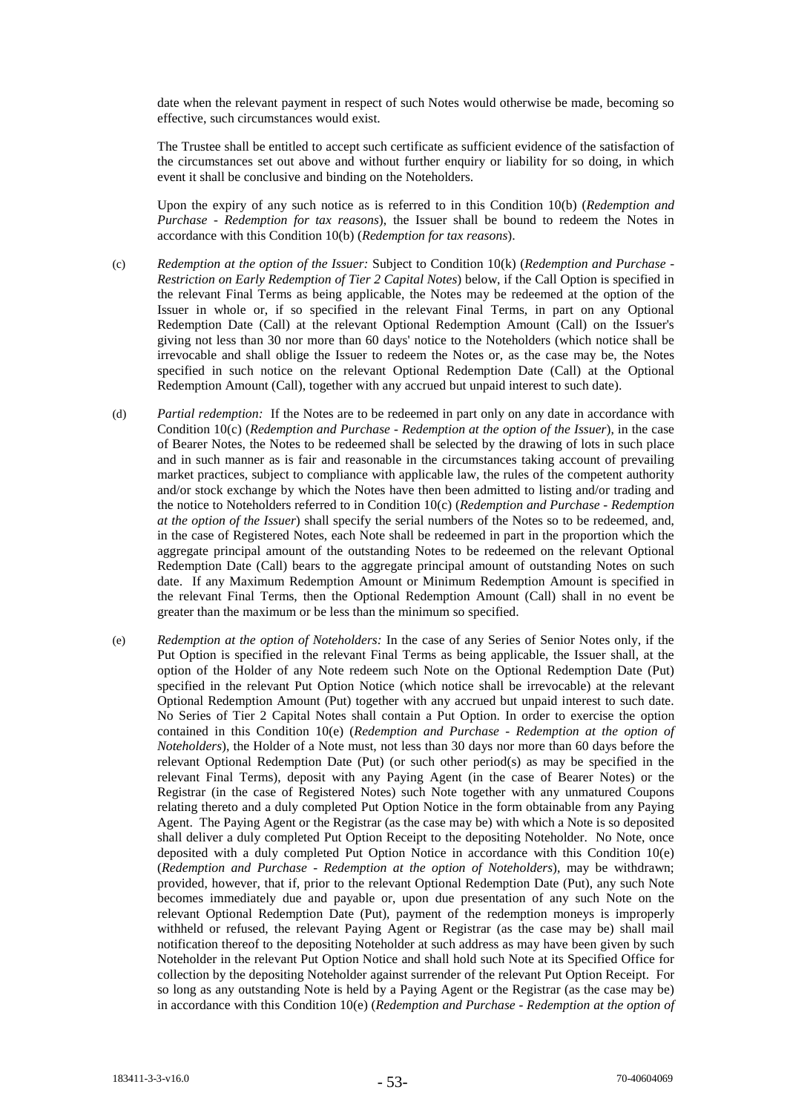date when the relevant payment in respect of such Notes would otherwise be made, becoming so effective, such circumstances would exist.

The Trustee shall be entitled to accept such certificate as sufficient evidence of the satisfaction of the circumstances set out above and without further enquiry or liability for so doing, in which event it shall be conclusive and binding on the Noteholders.

Upon the expiry of any such notice as is referred to in this Condition 10(b) (*Redemption and Purchase - Redemption for tax reasons*), the Issuer shall be bound to redeem the Notes in accordance with this Condition 10(b) (*Redemption for tax reasons*).

- (c) *Redemption at the option of the Issuer:* Subject to Condition 10(k) (*Redemption and Purchase - Restriction on Early Redemption of Tier 2 Capital Notes*) below, if the Call Option is specified in the relevant Final Terms as being applicable, the Notes may be redeemed at the option of the Issuer in whole or, if so specified in the relevant Final Terms, in part on any Optional Redemption Date (Call) at the relevant Optional Redemption Amount (Call) on the Issuer's giving not less than 30 nor more than 60 days' notice to the Noteholders (which notice shall be irrevocable and shall oblige the Issuer to redeem the Notes or, as the case may be, the Notes specified in such notice on the relevant Optional Redemption Date (Call) at the Optional Redemption Amount (Call), together with any accrued but unpaid interest to such date).
- (d) *Partial redemption:* If the Notes are to be redeemed in part only on any date in accordance with Condition 10(c) (*Redemption and Purchase - Redemption at the option of the Issuer*), in the case of Bearer Notes, the Notes to be redeemed shall be selected by the drawing of lots in such place and in such manner as is fair and reasonable in the circumstances taking account of prevailing market practices, subject to compliance with applicable law, the rules of the competent authority and/or stock exchange by which the Notes have then been admitted to listing and/or trading and the notice to Noteholders referred to in Condition 10(c) (*Redemption and Purchase - Redemption at the option of the Issuer*) shall specify the serial numbers of the Notes so to be redeemed, and, in the case of Registered Notes, each Note shall be redeemed in part in the proportion which the aggregate principal amount of the outstanding Notes to be redeemed on the relevant Optional Redemption Date (Call) bears to the aggregate principal amount of outstanding Notes on such date. If any Maximum Redemption Amount or Minimum Redemption Amount is specified in the relevant Final Terms, then the Optional Redemption Amount (Call) shall in no event be greater than the maximum or be less than the minimum so specified.
- (e) *Redemption at the option of Noteholders:* In the case of any Series of Senior Notes only, if the Put Option is specified in the relevant Final Terms as being applicable, the Issuer shall, at the option of the Holder of any Note redeem such Note on the Optional Redemption Date (Put) specified in the relevant Put Option Notice (which notice shall be irrevocable) at the relevant Optional Redemption Amount (Put) together with any accrued but unpaid interest to such date. No Series of Tier 2 Capital Notes shall contain a Put Option. In order to exercise the option contained in this Condition 10(e) (*Redemption and Purchase - Redemption at the option of Noteholders*), the Holder of a Note must, not less than 30 days nor more than 60 days before the relevant Optional Redemption Date (Put) (or such other period(s) as may be specified in the relevant Final Terms), deposit with any Paying Agent (in the case of Bearer Notes) or the Registrar (in the case of Registered Notes) such Note together with any unmatured Coupons relating thereto and a duly completed Put Option Notice in the form obtainable from any Paying Agent. The Paying Agent or the Registrar (as the case may be) with which a Note is so deposited shall deliver a duly completed Put Option Receipt to the depositing Noteholder. No Note, once deposited with a duly completed Put Option Notice in accordance with this Condition 10(e) (*Redemption and Purchase - Redemption at the option of Noteholders*), may be withdrawn; provided, however, that if, prior to the relevant Optional Redemption Date (Put), any such Note becomes immediately due and payable or, upon due presentation of any such Note on the relevant Optional Redemption Date (Put), payment of the redemption moneys is improperly withheld or refused, the relevant Paying Agent or Registrar (as the case may be) shall mail notification thereof to the depositing Noteholder at such address as may have been given by such Noteholder in the relevant Put Option Notice and shall hold such Note at its Specified Office for collection by the depositing Noteholder against surrender of the relevant Put Option Receipt. For so long as any outstanding Note is held by a Paying Agent or the Registrar (as the case may be) in accordance with this Condition 10(e) (*Redemption and Purchase - Redemption at the option of*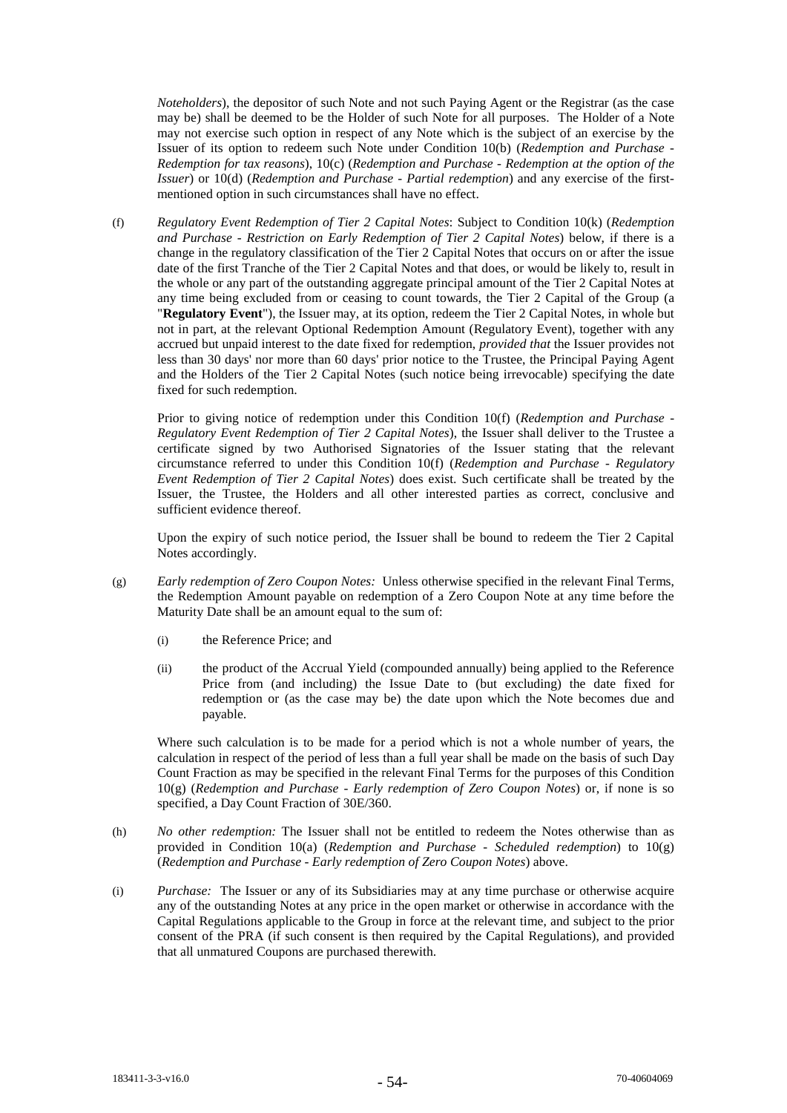*Noteholders*), the depositor of such Note and not such Paying Agent or the Registrar (as the case may be) shall be deemed to be the Holder of such Note for all purposes. The Holder of a Note may not exercise such option in respect of any Note which is the subject of an exercise by the Issuer of its option to redeem such Note under Condition 10(b) (*Redemption and Purchase - Redemption for tax reasons*), 10(c) (*Redemption and Purchase - Redemption at the option of the Issuer*) or 10(d) (*Redemption and Purchase - Partial redemption*) and any exercise of the firstmentioned option in such circumstances shall have no effect.

(f) *Regulatory Event Redemption of Tier 2 Capital Notes*: Subject to Condition 10(k) (*Redemption and Purchase - Restriction on Early Redemption of Tier 2 Capital Notes*) below, if there is a change in the regulatory classification of the Tier 2 Capital Notes that occurs on or after the issue date of the first Tranche of the Tier 2 Capital Notes and that does, or would be likely to, result in the whole or any part of the outstanding aggregate principal amount of the Tier 2 Capital Notes at any time being excluded from or ceasing to count towards, the Tier 2 Capital of the Group (a "**Regulatory Event**"), the Issuer may, at its option, redeem the Tier 2 Capital Notes, in whole but not in part, at the relevant Optional Redemption Amount (Regulatory Event), together with any accrued but unpaid interest to the date fixed for redemption, *provided that* the Issuer provides not less than 30 days' nor more than 60 days' prior notice to the Trustee, the Principal Paying Agent and the Holders of the Tier 2 Capital Notes (such notice being irrevocable) specifying the date fixed for such redemption.

Prior to giving notice of redemption under this Condition 10(f) (*Redemption and Purchase - Regulatory Event Redemption of Tier 2 Capital Notes*), the Issuer shall deliver to the Trustee a certificate signed by two Authorised Signatories of the Issuer stating that the relevant circumstance referred to under this Condition 10(f) (*Redemption and Purchase - Regulatory Event Redemption of Tier 2 Capital Notes*) does exist. Such certificate shall be treated by the Issuer, the Trustee, the Holders and all other interested parties as correct, conclusive and sufficient evidence thereof.

Upon the expiry of such notice period, the Issuer shall be bound to redeem the Tier 2 Capital Notes accordingly.

- (g) *Early redemption of Zero Coupon Notes:* Unless otherwise specified in the relevant Final Terms, the Redemption Amount payable on redemption of a Zero Coupon Note at any time before the Maturity Date shall be an amount equal to the sum of:
	- (i) the Reference Price; and
	- (ii) the product of the Accrual Yield (compounded annually) being applied to the Reference Price from (and including) the Issue Date to (but excluding) the date fixed for redemption or (as the case may be) the date upon which the Note becomes due and payable.

Where such calculation is to be made for a period which is not a whole number of years, the calculation in respect of the period of less than a full year shall be made on the basis of such Day Count Fraction as may be specified in the relevant Final Terms for the purposes of this Condition 10(g) (*Redemption and Purchase - Early redemption of Zero Coupon Notes*) or, if none is so specified, a Day Count Fraction of 30E/360.

- (h) *No other redemption:* The Issuer shall not be entitled to redeem the Notes otherwise than as provided in Condition 10(a) (*Redemption and Purchase - Scheduled redemption*) to 10(g) (*Redemption and Purchase - Early redemption of Zero Coupon Notes*) above.
- (i) *Purchase:* The Issuer or any of its Subsidiaries may at any time purchase or otherwise acquire any of the outstanding Notes at any price in the open market or otherwise in accordance with the Capital Regulations applicable to the Group in force at the relevant time, and subject to the prior consent of the PRA (if such consent is then required by the Capital Regulations), and provided that all unmatured Coupons are purchased therewith.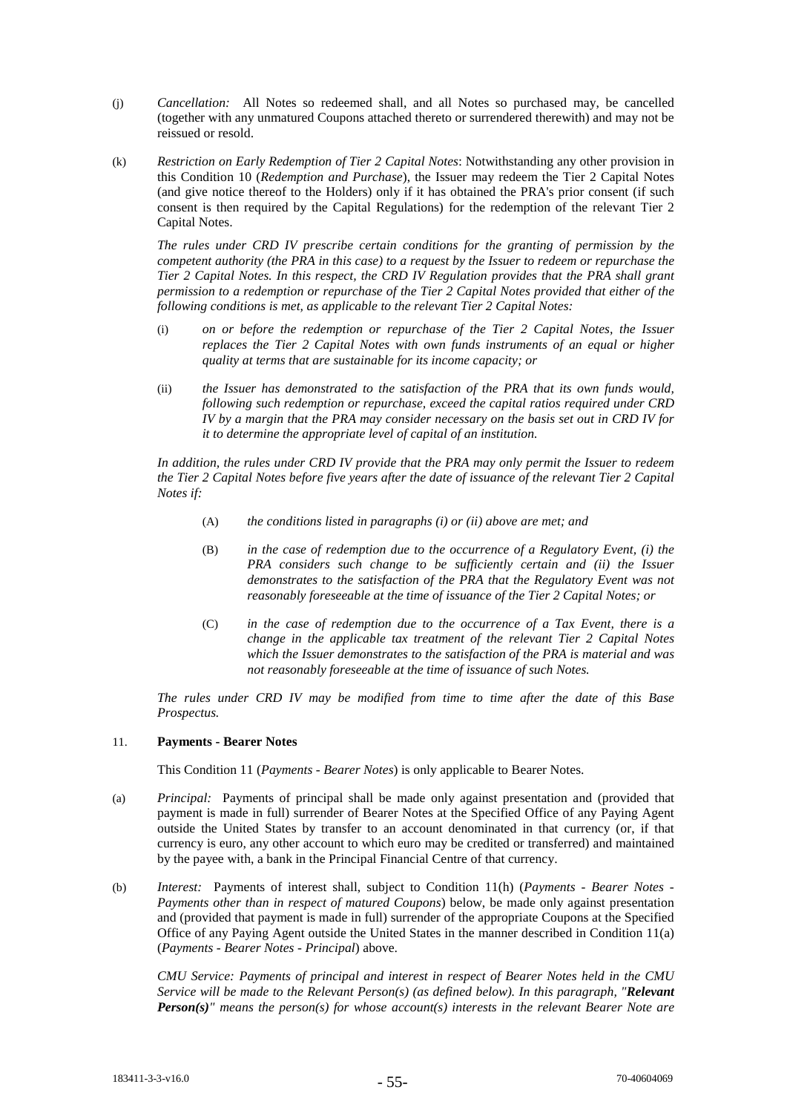- (j) *Cancellation:* All Notes so redeemed shall, and all Notes so purchased may, be cancelled (together with any unmatured Coupons attached thereto or surrendered therewith) and may not be reissued or resold.
- (k) *Restriction on Early Redemption of Tier 2 Capital Notes*: Notwithstanding any other provision in this Condition 10 (*Redemption and Purchase*), the Issuer may redeem the Tier 2 Capital Notes (and give notice thereof to the Holders) only if it has obtained the PRA's prior consent (if such consent is then required by the Capital Regulations) for the redemption of the relevant Tier 2 Capital Notes.

*The rules under CRD IV prescribe certain conditions for the granting of permission by the competent authority (the PRA in this case) to a request by the Issuer to redeem or repurchase the Tier 2 Capital Notes. In this respect, the CRD IV Regulation provides that the PRA shall grant permission to a redemption or repurchase of the Tier 2 Capital Notes provided that either of the following conditions is met, as applicable to the relevant Tier 2 Capital Notes:*

- (i) *on or before the redemption or repurchase of the Tier 2 Capital Notes, the Issuer replaces the Tier 2 Capital Notes with own funds instruments of an equal or higher quality at terms that are sustainable for its income capacity; or*
- (ii) *the Issuer has demonstrated to the satisfaction of the PRA that its own funds would, following such redemption or repurchase, exceed the capital ratios required under CRD IV by a margin that the PRA may consider necessary on the basis set out in CRD IV for it to determine the appropriate level of capital of an institution.*

*In addition, the rules under CRD IV provide that the PRA may only permit the Issuer to redeem the Tier 2 Capital Notes before five years after the date of issuance of the relevant Tier 2 Capital Notes if:*

- (A) *the conditions listed in paragraphs (i) or (ii) above are met; and*
- (B) *in the case of redemption due to the occurrence of a Regulatory Event, (i) the PRA considers such change to be sufficiently certain and (ii) the Issuer demonstrates to the satisfaction of the PRA that the Regulatory Event was not reasonably foreseeable at the time of issuance of the Tier 2 Capital Notes; or*
- (C) *in the case of redemption due to the occurrence of a Tax Event, there is a change in the applicable tax treatment of the relevant Tier 2 Capital Notes which the Issuer demonstrates to the satisfaction of the PRA is material and was not reasonably foreseeable at the time of issuance of such Notes.*

*The rules under CRD IV may be modified from time to time after the date of this Base Prospectus.* 

# 11. **Payments - Bearer Notes**

This Condition 11 (*Payments - Bearer Notes*) is only applicable to Bearer Notes.

- (a) *Principal:* Payments of principal shall be made only against presentation and (provided that payment is made in full) surrender of Bearer Notes at the Specified Office of any Paying Agent outside the United States by transfer to an account denominated in that currency (or, if that currency is euro, any other account to which euro may be credited or transferred) and maintained by the payee with, a bank in the Principal Financial Centre of that currency.
- (b) *Interest:* Payments of interest shall, subject to Condition 11(h) (*Payments - Bearer Notes - Payments other than in respect of matured Coupons*) below, be made only against presentation and (provided that payment is made in full) surrender of the appropriate Coupons at the Specified Office of any Paying Agent outside the United States in the manner described in Condition 11(a) (*Payments - Bearer Notes - Principal*) above.

*CMU Service: Payments of principal and interest in respect of Bearer Notes held in the CMU Service will be made to the Relevant Person(s) (as defined below). In this paragraph, "Relevant Person(s)" means the person(s) for whose account(s) interests in the relevant Bearer Note are*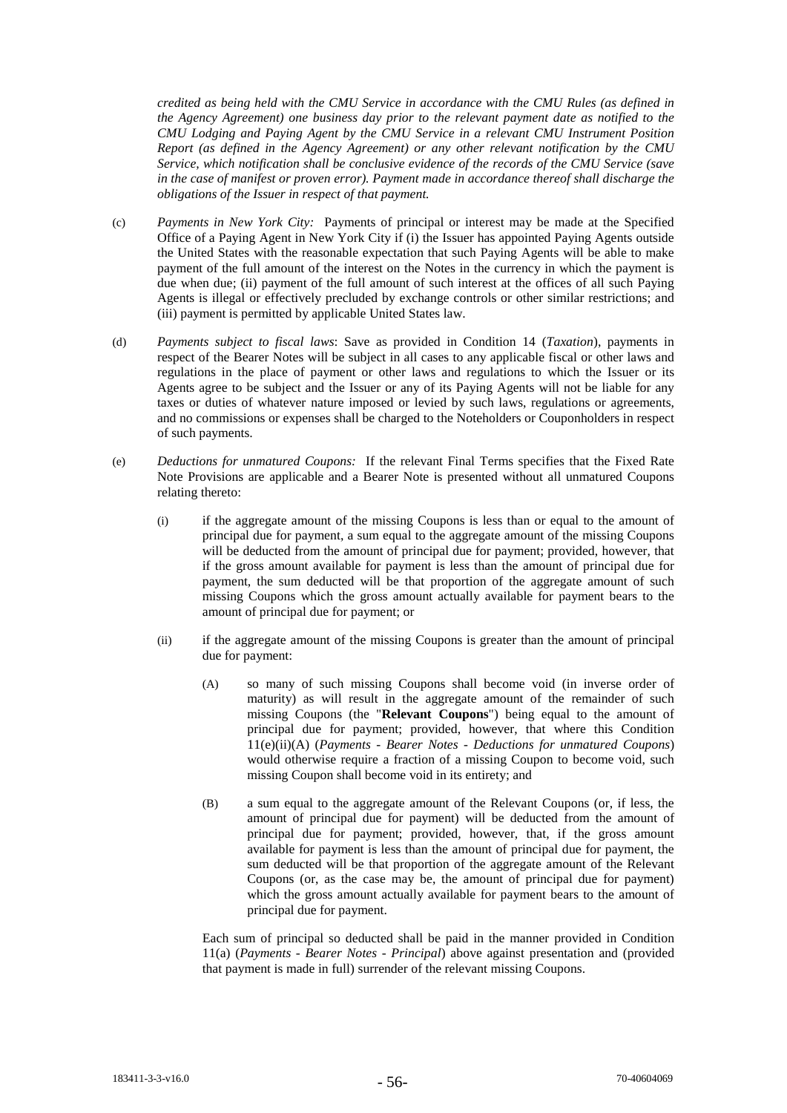*credited as being held with the CMU Service in accordance with the CMU Rules (as defined in the Agency Agreement) one business day prior to the relevant payment date as notified to the CMU Lodging and Paying Agent by the CMU Service in a relevant CMU Instrument Position Report (as defined in the Agency Agreement) or any other relevant notification by the CMU Service, which notification shall be conclusive evidence of the records of the CMU Service (save in the case of manifest or proven error). Payment made in accordance thereof shall discharge the obligations of the Issuer in respect of that payment.*

- (c) *Payments in New York City:* Payments of principal or interest may be made at the Specified Office of a Paying Agent in New York City if (i) the Issuer has appointed Paying Agents outside the United States with the reasonable expectation that such Paying Agents will be able to make payment of the full amount of the interest on the Notes in the currency in which the payment is due when due; (ii) payment of the full amount of such interest at the offices of all such Paying Agents is illegal or effectively precluded by exchange controls or other similar restrictions; and (iii) payment is permitted by applicable United States law.
- (d) *Payments subject to fiscal laws*: Save as provided in Condition 14 (*Taxation*), payments in respect of the Bearer Notes will be subject in all cases to any applicable fiscal or other laws and regulations in the place of payment or other laws and regulations to which the Issuer or its Agents agree to be subject and the Issuer or any of its Paying Agents will not be liable for any taxes or duties of whatever nature imposed or levied by such laws, regulations or agreements, and no commissions or expenses shall be charged to the Noteholders or Couponholders in respect of such payments.
- (e) *Deductions for unmatured Coupons:* If the relevant Final Terms specifies that the Fixed Rate Note Provisions are applicable and a Bearer Note is presented without all unmatured Coupons relating thereto:
	- (i) if the aggregate amount of the missing Coupons is less than or equal to the amount of principal due for payment, a sum equal to the aggregate amount of the missing Coupons will be deducted from the amount of principal due for payment; provided, however, that if the gross amount available for payment is less than the amount of principal due for payment, the sum deducted will be that proportion of the aggregate amount of such missing Coupons which the gross amount actually available for payment bears to the amount of principal due for payment; or
	- (ii) if the aggregate amount of the missing Coupons is greater than the amount of principal due for payment:
		- (A) so many of such missing Coupons shall become void (in inverse order of maturity) as will result in the aggregate amount of the remainder of such missing Coupons (the "**Relevant Coupons**") being equal to the amount of principal due for payment; provided, however, that where this Condition 11(e)(ii)(A) (*Payments - Bearer Notes - Deductions for unmatured Coupons*) would otherwise require a fraction of a missing Coupon to become void, such missing Coupon shall become void in its entirety; and
		- (B) a sum equal to the aggregate amount of the Relevant Coupons (or, if less, the amount of principal due for payment) will be deducted from the amount of principal due for payment; provided, however, that, if the gross amount available for payment is less than the amount of principal due for payment, the sum deducted will be that proportion of the aggregate amount of the Relevant Coupons (or, as the case may be, the amount of principal due for payment) which the gross amount actually available for payment bears to the amount of principal due for payment.

Each sum of principal so deducted shall be paid in the manner provided in Condition 11(a) (*Payments - Bearer Notes - Principal*) above against presentation and (provided that payment is made in full) surrender of the relevant missing Coupons.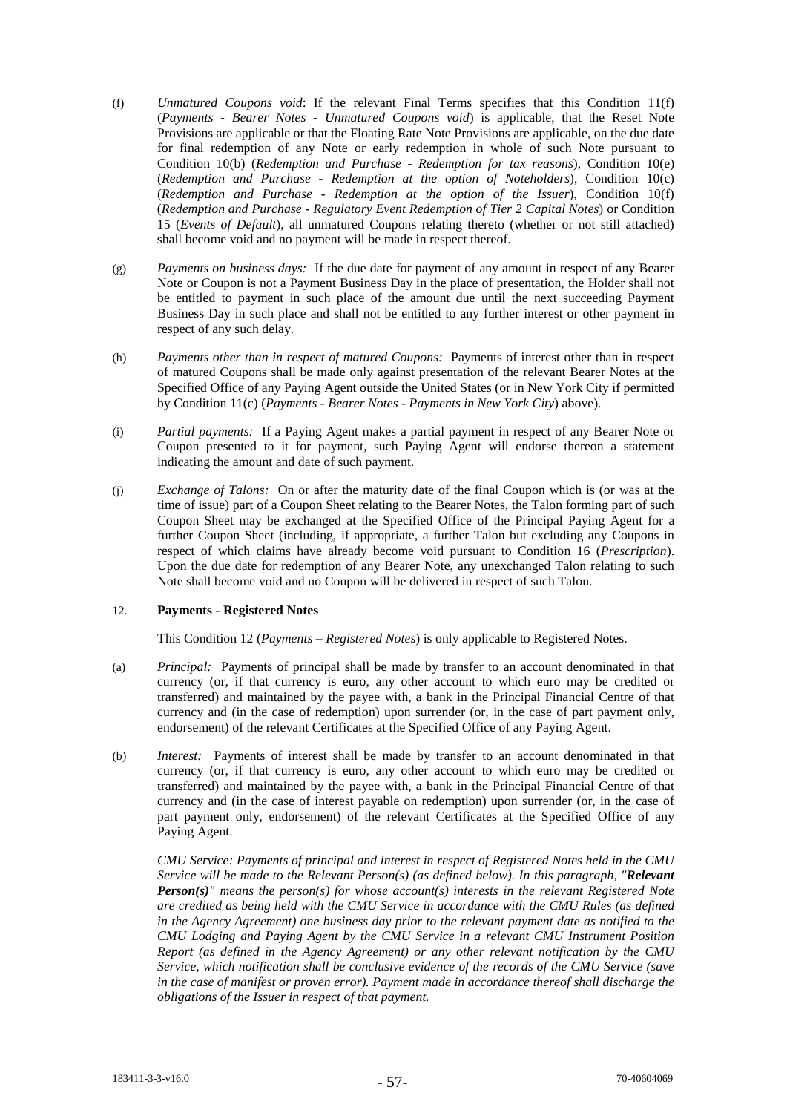- (f) *Unmatured Coupons void*: If the relevant Final Terms specifies that this Condition 11(f) (*Payments - Bearer Notes - Unmatured Coupons void*) is applicable, that the Reset Note Provisions are applicable or that the Floating Rate Note Provisions are applicable, on the due date for final redemption of any Note or early redemption in whole of such Note pursuant to Condition 10(b) (*Redemption and Purchase - Redemption for tax reasons*), Condition 10(e) (*Redemption and Purchase - Redemption at the option of Noteholders*), Condition 10(c) (*Redemption and Purchase - Redemption at the option of the Issuer*), Condition 10(f) (*Redemption and Purchase - Regulatory Event Redemption of Tier 2 Capital Notes*) or Condition 15 (*Events of Default*), all unmatured Coupons relating thereto (whether or not still attached) shall become void and no payment will be made in respect thereof.
- (g) *Payments on business days:* If the due date for payment of any amount in respect of any Bearer Note or Coupon is not a Payment Business Day in the place of presentation, the Holder shall not be entitled to payment in such place of the amount due until the next succeeding Payment Business Day in such place and shall not be entitled to any further interest or other payment in respect of any such delay.
- (h) *Payments other than in respect of matured Coupons:* Payments of interest other than in respect of matured Coupons shall be made only against presentation of the relevant Bearer Notes at the Specified Office of any Paying Agent outside the United States (or in New York City if permitted by Condition 11(c) (*Payments - Bearer Notes - Payments in New York City*) above).
- (i) *Partial payments:* If a Paying Agent makes a partial payment in respect of any Bearer Note or Coupon presented to it for payment, such Paying Agent will endorse thereon a statement indicating the amount and date of such payment.
- (j) *Exchange of Talons:* On or after the maturity date of the final Coupon which is (or was at the time of issue) part of a Coupon Sheet relating to the Bearer Notes, the Talon forming part of such Coupon Sheet may be exchanged at the Specified Office of the Principal Paying Agent for a further Coupon Sheet (including, if appropriate, a further Talon but excluding any Coupons in respect of which claims have already become void pursuant to Condition 16 (*Prescription*). Upon the due date for redemption of any Bearer Note, any unexchanged Talon relating to such Note shall become void and no Coupon will be delivered in respect of such Talon.

# 12. **Payments - Registered Notes**

This Condition 12 (*Payments – Registered Notes*) is only applicable to Registered Notes.

- (a) *Principal:* Payments of principal shall be made by transfer to an account denominated in that currency (or, if that currency is euro, any other account to which euro may be credited or transferred) and maintained by the payee with, a bank in the Principal Financial Centre of that currency and (in the case of redemption) upon surrender (or, in the case of part payment only, endorsement) of the relevant Certificates at the Specified Office of any Paying Agent.
- (b) *Interest:* Payments of interest shall be made by transfer to an account denominated in that currency (or, if that currency is euro, any other account to which euro may be credited or transferred) and maintained by the payee with, a bank in the Principal Financial Centre of that currency and (in the case of interest payable on redemption) upon surrender (or, in the case of part payment only, endorsement) of the relevant Certificates at the Specified Office of any Paying Agent.

*CMU Service: Payments of principal and interest in respect of Registered Notes held in the CMU Service will be made to the Relevant Person(s) (as defined below). In this paragraph, "Relevant Person(s)" means the person(s) for whose account(s) interests in the relevant Registered Note are credited as being held with the CMU Service in accordance with the CMU Rules (as defined in the Agency Agreement) one business day prior to the relevant payment date as notified to the CMU Lodging and Paying Agent by the CMU Service in a relevant CMU Instrument Position Report (as defined in the Agency Agreement) or any other relevant notification by the CMU Service, which notification shall be conclusive evidence of the records of the CMU Service (save in the case of manifest or proven error). Payment made in accordance thereof shall discharge the obligations of the Issuer in respect of that payment.*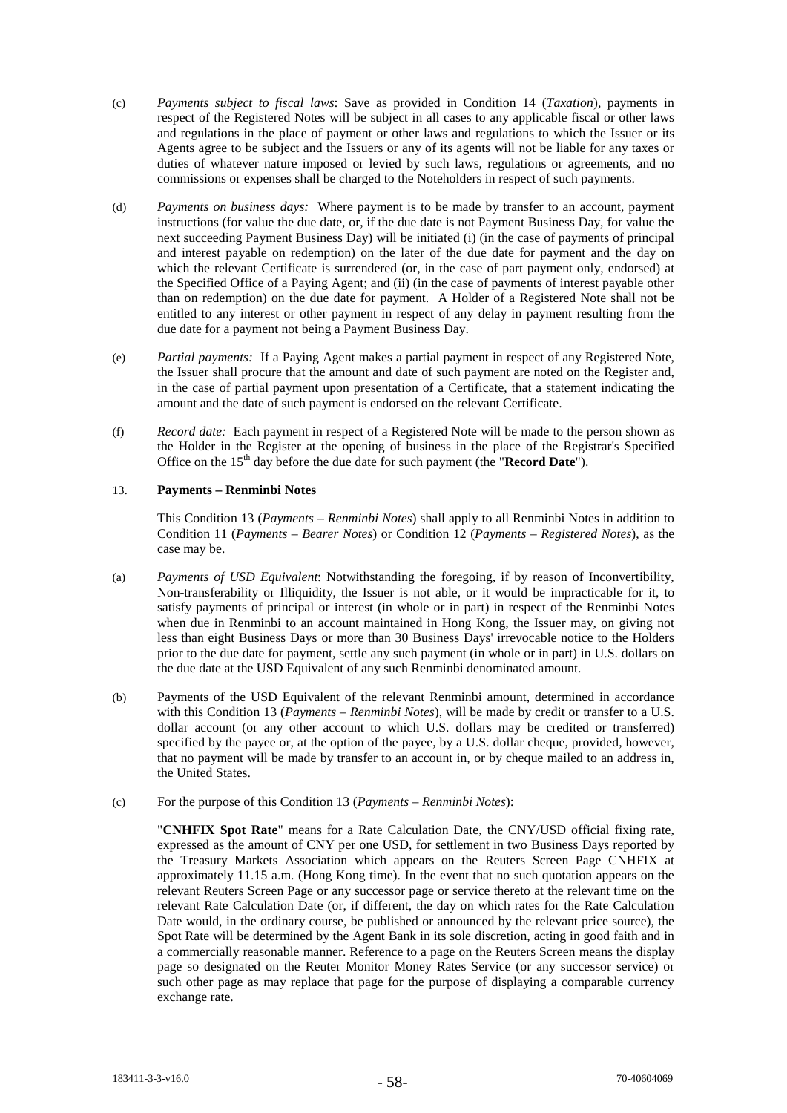- (c) *Payments subject to fiscal laws*: Save as provided in Condition 14 (*Taxation*), payments in respect of the Registered Notes will be subject in all cases to any applicable fiscal or other laws and regulations in the place of payment or other laws and regulations to which the Issuer or its Agents agree to be subject and the Issuers or any of its agents will not be liable for any taxes or duties of whatever nature imposed or levied by such laws, regulations or agreements, and no commissions or expenses shall be charged to the Noteholders in respect of such payments.
- (d) *Payments on business days:* Where payment is to be made by transfer to an account, payment instructions (for value the due date, or, if the due date is not Payment Business Day, for value the next succeeding Payment Business Day) will be initiated (i) (in the case of payments of principal and interest payable on redemption) on the later of the due date for payment and the day on which the relevant Certificate is surrendered (or, in the case of part payment only, endorsed) at the Specified Office of a Paying Agent; and (ii) (in the case of payments of interest payable other than on redemption) on the due date for payment. A Holder of a Registered Note shall not be entitled to any interest or other payment in respect of any delay in payment resulting from the due date for a payment not being a Payment Business Day.
- (e) *Partial payments:* If a Paying Agent makes a partial payment in respect of any Registered Note, the Issuer shall procure that the amount and date of such payment are noted on the Register and, in the case of partial payment upon presentation of a Certificate, that a statement indicating the amount and the date of such payment is endorsed on the relevant Certificate.
- (f) *Record date:* Each payment in respect of a Registered Note will be made to the person shown as the Holder in the Register at the opening of business in the place of the Registrar's Specified Office on the 15<sup>th</sup> day before the due date for such payment (the "**Record Date**").

# 13. **Payments – Renminbi Notes**

This Condition 13 (*Payments – Renminbi Notes*) shall apply to all Renminbi Notes in addition to Condition 11 (*Payments – Bearer Notes*) or Condition 12 (*Payments – Registered Notes*), as the case may be.

- (a) *Payments of USD Equivalent*: Notwithstanding the foregoing, if by reason of Inconvertibility, Non-transferability or Illiquidity, the Issuer is not able, or it would be impracticable for it, to satisfy payments of principal or interest (in whole or in part) in respect of the Renminbi Notes when due in Renminbi to an account maintained in Hong Kong, the Issuer may, on giving not less than eight Business Days or more than 30 Business Days' irrevocable notice to the Holders prior to the due date for payment, settle any such payment (in whole or in part) in U.S. dollars on the due date at the USD Equivalent of any such Renminbi denominated amount.
- (b) Payments of the USD Equivalent of the relevant Renminbi amount, determined in accordance with this Condition 13 (*Payments – Renminbi Notes*), will be made by credit or transfer to a U.S. dollar account (or any other account to which U.S. dollars may be credited or transferred) specified by the payee or, at the option of the payee, by a U.S. dollar cheque, provided, however, that no payment will be made by transfer to an account in, or by cheque mailed to an address in, the United States.
- (c) For the purpose of this Condition 13 (*Payments – Renminbi Notes*):

"**CNHFIX Spot Rate**" means for a Rate Calculation Date, the CNY/USD official fixing rate, expressed as the amount of CNY per one USD, for settlement in two Business Days reported by the Treasury Markets Association which appears on the Reuters Screen Page CNHFIX at approximately 11.15 a.m. (Hong Kong time). In the event that no such quotation appears on the relevant Reuters Screen Page or any successor page or service thereto at the relevant time on the relevant Rate Calculation Date (or, if different, the day on which rates for the Rate Calculation Date would, in the ordinary course, be published or announced by the relevant price source), the Spot Rate will be determined by the Agent Bank in its sole discretion, acting in good faith and in a commercially reasonable manner. Reference to a page on the Reuters Screen means the display page so designated on the Reuter Monitor Money Rates Service (or any successor service) or such other page as may replace that page for the purpose of displaying a comparable currency exchange rate.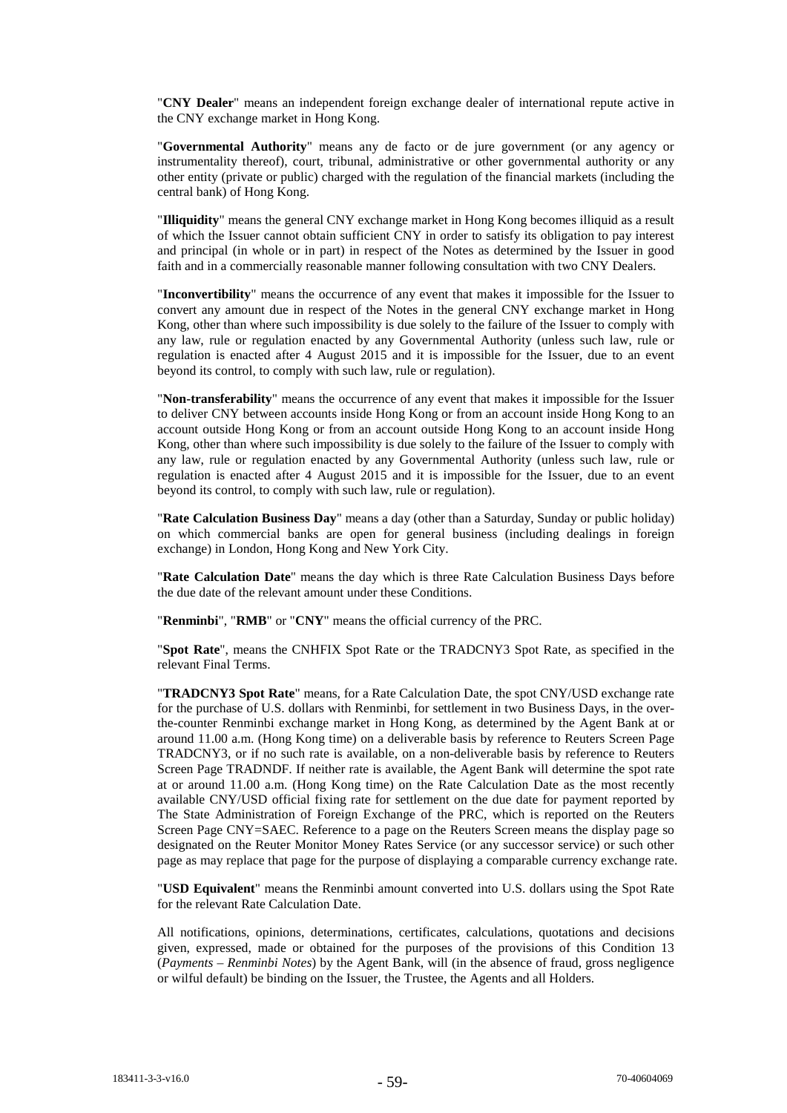"**CNY Dealer**" means an independent foreign exchange dealer of international repute active in the CNY exchange market in Hong Kong.

"**Governmental Authority**" means any de facto or de jure government (or any agency or instrumentality thereof), court, tribunal, administrative or other governmental authority or any other entity (private or public) charged with the regulation of the financial markets (including the central bank) of Hong Kong.

"**Illiquidity**" means the general CNY exchange market in Hong Kong becomes illiquid as a result of which the Issuer cannot obtain sufficient CNY in order to satisfy its obligation to pay interest and principal (in whole or in part) in respect of the Notes as determined by the Issuer in good faith and in a commercially reasonable manner following consultation with two CNY Dealers.

"**Inconvertibility**" means the occurrence of any event that makes it impossible for the Issuer to convert any amount due in respect of the Notes in the general CNY exchange market in Hong Kong, other than where such impossibility is due solely to the failure of the Issuer to comply with any law, rule or regulation enacted by any Governmental Authority (unless such law, rule or regulation is enacted after 4 August 2015 and it is impossible for the Issuer, due to an event beyond its control, to comply with such law, rule or regulation).

"**Non-transferability**" means the occurrence of any event that makes it impossible for the Issuer to deliver CNY between accounts inside Hong Kong or from an account inside Hong Kong to an account outside Hong Kong or from an account outside Hong Kong to an account inside Hong Kong, other than where such impossibility is due solely to the failure of the Issuer to comply with any law, rule or regulation enacted by any Governmental Authority (unless such law, rule or regulation is enacted after 4 August 2015 and it is impossible for the Issuer, due to an event beyond its control, to comply with such law, rule or regulation).

"**Rate Calculation Business Day**" means a day (other than a Saturday, Sunday or public holiday) on which commercial banks are open for general business (including dealings in foreign exchange) in London, Hong Kong and New York City.

"**Rate Calculation Date**" means the day which is three Rate Calculation Business Days before the due date of the relevant amount under these Conditions.

"**Renminbi**", "**RMB**" or "**CNY**" means the official currency of the PRC.

"**Spot Rate**", means the CNHFIX Spot Rate or the TRADCNY3 Spot Rate, as specified in the relevant Final Terms.

"**TRADCNY3 Spot Rate**" means, for a Rate Calculation Date, the spot CNY/USD exchange rate for the purchase of U.S. dollars with Renminbi, for settlement in two Business Days, in the overthe-counter Renminbi exchange market in Hong Kong, as determined by the Agent Bank at or around 11.00 a.m. (Hong Kong time) on a deliverable basis by reference to Reuters Screen Page TRADCNY3, or if no such rate is available, on a non-deliverable basis by reference to Reuters Screen Page TRADNDF. If neither rate is available, the Agent Bank will determine the spot rate at or around 11.00 a.m. (Hong Kong time) on the Rate Calculation Date as the most recently available CNY/USD official fixing rate for settlement on the due date for payment reported by The State Administration of Foreign Exchange of the PRC, which is reported on the Reuters Screen Page CNY=SAEC. Reference to a page on the Reuters Screen means the display page so designated on the Reuter Monitor Money Rates Service (or any successor service) or such other page as may replace that page for the purpose of displaying a comparable currency exchange rate.

"**USD Equivalent**" means the Renminbi amount converted into U.S. dollars using the Spot Rate for the relevant Rate Calculation Date.

All notifications, opinions, determinations, certificates, calculations, quotations and decisions given, expressed, made or obtained for the purposes of the provisions of this Condition 13 (*Payments – Renminbi Notes*) by the Agent Bank, will (in the absence of fraud, gross negligence or wilful default) be binding on the Issuer, the Trustee, the Agents and all Holders.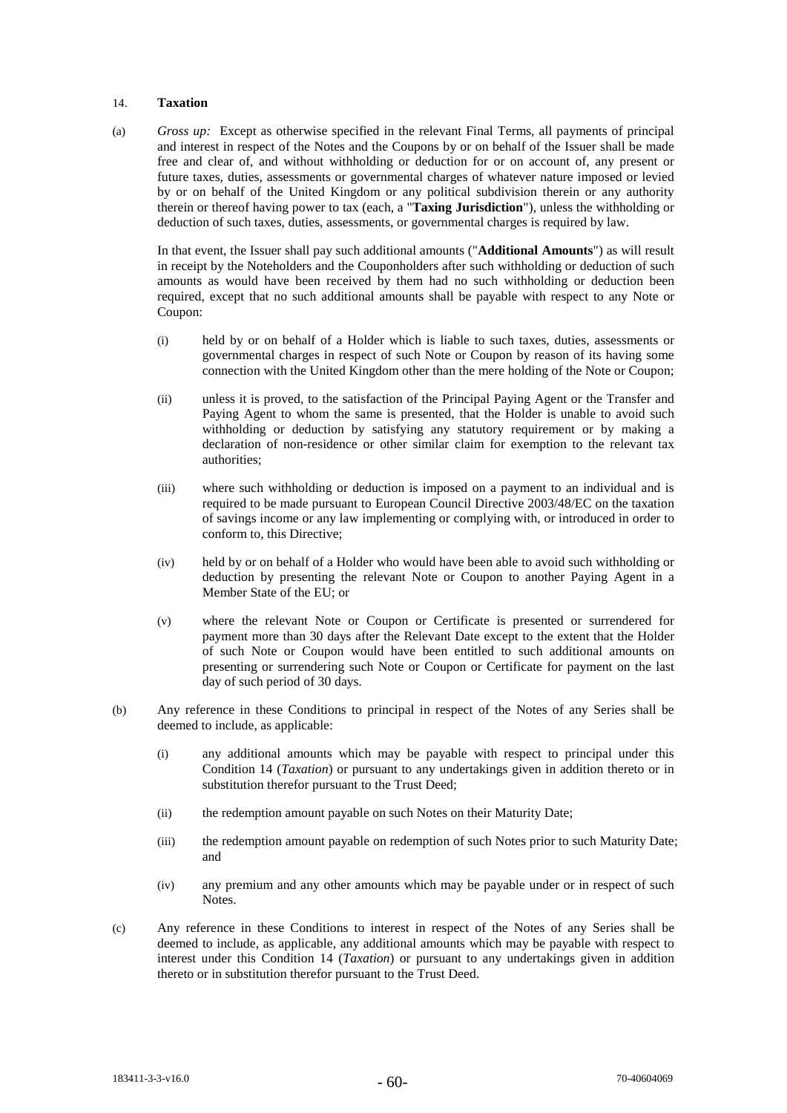## 14. **Taxation**

(a) *Gross up:* Except as otherwise specified in the relevant Final Terms, all payments of principal and interest in respect of the Notes and the Coupons by or on behalf of the Issuer shall be made free and clear of, and without withholding or deduction for or on account of, any present or future taxes, duties, assessments or governmental charges of whatever nature imposed or levied by or on behalf of the United Kingdom or any political subdivision therein or any authority therein or thereof having power to tax (each, a "**Taxing Jurisdiction**"), unless the withholding or deduction of such taxes, duties, assessments, or governmental charges is required by law.

In that event, the Issuer shall pay such additional amounts ("**Additional Amounts**") as will result in receipt by the Noteholders and the Couponholders after such withholding or deduction of such amounts as would have been received by them had no such withholding or deduction been required, except that no such additional amounts shall be payable with respect to any Note or Coupon:

- (i) held by or on behalf of a Holder which is liable to such taxes, duties, assessments or governmental charges in respect of such Note or Coupon by reason of its having some connection with the United Kingdom other than the mere holding of the Note or Coupon;
- (ii) unless it is proved, to the satisfaction of the Principal Paying Agent or the Transfer and Paying Agent to whom the same is presented, that the Holder is unable to avoid such withholding or deduction by satisfying any statutory requirement or by making a declaration of non-residence or other similar claim for exemption to the relevant tax authorities;
- (iii) where such withholding or deduction is imposed on a payment to an individual and is required to be made pursuant to European Council Directive 2003/48/EC on the taxation of savings income or any law implementing or complying with, or introduced in order to conform to, this Directive;
- (iv) held by or on behalf of a Holder who would have been able to avoid such withholding or deduction by presenting the relevant Note or Coupon to another Paying Agent in a Member State of the EU; or
- (v) where the relevant Note or Coupon or Certificate is presented or surrendered for payment more than 30 days after the Relevant Date except to the extent that the Holder of such Note or Coupon would have been entitled to such additional amounts on presenting or surrendering such Note or Coupon or Certificate for payment on the last day of such period of 30 days.
- (b) Any reference in these Conditions to principal in respect of the Notes of any Series shall be deemed to include, as applicable:
	- (i) any additional amounts which may be payable with respect to principal under this Condition 14 (*Taxation*) or pursuant to any undertakings given in addition thereto or in substitution therefor pursuant to the Trust Deed;
	- (ii) the redemption amount payable on such Notes on their Maturity Date;
	- (iii) the redemption amount payable on redemption of such Notes prior to such Maturity Date; and
	- (iv) any premium and any other amounts which may be payable under or in respect of such Notes.
- (c) Any reference in these Conditions to interest in respect of the Notes of any Series shall be deemed to include, as applicable, any additional amounts which may be payable with respect to interest under this Condition 14 (*Taxation*) or pursuant to any undertakings given in addition thereto or in substitution therefor pursuant to the Trust Deed.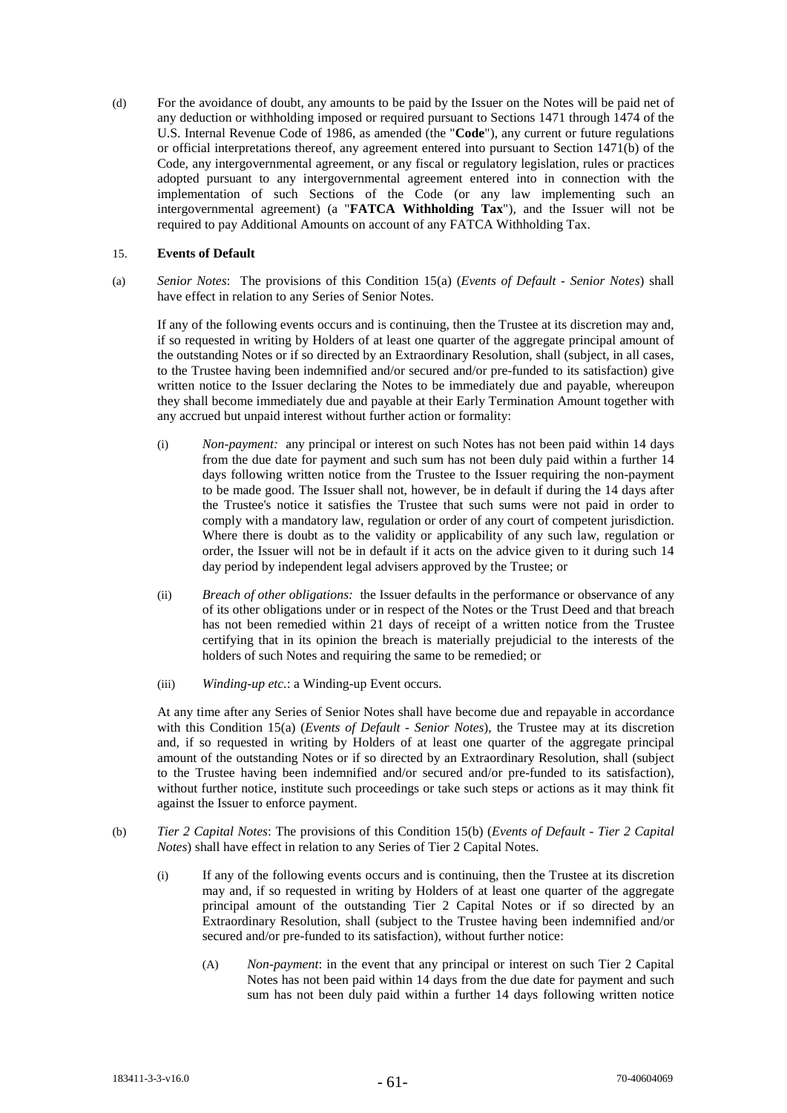(d) For the avoidance of doubt, any amounts to be paid by the Issuer on the Notes will be paid net of any deduction or withholding imposed or required pursuant to Sections 1471 through 1474 of the U.S. Internal Revenue Code of 1986, as amended (the "**Code**"), any current or future regulations or official interpretations thereof, any agreement entered into pursuant to Section 1471(b) of the Code, any intergovernmental agreement, or any fiscal or regulatory legislation, rules or practices adopted pursuant to any intergovernmental agreement entered into in connection with the implementation of such Sections of the Code (or any law implementing such an intergovernmental agreement) (a "**FATCA Withholding Tax**"), and the Issuer will not be required to pay Additional Amounts on account of any FATCA Withholding Tax.

## 15. **Events of Default**

(a) *Senior Notes*: The provisions of this Condition 15(a) (*Events of Default - Senior Notes*) shall have effect in relation to any Series of Senior Notes.

If any of the following events occurs and is continuing, then the Trustee at its discretion may and, if so requested in writing by Holders of at least one quarter of the aggregate principal amount of the outstanding Notes or if so directed by an Extraordinary Resolution, shall (subject, in all cases, to the Trustee having been indemnified and/or secured and/or pre-funded to its satisfaction) give written notice to the Issuer declaring the Notes to be immediately due and payable, whereupon they shall become immediately due and payable at their Early Termination Amount together with any accrued but unpaid interest without further action or formality:

- (i) *Non-payment:* any principal or interest on such Notes has not been paid within 14 days from the due date for payment and such sum has not been duly paid within a further 14 days following written notice from the Trustee to the Issuer requiring the non-payment to be made good. The Issuer shall not, however, be in default if during the 14 days after the Trustee's notice it satisfies the Trustee that such sums were not paid in order to comply with a mandatory law, regulation or order of any court of competent jurisdiction. Where there is doubt as to the validity or applicability of any such law, regulation or order, the Issuer will not be in default if it acts on the advice given to it during such 14 day period by independent legal advisers approved by the Trustee; or
- (ii) *Breach of other obligations:* the Issuer defaults in the performance or observance of any of its other obligations under or in respect of the Notes or the Trust Deed and that breach has not been remedied within 21 days of receipt of a written notice from the Trustee certifying that in its opinion the breach is materially prejudicial to the interests of the holders of such Notes and requiring the same to be remedied; or
- (iii) *Winding-up etc.*: a Winding-up Event occurs.

At any time after any Series of Senior Notes shall have become due and repayable in accordance with this Condition 15(a) (*Events of Default - Senior Notes*), the Trustee may at its discretion and, if so requested in writing by Holders of at least one quarter of the aggregate principal amount of the outstanding Notes or if so directed by an Extraordinary Resolution, shall (subject to the Trustee having been indemnified and/or secured and/or pre-funded to its satisfaction), without further notice, institute such proceedings or take such steps or actions as it may think fit against the Issuer to enforce payment.

- (b) *Tier 2 Capital Notes*: The provisions of this Condition 15(b) (*Events of Default - Tier 2 Capital Notes*) shall have effect in relation to any Series of Tier 2 Capital Notes.
	- (i) If any of the following events occurs and is continuing, then the Trustee at its discretion may and, if so requested in writing by Holders of at least one quarter of the aggregate principal amount of the outstanding Tier 2 Capital Notes or if so directed by an Extraordinary Resolution, shall (subject to the Trustee having been indemnified and/or secured and/or pre-funded to its satisfaction), without further notice:
		- (A) *Non-payment*: in the event that any principal or interest on such Tier 2 Capital Notes has not been paid within 14 days from the due date for payment and such sum has not been duly paid within a further 14 days following written notice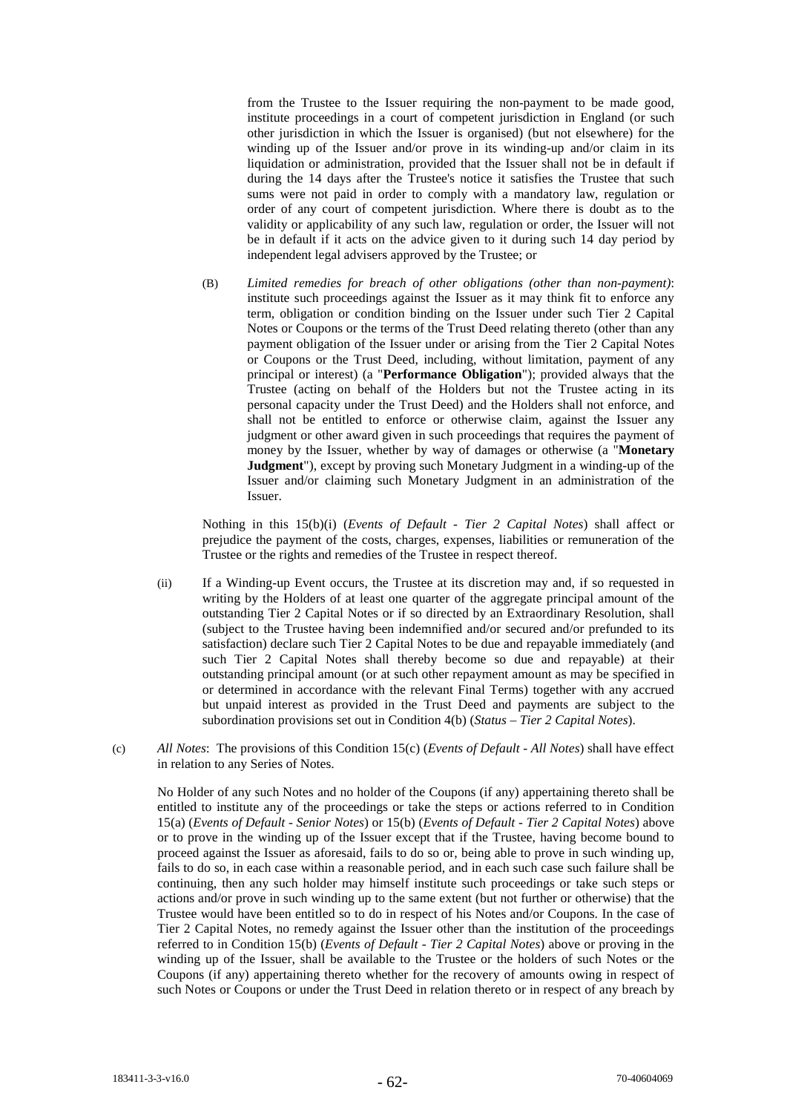from the Trustee to the Issuer requiring the non-payment to be made good, institute proceedings in a court of competent jurisdiction in England (or such other jurisdiction in which the Issuer is organised) (but not elsewhere) for the winding up of the Issuer and/or prove in its winding-up and/or claim in its liquidation or administration, provided that the Issuer shall not be in default if during the 14 days after the Trustee's notice it satisfies the Trustee that such sums were not paid in order to comply with a mandatory law, regulation or order of any court of competent jurisdiction. Where there is doubt as to the validity or applicability of any such law, regulation or order, the Issuer will not be in default if it acts on the advice given to it during such 14 day period by independent legal advisers approved by the Trustee; or

(B) *Limited remedies for breach of other obligations (other than non-payment)*: institute such proceedings against the Issuer as it may think fit to enforce any term, obligation or condition binding on the Issuer under such Tier 2 Capital Notes or Coupons or the terms of the Trust Deed relating thereto (other than any payment obligation of the Issuer under or arising from the Tier 2 Capital Notes or Coupons or the Trust Deed, including, without limitation, payment of any principal or interest) (a "**Performance Obligation**"); provided always that the Trustee (acting on behalf of the Holders but not the Trustee acting in its personal capacity under the Trust Deed) and the Holders shall not enforce, and shall not be entitled to enforce or otherwise claim, against the Issuer any judgment or other award given in such proceedings that requires the payment of money by the Issuer, whether by way of damages or otherwise (a "**Monetary Judgment**"), except by proving such Monetary Judgment in a winding-up of the Issuer and/or claiming such Monetary Judgment in an administration of the Issuer.

Nothing in this 15(b)(i) (*Events of Default - Tier 2 Capital Notes*) shall affect or prejudice the payment of the costs, charges, expenses, liabilities or remuneration of the Trustee or the rights and remedies of the Trustee in respect thereof.

- (ii) If a Winding-up Event occurs, the Trustee at its discretion may and, if so requested in writing by the Holders of at least one quarter of the aggregate principal amount of the outstanding Tier 2 Capital Notes or if so directed by an Extraordinary Resolution, shall (subject to the Trustee having been indemnified and/or secured and/or prefunded to its satisfaction) declare such Tier 2 Capital Notes to be due and repayable immediately (and such Tier 2 Capital Notes shall thereby become so due and repayable) at their outstanding principal amount (or at such other repayment amount as may be specified in or determined in accordance with the relevant Final Terms) together with any accrued but unpaid interest as provided in the Trust Deed and payments are subject to the subordination provisions set out in Condition 4(b) (*Status – Tier 2 Capital Notes*).
- (c) *All Notes*: The provisions of this Condition 15(c) (*Events of Default - All Notes*) shall have effect in relation to any Series of Notes.

No Holder of any such Notes and no holder of the Coupons (if any) appertaining thereto shall be entitled to institute any of the proceedings or take the steps or actions referred to in Condition 15(a) (*Events of Default - Senior Notes*) or 15(b) (*Events of Default - Tier 2 Capital Notes*) above or to prove in the winding up of the Issuer except that if the Trustee, having become bound to proceed against the Issuer as aforesaid, fails to do so or, being able to prove in such winding up, fails to do so, in each case within a reasonable period, and in each such case such failure shall be continuing, then any such holder may himself institute such proceedings or take such steps or actions and/or prove in such winding up to the same extent (but not further or otherwise) that the Trustee would have been entitled so to do in respect of his Notes and/or Coupons. In the case of Tier 2 Capital Notes, no remedy against the Issuer other than the institution of the proceedings referred to in Condition 15(b) (*Events of Default - Tier 2 Capital Notes*) above or proving in the winding up of the Issuer, shall be available to the Trustee or the holders of such Notes or the Coupons (if any) appertaining thereto whether for the recovery of amounts owing in respect of such Notes or Coupons or under the Trust Deed in relation thereto or in respect of any breach by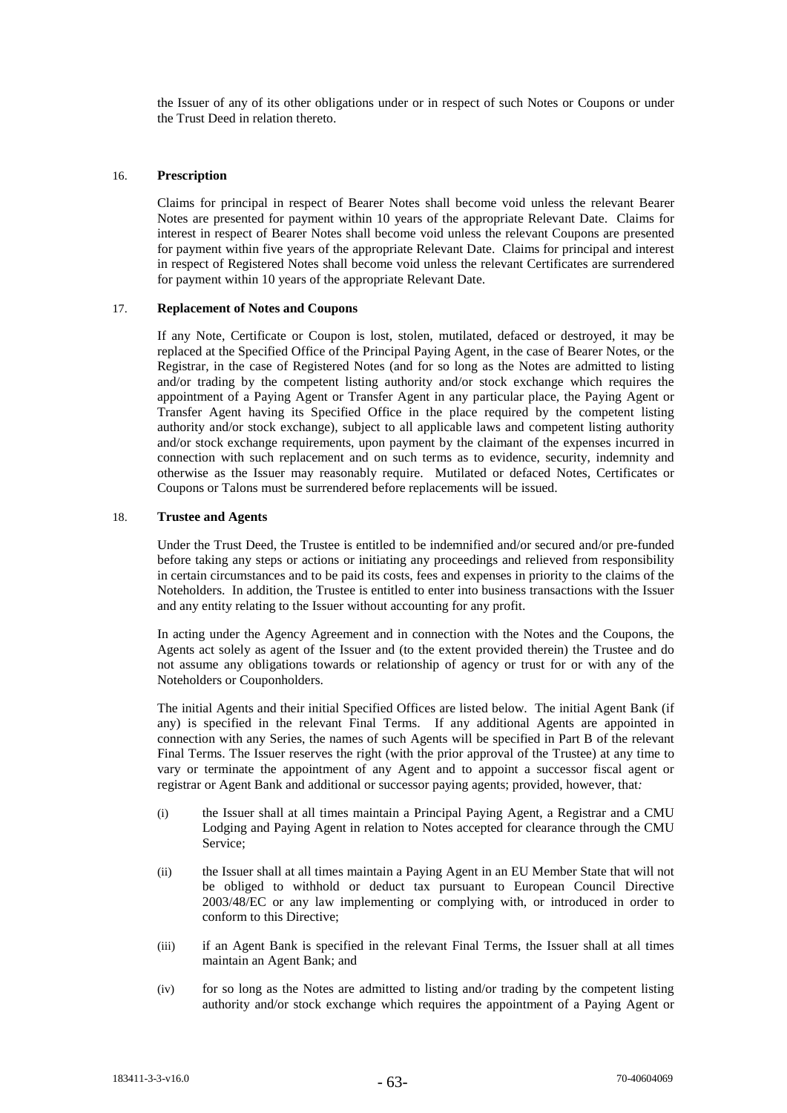the Issuer of any of its other obligations under or in respect of such Notes or Coupons or under the Trust Deed in relation thereto.

## 16. **Prescription**

Claims for principal in respect of Bearer Notes shall become void unless the relevant Bearer Notes are presented for payment within 10 years of the appropriate Relevant Date. Claims for interest in respect of Bearer Notes shall become void unless the relevant Coupons are presented for payment within five years of the appropriate Relevant Date. Claims for principal and interest in respect of Registered Notes shall become void unless the relevant Certificates are surrendered for payment within 10 years of the appropriate Relevant Date.

## 17. **Replacement of Notes and Coupons**

If any Note, Certificate or Coupon is lost, stolen, mutilated, defaced or destroyed, it may be replaced at the Specified Office of the Principal Paying Agent, in the case of Bearer Notes, or the Registrar, in the case of Registered Notes (and for so long as the Notes are admitted to listing and/or trading by the competent listing authority and/or stock exchange which requires the appointment of a Paying Agent or Transfer Agent in any particular place, the Paying Agent or Transfer Agent having its Specified Office in the place required by the competent listing authority and/or stock exchange), subject to all applicable laws and competent listing authority and/or stock exchange requirements, upon payment by the claimant of the expenses incurred in connection with such replacement and on such terms as to evidence, security, indemnity and otherwise as the Issuer may reasonably require. Mutilated or defaced Notes, Certificates or Coupons or Talons must be surrendered before replacements will be issued.

# 18. **Trustee and Agents**

Under the Trust Deed, the Trustee is entitled to be indemnified and/or secured and/or pre-funded before taking any steps or actions or initiating any proceedings and relieved from responsibility in certain circumstances and to be paid its costs, fees and expenses in priority to the claims of the Noteholders. In addition, the Trustee is entitled to enter into business transactions with the Issuer and any entity relating to the Issuer without accounting for any profit.

In acting under the Agency Agreement and in connection with the Notes and the Coupons, the Agents act solely as agent of the Issuer and (to the extent provided therein) the Trustee and do not assume any obligations towards or relationship of agency or trust for or with any of the Noteholders or Couponholders.

The initial Agents and their initial Specified Offices are listed below. The initial Agent Bank (if any) is specified in the relevant Final Terms. If any additional Agents are appointed in connection with any Series, the names of such Agents will be specified in Part B of the relevant Final Terms. The Issuer reserves the right (with the prior approval of the Trustee) at any time to vary or terminate the appointment of any Agent and to appoint a successor fiscal agent or registrar or Agent Bank and additional or successor paying agents; provided, however, that*:*

- (i) the Issuer shall at all times maintain a Principal Paying Agent, a Registrar and a CMU Lodging and Paying Agent in relation to Notes accepted for clearance through the CMU Service;
- (ii) the Issuer shall at all times maintain a Paying Agent in an EU Member State that will not be obliged to withhold or deduct tax pursuant to European Council Directive 2003/48/EC or any law implementing or complying with, or introduced in order to conform to this Directive;
- (iii) if an Agent Bank is specified in the relevant Final Terms, the Issuer shall at all times maintain an Agent Bank; and
- (iv) for so long as the Notes are admitted to listing and/or trading by the competent listing authority and/or stock exchange which requires the appointment of a Paying Agent or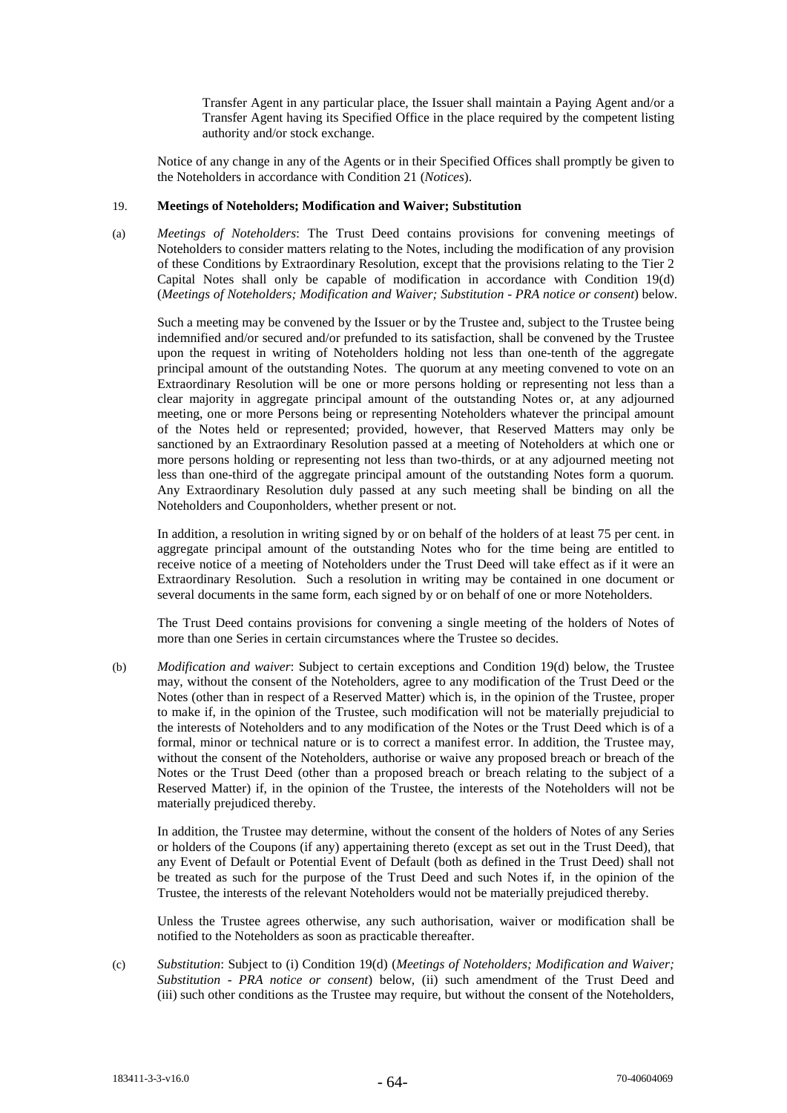Transfer Agent in any particular place, the Issuer shall maintain a Paying Agent and/or a Transfer Agent having its Specified Office in the place required by the competent listing authority and/or stock exchange.

Notice of any change in any of the Agents or in their Specified Offices shall promptly be given to the Noteholders in accordance with Condition 21 (*Notices*).

#### 19. **Meetings of Noteholders; Modification and Waiver; Substitution**

(a) *Meetings of Noteholders*: The Trust Deed contains provisions for convening meetings of Noteholders to consider matters relating to the Notes, including the modification of any provision of these Conditions by Extraordinary Resolution, except that the provisions relating to the Tier 2 Capital Notes shall only be capable of modification in accordance with Condition 19(d) (*Meetings of Noteholders; Modification and Waiver; Substitution - PRA notice or consent*) below.

Such a meeting may be convened by the Issuer or by the Trustee and, subject to the Trustee being indemnified and/or secured and/or prefunded to its satisfaction, shall be convened by the Trustee upon the request in writing of Noteholders holding not less than one-tenth of the aggregate principal amount of the outstanding Notes. The quorum at any meeting convened to vote on an Extraordinary Resolution will be one or more persons holding or representing not less than a clear majority in aggregate principal amount of the outstanding Notes or, at any adjourned meeting, one or more Persons being or representing Noteholders whatever the principal amount of the Notes held or represented; provided, however, that Reserved Matters may only be sanctioned by an Extraordinary Resolution passed at a meeting of Noteholders at which one or more persons holding or representing not less than two-thirds, or at any adjourned meeting not less than one-third of the aggregate principal amount of the outstanding Notes form a quorum. Any Extraordinary Resolution duly passed at any such meeting shall be binding on all the Noteholders and Couponholders, whether present or not.

In addition, a resolution in writing signed by or on behalf of the holders of at least 75 per cent. in aggregate principal amount of the outstanding Notes who for the time being are entitled to receive notice of a meeting of Noteholders under the Trust Deed will take effect as if it were an Extraordinary Resolution. Such a resolution in writing may be contained in one document or several documents in the same form, each signed by or on behalf of one or more Noteholders.

The Trust Deed contains provisions for convening a single meeting of the holders of Notes of more than one Series in certain circumstances where the Trustee so decides.

(b) *Modification and waiver*: Subject to certain exceptions and Condition 19(d) below, the Trustee may, without the consent of the Noteholders, agree to any modification of the Trust Deed or the Notes (other than in respect of a Reserved Matter) which is, in the opinion of the Trustee, proper to make if, in the opinion of the Trustee, such modification will not be materially prejudicial to the interests of Noteholders and to any modification of the Notes or the Trust Deed which is of a formal, minor or technical nature or is to correct a manifest error. In addition, the Trustee may, without the consent of the Noteholders, authorise or waive any proposed breach or breach of the Notes or the Trust Deed (other than a proposed breach or breach relating to the subject of a Reserved Matter) if, in the opinion of the Trustee, the interests of the Noteholders will not be materially prejudiced thereby.

In addition, the Trustee may determine, without the consent of the holders of Notes of any Series or holders of the Coupons (if any) appertaining thereto (except as set out in the Trust Deed), that any Event of Default or Potential Event of Default (both as defined in the Trust Deed) shall not be treated as such for the purpose of the Trust Deed and such Notes if, in the opinion of the Trustee, the interests of the relevant Noteholders would not be materially prejudiced thereby.

Unless the Trustee agrees otherwise, any such authorisation, waiver or modification shall be notified to the Noteholders as soon as practicable thereafter.

(c) *Substitution*: Subject to (i) Condition 19(d) (*Meetings of Noteholders; Modification and Waiver; Substitution - PRA notice or consent*) below, (ii) such amendment of the Trust Deed and (iii) such other conditions as the Trustee may require, but without the consent of the Noteholders,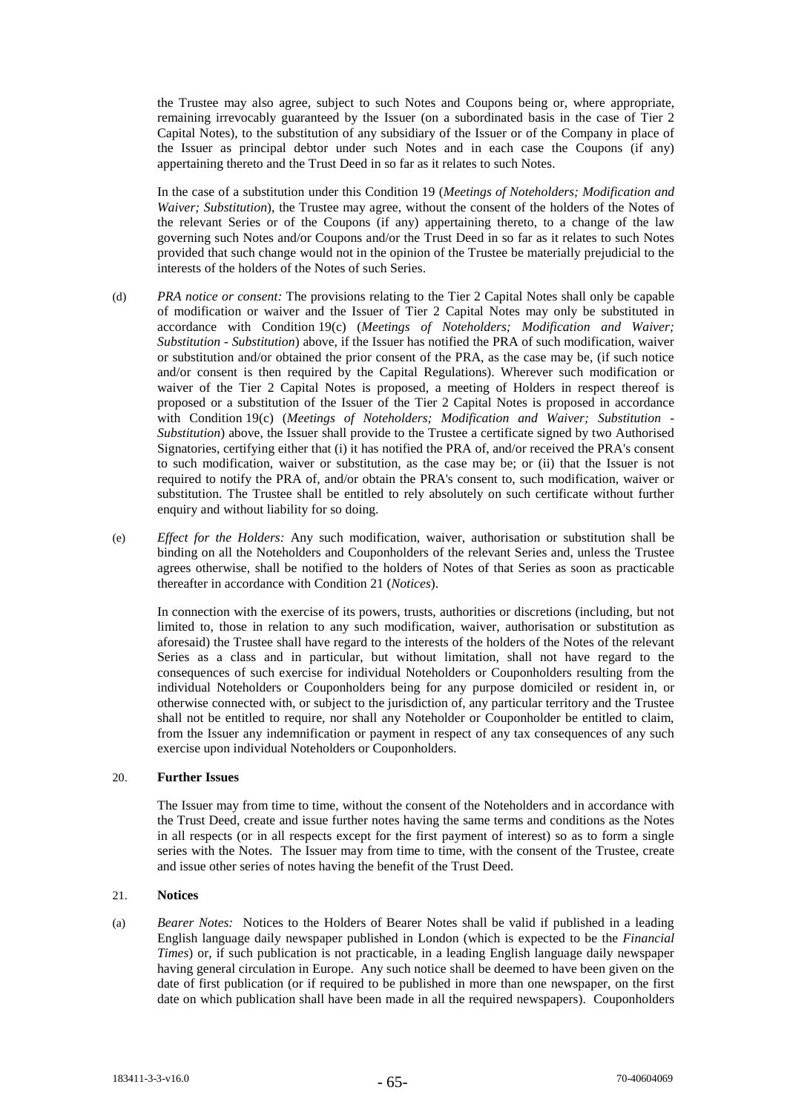the Trustee may also agree, subject to such Notes and Coupons being or, where appropriate, remaining irrevocably guaranteed by the Issuer (on a subordinated basis in the case of Tier 2 Capital Notes), to the substitution of any subsidiary of the Issuer or of the Company in place of the Issuer as principal debtor under such Notes and in each case the Coupons (if any) appertaining thereto and the Trust Deed in so far as it relates to such Notes.

In the case of a substitution under this Condition 19 (*Meetings of Noteholders; Modification and Waiver; Substitution*), the Trustee may agree, without the consent of the holders of the Notes of the relevant Series or of the Coupons (if any) appertaining thereto, to a change of the law governing such Notes and/or Coupons and/or the Trust Deed in so far as it relates to such Notes provided that such change would not in the opinion of the Trustee be materially prejudicial to the interests of the holders of the Notes of such Series.

- (d) *PRA notice or consent:* The provisions relating to the Tier 2 Capital Notes shall only be capable of modification or waiver and the Issuer of Tier 2 Capital Notes may only be substituted in accordance with Condition 19(c) (*Meetings of Noteholders; Modification and Waiver; Substitution - Substitution*) above, if the Issuer has notified the PRA of such modification, waiver or substitution and/or obtained the prior consent of the PRA, as the case may be, (if such notice and/or consent is then required by the Capital Regulations). Wherever such modification or waiver of the Tier 2 Capital Notes is proposed, a meeting of Holders in respect thereof is proposed or a substitution of the Issuer of the Tier 2 Capital Notes is proposed in accordance with Condition 19(c) (*Meetings of Noteholders; Modification and Waiver; Substitution - Substitution*) above, the Issuer shall provide to the Trustee a certificate signed by two Authorised Signatories, certifying either that (i) it has notified the PRA of, and/or received the PRA's consent to such modification, waiver or substitution, as the case may be; or (ii) that the Issuer is not required to notify the PRA of, and/or obtain the PRA's consent to, such modification, waiver or substitution. The Trustee shall be entitled to rely absolutely on such certificate without further enquiry and without liability for so doing.
- (e) *Effect for the Holders:* Any such modification, waiver, authorisation or substitution shall be binding on all the Noteholders and Couponholders of the relevant Series and, unless the Trustee agrees otherwise, shall be notified to the holders of Notes of that Series as soon as practicable thereafter in accordance with Condition 21 (*Notices*).

In connection with the exercise of its powers, trusts, authorities or discretions (including, but not limited to, those in relation to any such modification, waiver, authorisation or substitution as aforesaid) the Trustee shall have regard to the interests of the holders of the Notes of the relevant Series as a class and in particular, but without limitation, shall not have regard to the consequences of such exercise for individual Noteholders or Couponholders resulting from the individual Noteholders or Couponholders being for any purpose domiciled or resident in, or otherwise connected with, or subject to the jurisdiction of, any particular territory and the Trustee shall not be entitled to require, nor shall any Noteholder or Couponholder be entitled to claim, from the Issuer any indemnification or payment in respect of any tax consequences of any such exercise upon individual Noteholders or Couponholders.

### 20. **Further Issues**

The Issuer may from time to time, without the consent of the Noteholders and in accordance with the Trust Deed, create and issue further notes having the same terms and conditions as the Notes in all respects (or in all respects except for the first payment of interest) so as to form a single series with the Notes. The Issuer may from time to time, with the consent of the Trustee, create and issue other series of notes having the benefit of the Trust Deed.

#### 21. **Notices**

(a) *Bearer Notes:* Notices to the Holders of Bearer Notes shall be valid if published in a leading English language daily newspaper published in London (which is expected to be the *Financial Times*) or, if such publication is not practicable, in a leading English language daily newspaper having general circulation in Europe. Any such notice shall be deemed to have been given on the date of first publication (or if required to be published in more than one newspaper, on the first date on which publication shall have been made in all the required newspapers). Couponholders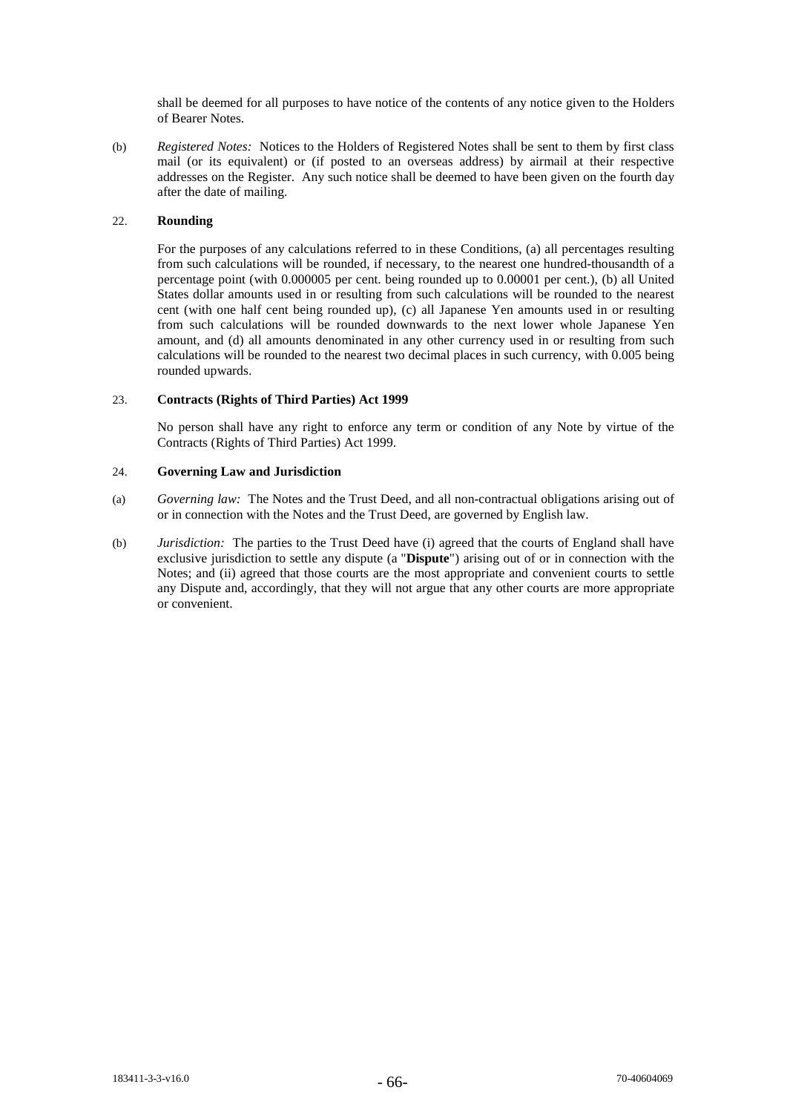shall be deemed for all purposes to have notice of the contents of any notice given to the Holders of Bearer Notes.

(b) *Registered Notes:* Notices to the Holders of Registered Notes shall be sent to them by first class mail (or its equivalent) or (if posted to an overseas address) by airmail at their respective addresses on the Register. Any such notice shall be deemed to have been given on the fourth day after the date of mailing.

# 22. **Rounding**

For the purposes of any calculations referred to in these Conditions, (a) all percentages resulting from such calculations will be rounded, if necessary, to the nearest one hundred-thousandth of a percentage point (with 0.000005 per cent. being rounded up to 0.00001 per cent.), (b) all United States dollar amounts used in or resulting from such calculations will be rounded to the nearest cent (with one half cent being rounded up), (c) all Japanese Yen amounts used in or resulting from such calculations will be rounded downwards to the next lower whole Japanese Yen amount, and (d) all amounts denominated in any other currency used in or resulting from such calculations will be rounded to the nearest two decimal places in such currency, with 0.005 being rounded upwards.

# 23. **Contracts (Rights of Third Parties) Act 1999**

No person shall have any right to enforce any term or condition of any Note by virtue of the Contracts (Rights of Third Parties) Act 1999.

### 24. **Governing Law and Jurisdiction**

- (a) *Governing law:* The Notes and the Trust Deed, and all non-contractual obligations arising out of or in connection with the Notes and the Trust Deed, are governed by English law.
- (b) *Jurisdiction:* The parties to the Trust Deed have (i) agreed that the courts of England shall have exclusive jurisdiction to settle any dispute (a "**Dispute**") arising out of or in connection with the Notes; and (ii) agreed that those courts are the most appropriate and convenient courts to settle any Dispute and, accordingly, that they will not argue that any other courts are more appropriate or convenient.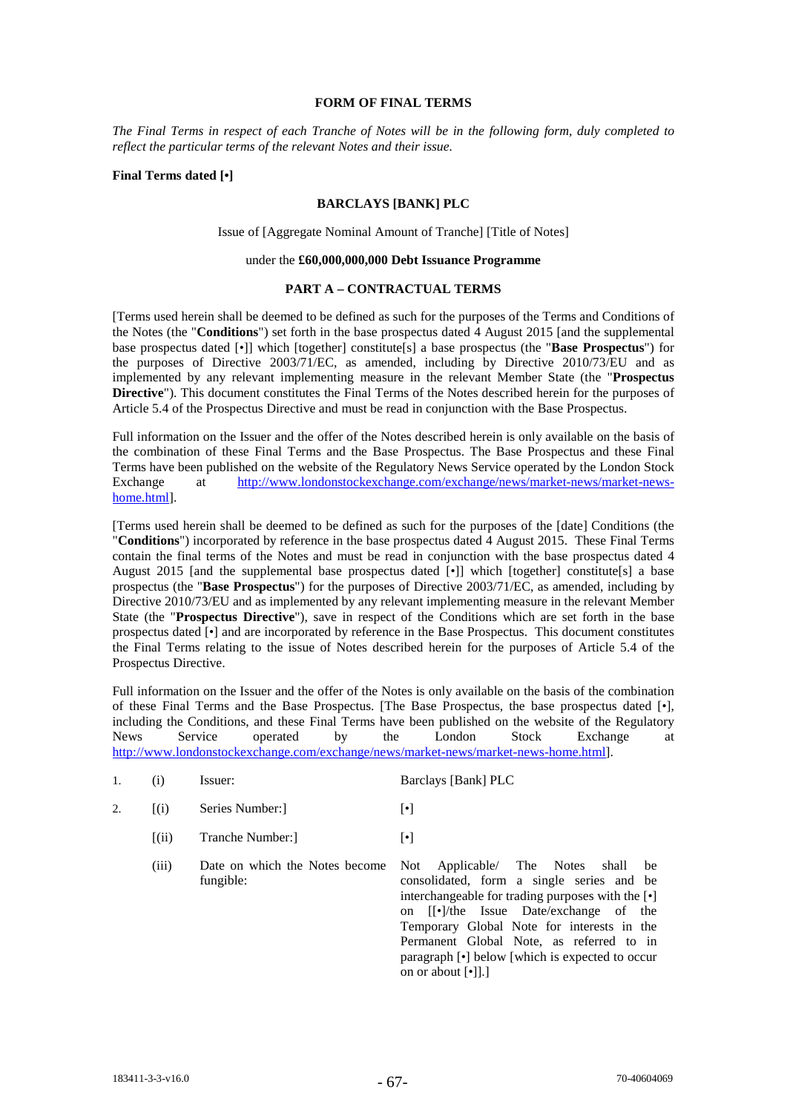#### **FORM OF FINAL TERMS**

*The Final Terms in respect of each Tranche of Notes will be in the following form, duly completed to reflect the particular terms of the relevant Notes and their issue.* 

# **Final Terms dated [•]**

# **BARCLAYS [BANK] PLC**

Issue of [Aggregate Nominal Amount of Tranche] [Title of Notes]

# under the **£60,000,000,000 Debt Issuance Programme**

#### **PART A – CONTRACTUAL TERMS**

[Terms used herein shall be deemed to be defined as such for the purposes of the Terms and Conditions of the Notes (the "**Conditions**") set forth in the base prospectus dated 4 August 2015 [and the supplemental base prospectus dated [*•*]] which [together] constitute[s] a base prospectus (the "**Base Prospectus**") for the purposes of Directive 2003/71/EC, as amended, including by Directive 2010/73/EU and as implemented by any relevant implementing measure in the relevant Member State (the "**Prospectus Directive**"). This document constitutes the Final Terms of the Notes described herein for the purposes of Article 5.4 of the Prospectus Directive and must be read in conjunction with the Base Prospectus.

Full information on the Issuer and the offer of the Notes described herein is only available on the basis of the combination of these Final Terms and the Base Prospectus. The Base Prospectus and these Final Terms have been published on the website of the Regulatory News Service operated by the London Stock Exchange at http://www.londonstockexchange.com/exchange/news/market-news/market-newshome.html].

[Terms used herein shall be deemed to be defined as such for the purposes of the [date] Conditions (the "**Conditions**") incorporated by reference in the base prospectus dated 4 August 2015. These Final Terms contain the final terms of the Notes and must be read in conjunction with the base prospectus dated 4 August 2015 [and the supplemental base prospectus dated [*•*]] which [together] constitute[s] a base prospectus (the "**Base Prospectus**") for the purposes of Directive 2003/71/EC, as amended, including by Directive 2010/73/EU and as implemented by any relevant implementing measure in the relevant Member State (the "**Prospectus Directive**"), save in respect of the Conditions which are set forth in the base prospectus dated [•] and are incorporated by reference in the Base Prospectus. This document constitutes the Final Terms relating to the issue of Notes described herein for the purposes of Article 5.4 of the Prospectus Directive.

Full information on the Issuer and the offer of the Notes is only available on the basis of the combination of these Final Terms and the Base Prospectus. [The Base Prospectus, the base prospectus dated [*•*], including the Conditions, and these Final Terms have been published on the website of the Regulatory News Service operated by the London Stock Exchange at http://www.londonstockexchange.com/exchange/news/market-news/market-news-home.html].

| Issuer: | Barclays [Bank] PLC |
|---------|---------------------|
|---------|---------------------|

- 2. [(i) Series Number: [•]
	- [(ii) Tranche Number:] [•]
	- (iii) Date on which the Notes become fungible: Not Applicable/ The Notes shall be consolidated, form a single series and be interchangeable for trading purposes with the [•] on [[•]/the Issue Date/exchange of the Temporary Global Note for interests in the Permanent Global Note, as referred to in paragraph [•] below [which is expected to occur on or about [•]].]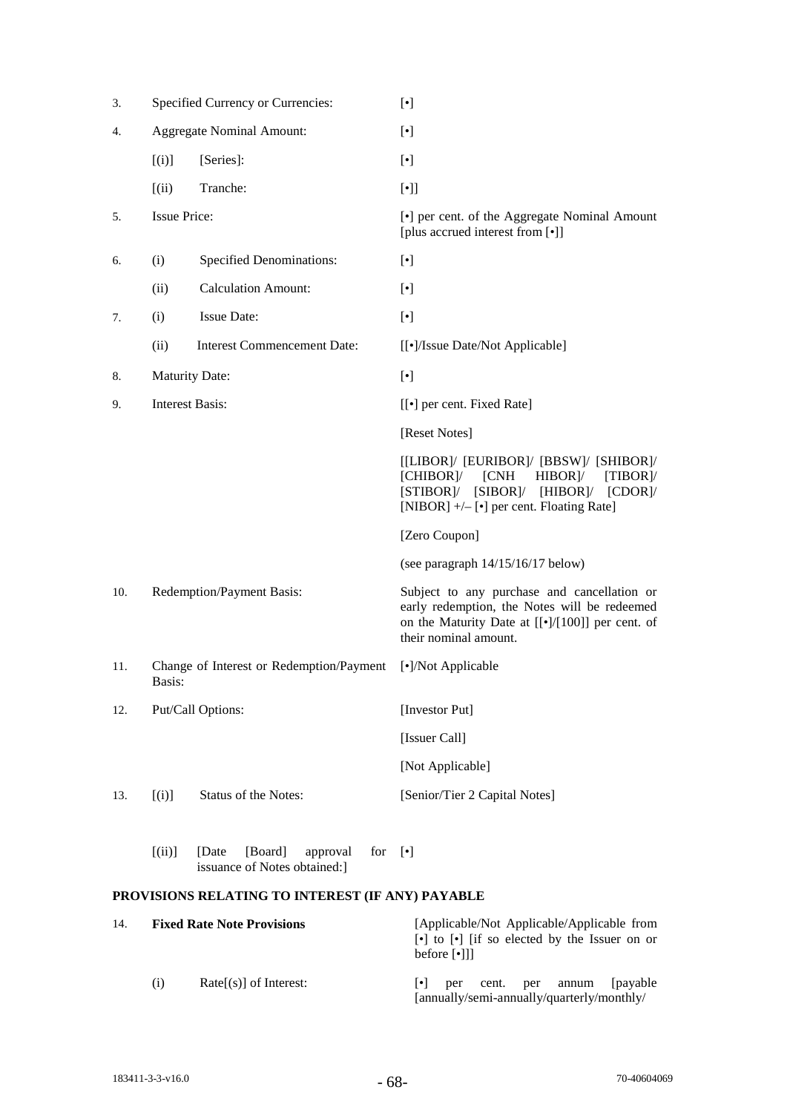| 3.  |                        | Specified Currency or Currencies:                                    | $[\cdot]$                                                                                                                                                                                                |  |  |
|-----|------------------------|----------------------------------------------------------------------|----------------------------------------------------------------------------------------------------------------------------------------------------------------------------------------------------------|--|--|
| 4.  |                        | <b>Aggregate Nominal Amount:</b>                                     | $[\cdot]$                                                                                                                                                                                                |  |  |
|     | [(i)]                  | [Series]:                                                            | $[\cdot]$                                                                                                                                                                                                |  |  |
|     | (iii)                  | Tranche:                                                             | $[\cdot]$                                                                                                                                                                                                |  |  |
| 5.  | <b>Issue Price:</b>    |                                                                      | [•] per cent. of the Aggregate Nominal Amount<br>[plus accrued interest from [•]]                                                                                                                        |  |  |
| 6.  | (i)                    | <b>Specified Denominations:</b>                                      | $[\cdot]$                                                                                                                                                                                                |  |  |
|     | (ii)                   | <b>Calculation Amount:</b>                                           | $[\cdot]$                                                                                                                                                                                                |  |  |
| 7.  | (i)                    | <b>Issue Date:</b>                                                   | $[\cdot]$                                                                                                                                                                                                |  |  |
|     | (ii)                   | <b>Interest Commencement Date:</b>                                   | [[•]/Issue Date/Not Applicable]                                                                                                                                                                          |  |  |
| 8.  | <b>Maturity Date:</b>  |                                                                      | $[\cdot]$                                                                                                                                                                                                |  |  |
| 9.  | <b>Interest Basis:</b> |                                                                      | [[ $\bullet$ ] per cent. Fixed Rate]                                                                                                                                                                     |  |  |
|     |                        |                                                                      | [Reset Notes]                                                                                                                                                                                            |  |  |
|     |                        |                                                                      | [[LIBOR]/ [EURIBOR]/ [BBSW]/ [SHIBOR]/<br>[CHIBOR]/ [CNH<br>$HIBOR$ <sup><math>\mid</math></sup><br>[TIBOR]<br>[STIBOR]/ [SIBOR]/ [HIBOR]/ [CDOR]/<br>[NIBOR] +/- [ $\bullet$ ] per cent. Floating Rate] |  |  |
|     |                        |                                                                      | [Zero Coupon]                                                                                                                                                                                            |  |  |
|     |                        |                                                                      | (see paragraph 14/15/16/17 below)                                                                                                                                                                        |  |  |
| 10. |                        | Redemption/Payment Basis:                                            | Subject to any purchase and cancellation or<br>early redemption, the Notes will be redeemed<br>on the Maturity Date at $[[\bullet]/[100]]$ per cent. of<br>their nominal amount.                         |  |  |
| 11. | Basis:                 | Change of Interest or Redemption/Payment                             | [•]/Not Applicable                                                                                                                                                                                       |  |  |
| 12. |                        | Put/Call Options:                                                    | [Investor Put]                                                                                                                                                                                           |  |  |
|     |                        |                                                                      | [Issuer Call]                                                                                                                                                                                            |  |  |
|     |                        |                                                                      | [Not Applicable]                                                                                                                                                                                         |  |  |
| 13. | [(i)]                  | Status of the Notes:                                                 | [Senior/Tier 2 Capital Notes]                                                                                                                                                                            |  |  |
|     | [(ii)]                 | [Date]<br>[Board]<br>approval<br>for<br>issuance of Notes obtained:] | $\lceil \cdot \rceil$                                                                                                                                                                                    |  |  |
|     |                        | PROVISIONS RELATING TO INTEREST (IF ANY) PAYABLE                     |                                                                                                                                                                                                          |  |  |

| 14. |     | <b>Fixed Rate Note Provisions</b> | [Applicable/Not Applicable/Applicable from<br>$\lceil \cdot \rceil$ to $\lceil \cdot \rceil$ if so elected by the Issuer on or<br>before $\lceil \cdot \rceil$ ] |
|-----|-----|-----------------------------------|------------------------------------------------------------------------------------------------------------------------------------------------------------------|
|     | (i) | $Rate[s]$ of Interest:            | [payable]<br>cent.<br>$\lvert \bullet \rvert$<br>annum<br>per<br>per<br>[annually/semi-annually/quarterly/monthly/                                               |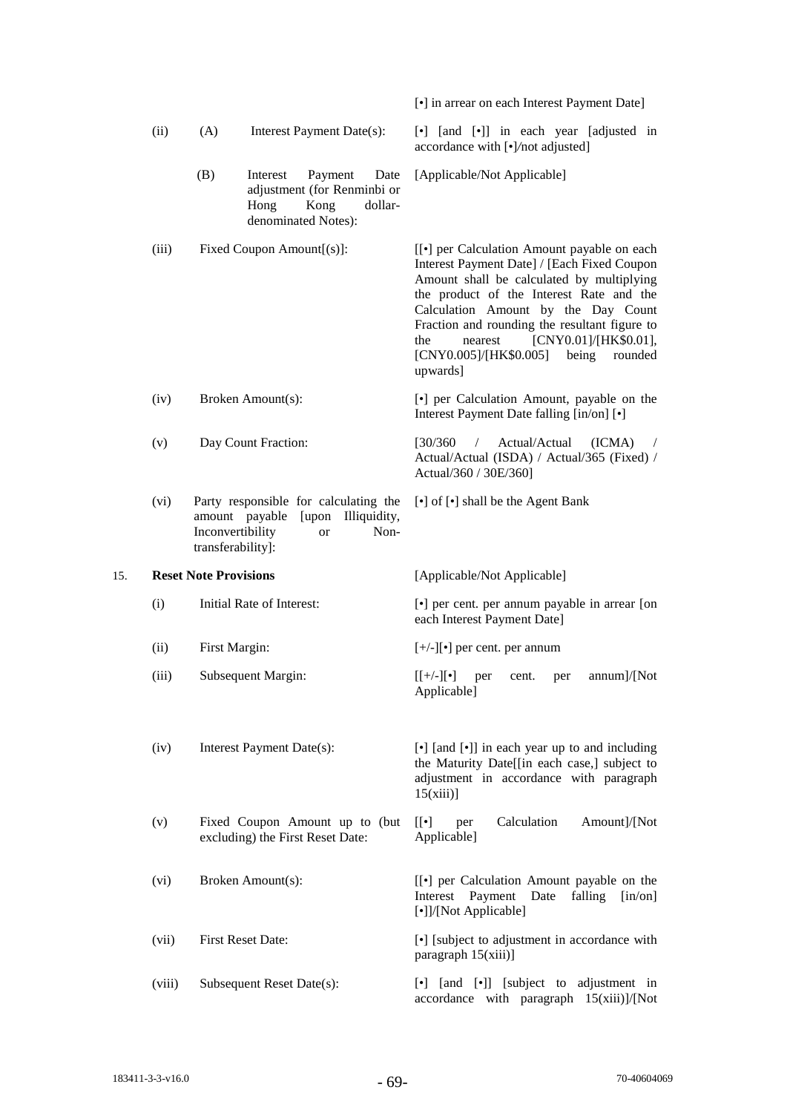|     |       |                                                                                                                                                 |                                         |                                                                    |                 | [•] in arrear on each Interest Payment Date]                                                                                                                                                                                                                                                                                                                                               |  |  |
|-----|-------|-------------------------------------------------------------------------------------------------------------------------------------------------|-----------------------------------------|--------------------------------------------------------------------|-----------------|--------------------------------------------------------------------------------------------------------------------------------------------------------------------------------------------------------------------------------------------------------------------------------------------------------------------------------------------------------------------------------------------|--|--|
|     | (ii)  | (A)                                                                                                                                             |                                         | Interest Payment Date(s):                                          |                 | [•] [and [•]] in each year [adjusted in<br>accordance with [•]/not adjusted]                                                                                                                                                                                                                                                                                                               |  |  |
|     |       | (B)                                                                                                                                             | Interest<br>Hong<br>denominated Notes): | Payment<br>adjustment (for Renminbi or<br>Kong                     | Date<br>dollar- | [Applicable/Not Applicable]                                                                                                                                                                                                                                                                                                                                                                |  |  |
|     | (iii) | Fixed Coupon Amount[(s)]:                                                                                                                       |                                         |                                                                    |                 | [[ $\bullet$ ] per Calculation Amount payable on each<br>Interest Payment Date] / [Each Fixed Coupon<br>Amount shall be calculated by multiplying<br>the product of the Interest Rate and the<br>Calculation Amount by the Day Count<br>Fraction and rounding the resultant figure to<br>[CNY0.01]/[HK\$0.01],<br>the<br>nearest<br>being<br>[CNY0.005]/[HK\$0.005]<br>rounded<br>upwards] |  |  |
|     | (iv)  |                                                                                                                                                 | Broken Amount(s):                       |                                                                    |                 | [•] per Calculation Amount, payable on the<br>Interest Payment Date falling [in/on] [ $\bullet$ ]                                                                                                                                                                                                                                                                                          |  |  |
|     | (v)   | Day Count Fraction:                                                                                                                             |                                         |                                                                    |                 | Actual/Actual<br>[30/360]<br>(ICMA)<br>$\sqrt{2}$<br>$\sqrt{2}$<br>Actual/Actual (ISDA) / Actual/365 (Fixed) /<br>Actual/360 / 30E/360]                                                                                                                                                                                                                                                    |  |  |
|     | (vi)  | Party responsible for calculating the<br>Illiquidity,<br>amount payable<br>[upon]<br>Inconvertibility<br>Non-<br><b>or</b><br>transferability]: |                                         |                                                                    |                 | [ $\bullet$ ] of [ $\bullet$ ] shall be the Agent Bank                                                                                                                                                                                                                                                                                                                                     |  |  |
|     |       |                                                                                                                                                 |                                         |                                                                    |                 |                                                                                                                                                                                                                                                                                                                                                                                            |  |  |
| 15. |       | <b>Reset Note Provisions</b>                                                                                                                    |                                         |                                                                    |                 | [Applicable/Not Applicable]                                                                                                                                                                                                                                                                                                                                                                |  |  |
|     | (i)   |                                                                                                                                                 | Initial Rate of Interest:               |                                                                    |                 | [•] per cent. per annum payable in arrear [on<br>each Interest Payment Date]                                                                                                                                                                                                                                                                                                               |  |  |
|     | (ii)  | First Margin:                                                                                                                                   |                                         |                                                                    |                 | $[+/$ -][ $\bullet$ ] per cent. per annum                                                                                                                                                                                                                                                                                                                                                  |  |  |
|     | (iii) |                                                                                                                                                 | Subsequent Margin:                      |                                                                    |                 | annum]/[Not<br>$[[+/-][\bullet]$<br>cent.<br>per<br>per<br>Applicable]                                                                                                                                                                                                                                                                                                                     |  |  |
|     | (iv)  |                                                                                                                                                 | Interest Payment Date(s):               |                                                                    |                 | [•] [and [•]] in each year up to and including<br>the Maturity Date[[in each case,] subject to<br>adjustment in accordance with paragraph<br>15(xiii)                                                                                                                                                                                                                                      |  |  |
|     | (v)   |                                                                                                                                                 |                                         | Fixed Coupon Amount up to (but<br>excluding) the First Reset Date: |                 | Calculation<br>[[•]<br>Amount]/[Not<br>per<br>Applicable]                                                                                                                                                                                                                                                                                                                                  |  |  |
|     | (vi)  |                                                                                                                                                 | Broken Amount(s):                       |                                                                    |                 | [[ $\bullet$ ] per Calculation Amount payable on the<br>Payment<br>Interest<br>Date<br>falling<br>$\lceil$ in/on $\rceil$<br>[•]]/[Not Applicable]                                                                                                                                                                                                                                         |  |  |
|     | (vii) |                                                                                                                                                 | <b>First Reset Date:</b>                |                                                                    |                 | [•] [subject to adjustment in accordance with<br>paragraph 15(xiii)]                                                                                                                                                                                                                                                                                                                       |  |  |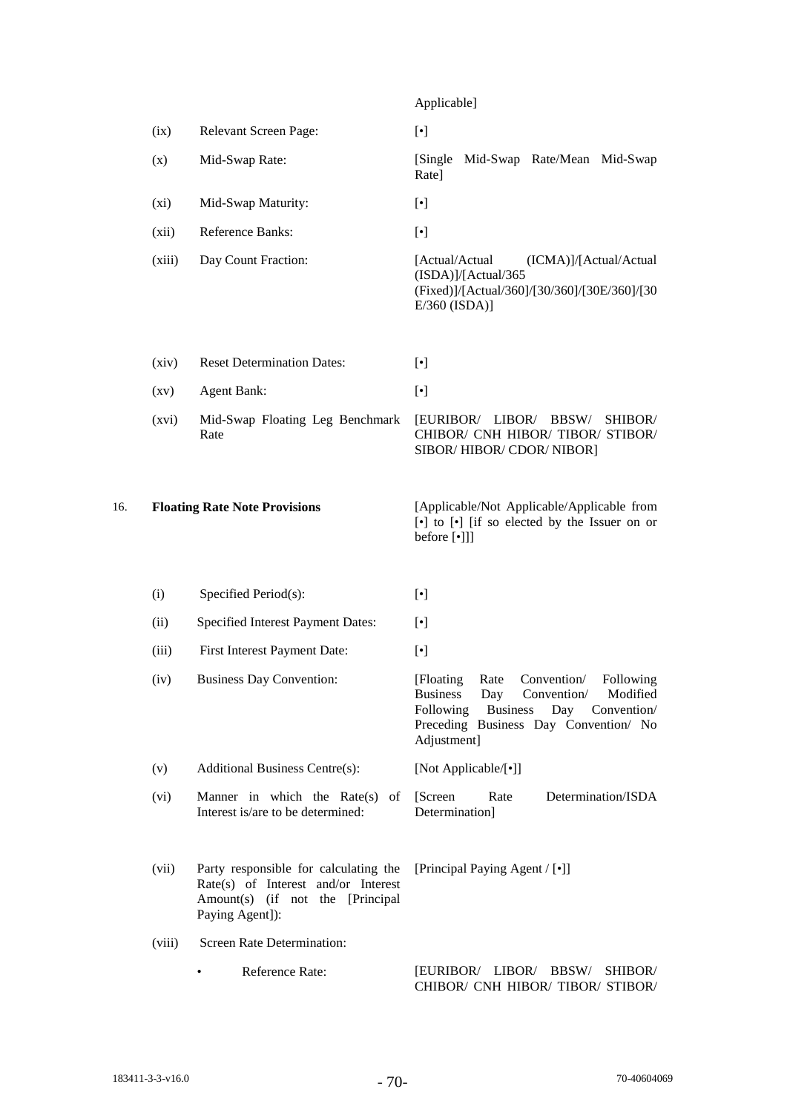|     |                    |                                         | Applicable]                                                                                                                                    |
|-----|--------------------|-----------------------------------------|------------------------------------------------------------------------------------------------------------------------------------------------|
|     | (ix)               | Relevant Screen Page:                   | $[\cdot]$                                                                                                                                      |
|     | (x)                | Mid-Swap Rate:                          | Mid-Swap Rate/Mean Mid-Swap<br>[Single]<br>Rate]                                                                                               |
|     | (xi)               | Mid-Swap Maturity:                      | $[\cdot]$                                                                                                                                      |
|     | (xii)              | Reference Banks:                        | $[\cdot]$                                                                                                                                      |
|     | (xiii)             | Day Count Fraction:                     | [Actual/Actual<br>(ICMA)]/[Actual/Actual<br>(ISDA)]/[Actual/365<br>(Fixed)]/[Actual/360]/[30/360]/[30E/360]/[30<br>$E/360$ (ISDA)]             |
|     | (xiv)              | <b>Reset Determination Dates:</b>       | $[\bullet]$                                                                                                                                    |
|     | $\left( xy\right)$ | <b>Agent Bank:</b>                      | $[\bullet]$                                                                                                                                    |
|     | (xvi)              | Mid-Swap Floating Leg Benchmark<br>Rate | BBSW/<br>[EURIBOR/ LIBOR/<br>SHIBOR/<br>CHIBOR/ CNH HIBOR/ TIBOR/ STIBOR/<br>SIBOR/HIBOR/CDOR/NIBOR]                                           |
| 16. |                    | <b>Floating Rate Note Provisions</b>    | [Applicable/Not Applicable/Applicable from<br>$\lceil \cdot \rceil$ to $\lceil \cdot \rceil$ if so elected by the Issuer on or<br>before [•]]] |
|     | (i)                | Specified Period(s):                    | $[\cdot]$                                                                                                                                      |
|     | (ii)               | Specified Interest Payment Dates:       | $\lceil \cdot \rceil$                                                                                                                          |
|     | (iii)              | First Interest Payment Date:            | $[\bullet]$                                                                                                                                    |
|     | (iv)               | <b>Business Day Convention:</b>         | [Floating]<br>Rate<br>Convention/<br>Following                                                                                                 |

|             |  | [Floating Rate Convention/ Following] |
|-------------|--|---------------------------------------|
|             |  | Business Day Convention/ Modified     |
|             |  | Following Business Day Convention     |
|             |  | Preceding Business Day Convention/ No |
| Adjustment] |  |                                       |

(v) Additional Business Centre(s): [Not Applicable/[•]] (vi) Manner in which the Rate(s) of Interest is/are to be determined: [Screen Rate Determination/ISDA Determination]

(vii) Party responsible for calculating the [Principal Paying Agent / [•]] Rate(s) of Interest and/or Interest Amount(s) (if not the [Principal Paying Agent]):

(viii) Screen Rate Determination:

• Reference Rate: [EURIBOR/ LIBOR/ BBSW/ SHIBOR/ CHIBOR/ CNH HIBOR/ TIBOR/ STIBOR/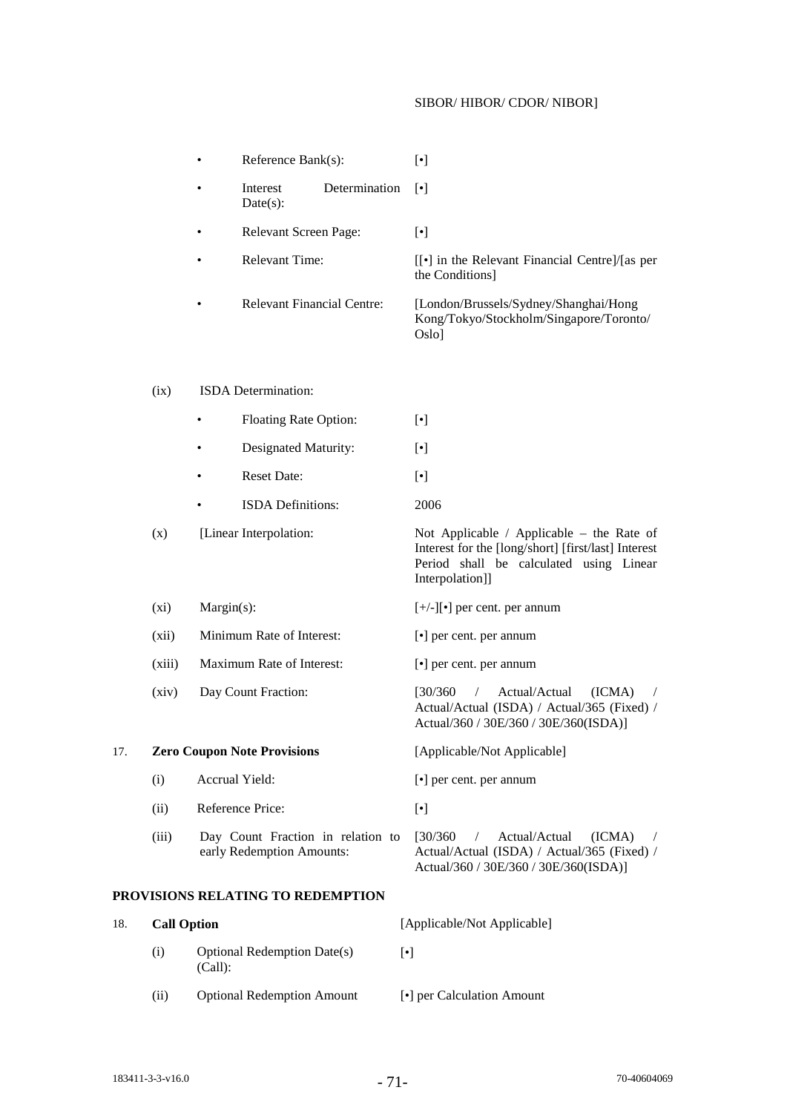# SIBOR/ HIBOR/ CDOR/ NIBOR]

|     |                    |                                   | Reference Bank(s):                 |                                                                                                                                                                |                                                                                           | $[\cdot]$                                                                                                                                               |  |  |
|-----|--------------------|-----------------------------------|------------------------------------|----------------------------------------------------------------------------------------------------------------------------------------------------------------|-------------------------------------------------------------------------------------------|---------------------------------------------------------------------------------------------------------------------------------------------------------|--|--|
|     |                    |                                   | Interest<br>Date(s):               | Determination                                                                                                                                                  |                                                                                           | $\lceil \cdot \rceil$                                                                                                                                   |  |  |
|     |                    |                                   | Relevant Screen Page:              |                                                                                                                                                                |                                                                                           | $[\cdot]$                                                                                                                                               |  |  |
|     |                    | <b>Relevant Time:</b>             |                                    |                                                                                                                                                                |                                                                                           | [[•] in the Relevant Financial Centre]/[as per<br>the Conditions]                                                                                       |  |  |
|     |                    | <b>Relevant Financial Centre:</b> |                                    |                                                                                                                                                                | [London/Brussels/Sydney/Shanghai/Hong<br>Kong/Tokyo/Stockholm/Singapore/Toronto/<br>Oslo] |                                                                                                                                                         |  |  |
|     | (ix)               |                                   | ISDA Determination:                |                                                                                                                                                                |                                                                                           |                                                                                                                                                         |  |  |
|     |                    | <b>Floating Rate Option:</b><br>٠ |                                    | $[\bullet]$                                                                                                                                                    |                                                                                           |                                                                                                                                                         |  |  |
|     |                    |                                   | Designated Maturity:               |                                                                                                                                                                |                                                                                           | $[\bullet]$                                                                                                                                             |  |  |
|     |                    |                                   | <b>Reset Date:</b>                 |                                                                                                                                                                |                                                                                           | $[\cdot]$                                                                                                                                               |  |  |
|     |                    |                                   | <b>ISDA</b> Definitions:           |                                                                                                                                                                |                                                                                           | 2006                                                                                                                                                    |  |  |
|     | (x)                | [Linear Interpolation:            |                                    | Not Applicable / Applicable – the Rate of<br>Interest for the [long/short] [first/last] Interest<br>Period shall be calculated using Linear<br>Interpolation]] |                                                                                           |                                                                                                                                                         |  |  |
|     | $(x_i)$            | Margin(s):                        |                                    |                                                                                                                                                                |                                                                                           | $[+/$ -][ $\bullet$ ] per cent. per annum<br>[ $\bullet$ ] per cent. per annum<br>[ $\bullet$ ] per cent. per annum                                     |  |  |
|     | (xii)              |                                   | Minimum Rate of Interest:          |                                                                                                                                                                |                                                                                           |                                                                                                                                                         |  |  |
|     | (xiii)             |                                   | Maximum Rate of Interest:          |                                                                                                                                                                |                                                                                           |                                                                                                                                                         |  |  |
|     | (xiv)              |                                   | Day Count Fraction:                |                                                                                                                                                                |                                                                                           | [30/360]<br>Actual/Actual<br>(ICMA)<br>$\sqrt{2}$<br>$\sqrt{2}$<br>Actual/Actual (ISDA) / Actual/365 (Fixed) /<br>Actual/360 / 30E/360 / 30E/360(ISDA)] |  |  |
| 17. |                    |                                   | <b>Zero Coupon Note Provisions</b> |                                                                                                                                                                |                                                                                           | [Applicable/Not Applicable]                                                                                                                             |  |  |
|     | (i)                |                                   | Accrual Yield:                     |                                                                                                                                                                |                                                                                           | [ $\bullet$ ] per cent. per annum                                                                                                                       |  |  |
|     | (ii)               |                                   | Reference Price:                   |                                                                                                                                                                |                                                                                           | $[\cdot]$                                                                                                                                               |  |  |
|     | (iii)              |                                   | early Redemption Amounts:          | Day Count Fraction in relation to                                                                                                                              |                                                                                           | [30/360]<br>Actual/Actual<br>(ICMA)<br>$\sqrt{2}$<br>Actual/Actual (ISDA) / Actual/365 (Fixed) /<br>Actual/360 / 30E/360 / 30E/360(ISDA)]               |  |  |
|     |                    |                                   | PROVISIONS RELATING TO REDEMPTION  |                                                                                                                                                                |                                                                                           |                                                                                                                                                         |  |  |
| 18. | <b>Call Option</b> |                                   |                                    |                                                                                                                                                                |                                                                                           | [Applicable/Not Applicable]                                                                                                                             |  |  |
|     | (i)                | (Call):                           | <b>Optional Redemption Date(s)</b> |                                                                                                                                                                | $[\cdot]$                                                                                 |                                                                                                                                                         |  |  |
|     | (ii)               |                                   | <b>Optional Redemption Amount</b>  |                                                                                                                                                                |                                                                                           | [•] per Calculation Amount                                                                                                                              |  |  |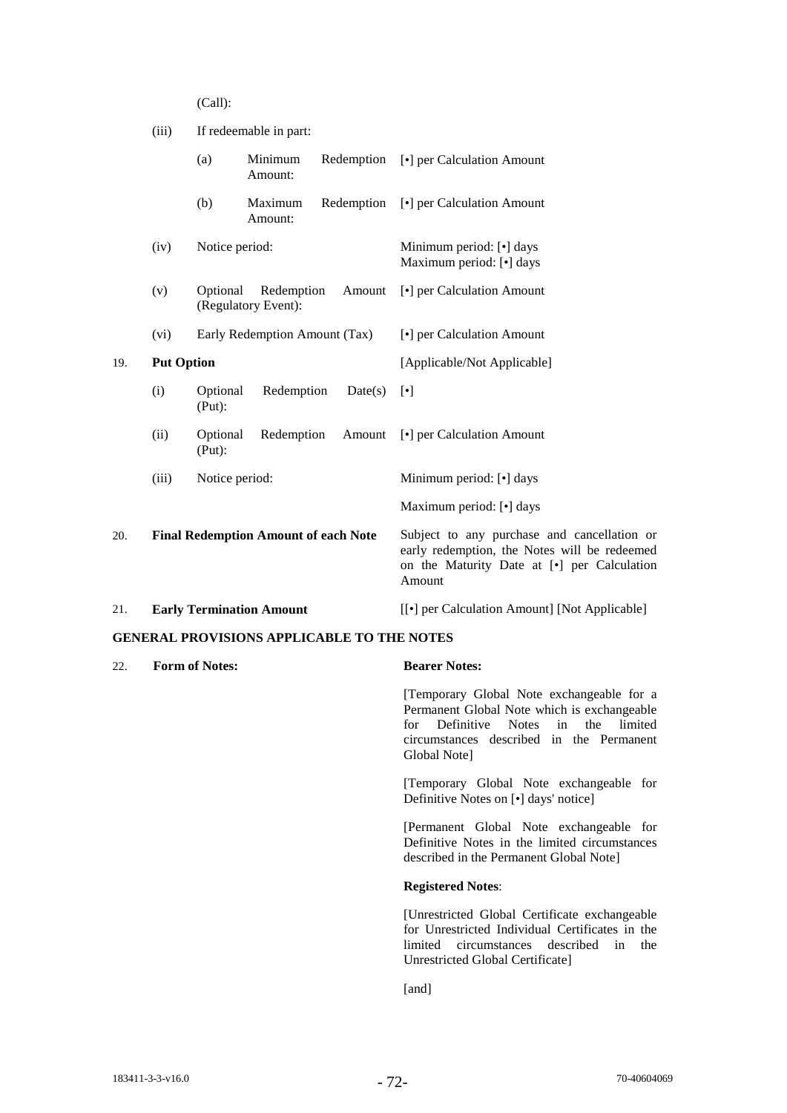(Call):

| (iii) |     | If redeemable in part: |                                               |  |  |
|-------|-----|------------------------|-----------------------------------------------|--|--|
|       | (a) | Amount:                | Minimum Redemption [•] per Calculation Amount |  |  |

|     |                   | (b)                | Maximum<br>Amount:                                            |         | Redemption [.] per Calculation Amount                          |  |
|-----|-------------------|--------------------|---------------------------------------------------------------|---------|----------------------------------------------------------------|--|
|     | (iv)              |                    | Notice period:<br>Redemption<br>Amount<br>(Regulatory Event): |         | Minimum period: [•] days<br>Maximum period: [ $\bullet$ ] days |  |
|     | (v)               | Optional           |                                                               |         | [•] per Calculation Amount                                     |  |
|     | (vi)              |                    | Early Redemption Amount (Tax)                                 |         | [•] per Calculation Amount                                     |  |
| 19. | <b>Put Option</b> |                    |                                                               |         | [Applicable/Not Applicable]                                    |  |
|     | (i)               | Optional<br>(Put): | Redemption                                                    | Date(s) | $\lceil \cdot \rceil$                                          |  |
|     | (ii)              | Optional<br>(Put): | Redemption                                                    | Amount  | [•] per Calculation Amount                                     |  |
|     | (iii)             | Notice period:     |                                                               |         | Minimum period: [•] days                                       |  |
|     |                   |                    |                                                               |         | Maximum period: [ $\bullet$ ] days                             |  |

20. **Final Redemption Amount of each Note** Subject to any purchase and cancellation or early redemption, the Notes will be redeemed on the Maturity Date at [•] per Calculation Amount 21. **Early Termination Amount** [[•] per Calculation Amount] [Not Applicable]

#### **GENERAL PROVISIONS APPLICABLE TO THE NOTES**

22. **Form of Notes: Bearer Notes:**

[Temporary Global Note exchangeable for a Permanent Global Note which is exchangeable for Definitive Notes in the limited circumstances described in the Permanent Global Note]

[Temporary Global Note exchangeable for Definitive Notes on [•] days' notice]

[Permanent Global Note exchangeable for Definitive Notes in the limited circumstances described in the Permanent Global Note]

#### **Registered Notes**:

[Unrestricted Global Certificate exchangeable for Unrestricted Individual Certificates in the limited circumstances described in the Unrestricted Global Certificate]

[and]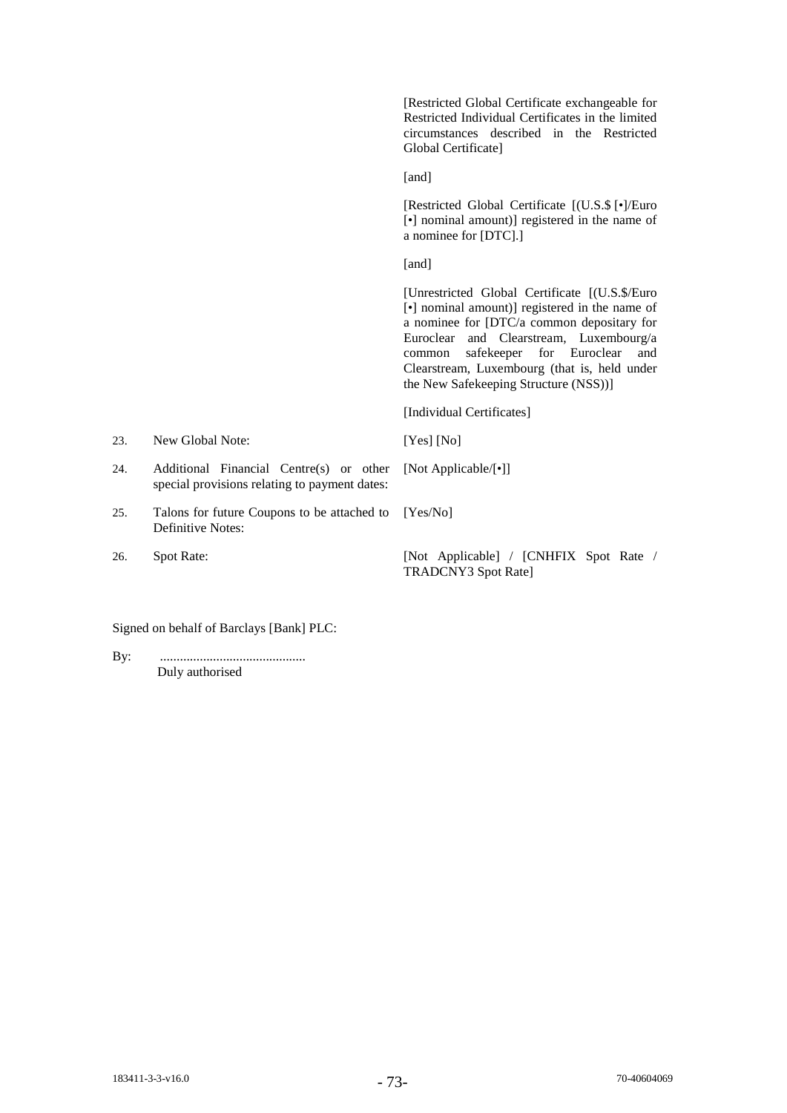[Restricted Global Certificate exchangeable for Restricted Individual Certificates in the limited circumstances described in the Restricted Global Certificate]

[and]

[Restricted Global Certificate [(U.S.\$ [•]/Euro [•] nominal amount)] registered in the name of a nominee for [DTC].]

[and]

[Unrestricted Global Certificate [(U.S.\$/Euro [•] nominal amount)] registered in the name of a nominee for [DTC/a common depositary for Euroclear and Clearstream, Luxembourg/a common safekeeper for Euroclear and Clearstream, Luxembourg (that is, held under the New Safekeeping Structure (NSS))]

[Individual Certificates]

[Not Applicable/[•]]

23. New Global Note: [Yes] [No]

- 24. Additional Financial Centre(s) or other special provisions relating to payment dates:
- 25. Talons for future Coupons to be attached to Definitive Notes: [Yes/No]
- 

26. Spot Rate: [Not Applicable] / [CNHFIX Spot Rate / TRADCNY3 Spot Rate]

Signed on behalf of Barclays [Bank] PLC:

By: ............................................ Duly authorised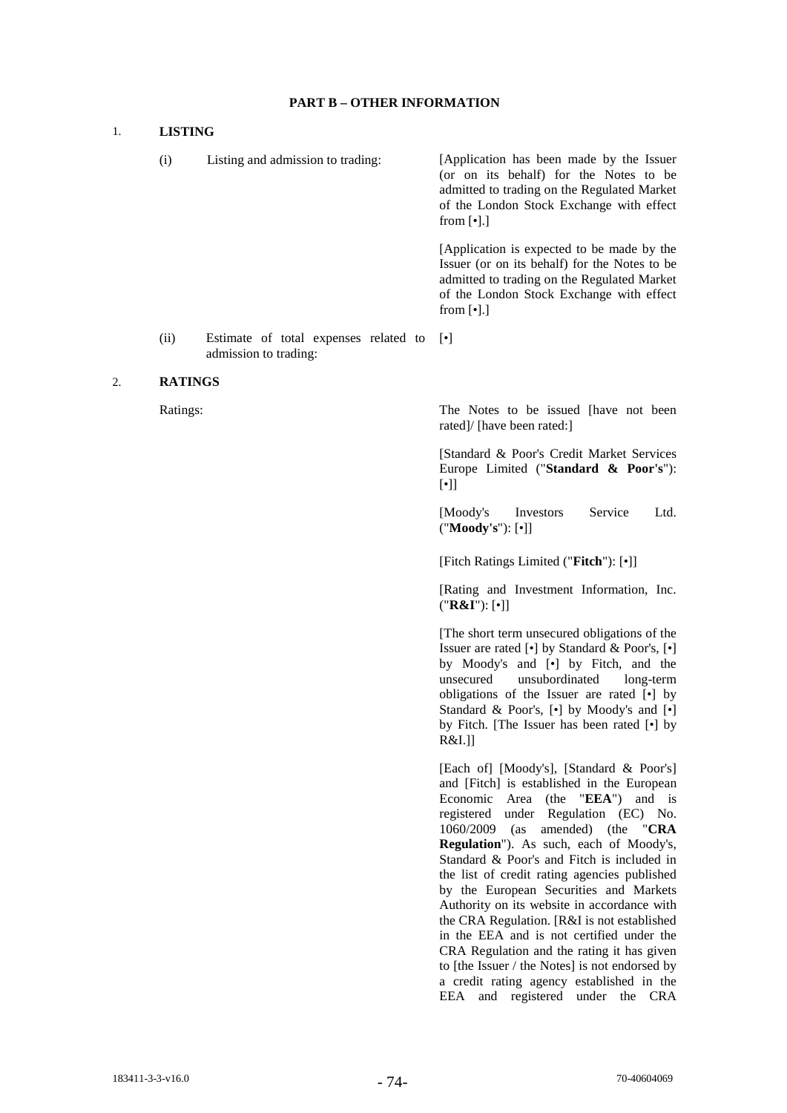# **PART B – OTHER INFORMATION**

#### 1. **LISTING**

(i) Listing and admission to trading: [Application has been made by the Issuer (or on its behalf) for the Notes to be admitted to trading on the Regulated Market of the London Stock Exchange with effect from  $\lceil \cdot \rceil$ .] [Application is expected to be made by the Issuer (or on its behalf) for the Notes to be admitted to trading on the Regulated Market of the London Stock Exchange with effect from  $\lceil \cdot \rceil$ .] (ii) Estimate of total expenses related to [•]

#### 2. **RATINGS**

admission to trading:

Ratings: The Notes to be issued [have not been rated]/ [have been rated:]

> [Standard & Poor's Credit Market Services Europe Limited ("**Standard & Poor's**"): [•]]

> [Moody's Investors Service Ltd. ("**Moody's**"): [•]]

[Fitch Ratings Limited ("**Fitch**"): [•]]

[Rating and Investment Information, Inc. ("**R&I**"): [•]]

[The short term unsecured obligations of the Issuer are rated [•] by Standard & Poor's, [•] by Moody's and [•] by Fitch, and the unsecured unsubordinated long-term obligations of the Issuer are rated [•] by Standard & Poor's, [•] by Moody's and [•] by Fitch. [The Issuer has been rated [•] by R&I.]]

[Each of] [Moody's], [Standard & Poor's] and [Fitch] is established in the European Economic Area (the "**EEA**") and is registered under Regulation (EC) No. 1060/2009 (as amended) (the "**CRA Regulation**"). As such, each of Moody's, Standard & Poor's and Fitch is included in the list of credit rating agencies published by the European Securities and Markets Authority on its website in accordance with the CRA Regulation. [R&I is not established in the EEA and is not certified under the CRA Regulation and the rating it has given to [the Issuer / the Notes] is not endorsed by a credit rating agency established in the EEA and registered under the CRA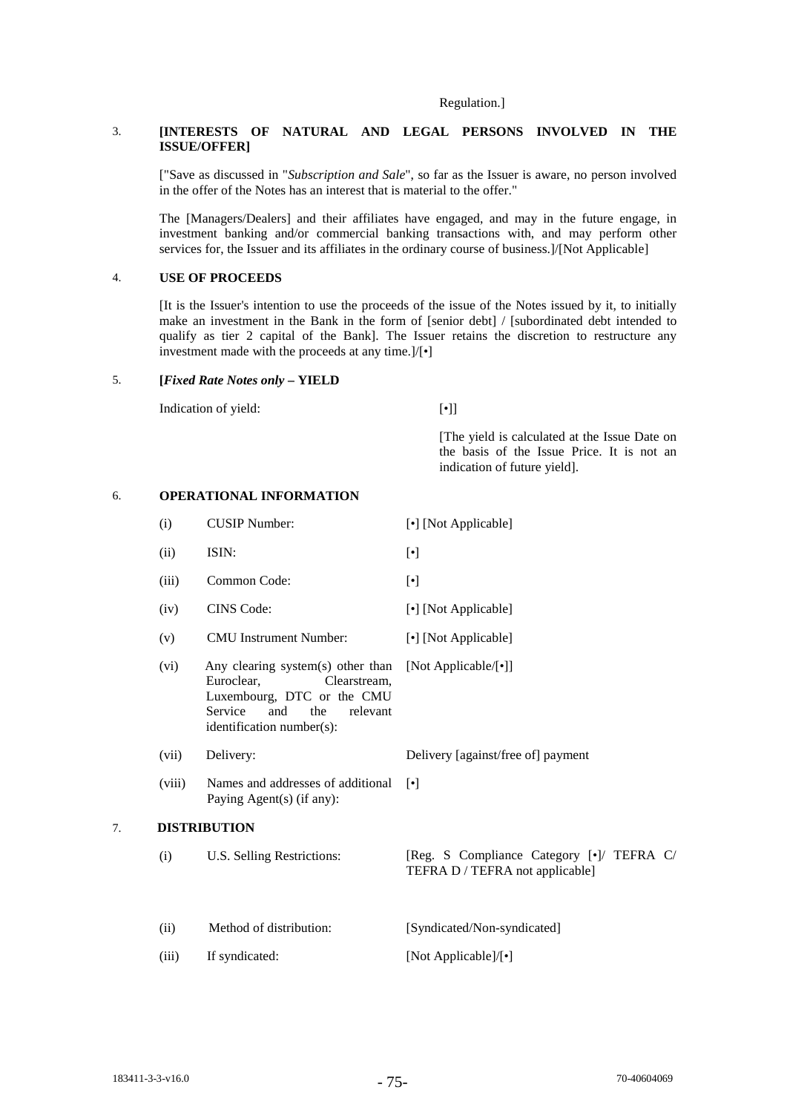#### Regulation.]

# 3. **[INTERESTS OF NATURAL AND LEGAL PERSONS INVOLVED IN THE ISSUE/OFFER]**

["Save as discussed in "*Subscription and Sale*", so far as the Issuer is aware, no person involved in the offer of the Notes has an interest that is material to the offer."

The [Managers/Dealers] and their affiliates have engaged, and may in the future engage, in investment banking and/or commercial banking transactions with, and may perform other services for, the Issuer and its affiliates in the ordinary course of business.]/[Not Applicable]

#### 4. **USE OF PROCEEDS**

[It is the Issuer's intention to use the proceeds of the issue of the Notes issued by it, to initially make an investment in the Bank in the form of [senior debt] / [subordinated debt intended to qualify as tier 2 capital of the Bank]. The Issuer retains the discretion to restructure any investment made with the proceeds at any time.]/[•]

#### 5. **[***Fixed Rate Notes only* **– YIELD**

Indication of yield: [•]

[The yield is calculated at the Issue Date on the basis of the Issue Price. It is not an indication of future yield].

#### 6. **OPERATIONAL INFORMATION**

|    | (i)    | <b>CUSIP Number:</b>                                                                                                                                            | [•] [Not Applicable]                                                         |
|----|--------|-----------------------------------------------------------------------------------------------------------------------------------------------------------------|------------------------------------------------------------------------------|
|    | (ii)   | ISIN:                                                                                                                                                           | $[\cdot]$                                                                    |
|    | (iii)  | Common Code:                                                                                                                                                    | $[\cdot]$                                                                    |
|    | (iv)   | <b>CINS</b> Code:                                                                                                                                               | [•] [Not Applicable]                                                         |
|    | (v)    | <b>CMU</b> Instrument Number:                                                                                                                                   | [•] [Not Applicable]                                                         |
|    | (vi)   | Any clearing system(s) other than<br>Euroclear.<br>Clearstream,<br>Luxembourg, DTC or the CMU<br>Service<br>and<br>the<br>relevant<br>identification number(s): | [Not Applicable/[•]]                                                         |
|    | (vii)  | Delivery:                                                                                                                                                       | Delivery [against/free of] payment                                           |
|    | (viii) | Names and addresses of additional<br>Paying Agent(s) (if any):                                                                                                  | $\lceil \bullet \rceil$                                                      |
| 7. |        | <b>DISTRIBUTION</b>                                                                                                                                             |                                                                              |
|    | (i)    | U.S. Selling Restrictions:                                                                                                                                      | [Reg. S Compliance Category [•]/ TEFRA C/<br>TEFRA D / TEFRA not applicable] |
|    | (ii)   | Method of distribution:                                                                                                                                         | [Syndicated/Non-syndicated]                                                  |
|    | (iii)  | If syndicated:                                                                                                                                                  | [Not Applicable]/[•]                                                         |
|    |        |                                                                                                                                                                 |                                                                              |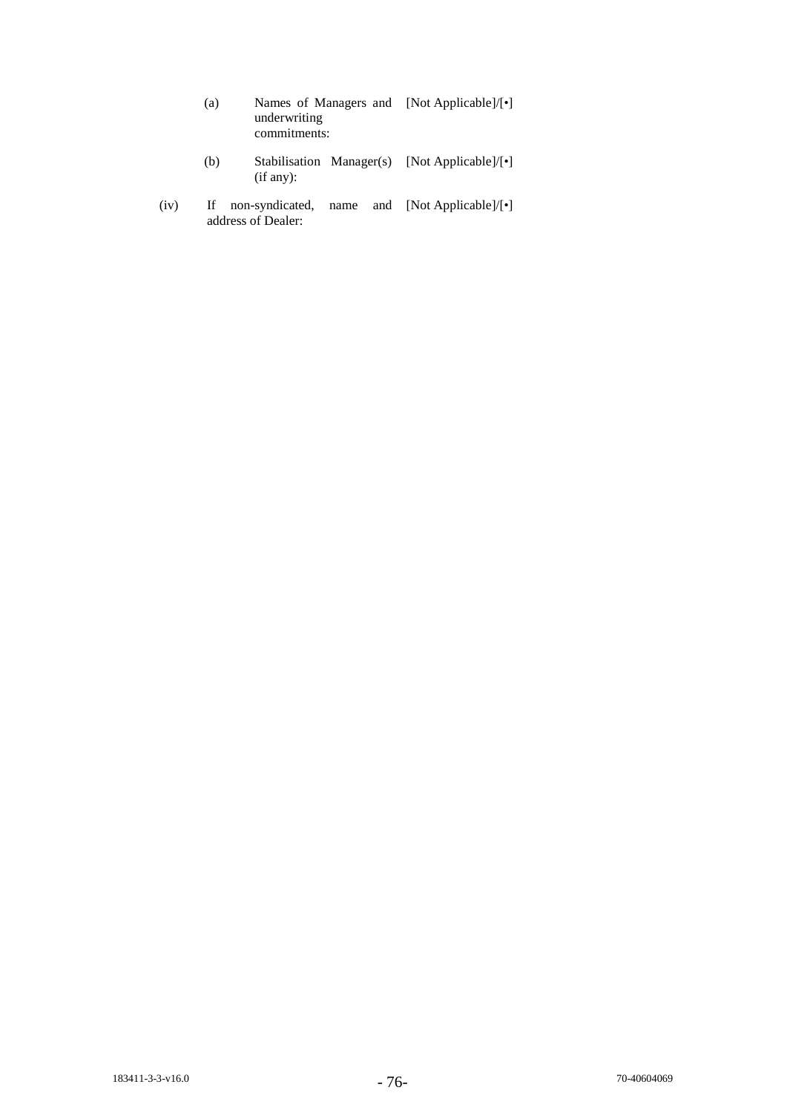| (a) | Names of Managers and [Not Applicable]/ $[\cdot]$<br>underwriting<br>commitments: |                        |  |  |
|-----|-----------------------------------------------------------------------------------|------------------------|--|--|
| (b) | Stabilisation Manager(s) [Not Applicable]/ $\lceil \cdot \rceil$<br>(if any):     |                        |  |  |
|     | non avadigated name                                                               | and Mot Annlicable Lel |  |  |

(iv) If non-syndicated, name and [Not Applicable]/[•] address of Dealer: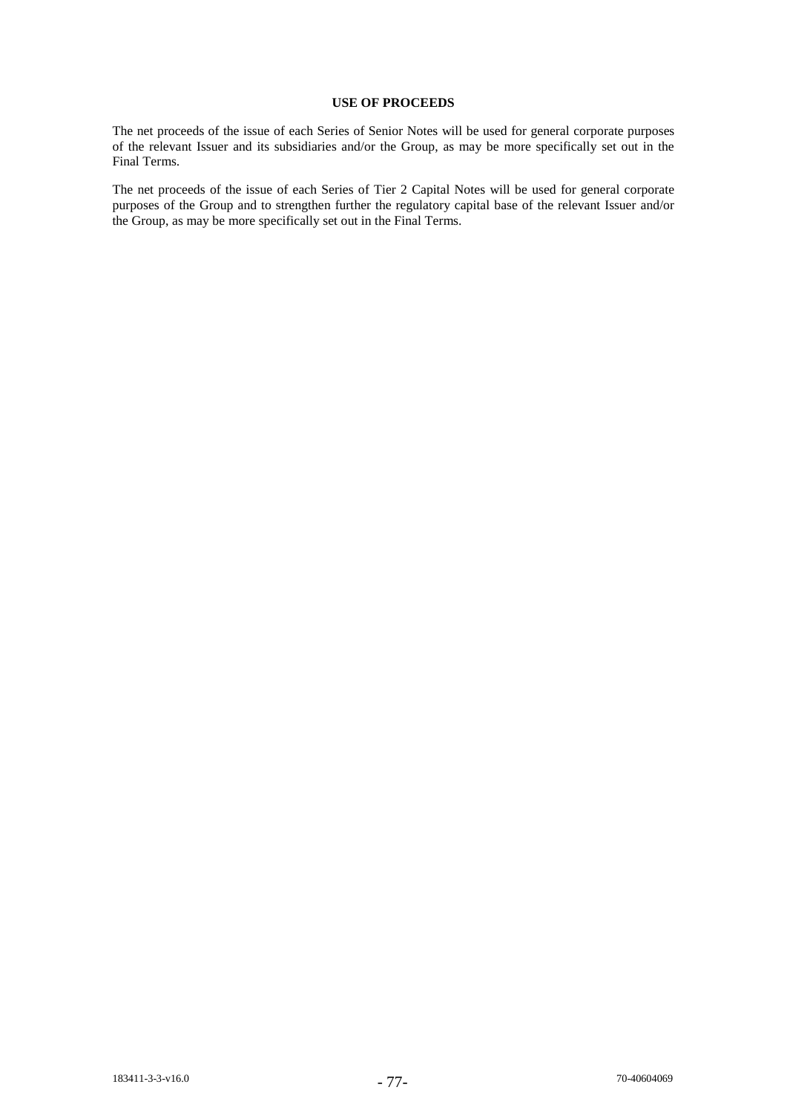# **USE OF PROCEEDS**

The net proceeds of the issue of each Series of Senior Notes will be used for general corporate purposes of the relevant Issuer and its subsidiaries and/or the Group, as may be more specifically set out in the Final Terms.

The net proceeds of the issue of each Series of Tier 2 Capital Notes will be used for general corporate purposes of the Group and to strengthen further the regulatory capital base of the relevant Issuer and/or the Group, as may be more specifically set out in the Final Terms.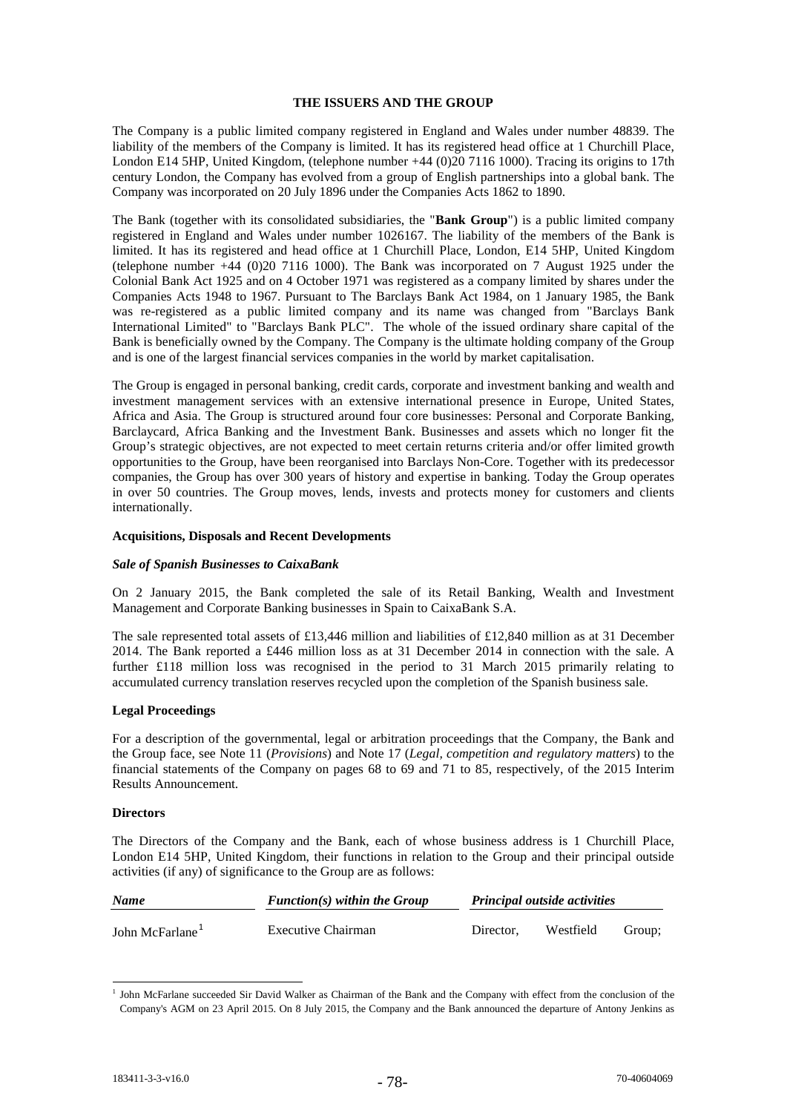# **THE ISSUERS AND THE GROUP**

The Company is a public limited company registered in England and Wales under number 48839. The liability of the members of the Company is limited. It has its registered head office at 1 Churchill Place, London E14 5HP, United Kingdom, (telephone number +44 (0)20 7116 1000). Tracing its origins to 17th century London, the Company has evolved from a group of English partnerships into a global bank. The Company was incorporated on 20 July 1896 under the Companies Acts 1862 to 1890.

The Bank (together with its consolidated subsidiaries, the "**Bank Group**") is a public limited company registered in England and Wales under number 1026167. The liability of the members of the Bank is limited. It has its registered and head office at 1 Churchill Place, London, E14 5HP, United Kingdom (telephone number +44 (0)20 7116 1000). The Bank was incorporated on 7 August 1925 under the Colonial Bank Act 1925 and on 4 October 1971 was registered as a company limited by shares under the Companies Acts 1948 to 1967. Pursuant to The Barclays Bank Act 1984, on 1 January 1985, the Bank was re-registered as a public limited company and its name was changed from "Barclays Bank" International Limited" to "Barclays Bank PLC". The whole of the issued ordinary share capital of the Bank is beneficially owned by the Company. The Company is the ultimate holding company of the Group and is one of the largest financial services companies in the world by market capitalisation.

The Group is engaged in personal banking, credit cards, corporate and investment banking and wealth and investment management services with an extensive international presence in Europe, United States, Africa and Asia. The Group is structured around four core businesses: Personal and Corporate Banking, Barclaycard, Africa Banking and the Investment Bank. Businesses and assets which no longer fit the Group's strategic objectives, are not expected to meet certain returns criteria and/or offer limited growth opportunities to the Group, have been reorganised into Barclays Non-Core. Together with its predecessor companies, the Group has over 300 years of history and expertise in banking. Today the Group operates in over 50 countries. The Group moves, lends, invests and protects money for customers and clients internationally.

### **Acquisitions, Disposals and Recent Developments**

#### *Sale of Spanish Businesses to CaixaBank*

On 2 January 2015, the Bank completed the sale of its Retail Banking, Wealth and Investment Management and Corporate Banking businesses in Spain to CaixaBank S.A.

The sale represented total assets of £13,446 million and liabilities of £12,840 million as at 31 December 2014. The Bank reported a £446 million loss as at 31 December 2014 in connection with the sale. A further £118 million loss was recognised in the period to 31 March 2015 primarily relating to accumulated currency translation reserves recycled upon the completion of the Spanish business sale.

#### **Legal Proceedings**

For a description of the governmental, legal or arbitration proceedings that the Company, the Bank and the Group face, see Note 11 (*Provisions*) and Note 17 (*Legal, competition and regulatory matters*) to the financial statements of the Company on pages 68 to 69 and 71 to 85, respectively, of the 2015 Interim Results Announcement.

#### **Directors**

The Directors of the Company and the Bank, each of whose business address is 1 Churchill Place, London E14 5HP, United Kingdom, their functions in relation to the Group and their principal outside activities (if any) of significance to the Group are as follows:

| <b>Name</b>                 | $Function(s)$ within the Group | <b>Principal outside activities</b> |           |        |
|-----------------------------|--------------------------------|-------------------------------------|-----------|--------|
| John McFarlane <sup>1</sup> | Executive Chairman             | Director.                           | Westfield | Group; |

<sup>&</sup>lt;sup>1</sup> John McFarlane succeeded Sir David Walker as Chairman of the Bank and the Company with effect from the conclusion of the Company's AGM on 23 April 2015. On 8 July 2015, the Company and the Bank announced the departure of Antony Jenkins as -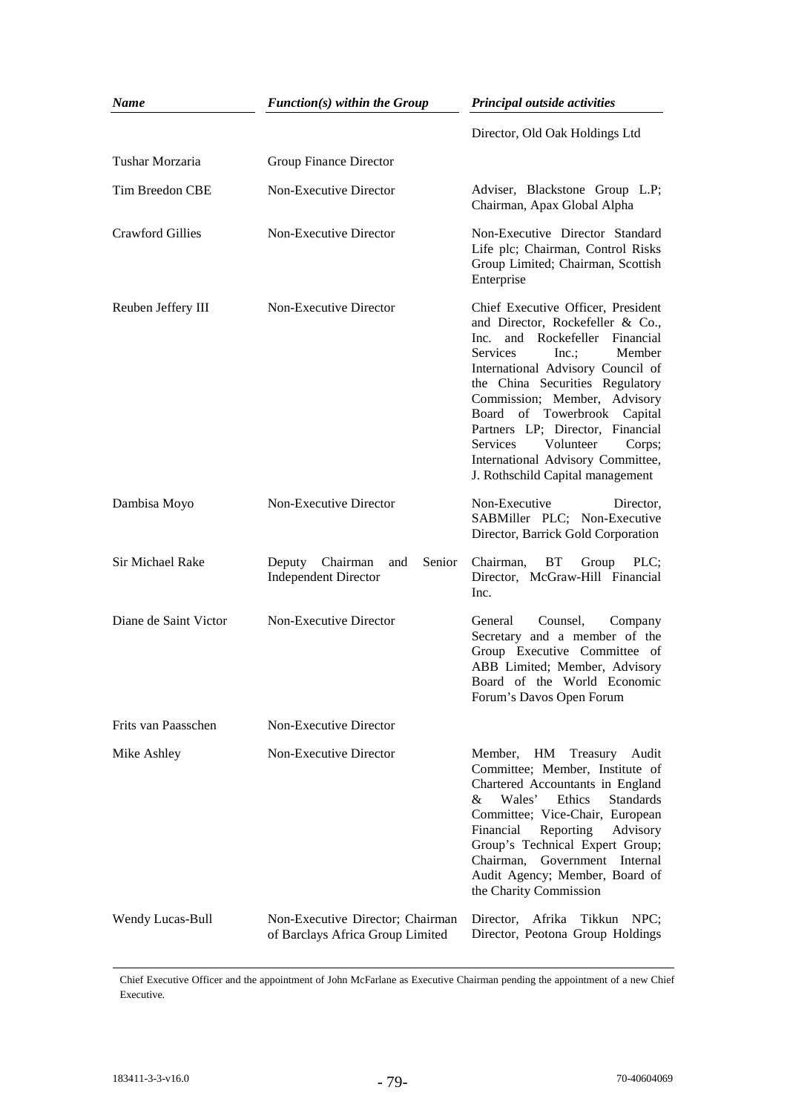| <b>Name</b>             | $Function(s)$ within the Group                                       | Principal outside activities                                                                                                                                                                                                                                                                                                                                                                                                             |
|-------------------------|----------------------------------------------------------------------|------------------------------------------------------------------------------------------------------------------------------------------------------------------------------------------------------------------------------------------------------------------------------------------------------------------------------------------------------------------------------------------------------------------------------------------|
|                         |                                                                      | Director, Old Oak Holdings Ltd                                                                                                                                                                                                                                                                                                                                                                                                           |
| Tushar Morzaria         | <b>Group Finance Director</b>                                        |                                                                                                                                                                                                                                                                                                                                                                                                                                          |
| Tim Breedon CBE         | Non-Executive Director                                               | Adviser, Blackstone Group L.P;<br>Chairman, Apax Global Alpha                                                                                                                                                                                                                                                                                                                                                                            |
| <b>Crawford Gillies</b> | Non-Executive Director                                               | Non-Executive Director Standard<br>Life plc; Chairman, Control Risks<br>Group Limited; Chairman, Scottish<br>Enterprise                                                                                                                                                                                                                                                                                                                  |
| Reuben Jeffery III      | Non-Executive Director                                               | Chief Executive Officer, President<br>and Director, Rockefeller & Co.,<br>Inc.<br>and Rockefeller Financial<br>Services<br>Inc.;<br>Member<br>International Advisory Council of<br>the China Securities Regulatory<br>Commission; Member, Advisory<br>Board of Towerbrook Capital<br>Partners LP; Director, Financial<br><b>Services</b><br>Volunteer<br>Corps;<br>International Advisory Committee,<br>J. Rothschild Capital management |
| Dambisa Moyo            | Non-Executive Director                                               | Non-Executive<br>Director,<br>SABMiller PLC; Non-Executive<br>Director, Barrick Gold Corporation                                                                                                                                                                                                                                                                                                                                         |
| Sir Michael Rake        | Chairman<br>Deputy<br>and<br>Senior<br><b>Independent Director</b>   | BT<br>Group<br>Chairman,<br>PLC;<br>Director, McGraw-Hill Financial<br>Inc.                                                                                                                                                                                                                                                                                                                                                              |
| Diane de Saint Victor   | Non-Executive Director                                               | Counsel,<br>General<br>Company<br>Secretary and a member of the<br>Group Executive Committee of<br>ABB Limited; Member, Advisory<br>Board of the World Economic<br>Forum's Davos Open Forum                                                                                                                                                                                                                                              |
| Frits van Paasschen     | Non-Executive Director                                               |                                                                                                                                                                                                                                                                                                                                                                                                                                          |
| Mike Ashley             | Non-Executive Director                                               | HM<br>Member,<br>Treasury Audit<br>Committee; Member, Institute of<br>Chartered Accountants in England<br>Wales'<br>Ethics<br><b>Standards</b><br>&<br>Committee; Vice-Chair, European<br>Financial<br>Reporting<br>Advisory<br>Group's Technical Expert Group;<br>Chairman,<br>Government Internal<br>Audit Agency; Member, Board of<br>the Charity Commission                                                                          |
| Wendy Lucas-Bull        | Non-Executive Director; Chairman<br>of Barclays Africa Group Limited | Director, Afrika Tikkun NPC;<br>Director, Peotona Group Holdings                                                                                                                                                                                                                                                                                                                                                                         |

Chief Executive Officer and the appointment of John McFarlane as Executive Chairman pending the appointment of a new Chief Executive.

-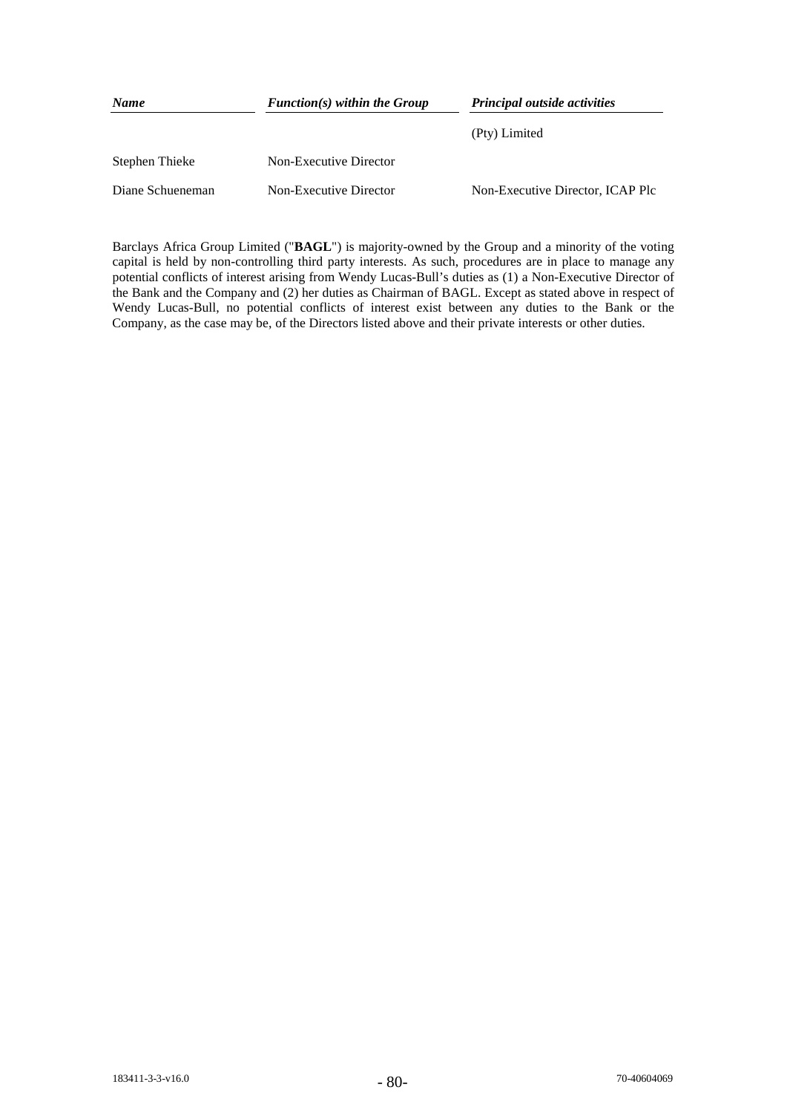| <b>Name</b>      | $Function(s)$ within the Group | <b>Principal outside activities</b> |
|------------------|--------------------------------|-------------------------------------|
|                  |                                | (Pty) Limited                       |
| Stephen Thieke   | Non-Executive Director         |                                     |
| Diane Schueneman | Non-Executive Director         | Non-Executive Director, ICAP Plc    |

Barclays Africa Group Limited ("**BAGL**") is majority-owned by the Group and a minority of the voting capital is held by non-controlling third party interests. As such, procedures are in place to manage any potential conflicts of interest arising from Wendy Lucas-Bull's duties as (1) a Non-Executive Director of the Bank and the Company and (2) her duties as Chairman of BAGL. Except as stated above in respect of Wendy Lucas-Bull, no potential conflicts of interest exist between any duties to the Bank or the Company, as the case may be, of the Directors listed above and their private interests or other duties.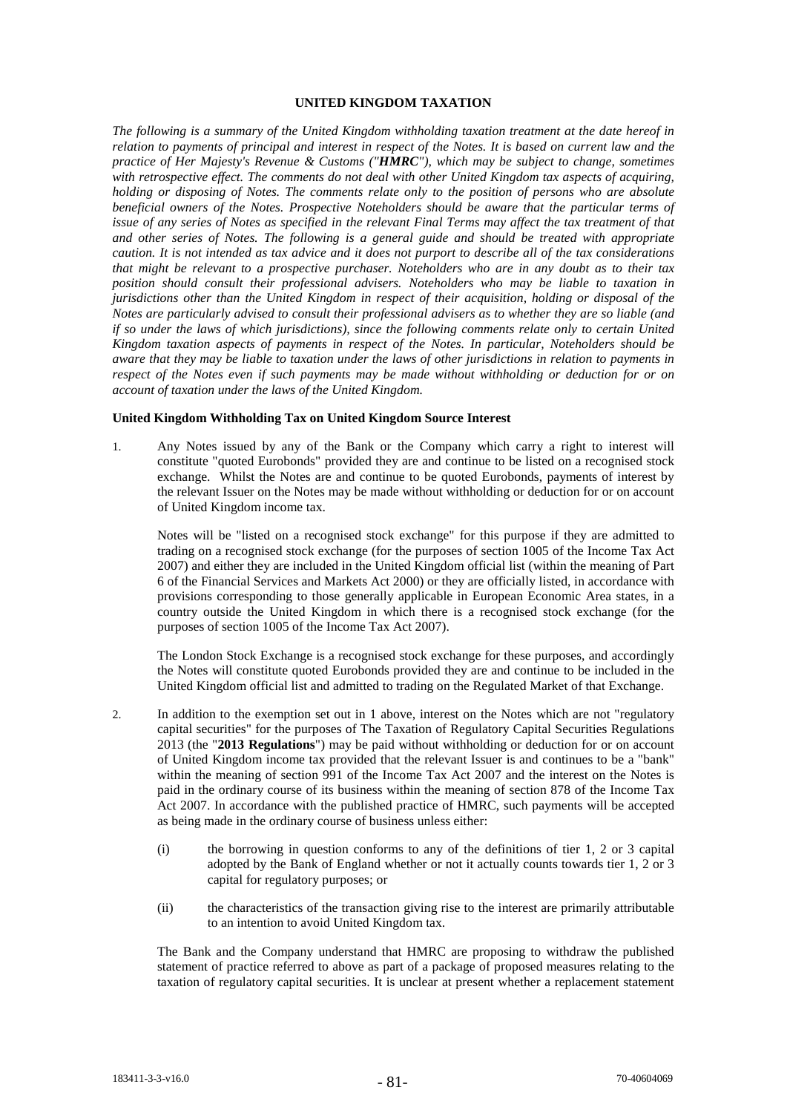# **UNITED KINGDOM TAXATION**

*The following is a summary of the United Kingdom withholding taxation treatment at the date hereof in relation to payments of principal and interest in respect of the Notes. It is based on current law and the practice of Her Majesty's Revenue & Customs ("HMRC"), which may be subject to change, sometimes with retrospective effect. The comments do not deal with other United Kingdom tax aspects of acquiring, holding or disposing of Notes. The comments relate only to the position of persons who are absolute beneficial owners of the Notes. Prospective Noteholders should be aware that the particular terms of issue of any series of Notes as specified in the relevant Final Terms may affect the tax treatment of that and other series of Notes. The following is a general guide and should be treated with appropriate caution. It is not intended as tax advice and it does not purport to describe all of the tax considerations that might be relevant to a prospective purchaser. Noteholders who are in any doubt as to their tax position should consult their professional advisers. Noteholders who may be liable to taxation in jurisdictions other than the United Kingdom in respect of their acquisition, holding or disposal of the Notes are particularly advised to consult their professional advisers as to whether they are so liable (and if so under the laws of which jurisdictions), since the following comments relate only to certain United Kingdom taxation aspects of payments in respect of the Notes. In particular, Noteholders should be aware that they may be liable to taxation under the laws of other jurisdictions in relation to payments in respect of the Notes even if such payments may be made without withholding or deduction for or on account of taxation under the laws of the United Kingdom.*

## **United Kingdom Withholding Tax on United Kingdom Source Interest**

1. Any Notes issued by any of the Bank or the Company which carry a right to interest will constitute "quoted Eurobonds" provided they are and continue to be listed on a recognised stock exchange. Whilst the Notes are and continue to be quoted Eurobonds, payments of interest by the relevant Issuer on the Notes may be made without withholding or deduction for or on account of United Kingdom income tax.

Notes will be "listed on a recognised stock exchange" for this purpose if they are admitted to trading on a recognised stock exchange (for the purposes of section 1005 of the Income Tax Act 2007) and either they are included in the United Kingdom official list (within the meaning of Part 6 of the Financial Services and Markets Act 2000) or they are officially listed, in accordance with provisions corresponding to those generally applicable in European Economic Area states, in a country outside the United Kingdom in which there is a recognised stock exchange (for the purposes of section 1005 of the Income Tax Act 2007).

The London Stock Exchange is a recognised stock exchange for these purposes, and accordingly the Notes will constitute quoted Eurobonds provided they are and continue to be included in the United Kingdom official list and admitted to trading on the Regulated Market of that Exchange.

- 2. In addition to the exemption set out in 1 above, interest on the Notes which are not "regulatory capital securities" for the purposes of The Taxation of Regulatory Capital Securities Regulations 2013 (the "**2013 Regulations**") may be paid without withholding or deduction for or on account of United Kingdom income tax provided that the relevant Issuer is and continues to be a "bank" within the meaning of section 991 of the Income Tax Act 2007 and the interest on the Notes is paid in the ordinary course of its business within the meaning of section 878 of the Income Tax Act 2007. In accordance with the published practice of HMRC, such payments will be accepted as being made in the ordinary course of business unless either:
	- (i) the borrowing in question conforms to any of the definitions of tier 1, 2 or 3 capital adopted by the Bank of England whether or not it actually counts towards tier 1, 2 or 3 capital for regulatory purposes; or
	- (ii) the characteristics of the transaction giving rise to the interest are primarily attributable to an intention to avoid United Kingdom tax.

The Bank and the Company understand that HMRC are proposing to withdraw the published statement of practice referred to above as part of a package of proposed measures relating to the taxation of regulatory capital securities. It is unclear at present whether a replacement statement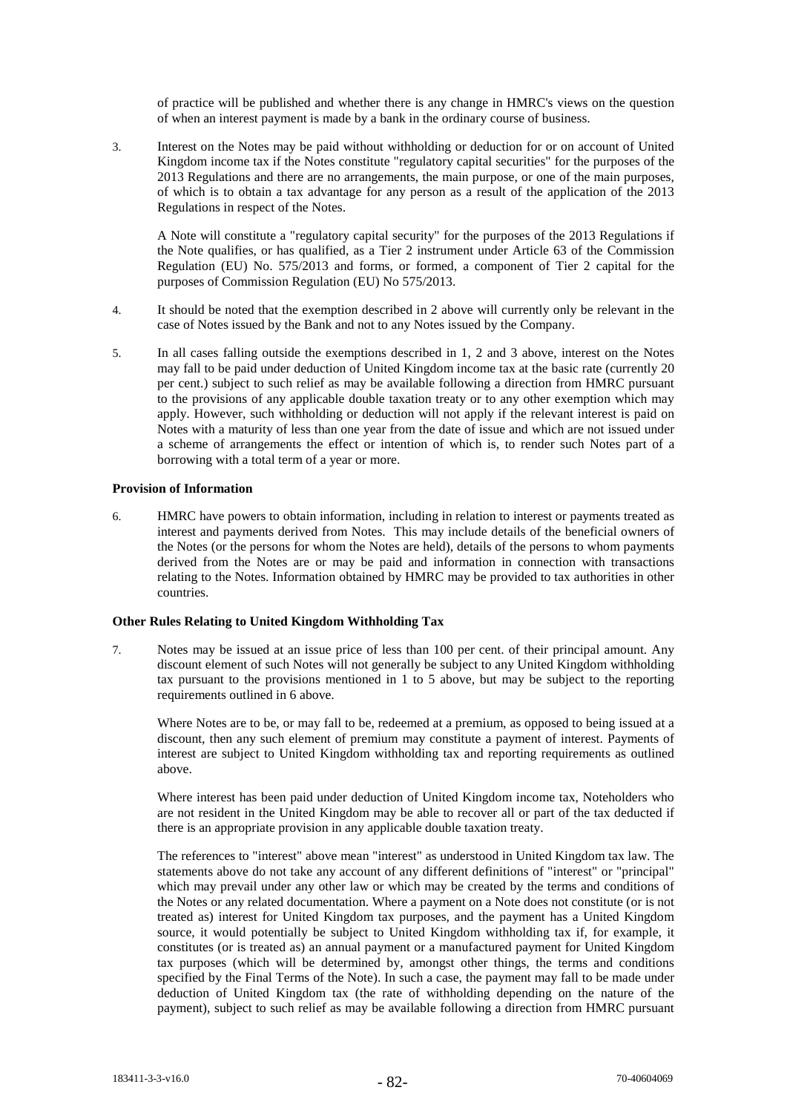of practice will be published and whether there is any change in HMRC's views on the question of when an interest payment is made by a bank in the ordinary course of business.

3. Interest on the Notes may be paid without withholding or deduction for or on account of United Kingdom income tax if the Notes constitute "regulatory capital securities" for the purposes of the 2013 Regulations and there are no arrangements, the main purpose, or one of the main purposes, of which is to obtain a tax advantage for any person as a result of the application of the 2013 Regulations in respect of the Notes.

A Note will constitute a "regulatory capital security" for the purposes of the 2013 Regulations if the Note qualifies, or has qualified, as a Tier 2 instrument under Article 63 of the Commission Regulation (EU) No. 575/2013 and forms, or formed, a component of Tier 2 capital for the purposes of Commission Regulation (EU) No 575/2013.

- 4. It should be noted that the exemption described in 2 above will currently only be relevant in the case of Notes issued by the Bank and not to any Notes issued by the Company.
- 5. In all cases falling outside the exemptions described in 1, 2 and 3 above, interest on the Notes may fall to be paid under deduction of United Kingdom income tax at the basic rate (currently 20 per cent.) subject to such relief as may be available following a direction from HMRC pursuant to the provisions of any applicable double taxation treaty or to any other exemption which may apply. However, such withholding or deduction will not apply if the relevant interest is paid on Notes with a maturity of less than one year from the date of issue and which are not issued under a scheme of arrangements the effect or intention of which is, to render such Notes part of a borrowing with a total term of a year or more.

### **Provision of Information**

6. HMRC have powers to obtain information, including in relation to interest or payments treated as interest and payments derived from Notes. This may include details of the beneficial owners of the Notes (or the persons for whom the Notes are held), details of the persons to whom payments derived from the Notes are or may be paid and information in connection with transactions relating to the Notes. Information obtained by HMRC may be provided to tax authorities in other countries.

# **Other Rules Relating to United Kingdom Withholding Tax**

7. Notes may be issued at an issue price of less than 100 per cent. of their principal amount. Any discount element of such Notes will not generally be subject to any United Kingdom withholding tax pursuant to the provisions mentioned in 1 to 5 above, but may be subject to the reporting requirements outlined in 6 above.

Where Notes are to be, or may fall to be, redeemed at a premium, as opposed to being issued at a discount, then any such element of premium may constitute a payment of interest. Payments of interest are subject to United Kingdom withholding tax and reporting requirements as outlined above.

Where interest has been paid under deduction of United Kingdom income tax, Noteholders who are not resident in the United Kingdom may be able to recover all or part of the tax deducted if there is an appropriate provision in any applicable double taxation treaty.

The references to "interest" above mean "interest" as understood in United Kingdom tax law. The statements above do not take any account of any different definitions of "interest" or "principal" which may prevail under any other law or which may be created by the terms and conditions of the Notes or any related documentation. Where a payment on a Note does not constitute (or is not treated as) interest for United Kingdom tax purposes, and the payment has a United Kingdom source, it would potentially be subject to United Kingdom withholding tax if, for example, it constitutes (or is treated as) an annual payment or a manufactured payment for United Kingdom tax purposes (which will be determined by, amongst other things, the terms and conditions specified by the Final Terms of the Note). In such a case, the payment may fall to be made under deduction of United Kingdom tax (the rate of withholding depending on the nature of the payment), subject to such relief as may be available following a direction from HMRC pursuant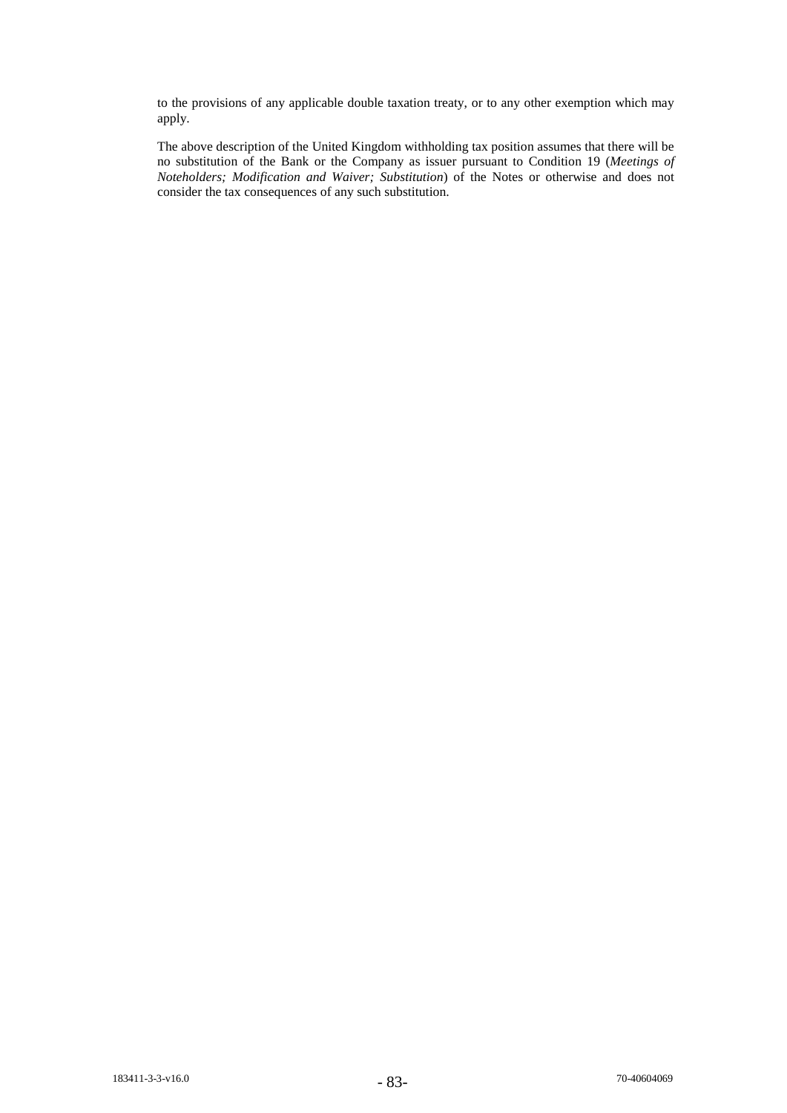to the provisions of any applicable double taxation treaty, or to any other exemption which may apply.

The above description of the United Kingdom withholding tax position assumes that there will be no substitution of the Bank or the Company as issuer pursuant to Condition 19 (*Meetings of Noteholders; Modification and Waiver; Substitution*) of the Notes or otherwise and does not consider the tax consequences of any such substitution.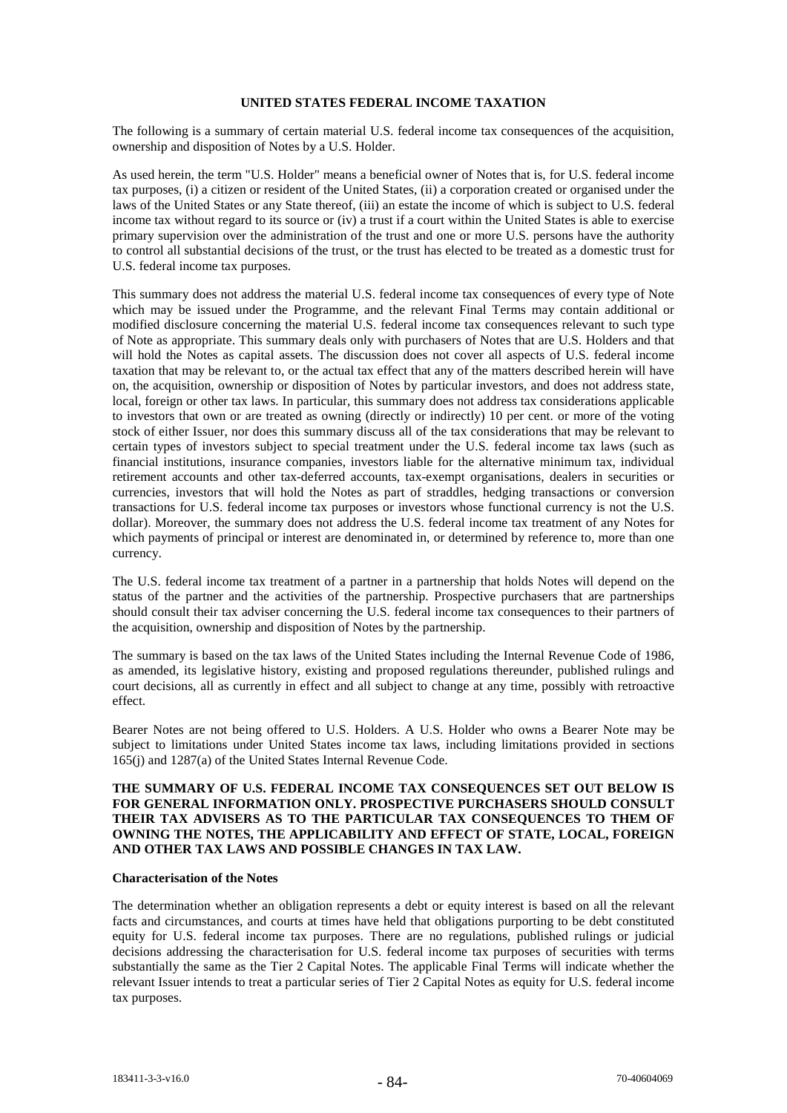# **UNITED STATES FEDERAL INCOME TAXATION**

The following is a summary of certain material U.S. federal income tax consequences of the acquisition, ownership and disposition of Notes by a U.S. Holder.

As used herein, the term "U.S. Holder" means a beneficial owner of Notes that is, for U.S. federal income tax purposes, (i) a citizen or resident of the United States, (ii) a corporation created or organised under the laws of the United States or any State thereof, (iii) an estate the income of which is subject to U.S. federal income tax without regard to its source or (iv) a trust if a court within the United States is able to exercise primary supervision over the administration of the trust and one or more U.S. persons have the authority to control all substantial decisions of the trust, or the trust has elected to be treated as a domestic trust for U.S. federal income tax purposes.

This summary does not address the material U.S. federal income tax consequences of every type of Note which may be issued under the Programme, and the relevant Final Terms may contain additional or modified disclosure concerning the material U.S. federal income tax consequences relevant to such type of Note as appropriate. This summary deals only with purchasers of Notes that are U.S. Holders and that will hold the Notes as capital assets. The discussion does not cover all aspects of U.S. federal income taxation that may be relevant to, or the actual tax effect that any of the matters described herein will have on, the acquisition, ownership or disposition of Notes by particular investors, and does not address state, local, foreign or other tax laws. In particular, this summary does not address tax considerations applicable to investors that own or are treated as owning (directly or indirectly) 10 per cent. or more of the voting stock of either Issuer, nor does this summary discuss all of the tax considerations that may be relevant to certain types of investors subject to special treatment under the U.S. federal income tax laws (such as financial institutions, insurance companies, investors liable for the alternative minimum tax, individual retirement accounts and other tax-deferred accounts, tax-exempt organisations, dealers in securities or currencies, investors that will hold the Notes as part of straddles, hedging transactions or conversion transactions for U.S. federal income tax purposes or investors whose functional currency is not the U.S. dollar). Moreover, the summary does not address the U.S. federal income tax treatment of any Notes for which payments of principal or interest are denominated in, or determined by reference to, more than one currency.

The U.S. federal income tax treatment of a partner in a partnership that holds Notes will depend on the status of the partner and the activities of the partnership. Prospective purchasers that are partnerships should consult their tax adviser concerning the U.S. federal income tax consequences to their partners of the acquisition, ownership and disposition of Notes by the partnership.

The summary is based on the tax laws of the United States including the Internal Revenue Code of 1986, as amended, its legislative history, existing and proposed regulations thereunder, published rulings and court decisions, all as currently in effect and all subject to change at any time, possibly with retroactive effect.

Bearer Notes are not being offered to U.S. Holders. A U.S. Holder who owns a Bearer Note may be subject to limitations under United States income tax laws, including limitations provided in sections 165(j) and 1287(a) of the United States Internal Revenue Code.

# **THE SUMMARY OF U.S. FEDERAL INCOME TAX CONSEQUENCES SET OUT BELOW IS FOR GENERAL INFORMATION ONLY. PROSPECTIVE PURCHASERS SHOULD CONSULT THEIR TAX ADVISERS AS TO THE PARTICULAR TAX CONSEQUENCES TO THEM OF OWNING THE NOTES, THE APPLICABILITY AND EFFECT OF STATE, LOCAL, FOREIGN AND OTHER TAX LAWS AND POSSIBLE CHANGES IN TAX LAW.**

# **Characterisation of the Notes**

The determination whether an obligation represents a debt or equity interest is based on all the relevant facts and circumstances, and courts at times have held that obligations purporting to be debt constituted equity for U.S. federal income tax purposes. There are no regulations, published rulings or judicial decisions addressing the characterisation for U.S. federal income tax purposes of securities with terms substantially the same as the Tier 2 Capital Notes. The applicable Final Terms will indicate whether the relevant Issuer intends to treat a particular series of Tier 2 Capital Notes as equity for U.S. federal income tax purposes.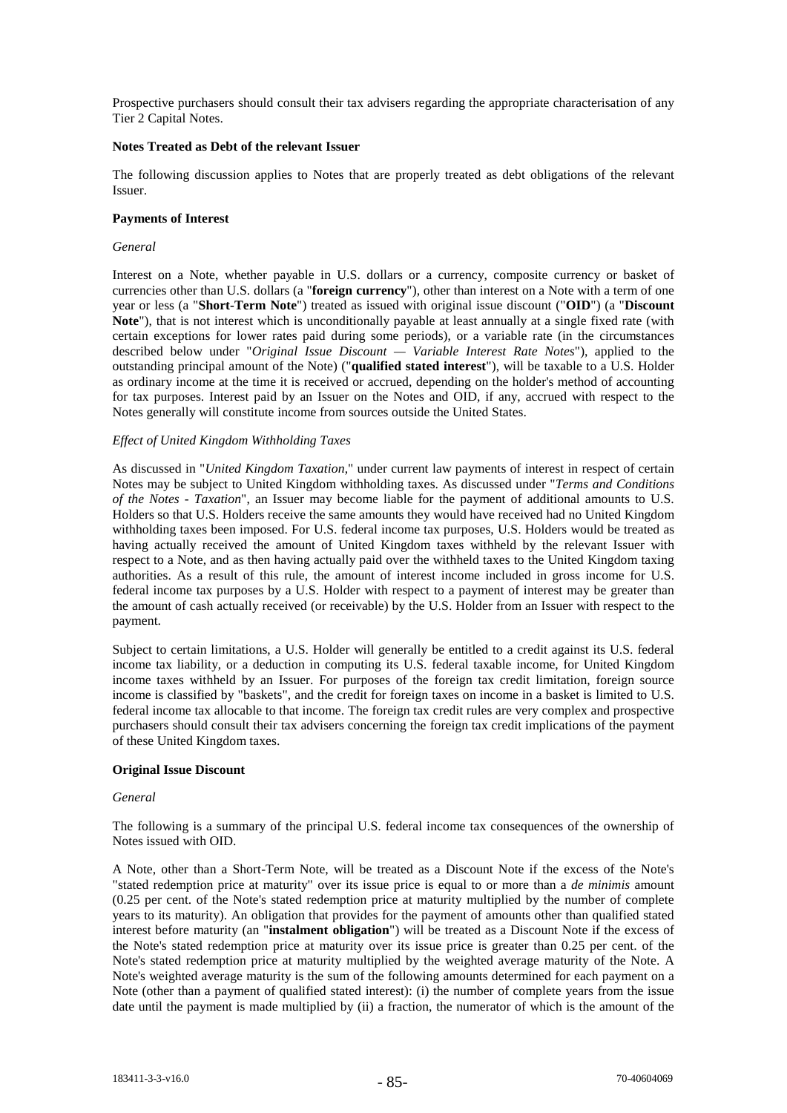Prospective purchasers should consult their tax advisers regarding the appropriate characterisation of any Tier 2 Capital Notes.

### **Notes Treated as Debt of the relevant Issuer**

The following discussion applies to Notes that are properly treated as debt obligations of the relevant Issuer.

### **Payments of Interest**

### *General*

Interest on a Note, whether payable in U.S. dollars or a currency, composite currency or basket of currencies other than U.S. dollars (a "**foreign currency**"), other than interest on a Note with a term of one year or less (a "**Short-Term Note**") treated as issued with original issue discount ("**OID**") (a "**Discount Note**"), that is not interest which is unconditionally payable at least annually at a single fixed rate (with certain exceptions for lower rates paid during some periods), or a variable rate (in the circumstances described below under "*Original Issue Discount — Variable Interest Rate Notes*"), applied to the outstanding principal amount of the Note) ("**qualified stated interest**"), will be taxable to a U.S. Holder as ordinary income at the time it is received or accrued, depending on the holder's method of accounting for tax purposes. Interest paid by an Issuer on the Notes and OID, if any, accrued with respect to the Notes generally will constitute income from sources outside the United States.

# *Effect of United Kingdom Withholding Taxes*

As discussed in "*United Kingdom Taxation*," under current law payments of interest in respect of certain Notes may be subject to United Kingdom withholding taxes. As discussed under "*Terms and Conditions of the Notes - Taxation*", an Issuer may become liable for the payment of additional amounts to U.S. Holders so that U.S. Holders receive the same amounts they would have received had no United Kingdom withholding taxes been imposed. For U.S. federal income tax purposes, U.S. Holders would be treated as having actually received the amount of United Kingdom taxes withheld by the relevant Issuer with respect to a Note, and as then having actually paid over the withheld taxes to the United Kingdom taxing authorities. As a result of this rule, the amount of interest income included in gross income for U.S. federal income tax purposes by a U.S. Holder with respect to a payment of interest may be greater than the amount of cash actually received (or receivable) by the U.S. Holder from an Issuer with respect to the payment.

Subject to certain limitations, a U.S. Holder will generally be entitled to a credit against its U.S. federal income tax liability, or a deduction in computing its U.S. federal taxable income, for United Kingdom income taxes withheld by an Issuer. For purposes of the foreign tax credit limitation, foreign source income is classified by "baskets", and the credit for foreign taxes on income in a basket is limited to U.S. federal income tax allocable to that income. The foreign tax credit rules are very complex and prospective purchasers should consult their tax advisers concerning the foreign tax credit implications of the payment of these United Kingdom taxes.

# **Original Issue Discount**

#### *General*

The following is a summary of the principal U.S. federal income tax consequences of the ownership of Notes issued with OID.

A Note, other than a Short-Term Note, will be treated as a Discount Note if the excess of the Note's "stated redemption price at maturity" over its issue price is equal to or more than a *de minimis* amount (0.25 per cent. of the Note's stated redemption price at maturity multiplied by the number of complete years to its maturity). An obligation that provides for the payment of amounts other than qualified stated interest before maturity (an "**instalment obligation**") will be treated as a Discount Note if the excess of the Note's stated redemption price at maturity over its issue price is greater than 0.25 per cent. of the Note's stated redemption price at maturity multiplied by the weighted average maturity of the Note. A Note's weighted average maturity is the sum of the following amounts determined for each payment on a Note (other than a payment of qualified stated interest): (i) the number of complete years from the issue date until the payment is made multiplied by (ii) a fraction, the numerator of which is the amount of the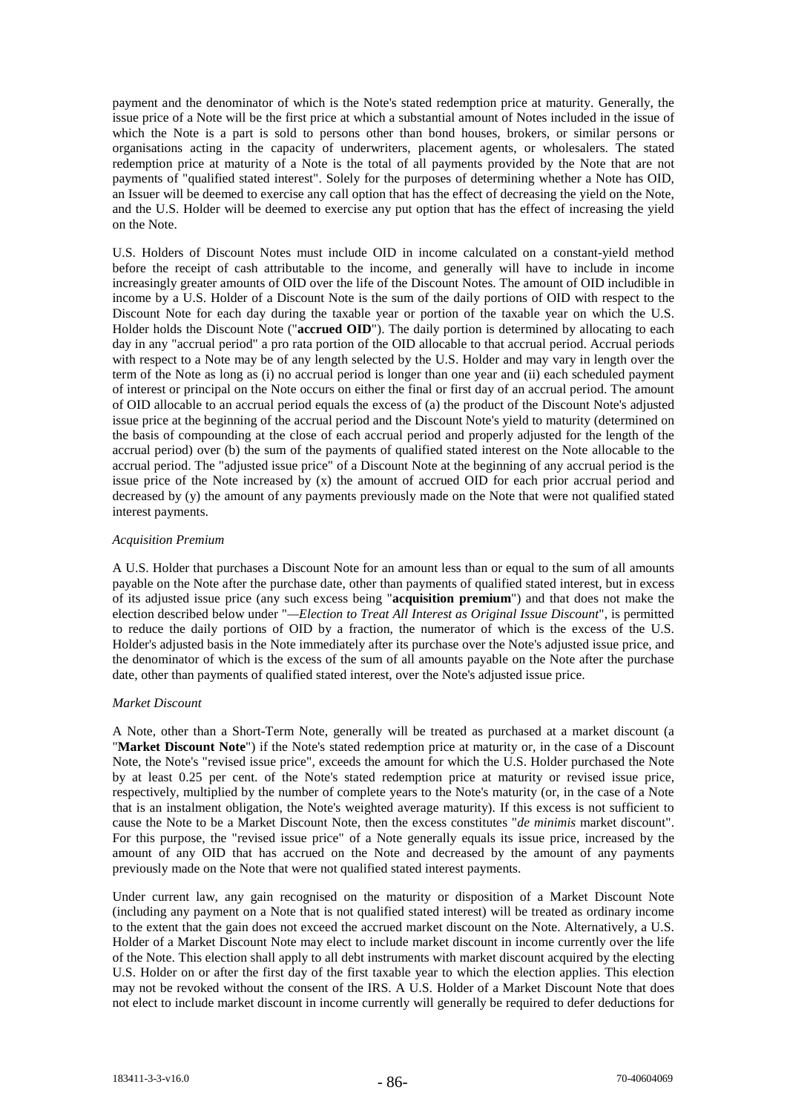payment and the denominator of which is the Note's stated redemption price at maturity. Generally, the issue price of a Note will be the first price at which a substantial amount of Notes included in the issue of which the Note is a part is sold to persons other than bond houses, brokers, or similar persons or organisations acting in the capacity of underwriters, placement agents, or wholesalers. The stated redemption price at maturity of a Note is the total of all payments provided by the Note that are not payments of "qualified stated interest". Solely for the purposes of determining whether a Note has OID, an Issuer will be deemed to exercise any call option that has the effect of decreasing the yield on the Note, and the U.S. Holder will be deemed to exercise any put option that has the effect of increasing the yield on the Note.

U.S. Holders of Discount Notes must include OID in income calculated on a constant-yield method before the receipt of cash attributable to the income, and generally will have to include in income increasingly greater amounts of OID over the life of the Discount Notes. The amount of OID includible in income by a U.S. Holder of a Discount Note is the sum of the daily portions of OID with respect to the Discount Note for each day during the taxable year or portion of the taxable year on which the U.S. Holder holds the Discount Note ("**accrued OID**"). The daily portion is determined by allocating to each day in any "accrual period" a pro rata portion of the OID allocable to that accrual period. Accrual periods with respect to a Note may be of any length selected by the U.S. Holder and may vary in length over the term of the Note as long as (i) no accrual period is longer than one year and (ii) each scheduled payment of interest or principal on the Note occurs on either the final or first day of an accrual period. The amount of OID allocable to an accrual period equals the excess of (a) the product of the Discount Note's adjusted issue price at the beginning of the accrual period and the Discount Note's yield to maturity (determined on the basis of compounding at the close of each accrual period and properly adjusted for the length of the accrual period) over (b) the sum of the payments of qualified stated interest on the Note allocable to the accrual period. The "adjusted issue price" of a Discount Note at the beginning of any accrual period is the issue price of the Note increased by (x) the amount of accrued OID for each prior accrual period and decreased by (y) the amount of any payments previously made on the Note that were not qualified stated interest payments.

### *Acquisition Premium*

A U.S. Holder that purchases a Discount Note for an amount less than or equal to the sum of all amounts payable on the Note after the purchase date, other than payments of qualified stated interest, but in excess of its adjusted issue price (any such excess being "**acquisition premium**") and that does not make the election described below under "*—Election to Treat All Interest as Original Issue Discount*", is permitted to reduce the daily portions of OID by a fraction, the numerator of which is the excess of the U.S. Holder's adjusted basis in the Note immediately after its purchase over the Note's adjusted issue price, and the denominator of which is the excess of the sum of all amounts payable on the Note after the purchase date, other than payments of qualified stated interest, over the Note's adjusted issue price.

#### *Market Discount*

A Note, other than a Short-Term Note, generally will be treated as purchased at a market discount (a "**Market Discount Note**") if the Note's stated redemption price at maturity or, in the case of a Discount Note, the Note's "revised issue price", exceeds the amount for which the U.S. Holder purchased the Note by at least 0.25 per cent. of the Note's stated redemption price at maturity or revised issue price, respectively, multiplied by the number of complete years to the Note's maturity (or, in the case of a Note that is an instalment obligation, the Note's weighted average maturity). If this excess is not sufficient to cause the Note to be a Market Discount Note, then the excess constitutes "*de minimis* market discount". For this purpose, the "revised issue price" of a Note generally equals its issue price, increased by the amount of any OID that has accrued on the Note and decreased by the amount of any payments previously made on the Note that were not qualified stated interest payments.

Under current law, any gain recognised on the maturity or disposition of a Market Discount Note (including any payment on a Note that is not qualified stated interest) will be treated as ordinary income to the extent that the gain does not exceed the accrued market discount on the Note. Alternatively, a U.S. Holder of a Market Discount Note may elect to include market discount in income currently over the life of the Note. This election shall apply to all debt instruments with market discount acquired by the electing U.S. Holder on or after the first day of the first taxable year to which the election applies. This election may not be revoked without the consent of the IRS. A U.S. Holder of a Market Discount Note that does not elect to include market discount in income currently will generally be required to defer deductions for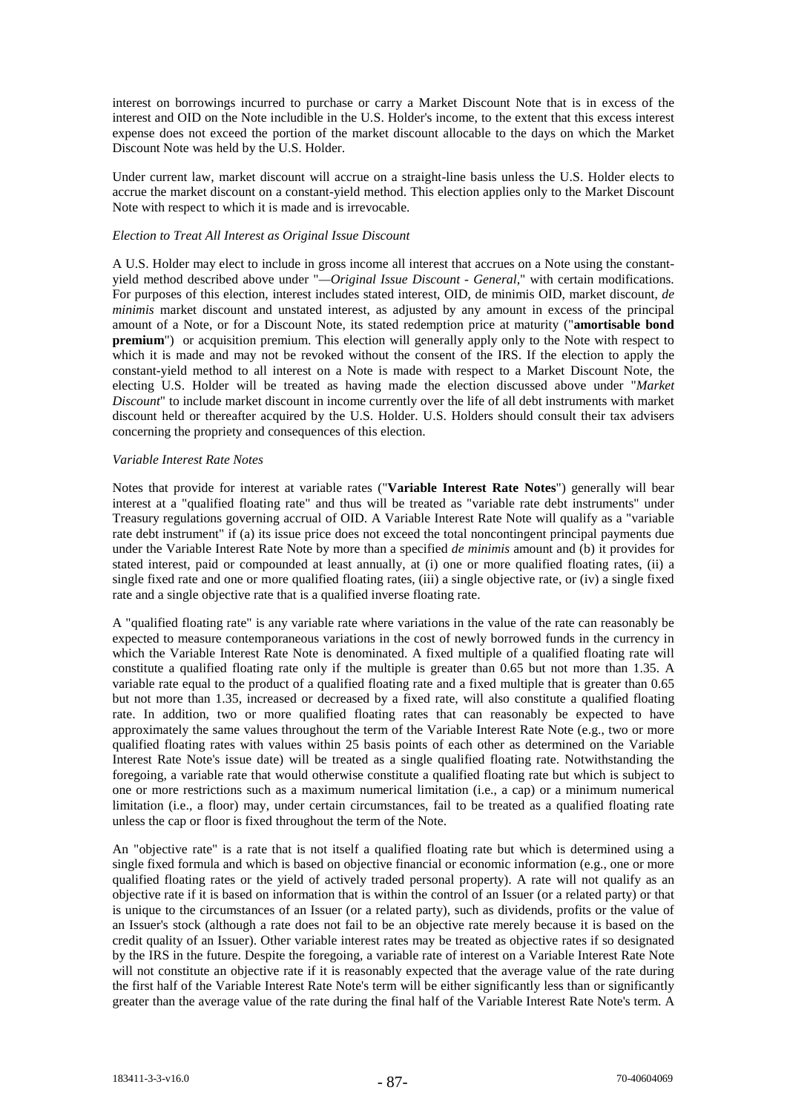interest on borrowings incurred to purchase or carry a Market Discount Note that is in excess of the interest and OID on the Note includible in the U.S. Holder's income, to the extent that this excess interest expense does not exceed the portion of the market discount allocable to the days on which the Market Discount Note was held by the U.S. Holder.

Under current law, market discount will accrue on a straight-line basis unless the U.S. Holder elects to accrue the market discount on a constant-yield method. This election applies only to the Market Discount Note with respect to which it is made and is irrevocable.

#### *Election to Treat All Interest as Original Issue Discount*

A U.S. Holder may elect to include in gross income all interest that accrues on a Note using the constantyield method described above under "*—Original Issue Discount - General*," with certain modifications. For purposes of this election, interest includes stated interest, OID, de minimis OID, market discount, *de minimis* market discount and unstated interest, as adjusted by any amount in excess of the principal amount of a Note, or for a Discount Note, its stated redemption price at maturity ("**amortisable bond premium**") or acquisition premium. This election will generally apply only to the Note with respect to which it is made and may not be revoked without the consent of the IRS. If the election to apply the constant-yield method to all interest on a Note is made with respect to a Market Discount Note, the electing U.S. Holder will be treated as having made the election discussed above under "*Market Discount*" to include market discount in income currently over the life of all debt instruments with market discount held or thereafter acquired by the U.S. Holder. U.S. Holders should consult their tax advisers concerning the propriety and consequences of this election.

### *Variable Interest Rate Notes*

Notes that provide for interest at variable rates ("**Variable Interest Rate Notes**") generally will bear interest at a "qualified floating rate" and thus will be treated as "variable rate debt instruments" under Treasury regulations governing accrual of OID. A Variable Interest Rate Note will qualify as a "variable rate debt instrument" if (a) its issue price does not exceed the total noncontingent principal payments due under the Variable Interest Rate Note by more than a specified *de minimis* amount and (b) it provides for stated interest, paid or compounded at least annually, at (i) one or more qualified floating rates, (ii) a single fixed rate and one or more qualified floating rates, (iii) a single objective rate, or (iv) a single fixed rate and a single objective rate that is a qualified inverse floating rate.

A "qualified floating rate" is any variable rate where variations in the value of the rate can reasonably be expected to measure contemporaneous variations in the cost of newly borrowed funds in the currency in which the Variable Interest Rate Note is denominated. A fixed multiple of a qualified floating rate will constitute a qualified floating rate only if the multiple is greater than 0.65 but not more than 1.35. A variable rate equal to the product of a qualified floating rate and a fixed multiple that is greater than 0.65 but not more than 1.35, increased or decreased by a fixed rate, will also constitute a qualified floating rate. In addition, two or more qualified floating rates that can reasonably be expected to have approximately the same values throughout the term of the Variable Interest Rate Note (e.g., two or more qualified floating rates with values within 25 basis points of each other as determined on the Variable Interest Rate Note's issue date) will be treated as a single qualified floating rate. Notwithstanding the foregoing, a variable rate that would otherwise constitute a qualified floating rate but which is subject to one or more restrictions such as a maximum numerical limitation (i.e., a cap) or a minimum numerical limitation (i.e., a floor) may, under certain circumstances, fail to be treated as a qualified floating rate unless the cap or floor is fixed throughout the term of the Note.

An "objective rate" is a rate that is not itself a qualified floating rate but which is determined using a single fixed formula and which is based on objective financial or economic information (e.g., one or more qualified floating rates or the yield of actively traded personal property). A rate will not qualify as an objective rate if it is based on information that is within the control of an Issuer (or a related party) or that is unique to the circumstances of an Issuer (or a related party), such as dividends, profits or the value of an Issuer's stock (although a rate does not fail to be an objective rate merely because it is based on the credit quality of an Issuer). Other variable interest rates may be treated as objective rates if so designated by the IRS in the future. Despite the foregoing, a variable rate of interest on a Variable Interest Rate Note will not constitute an objective rate if it is reasonably expected that the average value of the rate during the first half of the Variable Interest Rate Note's term will be either significantly less than or significantly greater than the average value of the rate during the final half of the Variable Interest Rate Note's term. A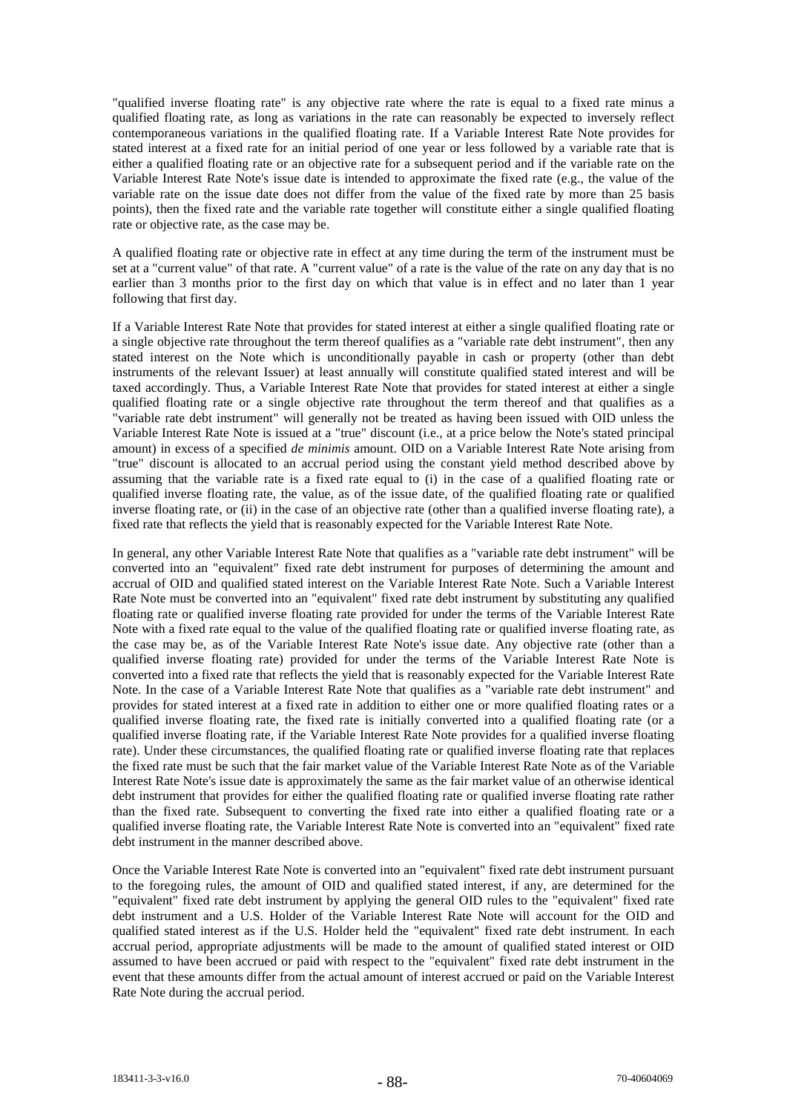"qualified inverse floating rate" is any objective rate where the rate is equal to a fixed rate minus a qualified floating rate, as long as variations in the rate can reasonably be expected to inversely reflect contemporaneous variations in the qualified floating rate. If a Variable Interest Rate Note provides for stated interest at a fixed rate for an initial period of one year or less followed by a variable rate that is either a qualified floating rate or an objective rate for a subsequent period and if the variable rate on the Variable Interest Rate Note's issue date is intended to approximate the fixed rate (e.g., the value of the variable rate on the issue date does not differ from the value of the fixed rate by more than 25 basis points), then the fixed rate and the variable rate together will constitute either a single qualified floating rate or objective rate, as the case may be.

A qualified floating rate or objective rate in effect at any time during the term of the instrument must be set at a "current value" of that rate. A "current value" of a rate is the value of the rate on any day that is no earlier than 3 months prior to the first day on which that value is in effect and no later than 1 year following that first day.

If a Variable Interest Rate Note that provides for stated interest at either a single qualified floating rate or a single objective rate throughout the term thereof qualifies as a "variable rate debt instrument", then any stated interest on the Note which is unconditionally payable in cash or property (other than debt instruments of the relevant Issuer) at least annually will constitute qualified stated interest and will be taxed accordingly. Thus, a Variable Interest Rate Note that provides for stated interest at either a single qualified floating rate or a single objective rate throughout the term thereof and that qualifies as a "variable rate debt instrument" will generally not be treated as having been issued with OID unless the Variable Interest Rate Note is issued at a "true" discount (i.e., at a price below the Note's stated principal amount) in excess of a specified *de minimis* amount. OID on a Variable Interest Rate Note arising from "true" discount is allocated to an accrual period using the constant yield method described above by assuming that the variable rate is a fixed rate equal to (i) in the case of a qualified floating rate or qualified inverse floating rate, the value, as of the issue date, of the qualified floating rate or qualified inverse floating rate, or (ii) in the case of an objective rate (other than a qualified inverse floating rate), a fixed rate that reflects the yield that is reasonably expected for the Variable Interest Rate Note.

In general, any other Variable Interest Rate Note that qualifies as a "variable rate debt instrument" will be converted into an "equivalent" fixed rate debt instrument for purposes of determining the amount and accrual of OID and qualified stated interest on the Variable Interest Rate Note. Such a Variable Interest Rate Note must be converted into an "equivalent" fixed rate debt instrument by substituting any qualified floating rate or qualified inverse floating rate provided for under the terms of the Variable Interest Rate Note with a fixed rate equal to the value of the qualified floating rate or qualified inverse floating rate, as the case may be, as of the Variable Interest Rate Note's issue date. Any objective rate (other than a qualified inverse floating rate) provided for under the terms of the Variable Interest Rate Note is converted into a fixed rate that reflects the yield that is reasonably expected for the Variable Interest Rate Note. In the case of a Variable Interest Rate Note that qualifies as a "variable rate debt instrument" and provides for stated interest at a fixed rate in addition to either one or more qualified floating rates or a qualified inverse floating rate, the fixed rate is initially converted into a qualified floating rate (or a qualified inverse floating rate, if the Variable Interest Rate Note provides for a qualified inverse floating rate). Under these circumstances, the qualified floating rate or qualified inverse floating rate that replaces the fixed rate must be such that the fair market value of the Variable Interest Rate Note as of the Variable Interest Rate Note's issue date is approximately the same as the fair market value of an otherwise identical debt instrument that provides for either the qualified floating rate or qualified inverse floating rate rather than the fixed rate. Subsequent to converting the fixed rate into either a qualified floating rate or a qualified inverse floating rate, the Variable Interest Rate Note is converted into an "equivalent" fixed rate debt instrument in the manner described above.

Once the Variable Interest Rate Note is converted into an "equivalent" fixed rate debt instrument pursuant to the foregoing rules, the amount of OID and qualified stated interest, if any, are determined for the "equivalent" fixed rate debt instrument by applying the general OID rules to the "equivalent" fixed rate debt instrument and a U.S. Holder of the Variable Interest Rate Note will account for the OID and qualified stated interest as if the U.S. Holder held the "equivalent" fixed rate debt instrument. In each accrual period, appropriate adjustments will be made to the amount of qualified stated interest or OID assumed to have been accrued or paid with respect to the "equivalent" fixed rate debt instrument in the event that these amounts differ from the actual amount of interest accrued or paid on the Variable Interest Rate Note during the accrual period.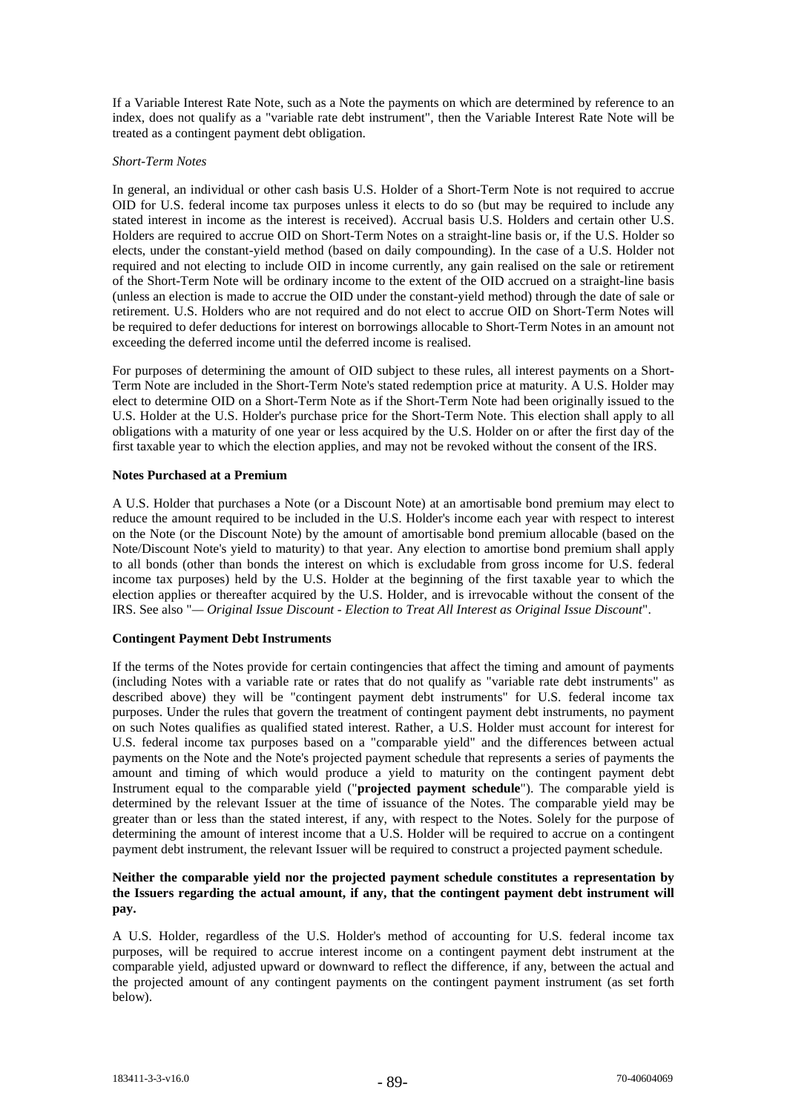If a Variable Interest Rate Note, such as a Note the payments on which are determined by reference to an index, does not qualify as a "variable rate debt instrument", then the Variable Interest Rate Note will be treated as a contingent payment debt obligation.

### *Short-Term Notes*

In general, an individual or other cash basis U.S. Holder of a Short-Term Note is not required to accrue OID for U.S. federal income tax purposes unless it elects to do so (but may be required to include any stated interest in income as the interest is received). Accrual basis U.S. Holders and certain other U.S. Holders are required to accrue OID on Short-Term Notes on a straight-line basis or, if the U.S. Holder so elects, under the constant-yield method (based on daily compounding). In the case of a U.S. Holder not required and not electing to include OID in income currently, any gain realised on the sale or retirement of the Short-Term Note will be ordinary income to the extent of the OID accrued on a straight-line basis (unless an election is made to accrue the OID under the constant-yield method) through the date of sale or retirement. U.S. Holders who are not required and do not elect to accrue OID on Short-Term Notes will be required to defer deductions for interest on borrowings allocable to Short-Term Notes in an amount not exceeding the deferred income until the deferred income is realised.

For purposes of determining the amount of OID subject to these rules, all interest payments on a Short-Term Note are included in the Short-Term Note's stated redemption price at maturity. A U.S. Holder may elect to determine OID on a Short-Term Note as if the Short-Term Note had been originally issued to the U.S. Holder at the U.S. Holder's purchase price for the Short-Term Note. This election shall apply to all obligations with a maturity of one year or less acquired by the U.S. Holder on or after the first day of the first taxable year to which the election applies, and may not be revoked without the consent of the IRS.

### **Notes Purchased at a Premium**

A U.S. Holder that purchases a Note (or a Discount Note) at an amortisable bond premium may elect to reduce the amount required to be included in the U.S. Holder's income each year with respect to interest on the Note (or the Discount Note) by the amount of amortisable bond premium allocable (based on the Note/Discount Note's yield to maturity) to that year. Any election to amortise bond premium shall apply to all bonds (other than bonds the interest on which is excludable from gross income for U.S. federal income tax purposes) held by the U.S. Holder at the beginning of the first taxable year to which the election applies or thereafter acquired by the U.S. Holder, and is irrevocable without the consent of the IRS. See also "*— Original Issue Discount - Election to Treat All Interest as Original Issue Discount*".

# **Contingent Payment Debt Instruments**

If the terms of the Notes provide for certain contingencies that affect the timing and amount of payments (including Notes with a variable rate or rates that do not qualify as "variable rate debt instruments" as described above) they will be "contingent payment debt instruments" for U.S. federal income tax purposes. Under the rules that govern the treatment of contingent payment debt instruments, no payment on such Notes qualifies as qualified stated interest. Rather, a U.S. Holder must account for interest for U.S. federal income tax purposes based on a "comparable yield" and the differences between actual payments on the Note and the Note's projected payment schedule that represents a series of payments the amount and timing of which would produce a yield to maturity on the contingent payment debt Instrument equal to the comparable yield ("**projected payment schedule**"). The comparable yield is determined by the relevant Issuer at the time of issuance of the Notes. The comparable yield may be greater than or less than the stated interest, if any, with respect to the Notes. Solely for the purpose of determining the amount of interest income that a U.S. Holder will be required to accrue on a contingent payment debt instrument, the relevant Issuer will be required to construct a projected payment schedule.

# **Neither the comparable yield nor the projected payment schedule constitutes a representation by the Issuers regarding the actual amount, if any, that the contingent payment debt instrument will pay.**

A U.S. Holder, regardless of the U.S. Holder's method of accounting for U.S. federal income tax purposes, will be required to accrue interest income on a contingent payment debt instrument at the comparable yield, adjusted upward or downward to reflect the difference, if any, between the actual and the projected amount of any contingent payments on the contingent payment instrument (as set forth below).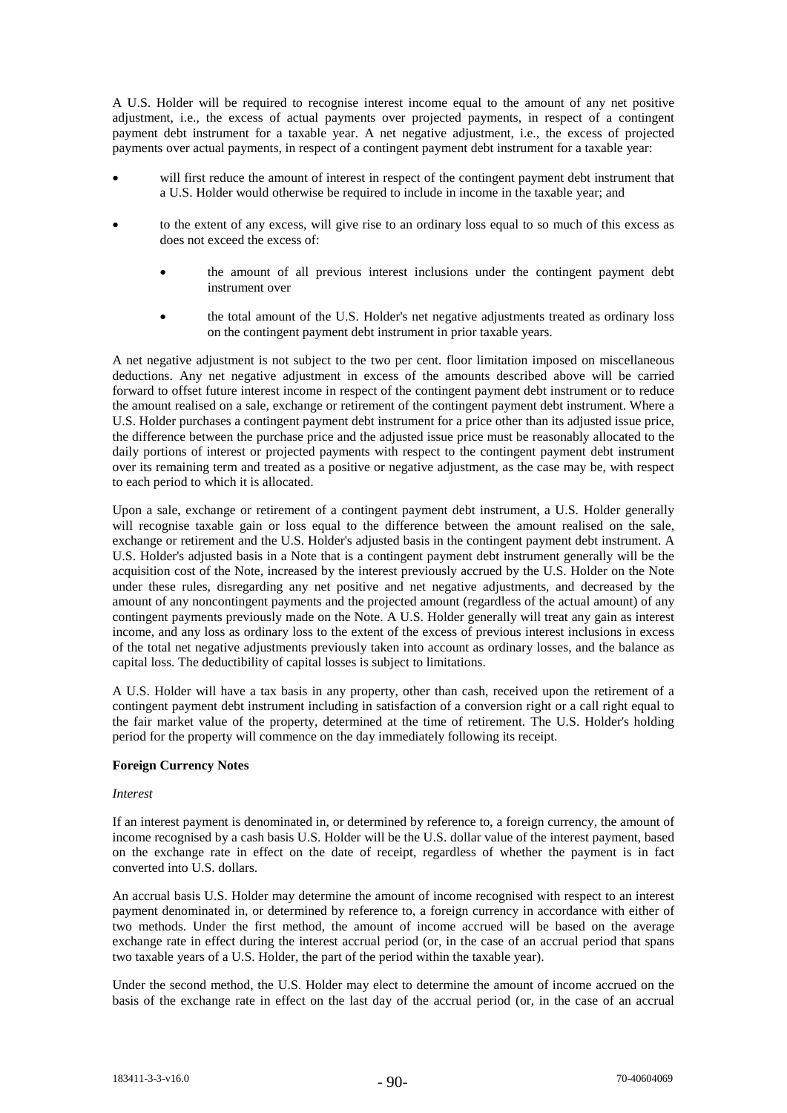A U.S. Holder will be required to recognise interest income equal to the amount of any net positive adjustment, i.e.*,* the excess of actual payments over projected payments, in respect of a contingent payment debt instrument for a taxable year. A net negative adjustment, i.e., the excess of projected payments over actual payments, in respect of a contingent payment debt instrument for a taxable year:

- will first reduce the amount of interest in respect of the contingent payment debt instrument that a U.S. Holder would otherwise be required to include in income in the taxable year; and
- to the extent of any excess, will give rise to an ordinary loss equal to so much of this excess as does not exceed the excess of:
	- the amount of all previous interest inclusions under the contingent payment debt instrument over
	- the total amount of the U.S. Holder's net negative adjustments treated as ordinary loss on the contingent payment debt instrument in prior taxable years.

A net negative adjustment is not subject to the two per cent. floor limitation imposed on miscellaneous deductions. Any net negative adjustment in excess of the amounts described above will be carried forward to offset future interest income in respect of the contingent payment debt instrument or to reduce the amount realised on a sale, exchange or retirement of the contingent payment debt instrument. Where a U.S. Holder purchases a contingent payment debt instrument for a price other than its adjusted issue price, the difference between the purchase price and the adjusted issue price must be reasonably allocated to the daily portions of interest or projected payments with respect to the contingent payment debt instrument over its remaining term and treated as a positive or negative adjustment, as the case may be, with respect to each period to which it is allocated.

Upon a sale, exchange or retirement of a contingent payment debt instrument, a U.S. Holder generally will recognise taxable gain or loss equal to the difference between the amount realised on the sale, exchange or retirement and the U.S. Holder's adjusted basis in the contingent payment debt instrument. A U.S. Holder's adjusted basis in a Note that is a contingent payment debt instrument generally will be the acquisition cost of the Note, increased by the interest previously accrued by the U.S. Holder on the Note under these rules, disregarding any net positive and net negative adjustments, and decreased by the amount of any noncontingent payments and the projected amount (regardless of the actual amount) of any contingent payments previously made on the Note. A U.S. Holder generally will treat any gain as interest income, and any loss as ordinary loss to the extent of the excess of previous interest inclusions in excess of the total net negative adjustments previously taken into account as ordinary losses, and the balance as capital loss. The deductibility of capital losses is subject to limitations.

A U.S. Holder will have a tax basis in any property, other than cash, received upon the retirement of a contingent payment debt instrument including in satisfaction of a conversion right or a call right equal to the fair market value of the property, determined at the time of retirement. The U.S. Holder's holding period for the property will commence on the day immediately following its receipt.

# **Foreign Currency Notes**

# *Interest*

If an interest payment is denominated in, or determined by reference to, a foreign currency, the amount of income recognised by a cash basis U.S. Holder will be the U.S. dollar value of the interest payment, based on the exchange rate in effect on the date of receipt, regardless of whether the payment is in fact converted into U.S. dollars.

An accrual basis U.S. Holder may determine the amount of income recognised with respect to an interest payment denominated in, or determined by reference to, a foreign currency in accordance with either of two methods. Under the first method, the amount of income accrued will be based on the average exchange rate in effect during the interest accrual period (or, in the case of an accrual period that spans two taxable years of a U.S. Holder, the part of the period within the taxable year).

Under the second method, the U.S. Holder may elect to determine the amount of income accrued on the basis of the exchange rate in effect on the last day of the accrual period (or, in the case of an accrual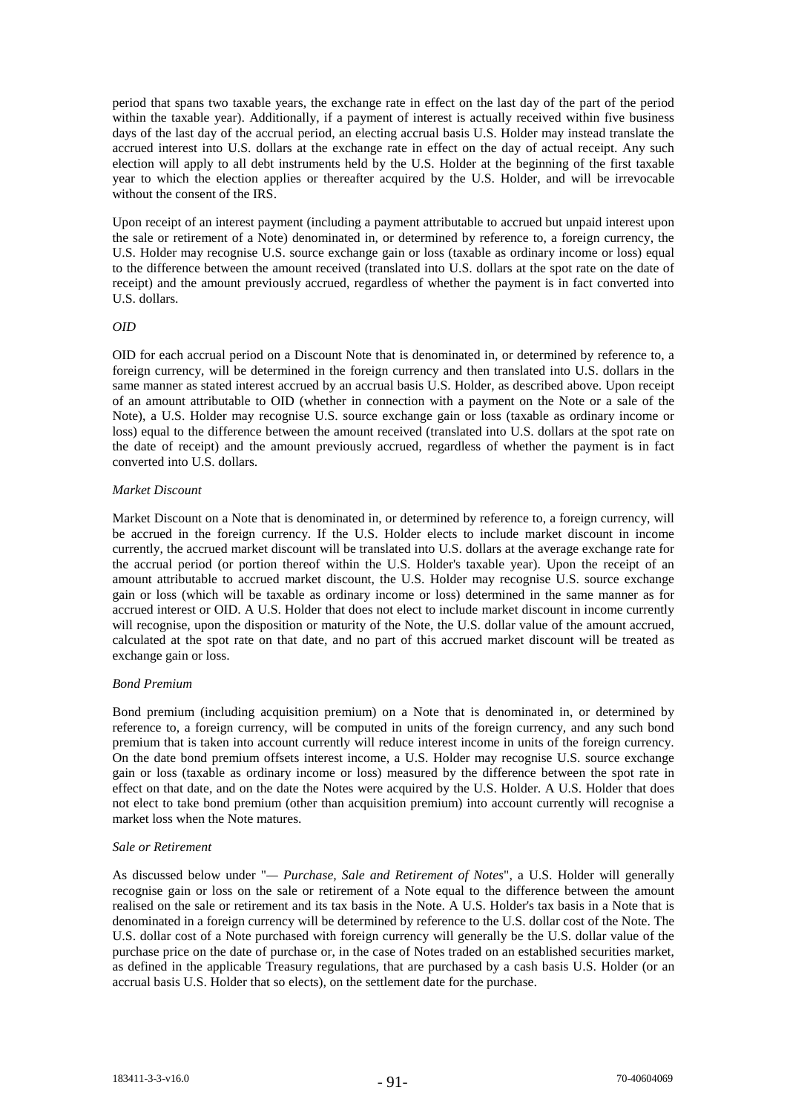period that spans two taxable years, the exchange rate in effect on the last day of the part of the period within the taxable year). Additionally, if a payment of interest is actually received within five business days of the last day of the accrual period, an electing accrual basis U.S. Holder may instead translate the accrued interest into U.S. dollars at the exchange rate in effect on the day of actual receipt. Any such election will apply to all debt instruments held by the U.S. Holder at the beginning of the first taxable year to which the election applies or thereafter acquired by the U.S. Holder, and will be irrevocable without the consent of the IRS.

Upon receipt of an interest payment (including a payment attributable to accrued but unpaid interest upon the sale or retirement of a Note) denominated in, or determined by reference to, a foreign currency, the U.S. Holder may recognise U.S. source exchange gain or loss (taxable as ordinary income or loss) equal to the difference between the amount received (translated into U.S. dollars at the spot rate on the date of receipt) and the amount previously accrued, regardless of whether the payment is in fact converted into U.S. dollars.

### *OID*

OID for each accrual period on a Discount Note that is denominated in, or determined by reference to, a foreign currency, will be determined in the foreign currency and then translated into U.S. dollars in the same manner as stated interest accrued by an accrual basis U.S. Holder, as described above. Upon receipt of an amount attributable to OID (whether in connection with a payment on the Note or a sale of the Note), a U.S. Holder may recognise U.S. source exchange gain or loss (taxable as ordinary income or loss) equal to the difference between the amount received (translated into U.S. dollars at the spot rate on the date of receipt) and the amount previously accrued, regardless of whether the payment is in fact converted into U.S. dollars.

# *Market Discount*

Market Discount on a Note that is denominated in, or determined by reference to, a foreign currency, will be accrued in the foreign currency. If the U.S. Holder elects to include market discount in income currently, the accrued market discount will be translated into U.S. dollars at the average exchange rate for the accrual period (or portion thereof within the U.S. Holder's taxable year). Upon the receipt of an amount attributable to accrued market discount, the U.S. Holder may recognise U.S. source exchange gain or loss (which will be taxable as ordinary income or loss) determined in the same manner as for accrued interest or OID. A U.S. Holder that does not elect to include market discount in income currently will recognise, upon the disposition or maturity of the Note, the U.S. dollar value of the amount accrued, calculated at the spot rate on that date, and no part of this accrued market discount will be treated as exchange gain or loss.

# *Bond Premium*

Bond premium (including acquisition premium) on a Note that is denominated in, or determined by reference to, a foreign currency, will be computed in units of the foreign currency, and any such bond premium that is taken into account currently will reduce interest income in units of the foreign currency. On the date bond premium offsets interest income, a U.S. Holder may recognise U.S. source exchange gain or loss (taxable as ordinary income or loss) measured by the difference between the spot rate in effect on that date, and on the date the Notes were acquired by the U.S. Holder. A U.S. Holder that does not elect to take bond premium (other than acquisition premium) into account currently will recognise a market loss when the Note matures.

#### *Sale or Retirement*

As discussed below under "*— Purchase, Sale and Retirement of Notes*", a U.S. Holder will generally recognise gain or loss on the sale or retirement of a Note equal to the difference between the amount realised on the sale or retirement and its tax basis in the Note. A U.S. Holder's tax basis in a Note that is denominated in a foreign currency will be determined by reference to the U.S. dollar cost of the Note. The U.S. dollar cost of a Note purchased with foreign currency will generally be the U.S. dollar value of the purchase price on the date of purchase or, in the case of Notes traded on an established securities market, as defined in the applicable Treasury regulations, that are purchased by a cash basis U.S. Holder (or an accrual basis U.S. Holder that so elects), on the settlement date for the purchase.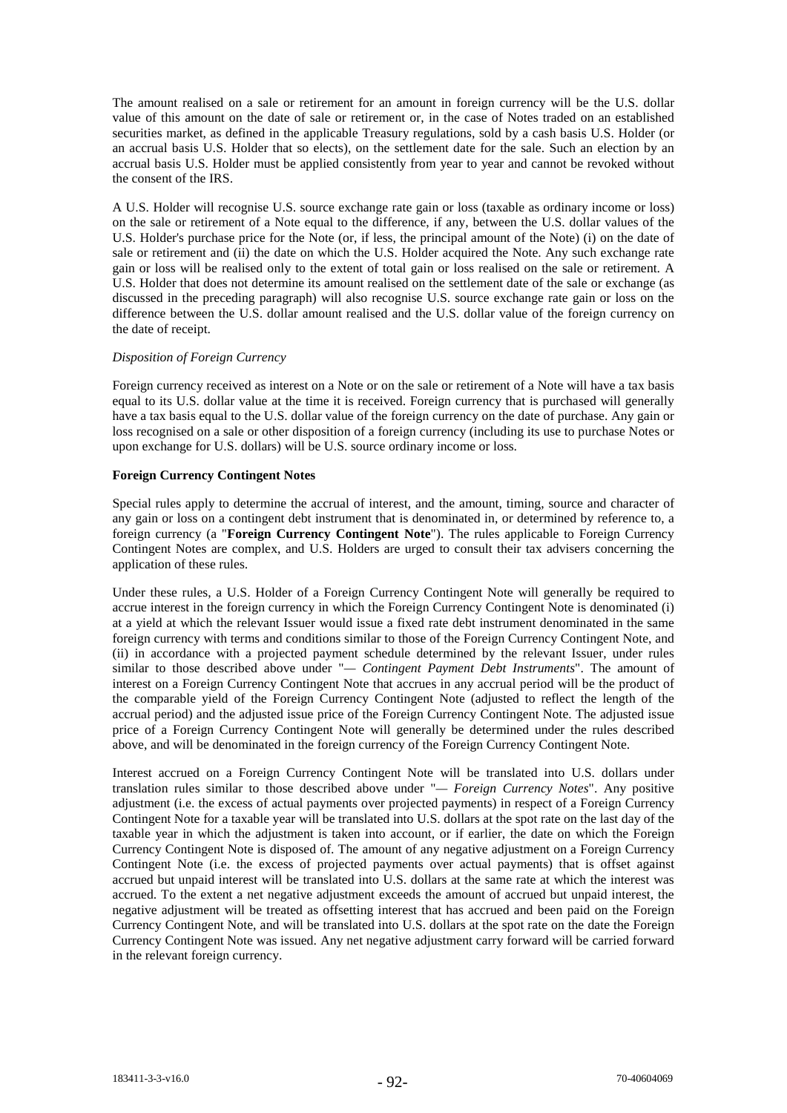The amount realised on a sale or retirement for an amount in foreign currency will be the U.S. dollar value of this amount on the date of sale or retirement or, in the case of Notes traded on an established securities market, as defined in the applicable Treasury regulations, sold by a cash basis U.S. Holder (or an accrual basis U.S. Holder that so elects), on the settlement date for the sale. Such an election by an accrual basis U.S. Holder must be applied consistently from year to year and cannot be revoked without the consent of the IRS.

A U.S. Holder will recognise U.S. source exchange rate gain or loss (taxable as ordinary income or loss) on the sale or retirement of a Note equal to the difference, if any, between the U.S. dollar values of the U.S. Holder's purchase price for the Note (or, if less, the principal amount of the Note) (i) on the date of sale or retirement and (ii) the date on which the U.S. Holder acquired the Note. Any such exchange rate gain or loss will be realised only to the extent of total gain or loss realised on the sale or retirement. A U.S. Holder that does not determine its amount realised on the settlement date of the sale or exchange (as discussed in the preceding paragraph) will also recognise U.S. source exchange rate gain or loss on the difference between the U.S. dollar amount realised and the U.S. dollar value of the foreign currency on the date of receipt.

# *Disposition of Foreign Currency*

Foreign currency received as interest on a Note or on the sale or retirement of a Note will have a tax basis equal to its U.S. dollar value at the time it is received. Foreign currency that is purchased will generally have a tax basis equal to the U.S. dollar value of the foreign currency on the date of purchase. Any gain or loss recognised on a sale or other disposition of a foreign currency (including its use to purchase Notes or upon exchange for U.S. dollars) will be U.S. source ordinary income or loss.

## **Foreign Currency Contingent Notes**

Special rules apply to determine the accrual of interest, and the amount, timing, source and character of any gain or loss on a contingent debt instrument that is denominated in, or determined by reference to, a foreign currency (a "**Foreign Currency Contingent Note**"). The rules applicable to Foreign Currency Contingent Notes are complex, and U.S. Holders are urged to consult their tax advisers concerning the application of these rules.

Under these rules, a U.S. Holder of a Foreign Currency Contingent Note will generally be required to accrue interest in the foreign currency in which the Foreign Currency Contingent Note is denominated (i) at a yield at which the relevant Issuer would issue a fixed rate debt instrument denominated in the same foreign currency with terms and conditions similar to those of the Foreign Currency Contingent Note, and (ii) in accordance with a projected payment schedule determined by the relevant Issuer, under rules similar to those described above under "*— Contingent Payment Debt Instruments*". The amount of interest on a Foreign Currency Contingent Note that accrues in any accrual period will be the product of the comparable yield of the Foreign Currency Contingent Note (adjusted to reflect the length of the accrual period) and the adjusted issue price of the Foreign Currency Contingent Note. The adjusted issue price of a Foreign Currency Contingent Note will generally be determined under the rules described above, and will be denominated in the foreign currency of the Foreign Currency Contingent Note.

Interest accrued on a Foreign Currency Contingent Note will be translated into U.S. dollars under translation rules similar to those described above under "*— Foreign Currency Notes*". Any positive adjustment (i.e. the excess of actual payments over projected payments) in respect of a Foreign Currency Contingent Note for a taxable year will be translated into U.S. dollars at the spot rate on the last day of the taxable year in which the adjustment is taken into account, or if earlier, the date on which the Foreign Currency Contingent Note is disposed of. The amount of any negative adjustment on a Foreign Currency Contingent Note (i.e. the excess of projected payments over actual payments) that is offset against accrued but unpaid interest will be translated into U.S. dollars at the same rate at which the interest was accrued. To the extent a net negative adjustment exceeds the amount of accrued but unpaid interest, the negative adjustment will be treated as offsetting interest that has accrued and been paid on the Foreign Currency Contingent Note, and will be translated into U.S. dollars at the spot rate on the date the Foreign Currency Contingent Note was issued. Any net negative adjustment carry forward will be carried forward in the relevant foreign currency.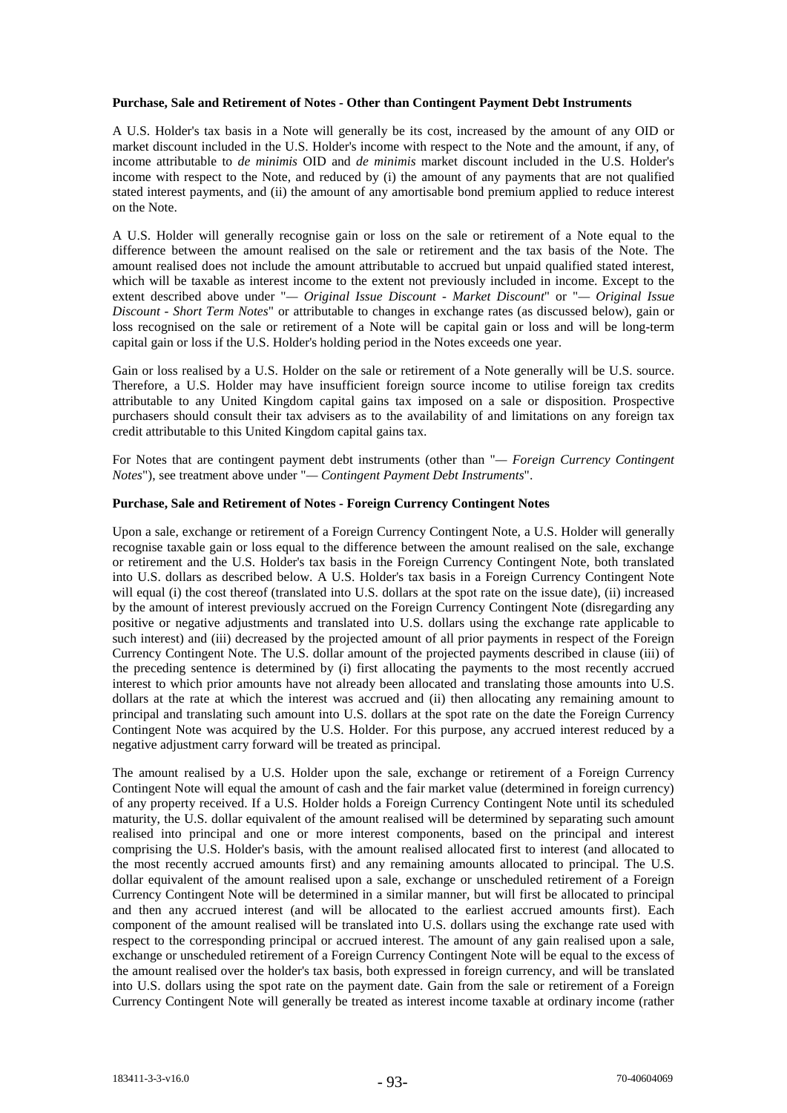#### **Purchase, Sale and Retirement of Notes - Other than Contingent Payment Debt Instruments**

A U.S. Holder's tax basis in a Note will generally be its cost, increased by the amount of any OID or market discount included in the U.S. Holder's income with respect to the Note and the amount, if any, of income attributable to *de minimis* OID and *de minimis* market discount included in the U.S. Holder's income with respect to the Note, and reduced by (i) the amount of any payments that are not qualified stated interest payments, and (ii) the amount of any amortisable bond premium applied to reduce interest on the Note.

A U.S. Holder will generally recognise gain or loss on the sale or retirement of a Note equal to the difference between the amount realised on the sale or retirement and the tax basis of the Note. The amount realised does not include the amount attributable to accrued but unpaid qualified stated interest, which will be taxable as interest income to the extent not previously included in income. Except to the extent described above under "*— Original Issue Discount - Market Discount*" or "*— Original Issue Discount - Short Term Notes*" or attributable to changes in exchange rates (as discussed below), gain or loss recognised on the sale or retirement of a Note will be capital gain or loss and will be long-term capital gain or loss if the U.S. Holder's holding period in the Notes exceeds one year.

Gain or loss realised by a U.S. Holder on the sale or retirement of a Note generally will be U.S. source. Therefore, a U.S. Holder may have insufficient foreign source income to utilise foreign tax credits attributable to any United Kingdom capital gains tax imposed on a sale or disposition. Prospective purchasers should consult their tax advisers as to the availability of and limitations on any foreign tax credit attributable to this United Kingdom capital gains tax.

For Notes that are contingent payment debt instruments (other than "*— Foreign Currency Contingent Notes*"), see treatment above under "*— Contingent Payment Debt Instruments*".

#### **Purchase, Sale and Retirement of Notes - Foreign Currency Contingent Notes**

Upon a sale, exchange or retirement of a Foreign Currency Contingent Note, a U.S. Holder will generally recognise taxable gain or loss equal to the difference between the amount realised on the sale, exchange or retirement and the U.S. Holder's tax basis in the Foreign Currency Contingent Note, both translated into U.S. dollars as described below. A U.S. Holder's tax basis in a Foreign Currency Contingent Note will equal (i) the cost thereof (translated into U.S. dollars at the spot rate on the issue date), (ii) increased by the amount of interest previously accrued on the Foreign Currency Contingent Note (disregarding any positive or negative adjustments and translated into U.S. dollars using the exchange rate applicable to such interest) and (iii) decreased by the projected amount of all prior payments in respect of the Foreign Currency Contingent Note. The U.S. dollar amount of the projected payments described in clause (iii) of the preceding sentence is determined by (i) first allocating the payments to the most recently accrued interest to which prior amounts have not already been allocated and translating those amounts into U.S. dollars at the rate at which the interest was accrued and (ii) then allocating any remaining amount to principal and translating such amount into U.S. dollars at the spot rate on the date the Foreign Currency Contingent Note was acquired by the U.S. Holder. For this purpose, any accrued interest reduced by a negative adjustment carry forward will be treated as principal.

The amount realised by a U.S. Holder upon the sale, exchange or retirement of a Foreign Currency Contingent Note will equal the amount of cash and the fair market value (determined in foreign currency) of any property received. If a U.S. Holder holds a Foreign Currency Contingent Note until its scheduled maturity, the U.S. dollar equivalent of the amount realised will be determined by separating such amount realised into principal and one or more interest components, based on the principal and interest comprising the U.S. Holder's basis, with the amount realised allocated first to interest (and allocated to the most recently accrued amounts first) and any remaining amounts allocated to principal. The U.S. dollar equivalent of the amount realised upon a sale, exchange or unscheduled retirement of a Foreign Currency Contingent Note will be determined in a similar manner, but will first be allocated to principal and then any accrued interest (and will be allocated to the earliest accrued amounts first). Each component of the amount realised will be translated into U.S. dollars using the exchange rate used with respect to the corresponding principal or accrued interest. The amount of any gain realised upon a sale, exchange or unscheduled retirement of a Foreign Currency Contingent Note will be equal to the excess of the amount realised over the holder's tax basis, both expressed in foreign currency, and will be translated into U.S. dollars using the spot rate on the payment date. Gain from the sale or retirement of a Foreign Currency Contingent Note will generally be treated as interest income taxable at ordinary income (rather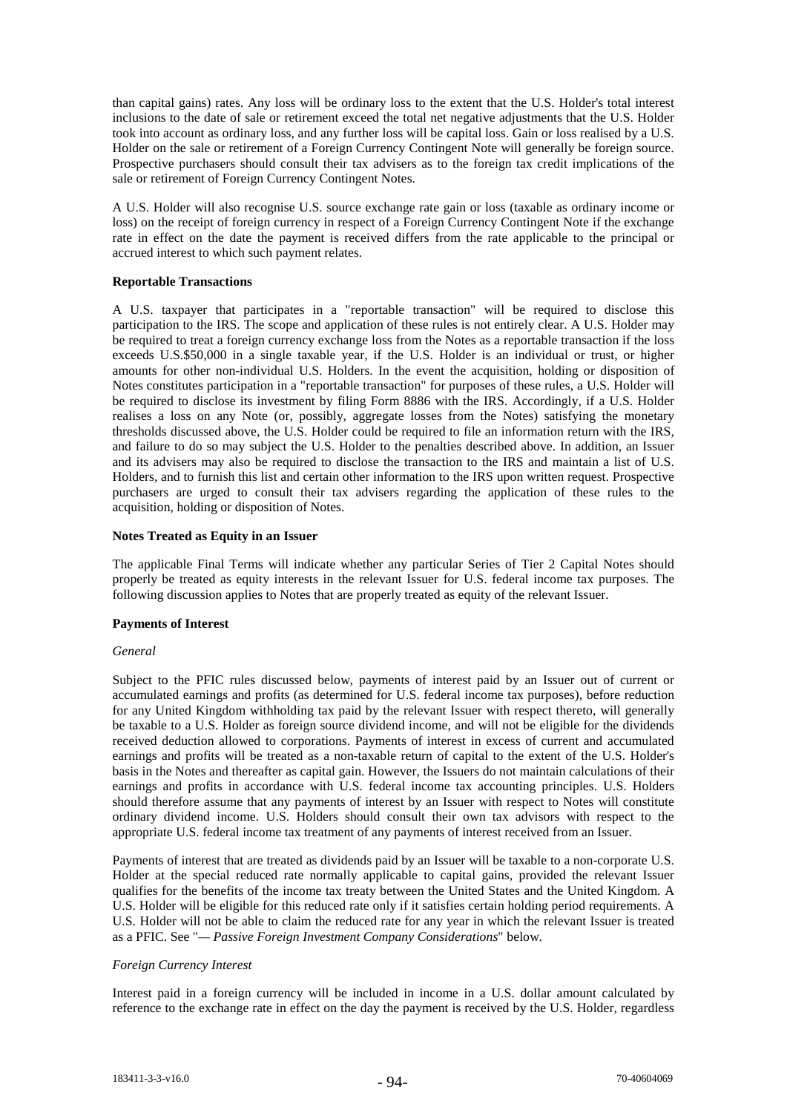than capital gains) rates. Any loss will be ordinary loss to the extent that the U.S. Holder's total interest inclusions to the date of sale or retirement exceed the total net negative adjustments that the U.S. Holder took into account as ordinary loss, and any further loss will be capital loss. Gain or loss realised by a U.S. Holder on the sale or retirement of a Foreign Currency Contingent Note will generally be foreign source. Prospective purchasers should consult their tax advisers as to the foreign tax credit implications of the sale or retirement of Foreign Currency Contingent Notes.

A U.S. Holder will also recognise U.S. source exchange rate gain or loss (taxable as ordinary income or loss) on the receipt of foreign currency in respect of a Foreign Currency Contingent Note if the exchange rate in effect on the date the payment is received differs from the rate applicable to the principal or accrued interest to which such payment relates.

# **Reportable Transactions**

A U.S. taxpayer that participates in a "reportable transaction" will be required to disclose this participation to the IRS. The scope and application of these rules is not entirely clear. A U.S. Holder may be required to treat a foreign currency exchange loss from the Notes as a reportable transaction if the loss exceeds U.S.\$50,000 in a single taxable year, if the U.S. Holder is an individual or trust, or higher amounts for other non-individual U.S. Holders. In the event the acquisition, holding or disposition of Notes constitutes participation in a "reportable transaction" for purposes of these rules, a U.S. Holder will be required to disclose its investment by filing Form 8886 with the IRS. Accordingly, if a U.S. Holder realises a loss on any Note (or, possibly, aggregate losses from the Notes) satisfying the monetary thresholds discussed above, the U.S. Holder could be required to file an information return with the IRS, and failure to do so may subject the U.S. Holder to the penalties described above. In addition, an Issuer and its advisers may also be required to disclose the transaction to the IRS and maintain a list of U.S. Holders, and to furnish this list and certain other information to the IRS upon written request. Prospective purchasers are urged to consult their tax advisers regarding the application of these rules to the acquisition, holding or disposition of Notes.

# **Notes Treated as Equity in an Issuer**

The applicable Final Terms will indicate whether any particular Series of Tier 2 Capital Notes should properly be treated as equity interests in the relevant Issuer for U.S. federal income tax purposes. The following discussion applies to Notes that are properly treated as equity of the relevant Issuer.

# **Payments of Interest**

# *General*

Subject to the PFIC rules discussed below, payments of interest paid by an Issuer out of current or accumulated earnings and profits (as determined for U.S. federal income tax purposes), before reduction for any United Kingdom withholding tax paid by the relevant Issuer with respect thereto, will generally be taxable to a U.S. Holder as foreign source dividend income, and will not be eligible for the dividends received deduction allowed to corporations. Payments of interest in excess of current and accumulated earnings and profits will be treated as a non-taxable return of capital to the extent of the U.S. Holder's basis in the Notes and thereafter as capital gain. However, the Issuers do not maintain calculations of their earnings and profits in accordance with U.S. federal income tax accounting principles. U.S. Holders should therefore assume that any payments of interest by an Issuer with respect to Notes will constitute ordinary dividend income. U.S. Holders should consult their own tax advisors with respect to the appropriate U.S. federal income tax treatment of any payments of interest received from an Issuer.

Payments of interest that are treated as dividends paid by an Issuer will be taxable to a non-corporate U.S. Holder at the special reduced rate normally applicable to capital gains, provided the relevant Issuer qualifies for the benefits of the income tax treaty between the United States and the United Kingdom. A U.S. Holder will be eligible for this reduced rate only if it satisfies certain holding period requirements. A U.S. Holder will not be able to claim the reduced rate for any year in which the relevant Issuer is treated as a PFIC. See "*— Passive Foreign Investment Company Considerations*" below.

# *Foreign Currency Interest*

Interest paid in a foreign currency will be included in income in a U.S. dollar amount calculated by reference to the exchange rate in effect on the day the payment is received by the U.S. Holder, regardless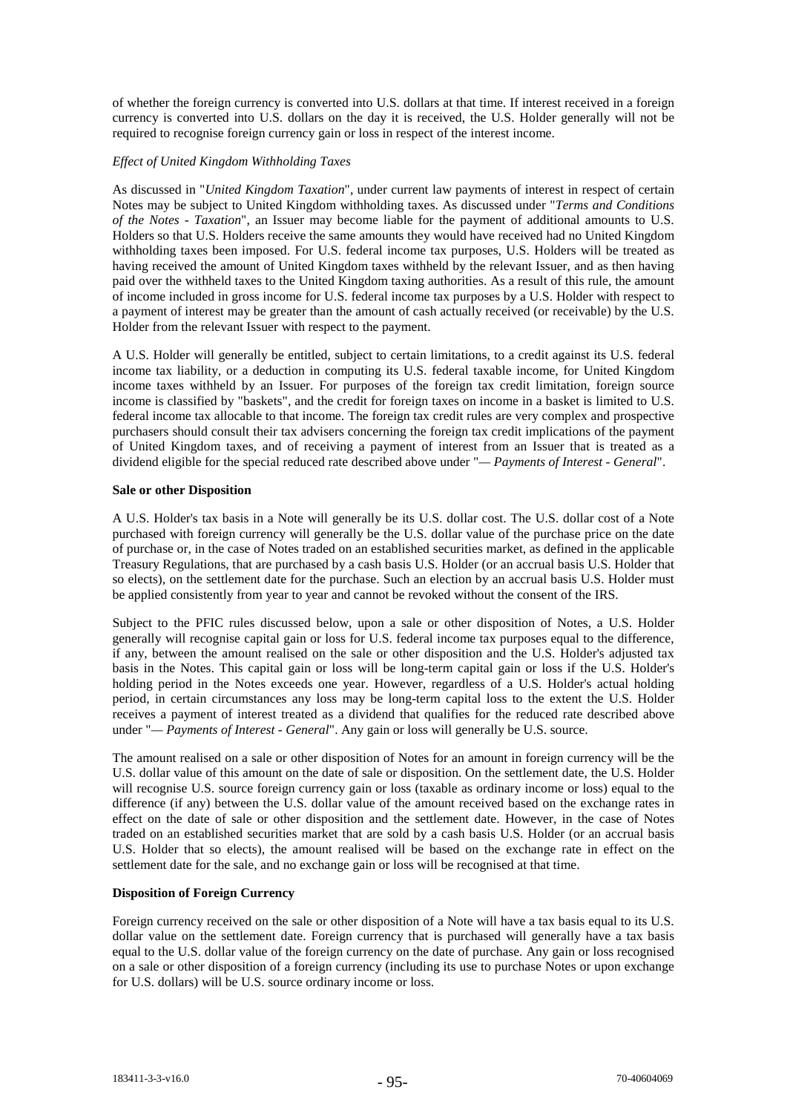of whether the foreign currency is converted into U.S. dollars at that time. If interest received in a foreign currency is converted into U.S. dollars on the day it is received, the U.S. Holder generally will not be required to recognise foreign currency gain or loss in respect of the interest income.

# *Effect of United Kingdom Withholding Taxes*

As discussed in "*United Kingdom Taxation*", under current law payments of interest in respect of certain Notes may be subject to United Kingdom withholding taxes. As discussed under "*Terms and Conditions of the Notes - Taxation*", an Issuer may become liable for the payment of additional amounts to U.S. Holders so that U.S. Holders receive the same amounts they would have received had no United Kingdom withholding taxes been imposed. For U.S. federal income tax purposes, U.S. Holders will be treated as having received the amount of United Kingdom taxes withheld by the relevant Issuer, and as then having paid over the withheld taxes to the United Kingdom taxing authorities. As a result of this rule, the amount of income included in gross income for U.S. federal income tax purposes by a U.S. Holder with respect to a payment of interest may be greater than the amount of cash actually received (or receivable) by the U.S. Holder from the relevant Issuer with respect to the payment.

A U.S. Holder will generally be entitled, subject to certain limitations, to a credit against its U.S. federal income tax liability, or a deduction in computing its U.S. federal taxable income, for United Kingdom income taxes withheld by an Issuer. For purposes of the foreign tax credit limitation, foreign source income is classified by "baskets", and the credit for foreign taxes on income in a basket is limited to U.S. federal income tax allocable to that income. The foreign tax credit rules are very complex and prospective purchasers should consult their tax advisers concerning the foreign tax credit implications of the payment of United Kingdom taxes, and of receiving a payment of interest from an Issuer that is treated as a dividend eligible for the special reduced rate described above under "*— Payments of Interest - General*".

# **Sale or other Disposition**

A U.S. Holder's tax basis in a Note will generally be its U.S. dollar cost. The U.S. dollar cost of a Note purchased with foreign currency will generally be the U.S. dollar value of the purchase price on the date of purchase or, in the case of Notes traded on an established securities market, as defined in the applicable Treasury Regulations, that are purchased by a cash basis U.S. Holder (or an accrual basis U.S. Holder that so elects), on the settlement date for the purchase. Such an election by an accrual basis U.S. Holder must be applied consistently from year to year and cannot be revoked without the consent of the IRS.

Subject to the PFIC rules discussed below, upon a sale or other disposition of Notes, a U.S. Holder generally will recognise capital gain or loss for U.S. federal income tax purposes equal to the difference, if any, between the amount realised on the sale or other disposition and the U.S. Holder's adjusted tax basis in the Notes. This capital gain or loss will be long-term capital gain or loss if the U.S. Holder's holding period in the Notes exceeds one year. However, regardless of a U.S. Holder's actual holding period, in certain circumstances any loss may be long-term capital loss to the extent the U.S. Holder receives a payment of interest treated as a dividend that qualifies for the reduced rate described above under "*— Payments of Interest - General*". Any gain or loss will generally be U.S. source.

The amount realised on a sale or other disposition of Notes for an amount in foreign currency will be the U.S. dollar value of this amount on the date of sale or disposition. On the settlement date, the U.S. Holder will recognise U.S. source foreign currency gain or loss (taxable as ordinary income or loss) equal to the difference (if any) between the U.S. dollar value of the amount received based on the exchange rates in effect on the date of sale or other disposition and the settlement date. However, in the case of Notes traded on an established securities market that are sold by a cash basis U.S. Holder (or an accrual basis U.S. Holder that so elects), the amount realised will be based on the exchange rate in effect on the settlement date for the sale, and no exchange gain or loss will be recognised at that time.

# **Disposition of Foreign Currency**

Foreign currency received on the sale or other disposition of a Note will have a tax basis equal to its U.S. dollar value on the settlement date. Foreign currency that is purchased will generally have a tax basis equal to the U.S. dollar value of the foreign currency on the date of purchase. Any gain or loss recognised on a sale or other disposition of a foreign currency (including its use to purchase Notes or upon exchange for U.S. dollars) will be U.S. source ordinary income or loss.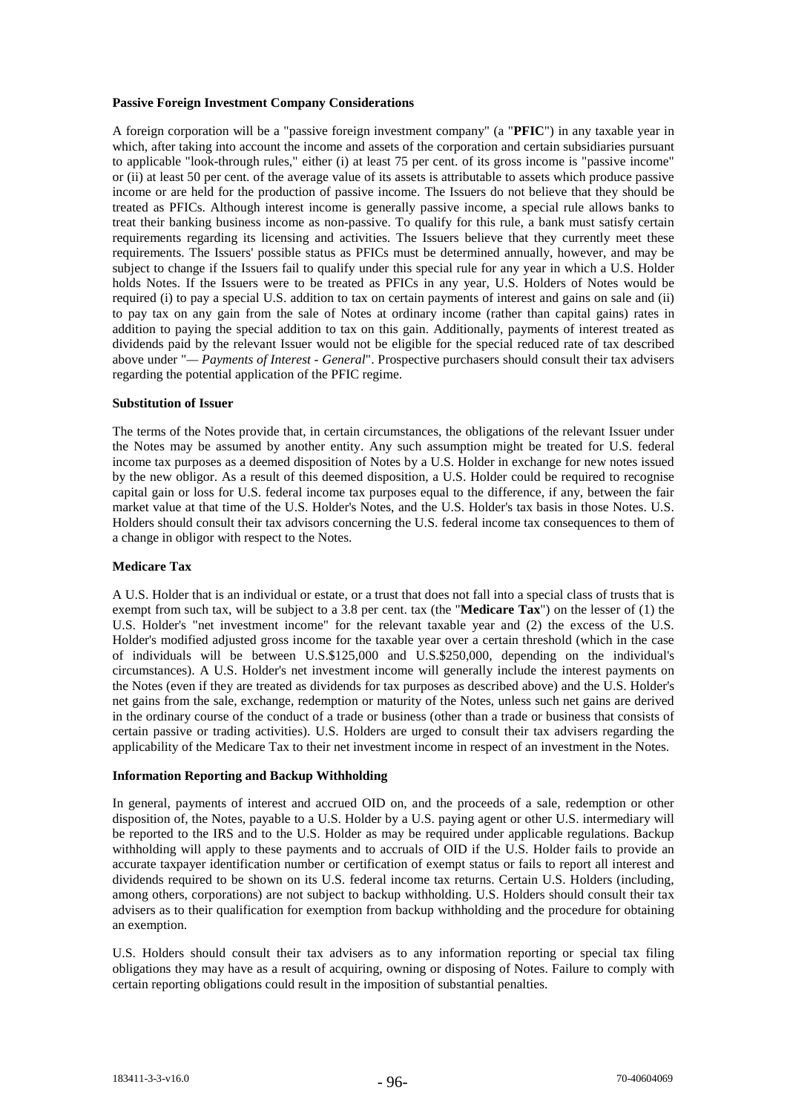# **Passive Foreign Investment Company Considerations**

A foreign corporation will be a "passive foreign investment company" (a "**PFIC**") in any taxable year in which, after taking into account the income and assets of the corporation and certain subsidiaries pursuant to applicable "look-through rules," either (i) at least 75 per cent. of its gross income is "passive income" or (ii) at least 50 per cent. of the average value of its assets is attributable to assets which produce passive income or are held for the production of passive income. The Issuers do not believe that they should be treated as PFICs. Although interest income is generally passive income, a special rule allows banks to treat their banking business income as non-passive. To qualify for this rule, a bank must satisfy certain requirements regarding its licensing and activities. The Issuers believe that they currently meet these requirements. The Issuers' possible status as PFICs must be determined annually, however, and may be subject to change if the Issuers fail to qualify under this special rule for any year in which a U.S. Holder holds Notes. If the Issuers were to be treated as PFICs in any year, U.S. Holders of Notes would be required (i) to pay a special U.S. addition to tax on certain payments of interest and gains on sale and (ii) to pay tax on any gain from the sale of Notes at ordinary income (rather than capital gains) rates in addition to paying the special addition to tax on this gain. Additionally, payments of interest treated as dividends paid by the relevant Issuer would not be eligible for the special reduced rate of tax described above under "*— Payments of Interest - General*". Prospective purchasers should consult their tax advisers regarding the potential application of the PFIC regime.

#### **Substitution of Issuer**

The terms of the Notes provide that, in certain circumstances, the obligations of the relevant Issuer under the Notes may be assumed by another entity. Any such assumption might be treated for U.S. federal income tax purposes as a deemed disposition of Notes by a U.S. Holder in exchange for new notes issued by the new obligor. As a result of this deemed disposition, a U.S. Holder could be required to recognise capital gain or loss for U.S. federal income tax purposes equal to the difference, if any, between the fair market value at that time of the U.S. Holder's Notes, and the U.S. Holder's tax basis in those Notes. U.S. Holders should consult their tax advisors concerning the U.S. federal income tax consequences to them of a change in obligor with respect to the Notes.

#### **Medicare Tax**

A U.S. Holder that is an individual or estate, or a trust that does not fall into a special class of trusts that is exempt from such tax, will be subject to a 3.8 per cent. tax (the "**Medicare Tax**") on the lesser of (1) the U.S. Holder's "net investment income" for the relevant taxable year and (2) the excess of the U.S. Holder's modified adjusted gross income for the taxable year over a certain threshold (which in the case of individuals will be between U.S.\$125,000 and U.S.\$250,000, depending on the individual's circumstances). A U.S. Holder's net investment income will generally include the interest payments on the Notes (even if they are treated as dividends for tax purposes as described above) and the U.S. Holder's net gains from the sale, exchange, redemption or maturity of the Notes, unless such net gains are derived in the ordinary course of the conduct of a trade or business (other than a trade or business that consists of certain passive or trading activities). U.S. Holders are urged to consult their tax advisers regarding the applicability of the Medicare Tax to their net investment income in respect of an investment in the Notes.

#### **Information Reporting and Backup Withholding**

In general, payments of interest and accrued OID on, and the proceeds of a sale, redemption or other disposition of, the Notes, payable to a U.S. Holder by a U.S. paying agent or other U.S. intermediary will be reported to the IRS and to the U.S. Holder as may be required under applicable regulations. Backup withholding will apply to these payments and to accruals of OID if the U.S. Holder fails to provide an accurate taxpayer identification number or certification of exempt status or fails to report all interest and dividends required to be shown on its U.S. federal income tax returns. Certain U.S. Holders (including, among others, corporations) are not subject to backup withholding. U.S. Holders should consult their tax advisers as to their qualification for exemption from backup withholding and the procedure for obtaining an exemption.

U.S. Holders should consult their tax advisers as to any information reporting or special tax filing obligations they may have as a result of acquiring, owning or disposing of Notes. Failure to comply with certain reporting obligations could result in the imposition of substantial penalties.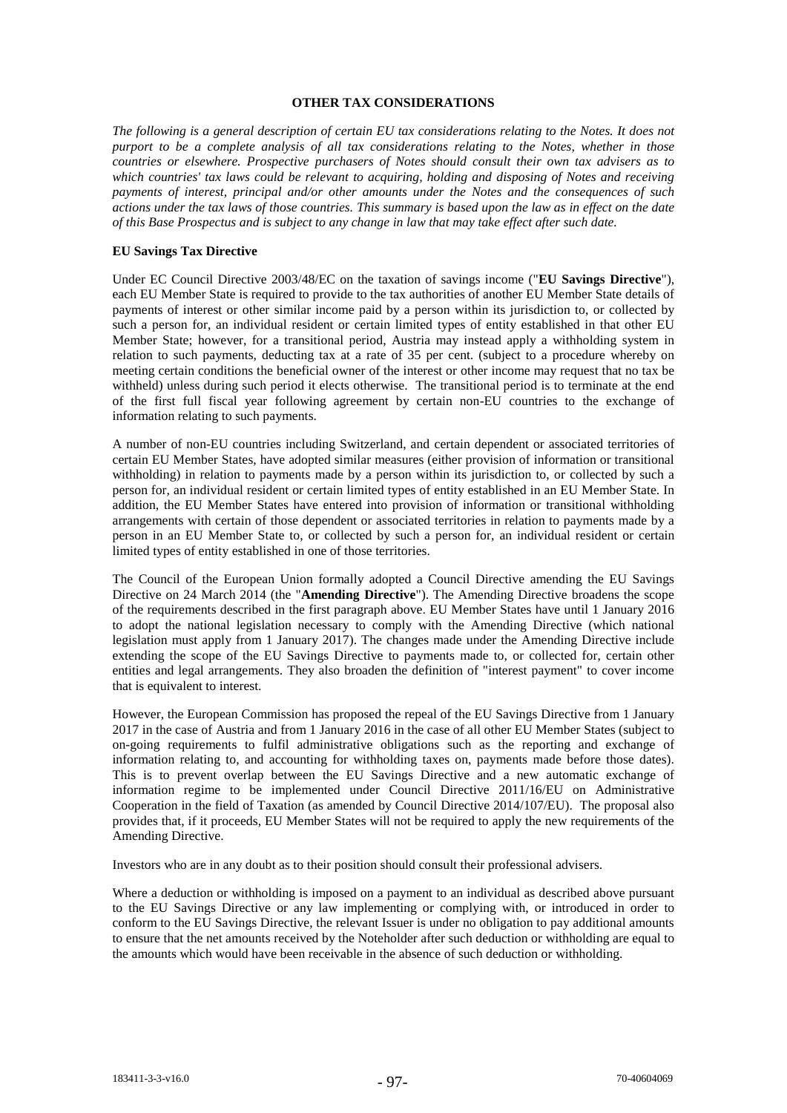# **OTHER TAX CONSIDERATIONS**

*The following is a general description of certain EU tax considerations relating to the Notes. It does not purport to be a complete analysis of all tax considerations relating to the Notes, whether in those countries or elsewhere. Prospective purchasers of Notes should consult their own tax advisers as to which countries' tax laws could be relevant to acquiring, holding and disposing of Notes and receiving payments of interest, principal and/or other amounts under the Notes and the consequences of such actions under the tax laws of those countries. This summary is based upon the law as in effect on the date of this Base Prospectus and is subject to any change in law that may take effect after such date.*

# **EU Savings Tax Directive**

Under EC Council Directive 2003/48/EC on the taxation of savings income ("**EU Savings Directive**"), each EU Member State is required to provide to the tax authorities of another EU Member State details of payments of interest or other similar income paid by a person within its jurisdiction to, or collected by such a person for, an individual resident or certain limited types of entity established in that other EU Member State; however, for a transitional period, Austria may instead apply a withholding system in relation to such payments, deducting tax at a rate of 35 per cent. (subject to a procedure whereby on meeting certain conditions the beneficial owner of the interest or other income may request that no tax be withheld) unless during such period it elects otherwise. The transitional period is to terminate at the end of the first full fiscal year following agreement by certain non-EU countries to the exchange of information relating to such payments.

A number of non-EU countries including Switzerland, and certain dependent or associated territories of certain EU Member States, have adopted similar measures (either provision of information or transitional withholding) in relation to payments made by a person within its jurisdiction to, or collected by such a person for, an individual resident or certain limited types of entity established in an EU Member State. In addition, the EU Member States have entered into provision of information or transitional withholding arrangements with certain of those dependent or associated territories in relation to payments made by a person in an EU Member State to, or collected by such a person for, an individual resident or certain limited types of entity established in one of those territories.

The Council of the European Union formally adopted a Council Directive amending the EU Savings Directive on 24 March 2014 (the "**Amending Directive**"). The Amending Directive broadens the scope of the requirements described in the first paragraph above. EU Member States have until 1 January 2016 to adopt the national legislation necessary to comply with the Amending Directive (which national legislation must apply from 1 January 2017). The changes made under the Amending Directive include extending the scope of the EU Savings Directive to payments made to, or collected for, certain other entities and legal arrangements. They also broaden the definition of "interest payment" to cover income that is equivalent to interest.

However, the European Commission has proposed the repeal of the EU Savings Directive from 1 January 2017 in the case of Austria and from 1 January 2016 in the case of all other EU Member States (subject to on-going requirements to fulfil administrative obligations such as the reporting and exchange of information relating to, and accounting for withholding taxes on, payments made before those dates). This is to prevent overlap between the EU Savings Directive and a new automatic exchange of information regime to be implemented under Council Directive 2011/16/EU on Administrative Cooperation in the field of Taxation (as amended by Council Directive 2014/107/EU). The proposal also provides that, if it proceeds, EU Member States will not be required to apply the new requirements of the Amending Directive.

Investors who are in any doubt as to their position should consult their professional advisers.

Where a deduction or withholding is imposed on a payment to an individual as described above pursuant to the EU Savings Directive or any law implementing or complying with, or introduced in order to conform to the EU Savings Directive, the relevant Issuer is under no obligation to pay additional amounts to ensure that the net amounts received by the Noteholder after such deduction or withholding are equal to the amounts which would have been receivable in the absence of such deduction or withholding.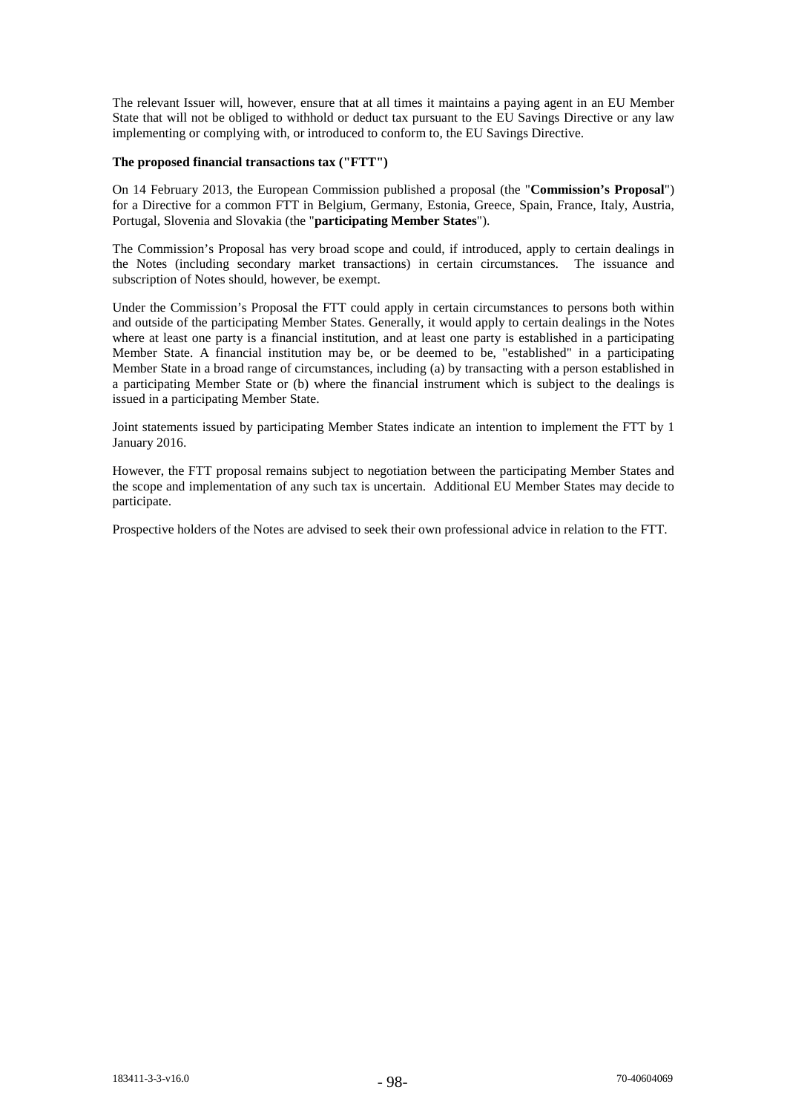The relevant Issuer will, however, ensure that at all times it maintains a paying agent in an EU Member State that will not be obliged to withhold or deduct tax pursuant to the EU Savings Directive or any law implementing or complying with, or introduced to conform to, the EU Savings Directive.

#### **The proposed financial transactions tax ("FTT")**

On 14 February 2013, the European Commission published a proposal (the "**Commission's Proposal**") for a Directive for a common FTT in Belgium, Germany, Estonia, Greece, Spain, France, Italy, Austria, Portugal, Slovenia and Slovakia (the "**participating Member States**").

The Commission's Proposal has very broad scope and could, if introduced, apply to certain dealings in the Notes (including secondary market transactions) in certain circumstances. The issuance and subscription of Notes should, however, be exempt.

Under the Commission's Proposal the FTT could apply in certain circumstances to persons both within and outside of the participating Member States. Generally, it would apply to certain dealings in the Notes where at least one party is a financial institution, and at least one party is established in a participating Member State. A financial institution may be, or be deemed to be, "established" in a participating Member State in a broad range of circumstances, including (a) by transacting with a person established in a participating Member State or (b) where the financial instrument which is subject to the dealings is issued in a participating Member State.

Joint statements issued by participating Member States indicate an intention to implement the FTT by 1 January 2016.

However, the FTT proposal remains subject to negotiation between the participating Member States and the scope and implementation of any such tax is uncertain. Additional EU Member States may decide to participate.

Prospective holders of the Notes are advised to seek their own professional advice in relation to the FTT.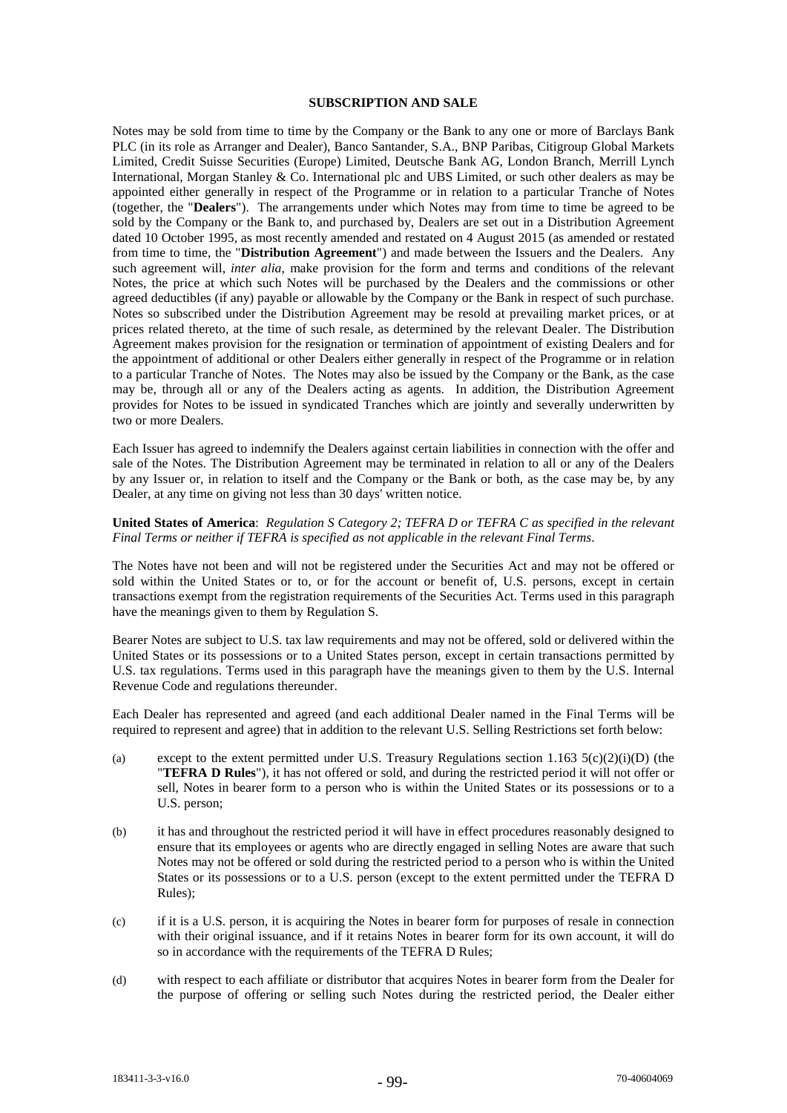#### **SUBSCRIPTION AND SALE**

Notes may be sold from time to time by the Company or the Bank to any one or more of Barclays Bank PLC (in its role as Arranger and Dealer), Banco Santander, S.A., BNP Paribas, Citigroup Global Markets Limited, Credit Suisse Securities (Europe) Limited, Deutsche Bank AG, London Branch, Merrill Lynch International, Morgan Stanley & Co. International plc and UBS Limited, or such other dealers as may be appointed either generally in respect of the Programme or in relation to a particular Tranche of Notes (together, the "**Dealers**"). The arrangements under which Notes may from time to time be agreed to be sold by the Company or the Bank to, and purchased by, Dealers are set out in a Distribution Agreement dated 10 October 1995, as most recently amended and restated on 4 August 2015 (as amended or restated from time to time, the "**Distribution Agreement**") and made between the Issuers and the Dealers. Any such agreement will, *inter alia*, make provision for the form and terms and conditions of the relevant Notes, the price at which such Notes will be purchased by the Dealers and the commissions or other agreed deductibles (if any) payable or allowable by the Company or the Bank in respect of such purchase. Notes so subscribed under the Distribution Agreement may be resold at prevailing market prices, or at prices related thereto, at the time of such resale, as determined by the relevant Dealer. The Distribution Agreement makes provision for the resignation or termination of appointment of existing Dealers and for the appointment of additional or other Dealers either generally in respect of the Programme or in relation to a particular Tranche of Notes. The Notes may also be issued by the Company or the Bank, as the case may be, through all or any of the Dealers acting as agents. In addition, the Distribution Agreement provides for Notes to be issued in syndicated Tranches which are jointly and severally underwritten by two or more Dealers.

Each Issuer has agreed to indemnify the Dealers against certain liabilities in connection with the offer and sale of the Notes. The Distribution Agreement may be terminated in relation to all or any of the Dealers by any Issuer or, in relation to itself and the Company or the Bank or both, as the case may be, by any Dealer, at any time on giving not less than 30 days' written notice.

#### **United States of America**: *Regulation S Category 2; TEFRA D or TEFRA C as specified in the relevant Final Terms or neither if TEFRA is specified as not applicable in the relevant Final Terms*.

The Notes have not been and will not be registered under the Securities Act and may not be offered or sold within the United States or to, or for the account or benefit of, U.S. persons, except in certain transactions exempt from the registration requirements of the Securities Act. Terms used in this paragraph have the meanings given to them by Regulation S.

Bearer Notes are subject to U.S. tax law requirements and may not be offered, sold or delivered within the United States or its possessions or to a United States person, except in certain transactions permitted by U.S. tax regulations. Terms used in this paragraph have the meanings given to them by the U.S. Internal Revenue Code and regulations thereunder.

Each Dealer has represented and agreed (and each additional Dealer named in the Final Terms will be required to represent and agree) that in addition to the relevant U.S. Selling Restrictions set forth below:

- (a) except to the extent permitted under U.S. Treasury Regulations section 1.163  $5(c)(2)(i)$  (the "**TEFRA D Rules**"), it has not offered or sold, and during the restricted period it will not offer or sell, Notes in bearer form to a person who is within the United States or its possessions or to a U.S. person;
- (b) it has and throughout the restricted period it will have in effect procedures reasonably designed to ensure that its employees or agents who are directly engaged in selling Notes are aware that such Notes may not be offered or sold during the restricted period to a person who is within the United States or its possessions or to a U.S. person (except to the extent permitted under the TEFRA D Rules);
- (c) if it is a U.S. person, it is acquiring the Notes in bearer form for purposes of resale in connection with their original issuance, and if it retains Notes in bearer form for its own account, it will do so in accordance with the requirements of the TEFRA D Rules;
- (d) with respect to each affiliate or distributor that acquires Notes in bearer form from the Dealer for the purpose of offering or selling such Notes during the restricted period, the Dealer either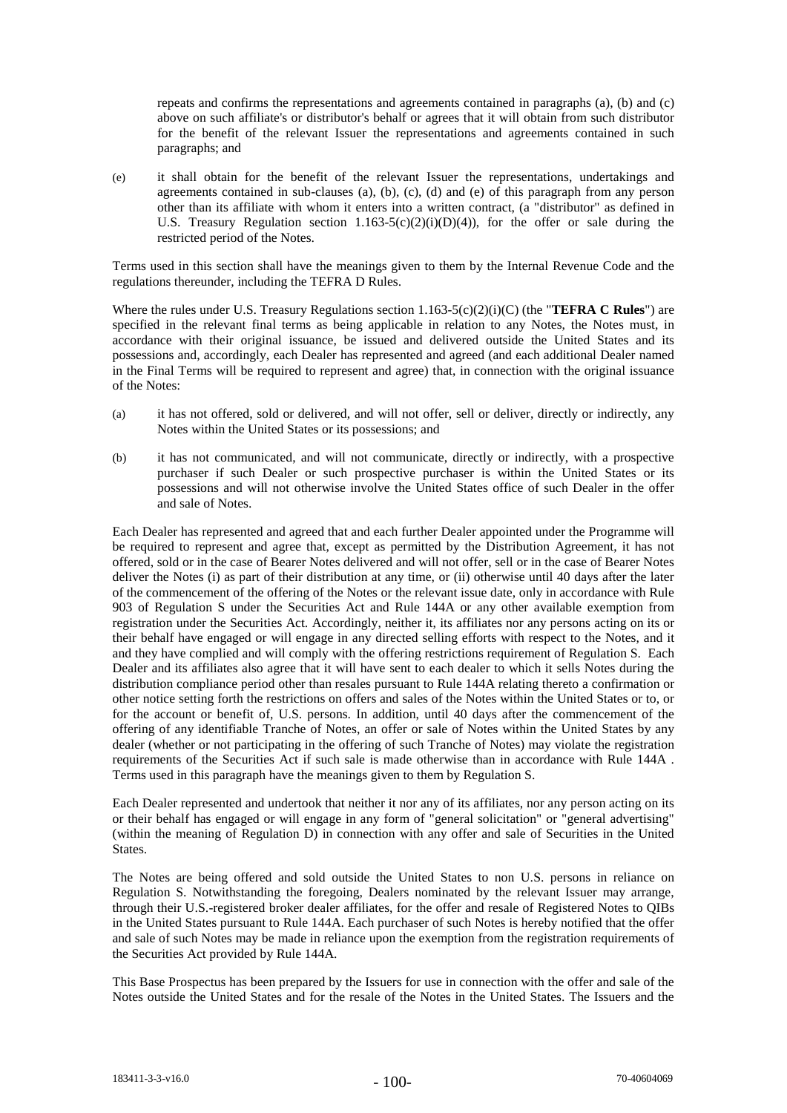repeats and confirms the representations and agreements contained in paragraphs (a), (b) and (c) above on such affiliate's or distributor's behalf or agrees that it will obtain from such distributor for the benefit of the relevant Issuer the representations and agreements contained in such paragraphs; and

(e) it shall obtain for the benefit of the relevant Issuer the representations, undertakings and agreements contained in sub-clauses (a), (b), (c), (d) and (e) of this paragraph from any person other than its affiliate with whom it enters into a written contract, (a "distributor" as defined in U.S. Treasury Regulation section  $1.163-5(c)(2)(i)(D)(4)$ , for the offer or sale during the restricted period of the Notes.

Terms used in this section shall have the meanings given to them by the Internal Revenue Code and the regulations thereunder, including the TEFRA D Rules.

Where the rules under U.S. Treasury Regulations section 1.163-5(c)(2)(i)(C) (the "**TEFRA C Rules**") are specified in the relevant final terms as being applicable in relation to any Notes, the Notes must, in accordance with their original issuance, be issued and delivered outside the United States and its possessions and, accordingly, each Dealer has represented and agreed (and each additional Dealer named in the Final Terms will be required to represent and agree) that, in connection with the original issuance of the Notes:

- (a) it has not offered, sold or delivered, and will not offer, sell or deliver, directly or indirectly, any Notes within the United States or its possessions; and
- (b) it has not communicated, and will not communicate, directly or indirectly, with a prospective purchaser if such Dealer or such prospective purchaser is within the United States or its possessions and will not otherwise involve the United States office of such Dealer in the offer .<br>and sale of Notes

Each Dealer has represented and agreed that and each further Dealer appointed under the Programme will be required to represent and agree that, except as permitted by the Distribution Agreement, it has not offered, sold or in the case of Bearer Notes delivered and will not offer, sell or in the case of Bearer Notes deliver the Notes (i) as part of their distribution at any time, or (ii) otherwise until 40 days after the later of the commencement of the offering of the Notes or the relevant issue date, only in accordance with Rule 903 of Regulation S under the Securities Act and Rule 144A or any other available exemption from registration under the Securities Act. Accordingly, neither it, its affiliates nor any persons acting on its or their behalf have engaged or will engage in any directed selling efforts with respect to the Notes, and it and they have complied and will comply with the offering restrictions requirement of Regulation S. Each Dealer and its affiliates also agree that it will have sent to each dealer to which it sells Notes during the distribution compliance period other than resales pursuant to Rule 144A relating thereto a confirmation or other notice setting forth the restrictions on offers and sales of the Notes within the United States or to, or for the account or benefit of, U.S. persons. In addition, until 40 days after the commencement of the offering of any identifiable Tranche of Notes, an offer or sale of Notes within the United States by any dealer (whether or not participating in the offering of such Tranche of Notes) may violate the registration requirements of the Securities Act if such sale is made otherwise than in accordance with Rule 144A . Terms used in this paragraph have the meanings given to them by Regulation S.

Each Dealer represented and undertook that neither it nor any of its affiliates, nor any person acting on its or their behalf has engaged or will engage in any form of "general solicitation" or "general advertising" (within the meaning of Regulation D) in connection with any offer and sale of Securities in the United **States** 

The Notes are being offered and sold outside the United States to non U.S. persons in reliance on Regulation S. Notwithstanding the foregoing, Dealers nominated by the relevant Issuer may arrange, through their U.S.-registered broker dealer affiliates, for the offer and resale of Registered Notes to QIBs in the United States pursuant to Rule 144A. Each purchaser of such Notes is hereby notified that the offer and sale of such Notes may be made in reliance upon the exemption from the registration requirements of the Securities Act provided by Rule 144A.

This Base Prospectus has been prepared by the Issuers for use in connection with the offer and sale of the Notes outside the United States and for the resale of the Notes in the United States. The Issuers and the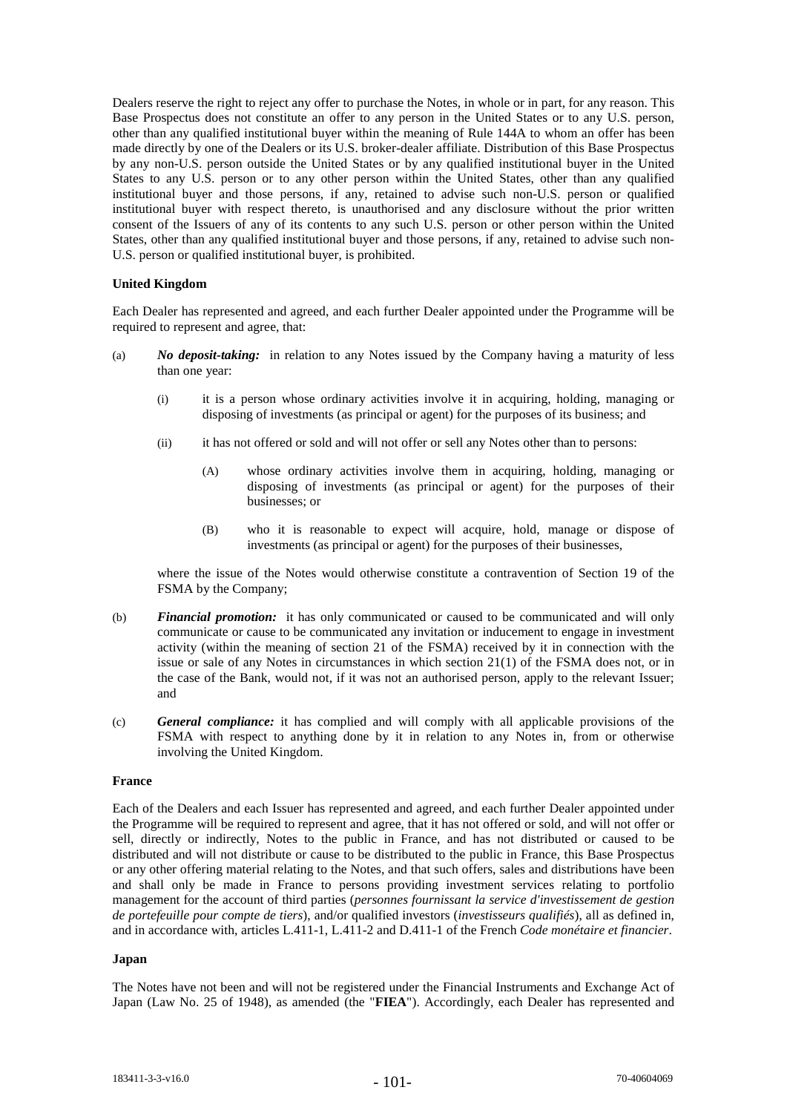Dealers reserve the right to reject any offer to purchase the Notes, in whole or in part, for any reason. This Base Prospectus does not constitute an offer to any person in the United States or to any U.S. person, other than any qualified institutional buyer within the meaning of Rule 144A to whom an offer has been made directly by one of the Dealers or its U.S. broker-dealer affiliate. Distribution of this Base Prospectus by any non-U.S. person outside the United States or by any qualified institutional buyer in the United States to any U.S. person or to any other person within the United States, other than any qualified institutional buyer and those persons, if any, retained to advise such non-U.S. person or qualified institutional buyer with respect thereto, is unauthorised and any disclosure without the prior written consent of the Issuers of any of its contents to any such U.S. person or other person within the United States, other than any qualified institutional buyer and those persons, if any, retained to advise such non-U.S. person or qualified institutional buyer, is prohibited.

# **United Kingdom**

Each Dealer has represented and agreed, and each further Dealer appointed under the Programme will be required to represent and agree, that:

- (a) *No deposit-taking:* in relation to any Notes issued by the Company having a maturity of less than one year:
	- (i) it is a person whose ordinary activities involve it in acquiring, holding, managing or disposing of investments (as principal or agent) for the purposes of its business; and
	- (ii) it has not offered or sold and will not offer or sell any Notes other than to persons:
		- (A) whose ordinary activities involve them in acquiring, holding, managing or disposing of investments (as principal or agent) for the purposes of their businesses; or
		- (B) who it is reasonable to expect will acquire, hold, manage or dispose of investments (as principal or agent) for the purposes of their businesses,

where the issue of the Notes would otherwise constitute a contravention of Section 19 of the FSMA by the Company;

- (b) *Financial promotion:* it has only communicated or caused to be communicated and will only communicate or cause to be communicated any invitation or inducement to engage in investment activity (within the meaning of section 21 of the FSMA) received by it in connection with the issue or sale of any Notes in circumstances in which section 21(1) of the FSMA does not, or in the case of the Bank, would not, if it was not an authorised person, apply to the relevant Issuer; and
- (c) *General compliance:* it has complied and will comply with all applicable provisions of the FSMA with respect to anything done by it in relation to any Notes in, from or otherwise involving the United Kingdom.

## **France**

Each of the Dealers and each Issuer has represented and agreed, and each further Dealer appointed under the Programme will be required to represent and agree, that it has not offered or sold, and will not offer or sell, directly or indirectly, Notes to the public in France, and has not distributed or caused to be distributed and will not distribute or cause to be distributed to the public in France, this Base Prospectus or any other offering material relating to the Notes, and that such offers, sales and distributions have been and shall only be made in France to persons providing investment services relating to portfolio management for the account of third parties (*personnes fournissant la service d'investissement de gestion de portefeuille pour compte de tiers*), and/or qualified investors (*investisseurs qualifiés*), all as defined in, and in accordance with, articles L.411-1, L.411-2 and D.411-1 of the French *Code monétaire et financier*.

### **Japan**

The Notes have not been and will not be registered under the Financial Instruments and Exchange Act of Japan (Law No. 25 of 1948), as amended (the "**FIEA**"). Accordingly, each Dealer has represented and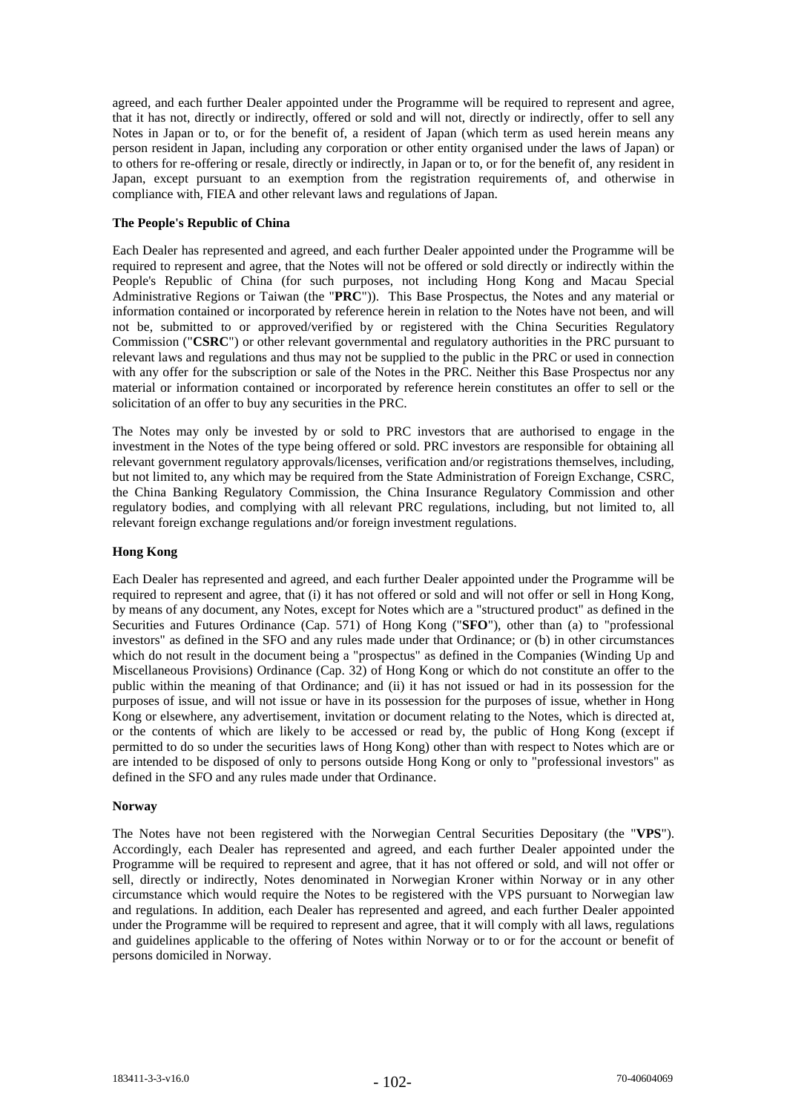agreed, and each further Dealer appointed under the Programme will be required to represent and agree, that it has not, directly or indirectly, offered or sold and will not, directly or indirectly, offer to sell any Notes in Japan or to, or for the benefit of, a resident of Japan (which term as used herein means any person resident in Japan, including any corporation or other entity organised under the laws of Japan) or to others for re-offering or resale, directly or indirectly, in Japan or to, or for the benefit of, any resident in Japan, except pursuant to an exemption from the registration requirements of, and otherwise in compliance with, FIEA and other relevant laws and regulations of Japan.

# **The People's Republic of China**

Each Dealer has represented and agreed, and each further Dealer appointed under the Programme will be required to represent and agree, that the Notes will not be offered or sold directly or indirectly within the People's Republic of China (for such purposes, not including Hong Kong and Macau Special Administrative Regions or Taiwan (the "**PRC**")). This Base Prospectus, the Notes and any material or information contained or incorporated by reference herein in relation to the Notes have not been, and will not be, submitted to or approved/verified by or registered with the China Securities Regulatory Commission ("**CSRC**") or other relevant governmental and regulatory authorities in the PRC pursuant to relevant laws and regulations and thus may not be supplied to the public in the PRC or used in connection with any offer for the subscription or sale of the Notes in the PRC. Neither this Base Prospectus nor any material or information contained or incorporated by reference herein constitutes an offer to sell or the solicitation of an offer to buy any securities in the PRC.

The Notes may only be invested by or sold to PRC investors that are authorised to engage in the investment in the Notes of the type being offered or sold. PRC investors are responsible for obtaining all relevant government regulatory approvals/licenses, verification and/or registrations themselves, including, but not limited to, any which may be required from the State Administration of Foreign Exchange, CSRC, the China Banking Regulatory Commission, the China Insurance Regulatory Commission and other regulatory bodies, and complying with all relevant PRC regulations, including, but not limited to, all relevant foreign exchange regulations and/or foreign investment regulations.

# **Hong Kong**

Each Dealer has represented and agreed, and each further Dealer appointed under the Programme will be required to represent and agree, that (i) it has not offered or sold and will not offer or sell in Hong Kong, by means of any document, any Notes, except for Notes which are a "structured product" as defined in the Securities and Futures Ordinance (Cap. 571) of Hong Kong ("**SFO**"), other than (a) to "professional investors" as defined in the SFO and any rules made under that Ordinance; or (b) in other circumstances which do not result in the document being a "prospectus" as defined in the Companies (Winding Up and Miscellaneous Provisions) Ordinance (Cap. 32) of Hong Kong or which do not constitute an offer to the public within the meaning of that Ordinance; and (ii) it has not issued or had in its possession for the purposes of issue, and will not issue or have in its possession for the purposes of issue, whether in Hong Kong or elsewhere, any advertisement, invitation or document relating to the Notes, which is directed at, or the contents of which are likely to be accessed or read by, the public of Hong Kong (except if permitted to do so under the securities laws of Hong Kong) other than with respect to Notes which are or are intended to be disposed of only to persons outside Hong Kong or only to "professional investors" as defined in the SFO and any rules made under that Ordinance.

### **Norway**

The Notes have not been registered with the Norwegian Central Securities Depositary (the "**VPS**"). Accordingly, each Dealer has represented and agreed, and each further Dealer appointed under the Programme will be required to represent and agree, that it has not offered or sold, and will not offer or sell, directly or indirectly, Notes denominated in Norwegian Kroner within Norway or in any other circumstance which would require the Notes to be registered with the VPS pursuant to Norwegian law and regulations. In addition, each Dealer has represented and agreed, and each further Dealer appointed under the Programme will be required to represent and agree, that it will comply with all laws, regulations and guidelines applicable to the offering of Notes within Norway or to or for the account or benefit of persons domiciled in Norway.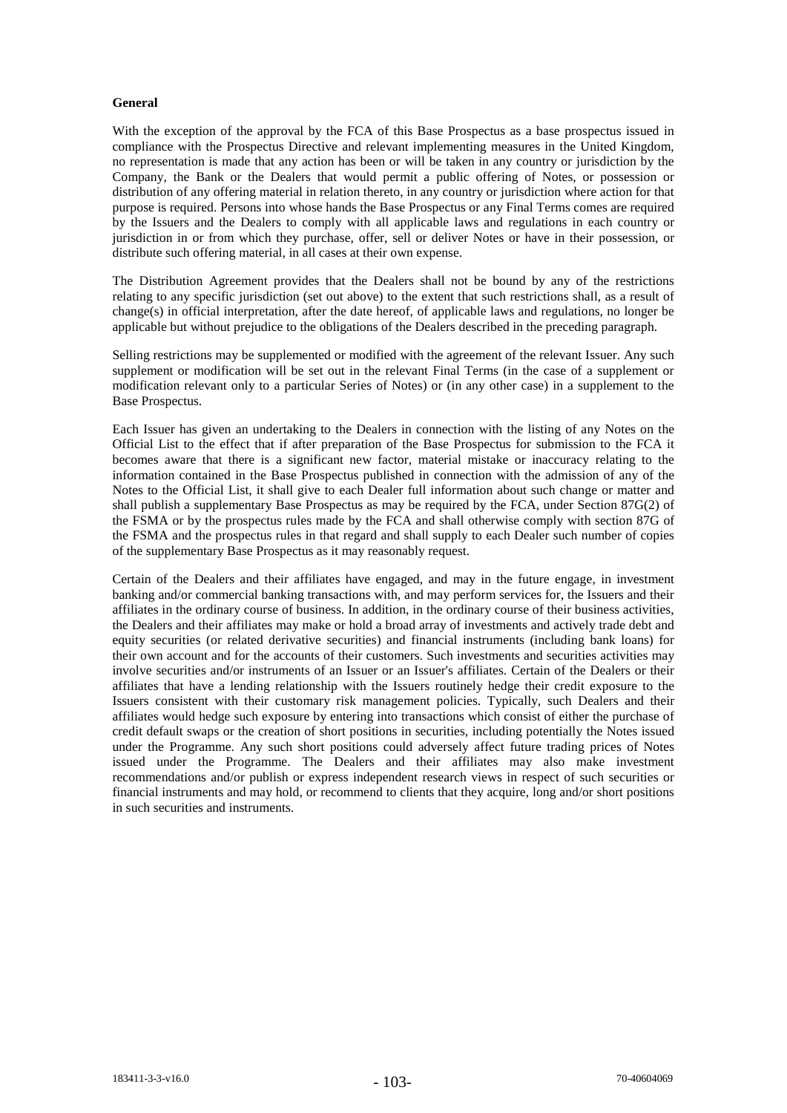# **General**

With the exception of the approval by the FCA of this Base Prospectus as a base prospectus issued in compliance with the Prospectus Directive and relevant implementing measures in the United Kingdom, no representation is made that any action has been or will be taken in any country or jurisdiction by the Company, the Bank or the Dealers that would permit a public offering of Notes, or possession or distribution of any offering material in relation thereto, in any country or jurisdiction where action for that purpose is required. Persons into whose hands the Base Prospectus or any Final Terms comes are required by the Issuers and the Dealers to comply with all applicable laws and regulations in each country or jurisdiction in or from which they purchase, offer, sell or deliver Notes or have in their possession, or distribute such offering material, in all cases at their own expense.

The Distribution Agreement provides that the Dealers shall not be bound by any of the restrictions relating to any specific jurisdiction (set out above) to the extent that such restrictions shall, as a result of change(s) in official interpretation, after the date hereof, of applicable laws and regulations, no longer be applicable but without prejudice to the obligations of the Dealers described in the preceding paragraph.

Selling restrictions may be supplemented or modified with the agreement of the relevant Issuer. Any such supplement or modification will be set out in the relevant Final Terms (in the case of a supplement or modification relevant only to a particular Series of Notes) or (in any other case) in a supplement to the Base Prospectus.

Each Issuer has given an undertaking to the Dealers in connection with the listing of any Notes on the Official List to the effect that if after preparation of the Base Prospectus for submission to the FCA it becomes aware that there is a significant new factor, material mistake or inaccuracy relating to the information contained in the Base Prospectus published in connection with the admission of any of the Notes to the Official List, it shall give to each Dealer full information about such change or matter and shall publish a supplementary Base Prospectus as may be required by the FCA, under Section 87G(2) of the FSMA or by the prospectus rules made by the FCA and shall otherwise comply with section 87G of the FSMA and the prospectus rules in that regard and shall supply to each Dealer such number of copies of the supplementary Base Prospectus as it may reasonably request.

Certain of the Dealers and their affiliates have engaged, and may in the future engage, in investment banking and/or commercial banking transactions with, and may perform services for, the Issuers and their affiliates in the ordinary course of business. In addition, in the ordinary course of their business activities, the Dealers and their affiliates may make or hold a broad array of investments and actively trade debt and equity securities (or related derivative securities) and financial instruments (including bank loans) for their own account and for the accounts of their customers. Such investments and securities activities may involve securities and/or instruments of an Issuer or an Issuer's affiliates. Certain of the Dealers or their affiliates that have a lending relationship with the Issuers routinely hedge their credit exposure to the Issuers consistent with their customary risk management policies. Typically, such Dealers and their affiliates would hedge such exposure by entering into transactions which consist of either the purchase of credit default swaps or the creation of short positions in securities, including potentially the Notes issued under the Programme. Any such short positions could adversely affect future trading prices of Notes issued under the Programme. The Dealers and their affiliates may also make investment recommendations and/or publish or express independent research views in respect of such securities or financial instruments and may hold, or recommend to clients that they acquire, long and/or short positions in such securities and instruments.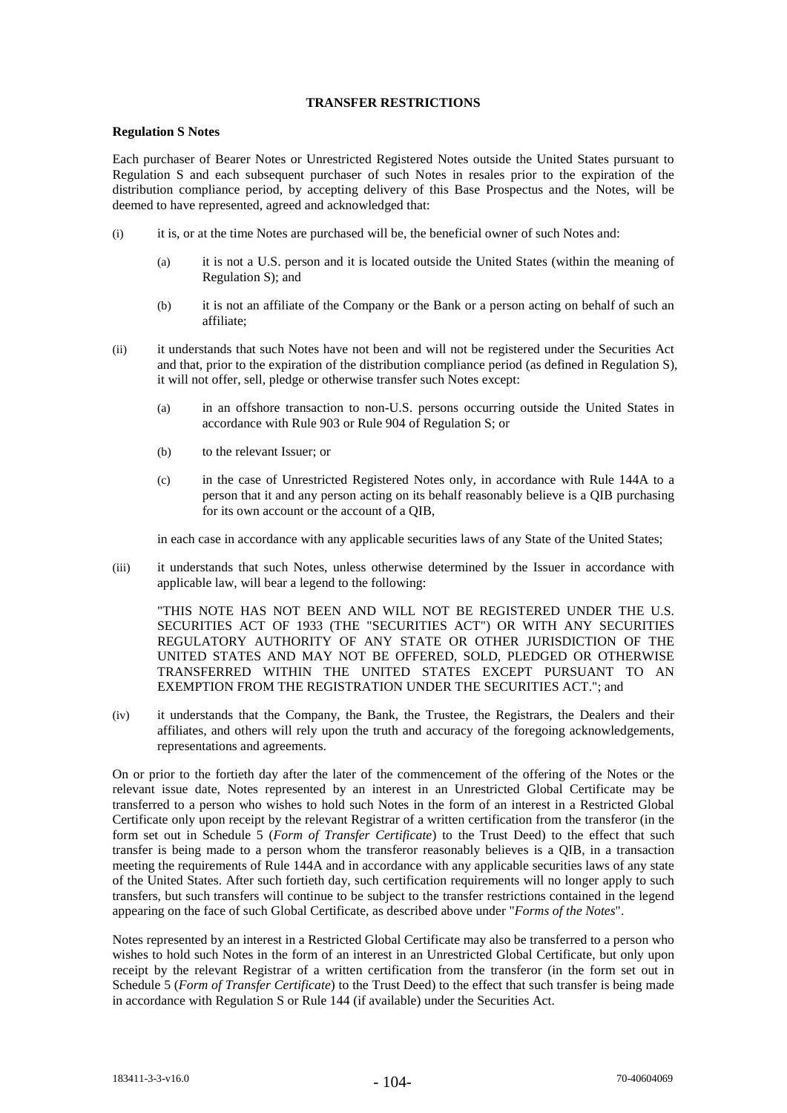# **TRANSFER RESTRICTIONS**

## **Regulation S Notes**

Each purchaser of Bearer Notes or Unrestricted Registered Notes outside the United States pursuant to Regulation S and each subsequent purchaser of such Notes in resales prior to the expiration of the distribution compliance period, by accepting delivery of this Base Prospectus and the Notes, will be deemed to have represented, agreed and acknowledged that:

- (i) it is, or at the time Notes are purchased will be, the beneficial owner of such Notes and:
	- (a) it is not a U.S. person and it is located outside the United States (within the meaning of Regulation S); and
	- (b) it is not an affiliate of the Company or the Bank or a person acting on behalf of such an affiliate;
- (ii) it understands that such Notes have not been and will not be registered under the Securities Act and that, prior to the expiration of the distribution compliance period (as defined in Regulation S), it will not offer, sell, pledge or otherwise transfer such Notes except:
	- (a) in an offshore transaction to non-U.S. persons occurring outside the United States in accordance with Rule 903 or Rule 904 of Regulation S; or
	- (b) to the relevant Issuer; or
	- (c) in the case of Unrestricted Registered Notes only, in accordance with Rule 144A to a person that it and any person acting on its behalf reasonably believe is a QIB purchasing for its own account or the account of a QIB,

in each case in accordance with any applicable securities laws of any State of the United States;

(iii) it understands that such Notes, unless otherwise determined by the Issuer in accordance with applicable law, will bear a legend to the following:

"THIS NOTE HAS NOT BEEN AND WILL NOT BE REGISTERED UNDER THE U.S. SECURITIES ACT OF 1933 (THE "SECURITIES ACT") OR WITH ANY SECURITIES REGULATORY AUTHORITY OF ANY STATE OR OTHER JURISDICTION OF THE UNITED STATES AND MAY NOT BE OFFERED, SOLD, PLEDGED OR OTHERWISE TRANSFERRED WITHIN THE UNITED STATES EXCEPT PURSUANT TO AN EXEMPTION FROM THE REGISTRATION UNDER THE SECURITIES ACT."; and

(iv) it understands that the Company, the Bank, the Trustee, the Registrars, the Dealers and their affiliates, and others will rely upon the truth and accuracy of the foregoing acknowledgements, representations and agreements.

On or prior to the fortieth day after the later of the commencement of the offering of the Notes or the relevant issue date, Notes represented by an interest in an Unrestricted Global Certificate may be transferred to a person who wishes to hold such Notes in the form of an interest in a Restricted Global Certificate only upon receipt by the relevant Registrar of a written certification from the transferor (in the form set out in Schedule 5 (*Form of Transfer Certificate*) to the Trust Deed) to the effect that such transfer is being made to a person whom the transferor reasonably believes is a QIB, in a transaction meeting the requirements of Rule 144A and in accordance with any applicable securities laws of any state of the United States. After such fortieth day, such certification requirements will no longer apply to such transfers, but such transfers will continue to be subject to the transfer restrictions contained in the legend appearing on the face of such Global Certificate, as described above under "*Forms of the Notes*".

Notes represented by an interest in a Restricted Global Certificate may also be transferred to a person who wishes to hold such Notes in the form of an interest in an Unrestricted Global Certificate, but only upon receipt by the relevant Registrar of a written certification from the transferor (in the form set out in Schedule 5 (*Form of Transfer Certificate*) to the Trust Deed) to the effect that such transfer is being made in accordance with Regulation S or Rule 144 (if available) under the Securities Act.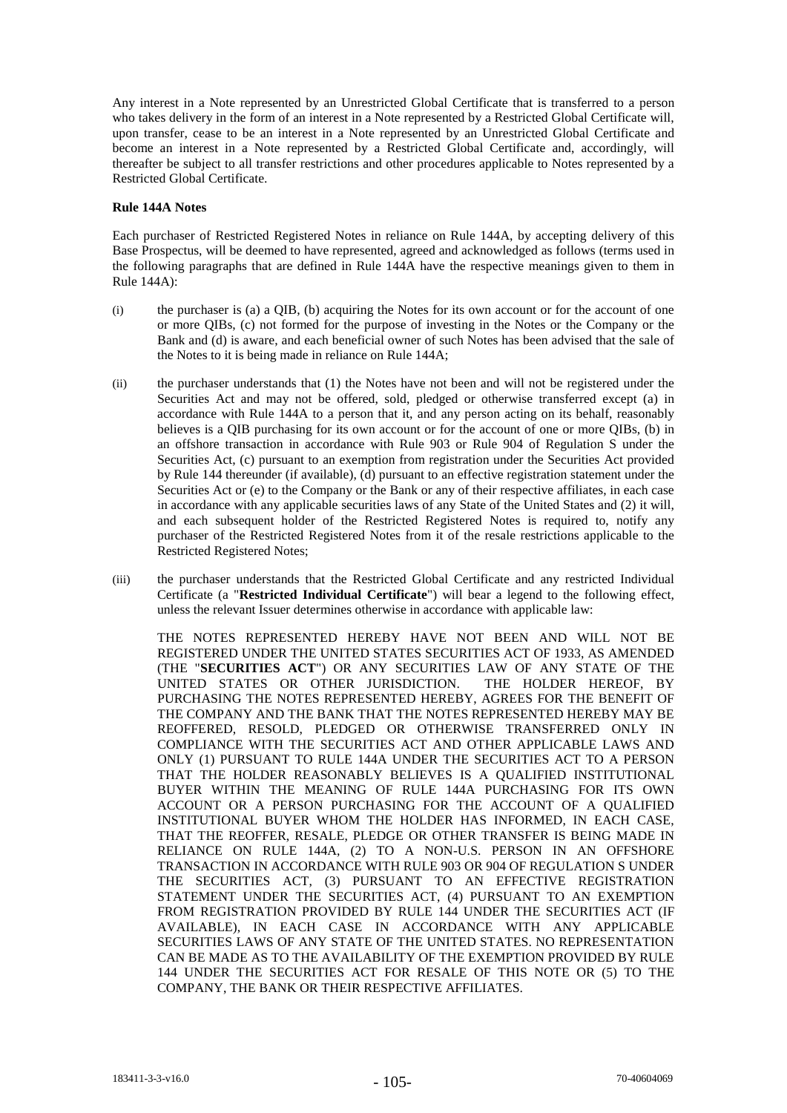Any interest in a Note represented by an Unrestricted Global Certificate that is transferred to a person who takes delivery in the form of an interest in a Note represented by a Restricted Global Certificate will, upon transfer, cease to be an interest in a Note represented by an Unrestricted Global Certificate and become an interest in a Note represented by a Restricted Global Certificate and, accordingly, will thereafter be subject to all transfer restrictions and other procedures applicable to Notes represented by a Restricted Global Certificate.

# **Rule 144A Notes**

Each purchaser of Restricted Registered Notes in reliance on Rule 144A, by accepting delivery of this Base Prospectus, will be deemed to have represented, agreed and acknowledged as follows (terms used in the following paragraphs that are defined in Rule 144A have the respective meanings given to them in Rule 144A):

- (i) the purchaser is (a) a QIB, (b) acquiring the Notes for its own account or for the account of one or more QIBs, (c) not formed for the purpose of investing in the Notes or the Company or the Bank and (d) is aware, and each beneficial owner of such Notes has been advised that the sale of the Notes to it is being made in reliance on Rule 144A;
- (ii) the purchaser understands that (1) the Notes have not been and will not be registered under the Securities Act and may not be offered, sold, pledged or otherwise transferred except (a) in accordance with Rule 144A to a person that it, and any person acting on its behalf, reasonably believes is a QIB purchasing for its own account or for the account of one or more QIBs, (b) in an offshore transaction in accordance with Rule 903 or Rule 904 of Regulation S under the Securities Act, (c) pursuant to an exemption from registration under the Securities Act provided by Rule 144 thereunder (if available), (d) pursuant to an effective registration statement under the Securities Act or (e) to the Company or the Bank or any of their respective affiliates, in each case in accordance with any applicable securities laws of any State of the United States and (2) it will, and each subsequent holder of the Restricted Registered Notes is required to, notify any purchaser of the Restricted Registered Notes from it of the resale restrictions applicable to the Restricted Registered Notes;
- (iii) the purchaser understands that the Restricted Global Certificate and any restricted Individual Certificate (a "**Restricted Individual Certificate**") will bear a legend to the following effect, unless the relevant Issuer determines otherwise in accordance with applicable law:

THE NOTES REPRESENTED HEREBY HAVE NOT BEEN AND WILL NOT BE REGISTERED UNDER THE UNITED STATES SECURITIES ACT OF 1933, AS AMENDED (THE "**SECURITIES ACT**") OR ANY SECURITIES LAW OF ANY STATE OF THE UNITED STATES OR OTHER JURISDICTION. THE HOLDER HEREOF, BY PURCHASING THE NOTES REPRESENTED HEREBY, AGREES FOR THE BENEFIT OF THE COMPANY AND THE BANK THAT THE NOTES REPRESENTED HEREBY MAY BE REOFFERED, RESOLD, PLEDGED OR OTHERWISE TRANSFERRED ONLY IN COMPLIANCE WITH THE SECURITIES ACT AND OTHER APPLICABLE LAWS AND ONLY (1) PURSUANT TO RULE 144A UNDER THE SECURITIES ACT TO A PERSON THAT THE HOLDER REASONABLY BELIEVES IS A QUALIFIED INSTITUTIONAL BUYER WITHIN THE MEANING OF RULE 144A PURCHASING FOR ITS OWN ACCOUNT OR A PERSON PURCHASING FOR THE ACCOUNT OF A QUALIFIED INSTITUTIONAL BUYER WHOM THE HOLDER HAS INFORMED, IN EACH CASE, THAT THE REOFFER, RESALE, PLEDGE OR OTHER TRANSFER IS BEING MADE IN RELIANCE ON RULE 144A, (2) TO A NON-U.S. PERSON IN AN OFFSHORE TRANSACTION IN ACCORDANCE WITH RULE 903 OR 904 OF REGULATION S UNDER THE SECURITIES ACT, (3) PURSUANT TO AN EFFECTIVE REGISTRATION STATEMENT UNDER THE SECURITIES ACT, (4) PURSUANT TO AN EXEMPTION FROM REGISTRATION PROVIDED BY RULE 144 UNDER THE SECURITIES ACT (IF AVAILABLE), IN EACH CASE IN ACCORDANCE WITH ANY APPLICABLE SECURITIES LAWS OF ANY STATE OF THE UNITED STATES. NO REPRESENTATION CAN BE MADE AS TO THE AVAILABILITY OF THE EXEMPTION PROVIDED BY RULE 144 UNDER THE SECURITIES ACT FOR RESALE OF THIS NOTE OR (5) TO THE COMPANY, THE BANK OR THEIR RESPECTIVE AFFILIATES.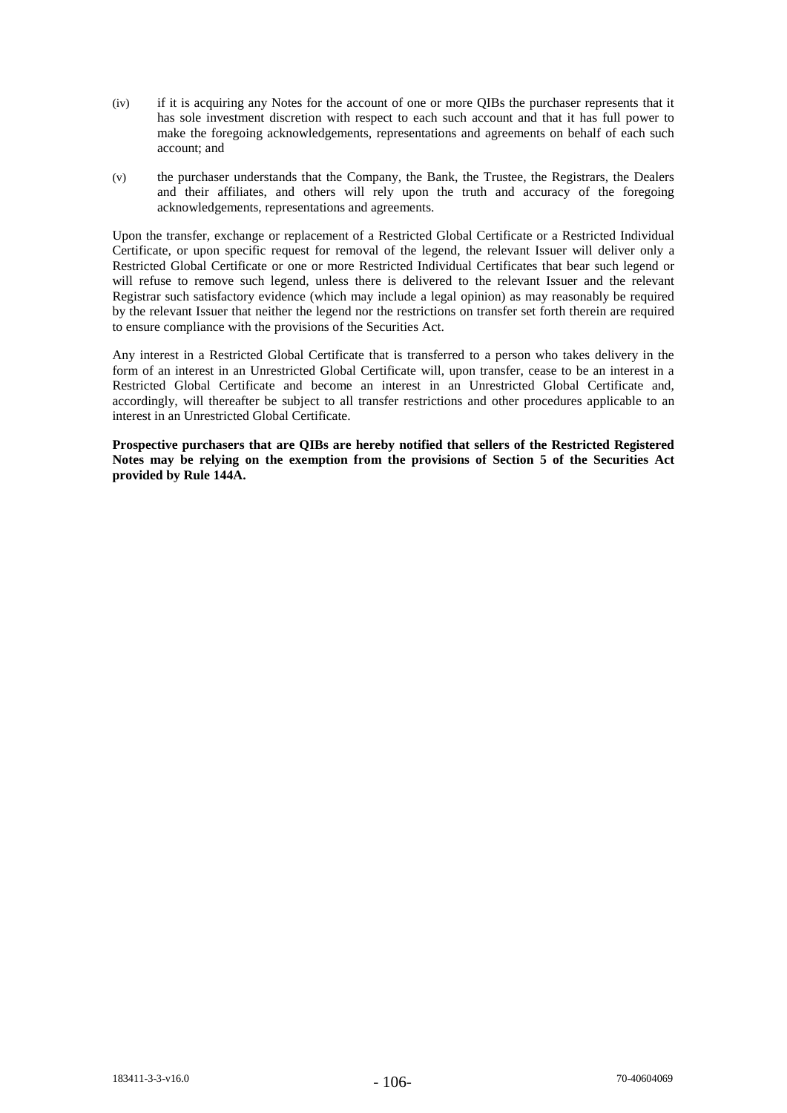- (iv) if it is acquiring any Notes for the account of one or more QIBs the purchaser represents that it has sole investment discretion with respect to each such account and that it has full power to make the foregoing acknowledgements, representations and agreements on behalf of each such account; and
- (v) the purchaser understands that the Company, the Bank, the Trustee, the Registrars, the Dealers and their affiliates, and others will rely upon the truth and accuracy of the foregoing acknowledgements, representations and agreements.

Upon the transfer, exchange or replacement of a Restricted Global Certificate or a Restricted Individual Certificate, or upon specific request for removal of the legend, the relevant Issuer will deliver only a Restricted Global Certificate or one or more Restricted Individual Certificates that bear such legend or will refuse to remove such legend, unless there is delivered to the relevant Issuer and the relevant Registrar such satisfactory evidence (which may include a legal opinion) as may reasonably be required by the relevant Issuer that neither the legend nor the restrictions on transfer set forth therein are required to ensure compliance with the provisions of the Securities Act.

Any interest in a Restricted Global Certificate that is transferred to a person who takes delivery in the form of an interest in an Unrestricted Global Certificate will, upon transfer, cease to be an interest in a Restricted Global Certificate and become an interest in an Unrestricted Global Certificate and, accordingly, will thereafter be subject to all transfer restrictions and other procedures applicable to an interest in an Unrestricted Global Certificate.

**Prospective purchasers that are QIBs are hereby notified that sellers of the Restricted Registered Notes may be relying on the exemption from the provisions of Section 5 of the Securities Act provided by Rule 144A.**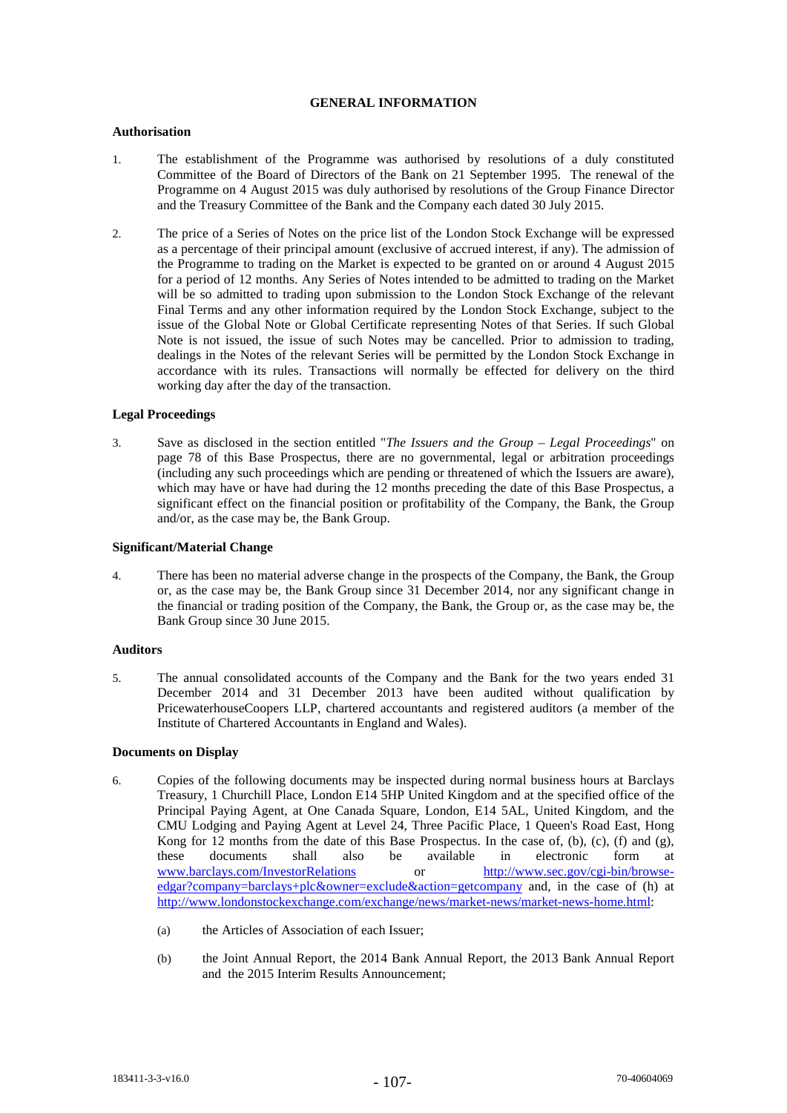# **GENERAL INFORMATION**

# **Authorisation**

- 1. The establishment of the Programme was authorised by resolutions of a duly constituted Committee of the Board of Directors of the Bank on 21 September 1995. The renewal of the Programme on 4 August 2015 was duly authorised by resolutions of the Group Finance Director and the Treasury Committee of the Bank and the Company each dated 30 July 2015.
- 2. The price of a Series of Notes on the price list of the London Stock Exchange will be expressed as a percentage of their principal amount (exclusive of accrued interest, if any). The admission of the Programme to trading on the Market is expected to be granted on or around 4 August 2015 for a period of 12 months. Any Series of Notes intended to be admitted to trading on the Market will be so admitted to trading upon submission to the London Stock Exchange of the relevant Final Terms and any other information required by the London Stock Exchange, subject to the issue of the Global Note or Global Certificate representing Notes of that Series. If such Global Note is not issued, the issue of such Notes may be cancelled. Prior to admission to trading, dealings in the Notes of the relevant Series will be permitted by the London Stock Exchange in accordance with its rules. Transactions will normally be effected for delivery on the third working day after the day of the transaction.

# **Legal Proceedings**

3. Save as disclosed in the section entitled "*The Issuers and the Group – Legal Proceedings*" on page 78 of this Base Prospectus, there are no governmental, legal or arbitration proceedings (including any such proceedings which are pending or threatened of which the Issuers are aware), which may have or have had during the 12 months preceding the date of this Base Prospectus, a significant effect on the financial position or profitability of the Company, the Bank, the Group and/or, as the case may be, the Bank Group.

# **Significant/Material Change**

4. There has been no material adverse change in the prospects of the Company, the Bank, the Group or, as the case may be, the Bank Group since 31 December 2014, nor any significant change in the financial or trading position of the Company, the Bank, the Group or, as the case may be, the Bank Group since 30 June 2015.

# **Auditors**

5. The annual consolidated accounts of the Company and the Bank for the two years ended 31 December 2014 and 31 December 2013 have been audited without qualification by PricewaterhouseCoopers LLP, chartered accountants and registered auditors (a member of the Institute of Chartered Accountants in England and Wales).

## **Documents on Display**

- 6. Copies of the following documents may be inspected during normal business hours at Barclays Treasury, 1 Churchill Place, London E14 5HP United Kingdom and at the specified office of the Principal Paying Agent, at One Canada Square, London, E14 5AL, United Kingdom, and the CMU Lodging and Paying Agent at Level 24, Three Pacific Place, 1 Queen's Road East, Hong Kong for 12 months from the date of this Base Prospectus. In the case of, (b), (c), (f) and (g), these documents shall also be available in electronic form at www.barclays.com/InvestorRelations or http://www.sec.gov/cgi-bin/browseedgar?company=barclays+plc&owner=exclude&action=getcompany and, in the case of (h) at http://www.londonstockexchange.com/exchange/news/market-news/market-news-home.html:
	- (a) the Articles of Association of each Issuer;
	- (b) the Joint Annual Report, the 2014 Bank Annual Report, the 2013 Bank Annual Report and the 2015 Interim Results Announcement;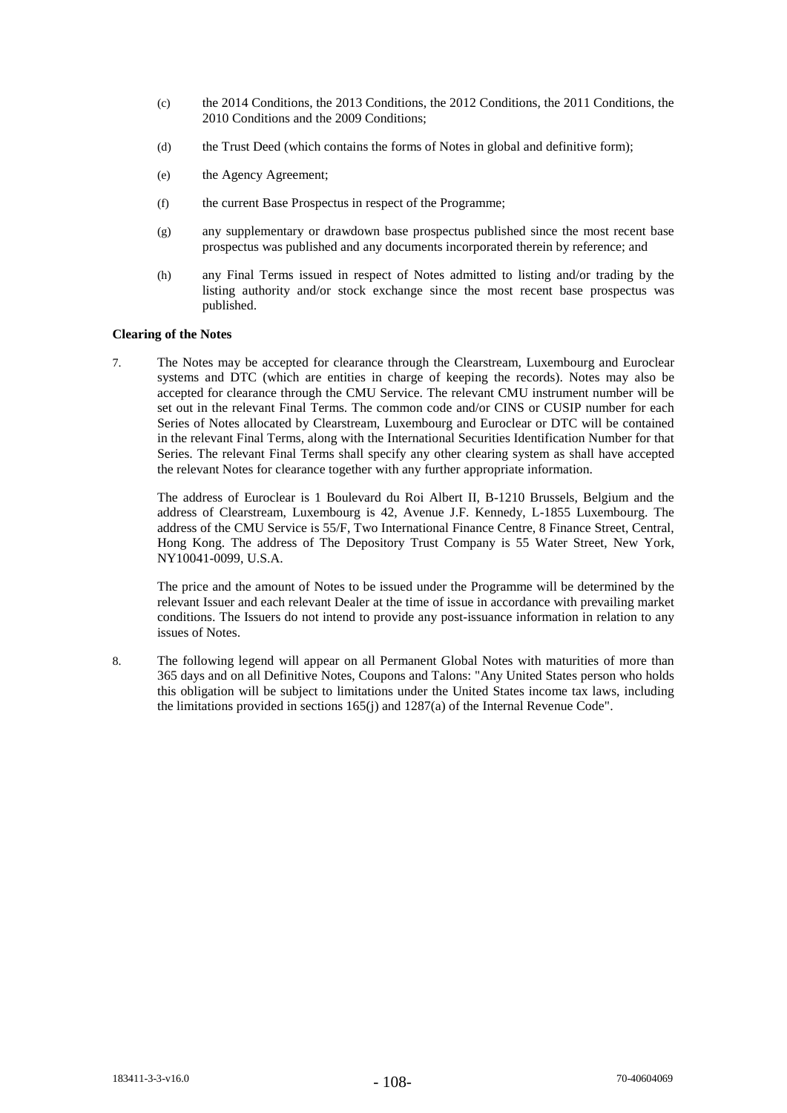- (c) the 2014 Conditions, the 2013 Conditions, the 2012 Conditions, the 2011 Conditions, the 2010 Conditions and the 2009 Conditions;
- (d) the Trust Deed (which contains the forms of Notes in global and definitive form);
- (e) the Agency Agreement;
- (f) the current Base Prospectus in respect of the Programme;
- (g) any supplementary or drawdown base prospectus published since the most recent base prospectus was published and any documents incorporated therein by reference; and
- (h) any Final Terms issued in respect of Notes admitted to listing and/or trading by the listing authority and/or stock exchange since the most recent base prospectus was published.

# **Clearing of the Notes**

7. The Notes may be accepted for clearance through the Clearstream, Luxembourg and Euroclear systems and DTC (which are entities in charge of keeping the records). Notes may also be accepted for clearance through the CMU Service. The relevant CMU instrument number will be set out in the relevant Final Terms. The common code and/or CINS or CUSIP number for each Series of Notes allocated by Clearstream, Luxembourg and Euroclear or DTC will be contained in the relevant Final Terms, along with the International Securities Identification Number for that Series. The relevant Final Terms shall specify any other clearing system as shall have accepted the relevant Notes for clearance together with any further appropriate information.

The address of Euroclear is 1 Boulevard du Roi Albert II, B-1210 Brussels, Belgium and the address of Clearstream, Luxembourg is 42, Avenue J.F. Kennedy, L-1855 Luxembourg. The address of the CMU Service is 55/F, Two International Finance Centre, 8 Finance Street, Central, Hong Kong. The address of The Depository Trust Company is 55 Water Street, New York, NY10041-0099, U.S.A.

The price and the amount of Notes to be issued under the Programme will be determined by the relevant Issuer and each relevant Dealer at the time of issue in accordance with prevailing market conditions. The Issuers do not intend to provide any post-issuance information in relation to any issues of Notes.

8. The following legend will appear on all Permanent Global Notes with maturities of more than 365 days and on all Definitive Notes, Coupons and Talons: "Any United States person who holds this obligation will be subject to limitations under the United States income tax laws, including the limitations provided in sections 165(j) and 1287(a) of the Internal Revenue Code".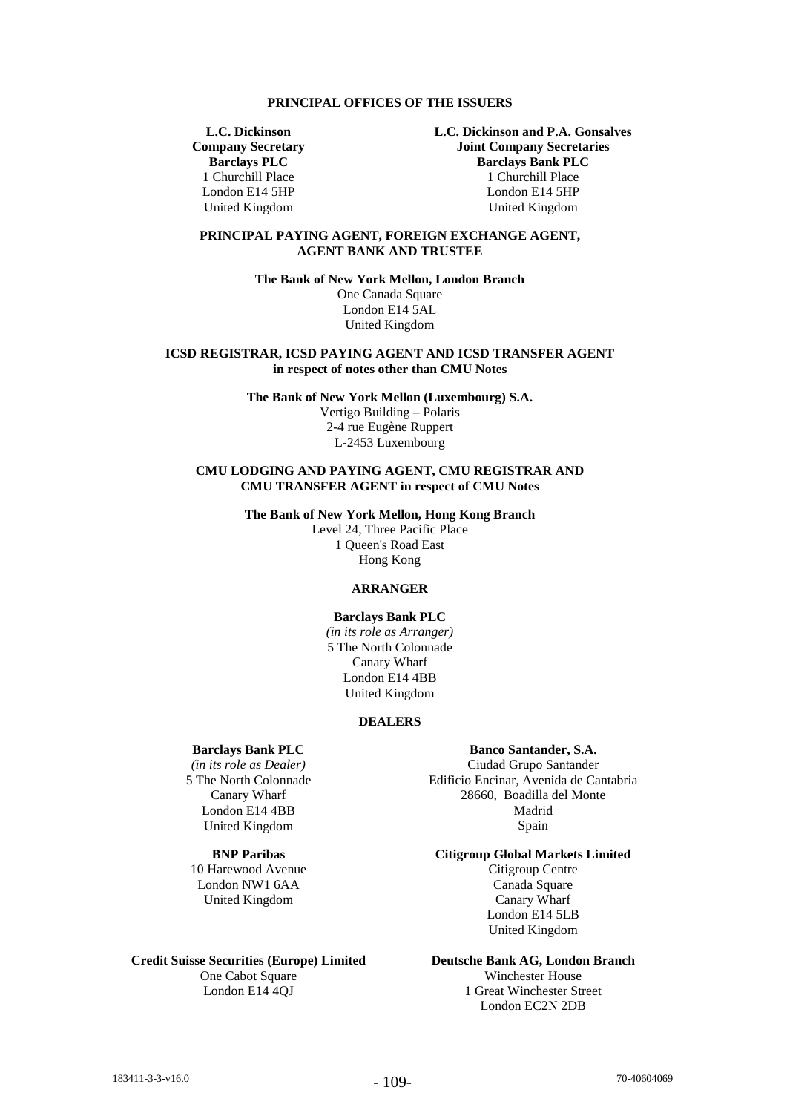#### **PRINCIPAL OFFICES OF THE ISSUERS**

**L.C. Dickinson Company Secretary Barclays PLC** 1 Churchill Place London E14 5HP United Kingdom

**L.C. Dickinson and P.A. Gonsalves Joint Company Secretaries Barclays Bank PLC** 1 Churchill Place London E14 5HP United Kingdom

# **PRINCIPAL PAYING AGENT, FOREIGN EXCHANGE AGENT, AGENT BANK AND TRUSTEE**

**The Bank of New York Mellon, London Branch**

One Canada Square London E14 5AL United Kingdom

**ICSD REGISTRAR, ICSD PAYING AGENT AND ICSD TRANSFER AGENT in respect of notes other than CMU Notes**

**The Bank of New York Mellon (Luxembourg) S.A.**

Vertigo Building – Polaris 2-4 rue Eugène Ruppert L-2453 Luxembourg

## **CMU LODGING AND PAYING AGENT, CMU REGISTRAR AND CMU TRANSFER AGENT in respect of CMU Notes**

**The Bank of New York Mellon, Hong Kong Branch**

Level 24, Three Pacific Place 1 Queen's Road East Hong Kong

# **ARRANGER**

# **Barclays Bank PLC**

*(in its role as Arranger)* 5 The North Colonnade Canary Wharf London E14 4BB United Kingdom

# **DEALERS**

### **Barclays Bank PLC**

*(in its role as Dealer)* 5 The North Colonnade Canary Wharf London E14 4BB United Kingdom

# **BNP Paribas**

10 Harewood Avenue London NW1 6AA United Kingdom

#### **Credit Suisse Securities (Europe) Limited**  One Cabot Square

London E14 4QJ

### **Banco Santander, S.A.**

Ciudad Grupo Santander Edificio Encinar, Avenida de Cantabria 28660, Boadilla del Monte Madrid Spain

# **Citigroup Global Markets Limited**

Citigroup Centre Canada Square Canary Wharf London E14 5LB United Kingdom

# **Deutsche Bank AG, London Branch**

Winchester House 1 Great Winchester Street London EC2N 2DB